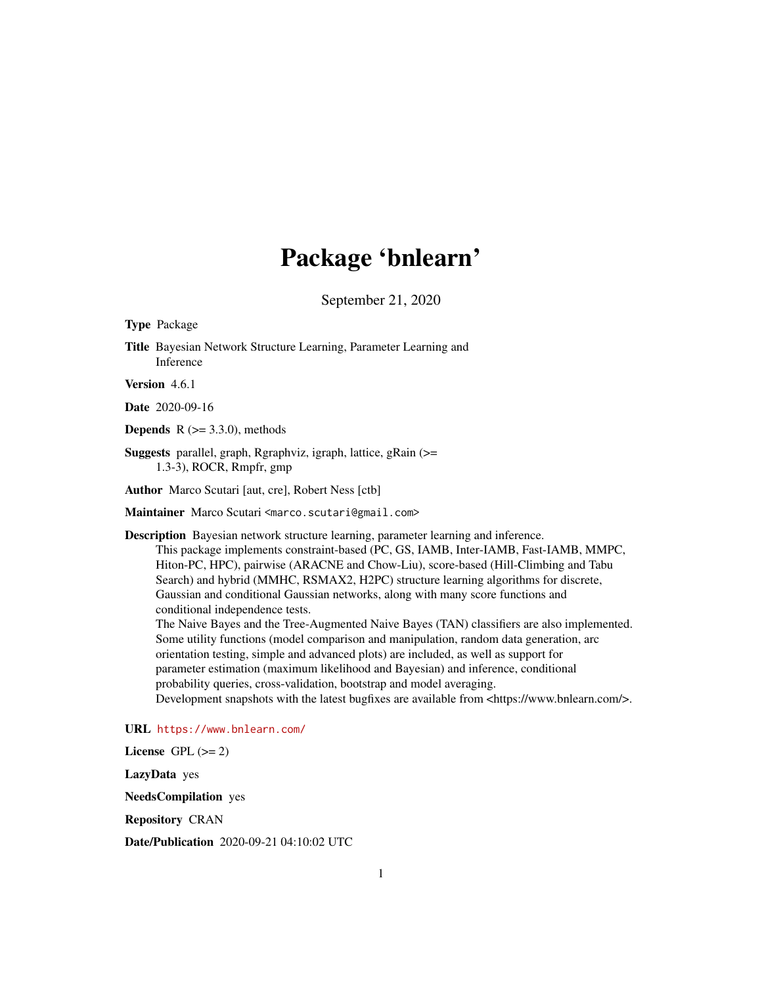# Package 'bnlearn'

September 21, 2020

Type Package

Title Bayesian Network Structure Learning, Parameter Learning and Inference

Version 4.6.1

Date 2020-09-16

**Depends** R  $(>= 3.3.0)$ , methods

Suggests parallel, graph, Rgraphviz, igraph, lattice, gRain (>= 1.3-3), ROCR, Rmpfr, gmp

Author Marco Scutari [aut, cre], Robert Ness [ctb]

Maintainer Marco Scutari <marco.scutari@gmail.com>

Description Bayesian network structure learning, parameter learning and inference.

This package implements constraint-based (PC, GS, IAMB, Inter-IAMB, Fast-IAMB, MMPC, Hiton-PC, HPC), pairwise (ARACNE and Chow-Liu), score-based (Hill-Climbing and Tabu Search) and hybrid (MMHC, RSMAX2, H2PC) structure learning algorithms for discrete, Gaussian and conditional Gaussian networks, along with many score functions and conditional independence tests.

The Naive Bayes and the Tree-Augmented Naive Bayes (TAN) classifiers are also implemented. Some utility functions (model comparison and manipulation, random data generation, arc orientation testing, simple and advanced plots) are included, as well as support for parameter estimation (maximum likelihood and Bayesian) and inference, conditional probability queries, cross-validation, bootstrap and model averaging. Development snapshots with the latest bugfixes are available from <https://www.bnlearn.com/>.

URL <https://www.bnlearn.com/>

License GPL  $(>= 2)$ 

LazyData yes

NeedsCompilation yes

Repository CRAN

Date/Publication 2020-09-21 04:10:02 UTC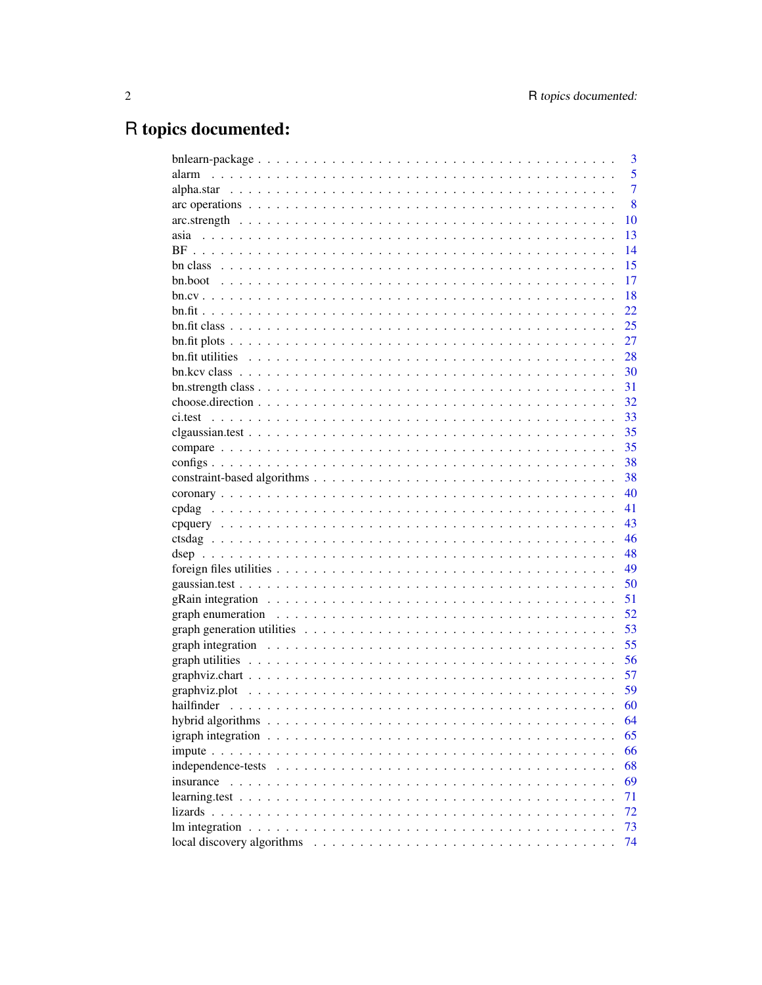# R topics documented:

|                                                                                                                            | 3              |
|----------------------------------------------------------------------------------------------------------------------------|----------------|
| alarm                                                                                                                      | 5              |
|                                                                                                                            | $\overline{7}$ |
|                                                                                                                            | 8              |
| 10                                                                                                                         |                |
| 13                                                                                                                         |                |
| 14                                                                                                                         |                |
| 15                                                                                                                         |                |
| 17                                                                                                                         |                |
| 18                                                                                                                         |                |
| 22                                                                                                                         |                |
| 25                                                                                                                         |                |
| 27                                                                                                                         |                |
| 28                                                                                                                         |                |
| 30                                                                                                                         |                |
| 31<br>$bn. strength class \dots \dots \dots \dots \dots \dots \dots \dots \dots \dots \dots \dots \dots \dots \dots \dots$ |                |
| 32                                                                                                                         |                |
| 33                                                                                                                         |                |
| 35                                                                                                                         |                |
| 35                                                                                                                         |                |
|                                                                                                                            |                |
| 38                                                                                                                         |                |
| 38                                                                                                                         |                |
| 40                                                                                                                         |                |
| 41                                                                                                                         |                |
| 43                                                                                                                         |                |
| 46                                                                                                                         |                |
| 48                                                                                                                         |                |
| 49                                                                                                                         |                |
| 50                                                                                                                         |                |
| 51<br>gRain integration $\ldots \ldots \ldots \ldots \ldots \ldots \ldots \ldots \ldots \ldots \ldots \ldots \ldots$       |                |
| 52                                                                                                                         |                |
| graph generation utilities $\ldots \ldots \ldots \ldots \ldots \ldots \ldots \ldots \ldots \ldots \ldots \ldots$<br>53     |                |
| 55                                                                                                                         |                |
| 56                                                                                                                         |                |
| 57                                                                                                                         |                |
| 59                                                                                                                         |                |
| 60                                                                                                                         |                |
| 64                                                                                                                         |                |
| 65<br>igraph integration $\dots \dots \dots \dots \dots \dots \dots \dots \dots \dots \dots \dots \dots \dots$             |                |
| 66                                                                                                                         |                |
| 68                                                                                                                         |                |
| 69<br>insurance                                                                                                            |                |
| 71                                                                                                                         |                |
| 72                                                                                                                         |                |
| 73                                                                                                                         |                |
| 74                                                                                                                         |                |
|                                                                                                                            |                |
|                                                                                                                            |                |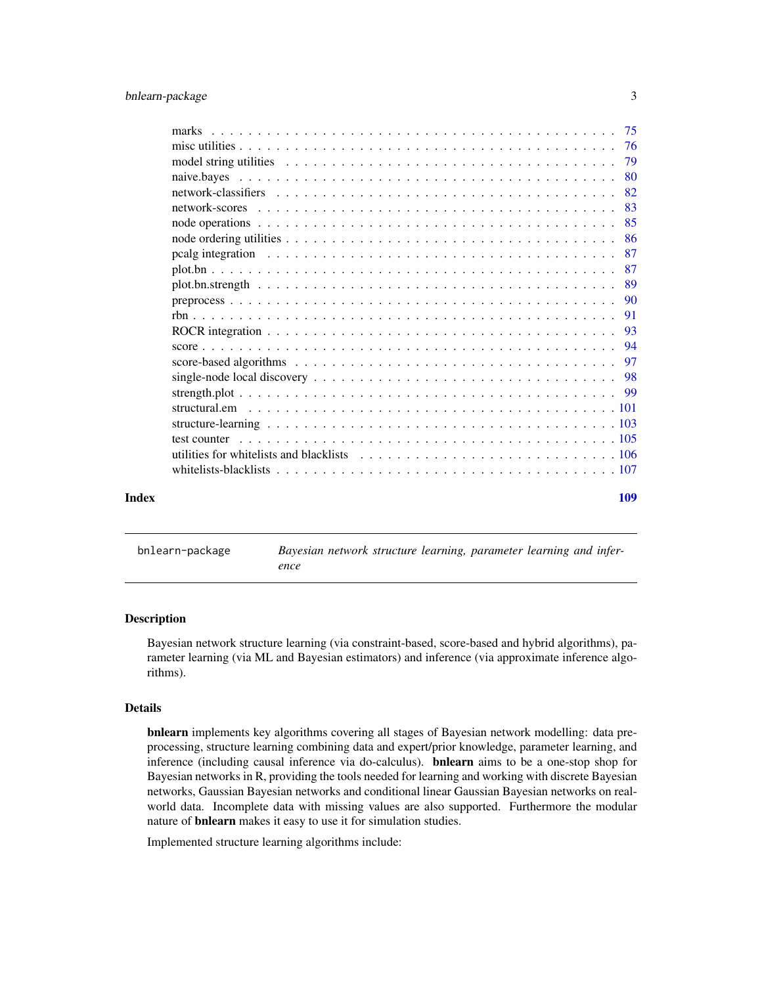<span id="page-2-0"></span>

|       | marks                                                                                                                                                                                                                         |     |
|-------|-------------------------------------------------------------------------------------------------------------------------------------------------------------------------------------------------------------------------------|-----|
|       |                                                                                                                                                                                                                               |     |
|       | model string utilities $\ldots \ldots \ldots \ldots \ldots \ldots \ldots \ldots \ldots \ldots \ldots \ldots$                                                                                                                  | 79  |
|       |                                                                                                                                                                                                                               | 80  |
|       |                                                                                                                                                                                                                               | 82  |
|       |                                                                                                                                                                                                                               | 83  |
|       |                                                                                                                                                                                                                               | 85  |
|       |                                                                                                                                                                                                                               | -86 |
|       | pealg integration responses to the set of the set of the set of the set of the set of the set of the set of the set of the set of the set of the set of the set of the set of the set of the set of the set of the set of the | 87  |
|       |                                                                                                                                                                                                                               | 87  |
|       |                                                                                                                                                                                                                               | -89 |
|       |                                                                                                                                                                                                                               | -90 |
|       |                                                                                                                                                                                                                               | 91  |
|       |                                                                                                                                                                                                                               | -93 |
|       |                                                                                                                                                                                                                               |     |
|       |                                                                                                                                                                                                                               |     |
|       |                                                                                                                                                                                                                               |     |
|       |                                                                                                                                                                                                                               |     |
|       |                                                                                                                                                                                                                               |     |
|       |                                                                                                                                                                                                                               |     |
|       | test counter                                                                                                                                                                                                                  |     |
|       |                                                                                                                                                                                                                               |     |
|       |                                                                                                                                                                                                                               |     |
|       |                                                                                                                                                                                                                               |     |
| Index |                                                                                                                                                                                                                               | 109 |
|       |                                                                                                                                                                                                                               |     |

bnlearn-package *Bayesian network structure learning, parameter learning and inference*

#### Description

Bayesian network structure learning (via constraint-based, score-based and hybrid algorithms), parameter learning (via ML and Bayesian estimators) and inference (via approximate inference algorithms).

# Details

bnlearn implements key algorithms covering all stages of Bayesian network modelling: data preprocessing, structure learning combining data and expert/prior knowledge, parameter learning, and inference (including causal inference via do-calculus). bnlearn aims to be a one-stop shop for Bayesian networks in R, providing the tools needed for learning and working with discrete Bayesian networks, Gaussian Bayesian networks and conditional linear Gaussian Bayesian networks on realworld data. Incomplete data with missing values are also supported. Furthermore the modular nature of bnlearn makes it easy to use it for simulation studies.

Implemented structure learning algorithms include: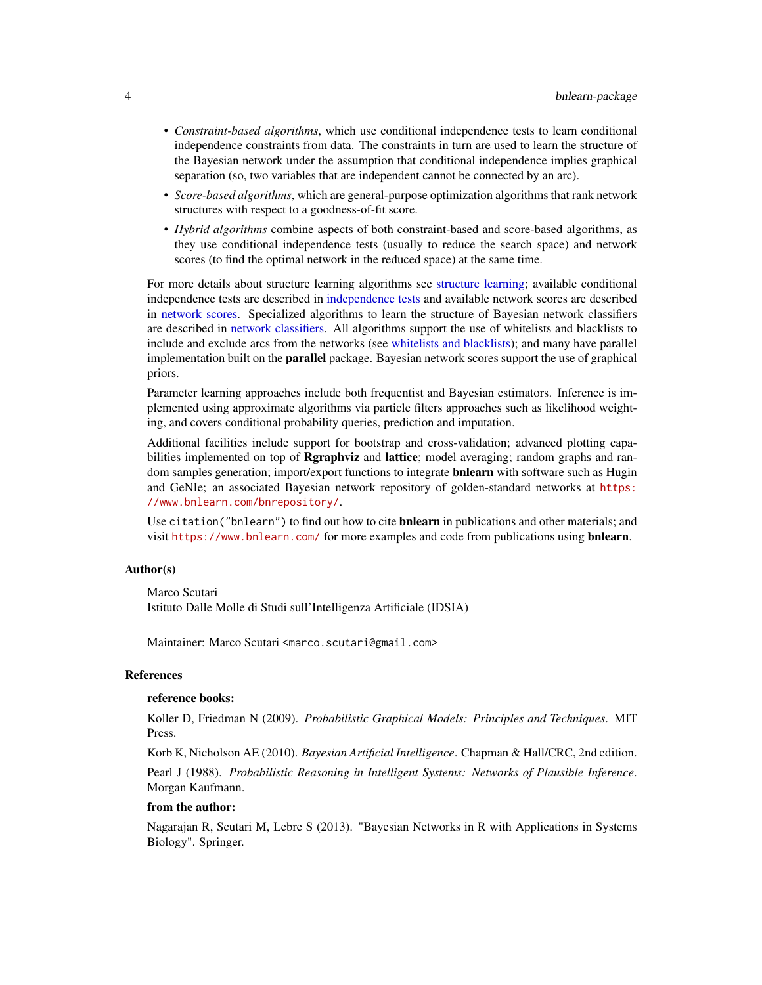- *Constraint-based algorithms*, which use conditional independence tests to learn conditional independence constraints from data. The constraints in turn are used to learn the structure of the Bayesian network under the assumption that conditional independence implies graphical separation (so, two variables that are independent cannot be connected by an arc).
- *Score-based algorithms*, which are general-purpose optimization algorithms that rank network structures with respect to a goodness-of-fit score.
- *Hybrid algorithms* combine aspects of both constraint-based and score-based algorithms, as they use conditional independence tests (usually to reduce the search space) and network scores (to find the optimal network in the reduced space) at the same time.

For more details about structure learning algorithms see [structure learning;](#page-102-1) available conditional independence tests are described in [independence tests](#page-67-1) and available network scores are described in [network scores.](#page-82-1) Specialized algorithms to learn the structure of Bayesian network classifiers are described in [network classifiers.](#page-81-1) All algorithms support the use of whitelists and blacklists to include and exclude arcs from the networks (see [whitelists and blacklists\)](#page-106-1); and many have parallel implementation built on the **parallel** package. Bayesian network scores support the use of graphical priors.

Parameter learning approaches include both frequentist and Bayesian estimators. Inference is implemented using approximate algorithms via particle filters approaches such as likelihood weighting, and covers conditional probability queries, prediction and imputation.

Additional facilities include support for bootstrap and cross-validation; advanced plotting capabilities implemented on top of Rgraphviz and lattice; model averaging; random graphs and random samples generation; import/export functions to integrate **bnlearn** with software such as Hugin and GeNIe; an associated Bayesian network repository of golden-standard networks at [https:](https://www.bnlearn.com/bnrepository/) [//www.bnlearn.com/bnrepository/](https://www.bnlearn.com/bnrepository/).

Use citation ("bnlearn") to find out how to cite **bnlearn** in publications and other materials; and visit <https://www.bnlearn.com/> for more examples and code from publications using **bnlearn**.

# Author(s)

Marco Scutari Istituto Dalle Molle di Studi sull'Intelligenza Artificiale (IDSIA)

Maintainer: Marco Scutari <marco.scutari@gmail.com>

#### References

#### reference books:

Koller D, Friedman N (2009). *Probabilistic Graphical Models: Principles and Techniques*. MIT Press.

Korb K, Nicholson AE (2010). *Bayesian Artificial Intelligence*. Chapman & Hall/CRC, 2nd edition. Pearl J (1988). *Probabilistic Reasoning in Intelligent Systems: Networks of Plausible Inference*. Morgan Kaufmann.

#### from the author:

Nagarajan R, Scutari M, Lebre S (2013). "Bayesian Networks in R with Applications in Systems Biology". Springer.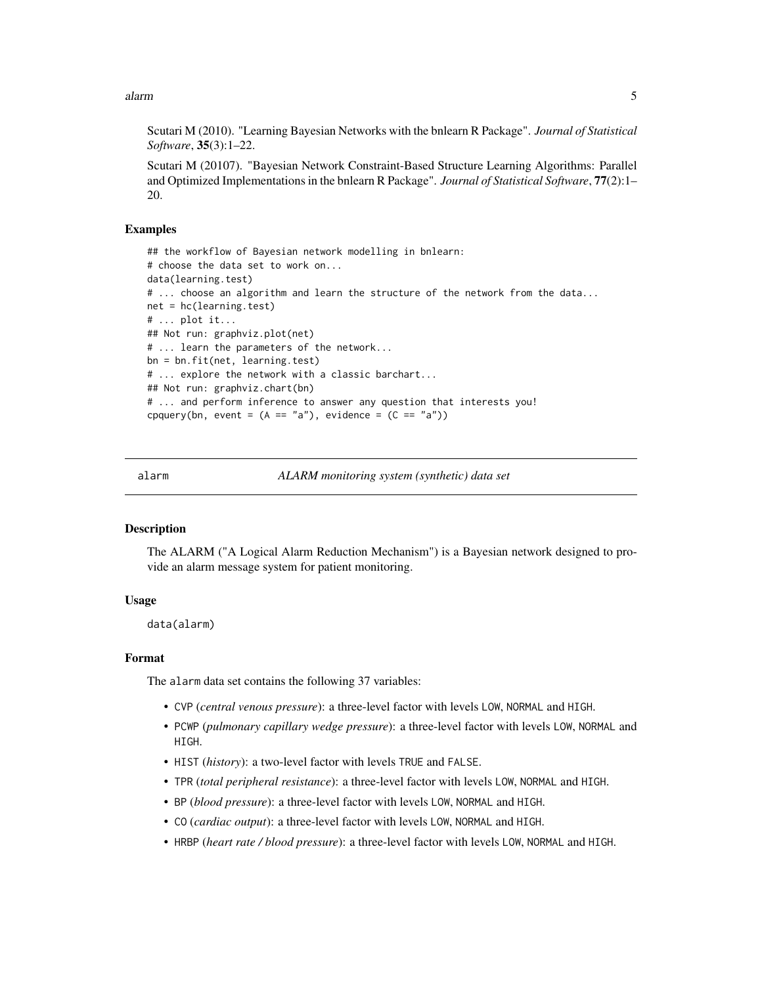<span id="page-4-0"></span>alarm 5

Scutari M (2010). "Learning Bayesian Networks with the bnlearn R Package". *Journal of Statistical Software*, 35(3):1–22.

Scutari M (20107). "Bayesian Network Constraint-Based Structure Learning Algorithms: Parallel and Optimized Implementations in the bnlearn R Package". *Journal of Statistical Software*, 77(2):1– 20.

#### Examples

```
## the workflow of Bayesian network modelling in bnlearn:
# choose the data set to work on...
data(learning.test)
# ... choose an algorithm and learn the structure of the network from the data...
net = hc(learning.test)
# ... plot it...
## Not run: graphviz.plot(net)
# ... learn the parameters of the network...
bn = bn.fit(net, learning.test)
# ... explore the network with a classic barchart...
## Not run: graphviz.chart(bn)
# ... and perform inference to answer any question that interests you!
cpquery(bn, event = (A == "a"), evidence = (C == "a"))
```
alarm *ALARM monitoring system (synthetic) data set*

#### **Description**

The ALARM ("A Logical Alarm Reduction Mechanism") is a Bayesian network designed to provide an alarm message system for patient monitoring.

# Usage

data(alarm)

# Format

The alarm data set contains the following 37 variables:

- CVP (*central venous pressure*): a three-level factor with levels LOW, NORMAL and HIGH.
- PCWP (*pulmonary capillary wedge pressure*): a three-level factor with levels LOW, NORMAL and HIGH.
- HIST (*history*): a two-level factor with levels TRUE and FALSE.
- TPR (*total peripheral resistance*): a three-level factor with levels LOW, NORMAL and HIGH.
- BP (*blood pressure*): a three-level factor with levels LOW, NORMAL and HIGH.
- CO (*cardiac output*): a three-level factor with levels LOW, NORMAL and HIGH.
- HRBP (*heart rate / blood pressure*): a three-level factor with levels LOW, NORMAL and HIGH.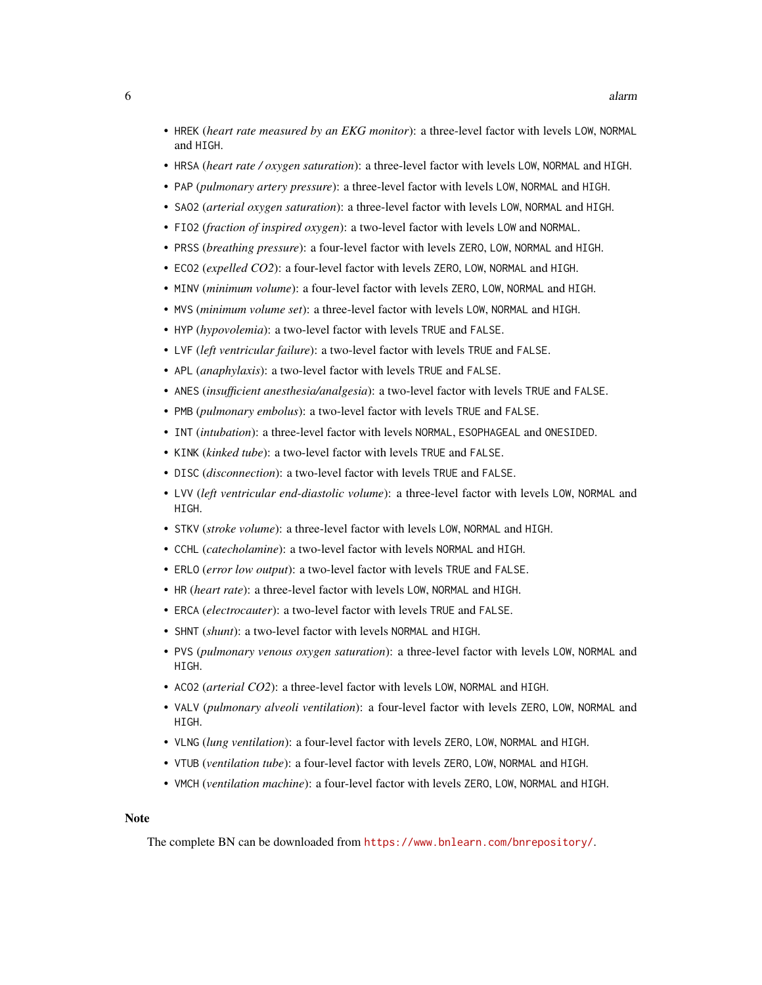- HREK (*heart rate measured by an EKG monitor*): a three-level factor with levels LOW, NORMAL and HIGH.
- HRSA (*heart rate / oxygen saturation*): a three-level factor with levels LOW, NORMAL and HIGH.
- PAP (*pulmonary artery pressure*): a three-level factor with levels LOW, NORMAL and HIGH.
- SAO2 (*arterial oxygen saturation*): a three-level factor with levels LOW, NORMAL and HIGH.
- FIO2 (*fraction of inspired oxygen*): a two-level factor with levels LOW and NORMAL.
- PRSS (*breathing pressure*): a four-level factor with levels ZERO, LOW, NORMAL and HIGH.
- ECO2 (*expelled CO2*): a four-level factor with levels ZERO, LOW, NORMAL and HIGH.
- MINV (*minimum volume*): a four-level factor with levels ZERO, LOW, NORMAL and HIGH.
- MVS (*minimum volume set*): a three-level factor with levels LOW, NORMAL and HIGH.
- HYP (*hypovolemia*): a two-level factor with levels TRUE and FALSE.
- LVF (*left ventricular failure*): a two-level factor with levels TRUE and FALSE.
- APL (*anaphylaxis*): a two-level factor with levels TRUE and FALSE.
- ANES (*insufficient anesthesia/analgesia*): a two-level factor with levels TRUE and FALSE.
- PMB (*pulmonary embolus*): a two-level factor with levels TRUE and FALSE.
- INT (*intubation*): a three-level factor with levels NORMAL, ESOPHAGEAL and ONESIDED.
- KINK (*kinked tube*): a two-level factor with levels TRUE and FALSE.
- DISC (*disconnection*): a two-level factor with levels TRUE and FALSE.
- LVV (*left ventricular end-diastolic volume*): a three-level factor with levels LOW, NORMAL and HIGH.
- STKV (*stroke volume*): a three-level factor with levels LOW, NORMAL and HIGH.
- CCHL (*catecholamine*): a two-level factor with levels NORMAL and HIGH.
- ERLO (*error low output*): a two-level factor with levels TRUE and FALSE.
- HR (*heart rate*): a three-level factor with levels LOW, NORMAL and HIGH.
- ERCA (*electrocauter*): a two-level factor with levels TRUE and FALSE.
- SHNT (*shunt*): a two-level factor with levels NORMAL and HIGH.
- PVS (*pulmonary venous oxygen saturation*): a three-level factor with levels LOW, NORMAL and HIGH.
- ACO2 (*arterial CO2*): a three-level factor with levels LOW, NORMAL and HIGH.
- VALV (*pulmonary alveoli ventilation*): a four-level factor with levels ZERO, LOW, NORMAL and HIGH.
- VLNG (*lung ventilation*): a four-level factor with levels ZERO, LOW, NORMAL and HIGH.
- VTUB (*ventilation tube*): a four-level factor with levels ZERO, LOW, NORMAL and HIGH.
- VMCH (*ventilation machine*): a four-level factor with levels ZERO, LOW, NORMAL and HIGH.

#### Note

The complete BN can be downloaded from <https://www.bnlearn.com/bnrepository/>.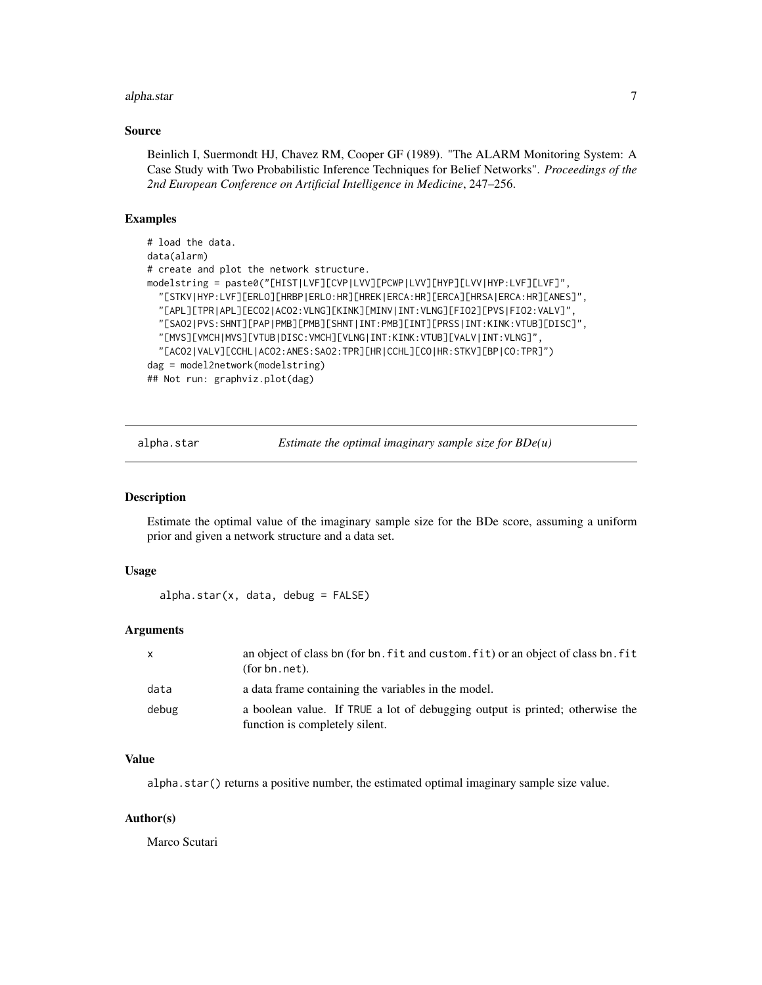#### <span id="page-6-0"></span>alpha.star 7

#### Source

Beinlich I, Suermondt HJ, Chavez RM, Cooper GF (1989). "The ALARM Monitoring System: A Case Study with Two Probabilistic Inference Techniques for Belief Networks". *Proceedings of the 2nd European Conference on Artificial Intelligence in Medicine*, 247–256.

# Examples

```
# load the data.
data(alarm)
# create and plot the network structure.
modelstring = paste0("[HIST|LVF][CVP|LVV][PCWP|LVV][HYP][LVV|HYP:LVF][LVF]",
  "[STKV|HYP:LVF][ERLO][HRBP|ERLO:HR][HREK|ERCA:HR][ERCA][HRSA|ERCA:HR][ANES]",
 "[APL][TPR|APL][ECO2|ACO2:VLNG][KINK][MINV|INT:VLNG][FIO2][PVS|FIO2:VALV]",
 "[SAO2|PVS:SHNT][PAP|PMB][PMB][SHNT|INT:PMB][INT][PRSS|INT:KINK:VTUB][DISC]",
 "[MVS][VMCH|MVS][VTUB|DISC:VMCH][VLNG|INT:KINK:VTUB][VALV|INT:VLNG]",
  "[ACO2|VALV][CCHL|ACO2:ANES:SAO2:TPR][HR|CCHL][CO|HR:STKV][BP|CO:TPR]")
dag = model2network(modelstring)
## Not run: graphviz.plot(dag)
```
alpha.star *Estimate the optimal imaginary sample size for BDe(u)*

#### Description

Estimate the optimal value of the imaginary sample size for the BDe score, assuming a uniform prior and given a network structure and a data set.

#### Usage

 $alpha.start(x, data, debug = FALSE)$ 

#### Arguments

| $\mathsf{x}$ | an object of class bn (for bn, fit and custom, fit) or an object of class bn, fit<br>(for bn.net).             |
|--------------|----------------------------------------------------------------------------------------------------------------|
| data         | a data frame containing the variables in the model.                                                            |
| debug        | a boolean value. If TRUE a lot of debugging output is printed; otherwise the<br>function is completely silent. |

# Value

alpha.star() returns a positive number, the estimated optimal imaginary sample size value.

#### Author(s)

Marco Scutari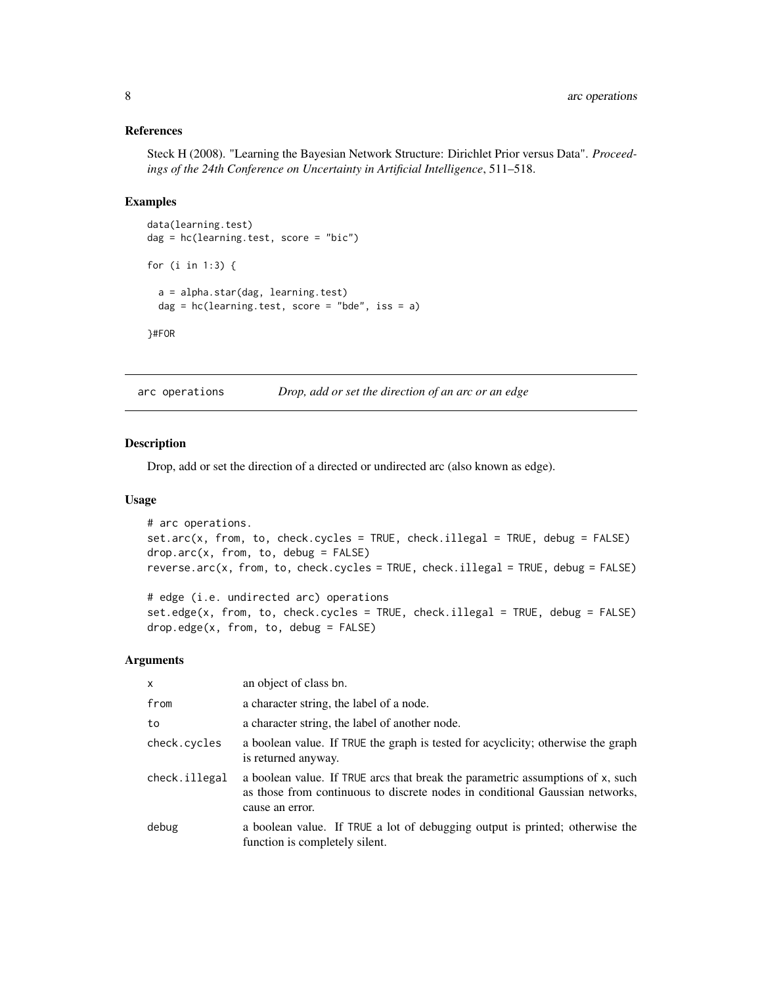# <span id="page-7-0"></span>References

Steck H (2008). "Learning the Bayesian Network Structure: Dirichlet Prior versus Data". *Proceedings of the 24th Conference on Uncertainty in Artificial Intelligence*, 511–518.

#### Examples

```
data(learning.test)
dag = hc(learning.test, score = "bic")
for (i in 1:3) {
 a = alpha.star(dag, learning.test)
 dag = hc(learning.test, score = "bde", iss = a)
}#FOR
```
arc operations *Drop, add or set the direction of an arc or an edge*

## <span id="page-7-1"></span>Description

Drop, add or set the direction of a directed or undirected arc (also known as edge).

#### Usage

```
# arc operations.
set.arc(x, from, to, check.cycles = TRUE, check.illegal = TRUE, debug = FALSE)
drop.arc(x, from, to, debug = FALSE)
reverse.arc(x, from, to, check.cycles = TRUE, check.illegal = TRUE, debug = FALSE)
# edge (i.e. undirected arc) operations
```
set.edge(x, from, to, check.cycles = TRUE, check.illegal = TRUE, debug = FALSE) drop.edge(x, from, to, debug = FALSE)

#### Arguments

| X             | an object of class bn.                                                                                                                                                            |
|---------------|-----------------------------------------------------------------------------------------------------------------------------------------------------------------------------------|
| from          | a character string, the label of a node.                                                                                                                                          |
| to            | a character string, the label of another node.                                                                                                                                    |
| check.cycles  | a boolean value. If TRUE the graph is tested for acyclicity; otherwise the graph<br>is returned anyway.                                                                           |
| check.illegal | a boolean value. If TRUE arcs that break the parametric assumptions of x, such<br>as those from continuous to discrete nodes in conditional Gaussian networks,<br>cause an error. |
| debug         | a boolean value. If TRUE a lot of debugging output is printed; otherwise the<br>function is completely silent.                                                                    |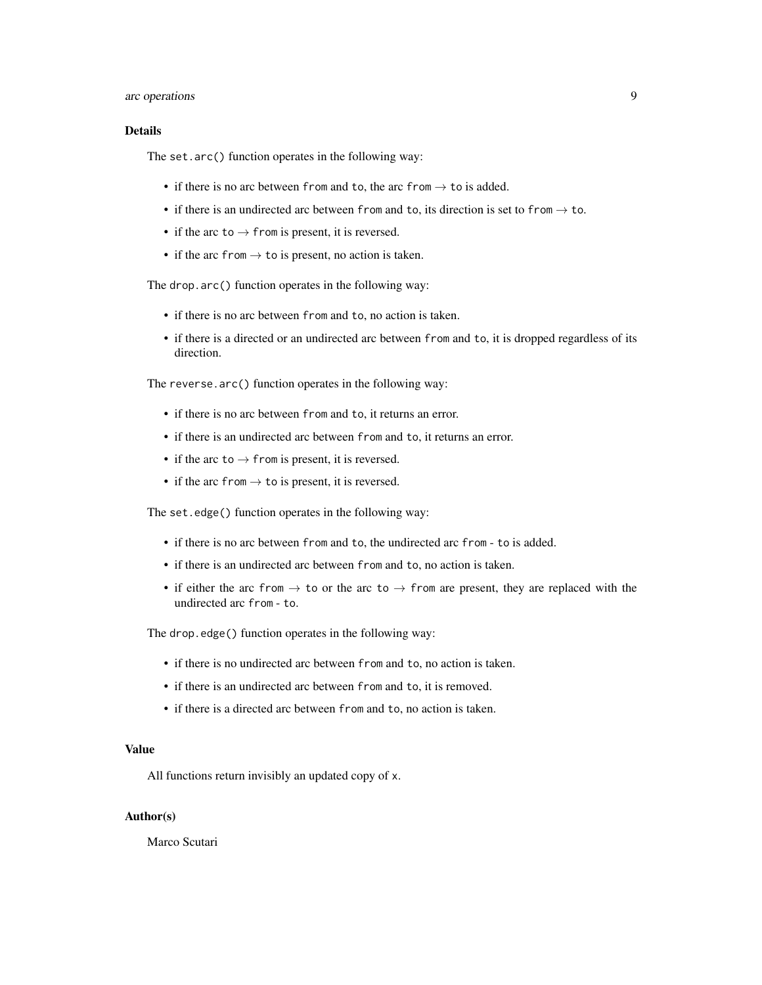# arc operations 9

# **Details**

The set.arc() function operates in the following way:

- if there is no arc between from and to, the arc from  $\rightarrow$  to is added.
- if there is an undirected arc between from and to, its direction is set to from  $\rightarrow$  to.
- if the arc to  $\rightarrow$  from is present, it is reversed.
- if the arc from  $\rightarrow$  to is present, no action is taken.

The drop.arc() function operates in the following way:

- if there is no arc between from and to, no action is taken.
- if there is a directed or an undirected arc between from and to, it is dropped regardless of its direction.

The reverse.arc() function operates in the following way:

- if there is no arc between from and to, it returns an error.
- if there is an undirected arc between from and to, it returns an error.
- if the arc to  $\rightarrow$  from is present, it is reversed.
- if the arc from  $\rightarrow$  to is present, it is reversed.

The set.edge() function operates in the following way:

- if there is no arc between from and to, the undirected arc from to is added.
- if there is an undirected arc between from and to, no action is taken.
- if either the arc from  $\rightarrow$  to or the arc to  $\rightarrow$  from are present, they are replaced with the undirected arc from - to.

The drop.edge() function operates in the following way:

- if there is no undirected arc between from and to, no action is taken.
- if there is an undirected arc between from and to, it is removed.
- if there is a directed arc between from and to, no action is taken.

# Value

All functions return invisibly an updated copy of x.

#### Author(s)

Marco Scutari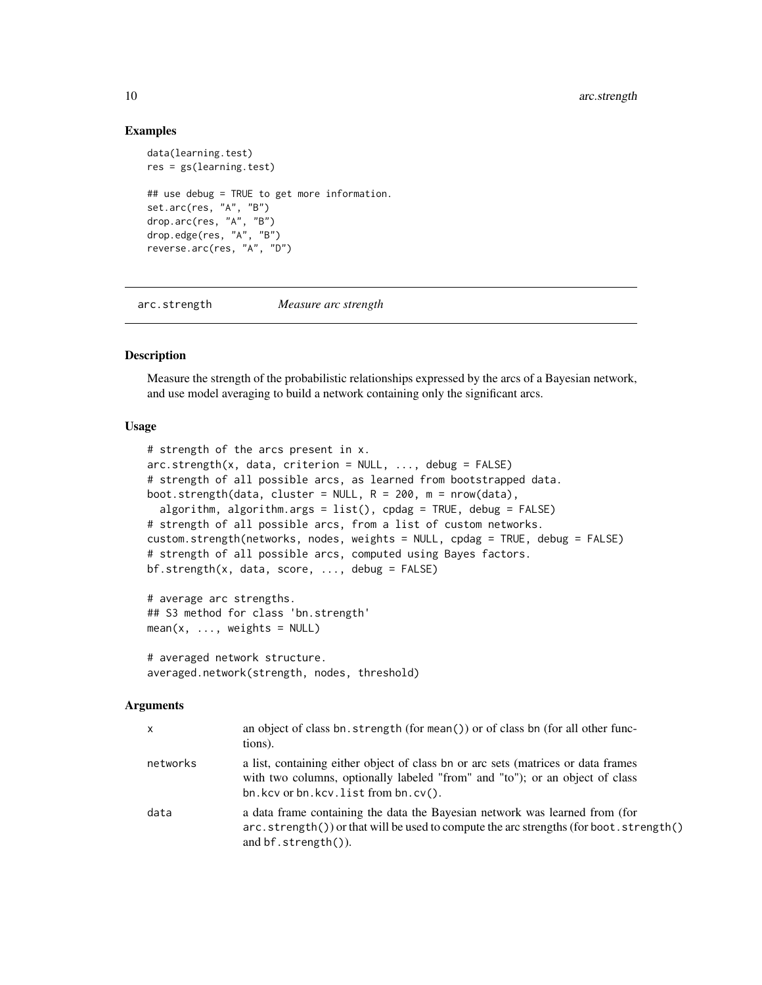#### Examples

```
data(learning.test)
res = gs(learning.test)## use debug = TRUE to get more information.
set.arc(res, "A", "B")
drop.arc(res, "A", "B")
drop.edge(res, "A", "B")
reverse.arc(res, "A", "D")
```
<span id="page-9-2"></span>arc.strength *Measure arc strength*

# <span id="page-9-1"></span>Description

Measure the strength of the probabilistic relationships expressed by the arcs of a Bayesian network, and use model averaging to build a network containing only the significant arcs.

# Usage

```
# strength of the arcs present in x.
arc.strength(x, data, criterion = NULL, ..., debug = FALSE)
# strength of all possible arcs, as learned from bootstrapped data.
boot.strength(data, cluster = NULL, R = 200, m = nrow(data),
  algorithm, algorithm.args = list(), cpdag = TRUE, debug = FALSE)
# strength of all possible arcs, from a list of custom networks.
custom.strength(networks, nodes, weights = NULL, cpdag = TRUE, debug = FALSE)
# strength of all possible arcs, computed using Bayes factors.
bf.strength(x, data, score, ..., debug = FALSE)
# average arc strengths.
## S3 method for class 'bn.strength'
mean(x, ..., weights = NULL)
```

```
# averaged network structure.
averaged.network(strength, nodes, threshold)
```
#### Arguments

| X        | an object of class bn. strength (for mean()) or of class bn (for all other func-<br>tions).                                                                                                                       |
|----------|-------------------------------------------------------------------------------------------------------------------------------------------------------------------------------------------------------------------|
| networks | a list, containing either object of class bn or arc sets (matrices or data frames<br>with two columns, optionally labeled "from" and "to"); or an object of class<br>$bn.kcv$ or $bn.kcv$ . list from $bn.cv()$ . |
| data     | a data frame containing the data the Bayesian network was learned from (for<br>$arc. strength()$ or that will be used to compute the arc strengths (for boot. strength()<br>and $bf$ . strength $()$ ).           |

<span id="page-9-0"></span>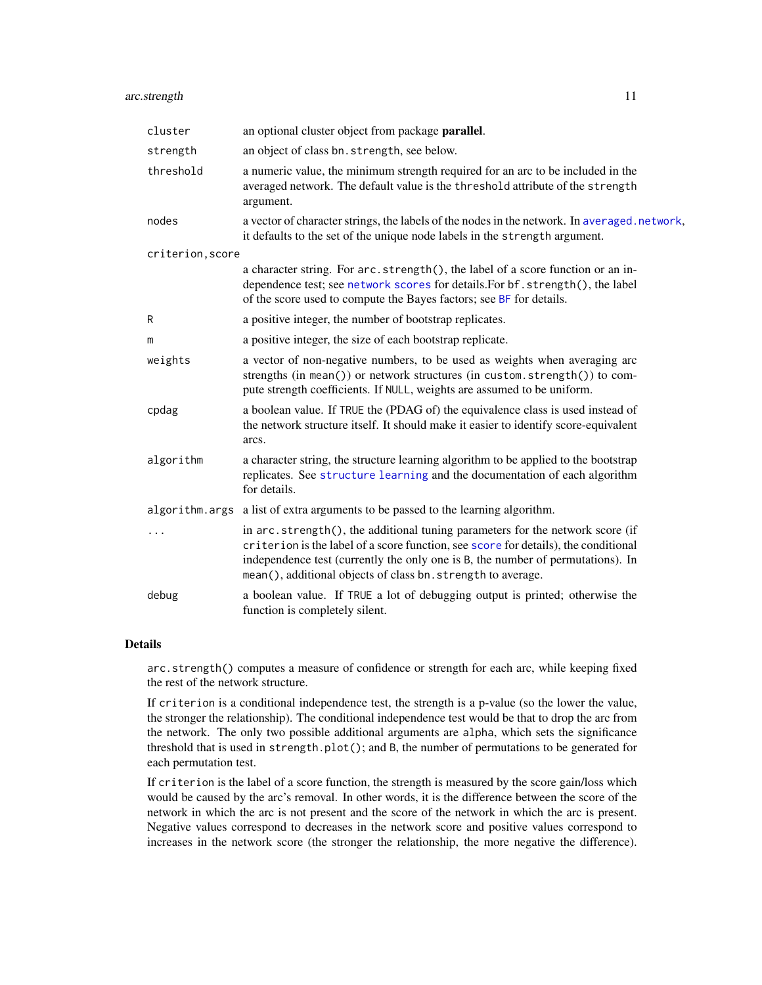# arc.strength 11

| cluster          | an optional cluster object from package <b>parallel</b> .                                                                                                                                                                                                                                                               |
|------------------|-------------------------------------------------------------------------------------------------------------------------------------------------------------------------------------------------------------------------------------------------------------------------------------------------------------------------|
| strength         | an object of class bn. strength, see below.                                                                                                                                                                                                                                                                             |
| threshold        | a numeric value, the minimum strength required for an arc to be included in the<br>averaged network. The default value is the threshold attribute of the strength<br>argument.                                                                                                                                          |
| nodes            | a vector of character strings, the labels of the nodes in the network. In averaged.network,<br>it defaults to the set of the unique node labels in the strength argument.                                                                                                                                               |
| criterion, score |                                                                                                                                                                                                                                                                                                                         |
|                  | a character string. For arc. strength(), the label of a score function or an in-<br>dependence test; see network scores for details. For bf. strength(), the label<br>of the score used to compute the Bayes factors; see BF for details.                                                                               |
| R                | a positive integer, the number of bootstrap replicates.                                                                                                                                                                                                                                                                 |
| m                | a positive integer, the size of each bootstrap replicate.                                                                                                                                                                                                                                                               |
| weights          | a vector of non-negative numbers, to be used as weights when averaging arc<br>strengths (in mean()) or network structures (in custom.strength()) to com-<br>pute strength coefficients. If NULL, weights are assumed to be uniform.                                                                                     |
| cpdag            | a boolean value. If TRUE the (PDAG of) the equivalence class is used instead of<br>the network structure itself. It should make it easier to identify score-equivalent<br>arcs.                                                                                                                                         |
| algorithm        | a character string, the structure learning algorithm to be applied to the bootstrap<br>replicates. See structure learning and the documentation of each algorithm<br>for details.                                                                                                                                       |
|                  | algorithm. args a list of extra arguments to be passed to the learning algorithm.                                                                                                                                                                                                                                       |
| .                | in arc.strength(), the additional tuning parameters for the network score (if<br>criterion is the label of a score function, see score for details), the conditional<br>independence test (currently the only one is B, the number of permutations). In<br>mean(), additional objects of class bn. strength to average. |
| debug            | a boolean value. If TRUE a lot of debugging output is printed; otherwise the<br>function is completely silent.                                                                                                                                                                                                          |

# Details

arc.strength() computes a measure of confidence or strength for each arc, while keeping fixed the rest of the network structure.

If criterion is a conditional independence test, the strength is a p-value (so the lower the value, the stronger the relationship). The conditional independence test would be that to drop the arc from the network. The only two possible additional arguments are alpha, which sets the significance threshold that is used in strength.plot(); and B, the number of permutations to be generated for each permutation test.

If criterion is the label of a score function, the strength is measured by the score gain/loss which would be caused by the arc's removal. In other words, it is the difference between the score of the network in which the arc is not present and the score of the network in which the arc is present. Negative values correspond to decreases in the network score and positive values correspond to increases in the network score (the stronger the relationship, the more negative the difference).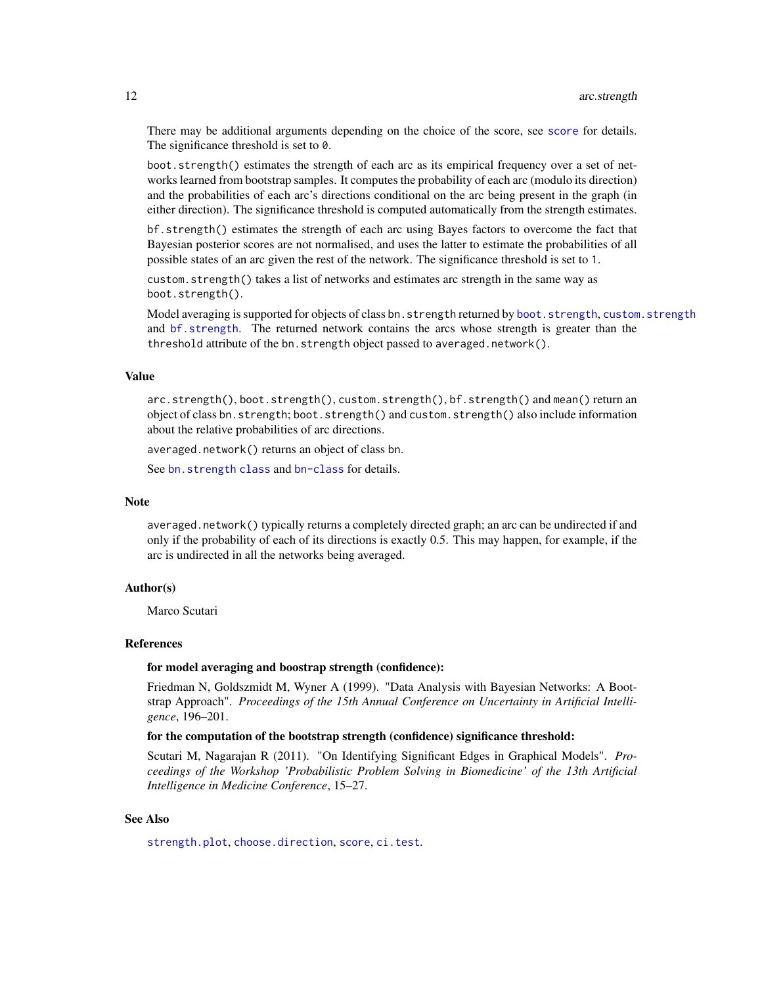There may be additional arguments depending on the choice of the score, see [score](#page-93-1) for details. The significance threshold is set to 0.

boot.strength() estimates the strength of each arc as its empirical frequency over a set of networks learned from bootstrap samples. It computes the probability of each arc (modulo its direction) and the probabilities of each arc's directions conditional on the arc being present in the graph (in either direction). The significance threshold is computed automatically from the strength estimates.

bf.strength() estimates the strength of each arc using Bayes factors to overcome the fact that Bayesian posterior scores are not normalised, and uses the latter to estimate the probabilities of all possible states of an arc given the rest of the network. The significance threshold is set to 1.

custom.strength() takes a list of networks and estimates arc strength in the same way as boot.strength().

Model averaging is supported for objects of class bn.strength returned by [boot.strength](#page-9-1), [custom.strength](#page-9-1) and [bf.strength](#page-9-1). The returned network contains the arcs whose strength is greater than the threshold attribute of the bn.strength object passed to averaged.network().

# Value

arc.strength(), boot.strength(), custom.strength(), bf.strength() and mean() return an object of class bn.strength; boot.strength() and custom.strength() also include information about the relative probabilities of arc directions.

averaged.network() returns an object of class bn.

See bn. strength class and [bn-class](#page-14-1) for details.

#### Note

averaged.network() typically returns a completely directed graph; an arc can be undirected if and only if the probability of each of its directions is exactly 0.5. This may happen, for example, if the arc is undirected in all the networks being averaged.

#### Author(s)

Marco Scutari

#### References

#### for model averaging and boostrap strength (confidence):

Friedman N, Goldszmidt M, Wyner A (1999). "Data Analysis with Bayesian Networks: A Bootstrap Approach". *Proceedings of the 15th Annual Conference on Uncertainty in Artificial Intelligence*, 196–201.

# for the computation of the bootstrap strength (confidence) significance threshold:

Scutari M, Nagarajan R (2011). "On Identifying Significant Edges in Graphical Models". *Proceedings of the Workshop 'Probabilistic Problem Solving in Biomedicine' of the 13th Artificial Intelligence in Medicine Conference*, 15–27.

# See Also

[strength.plot](#page-98-1), [choose.direction](#page-31-1), [score](#page-93-1), [ci.test](#page-32-1).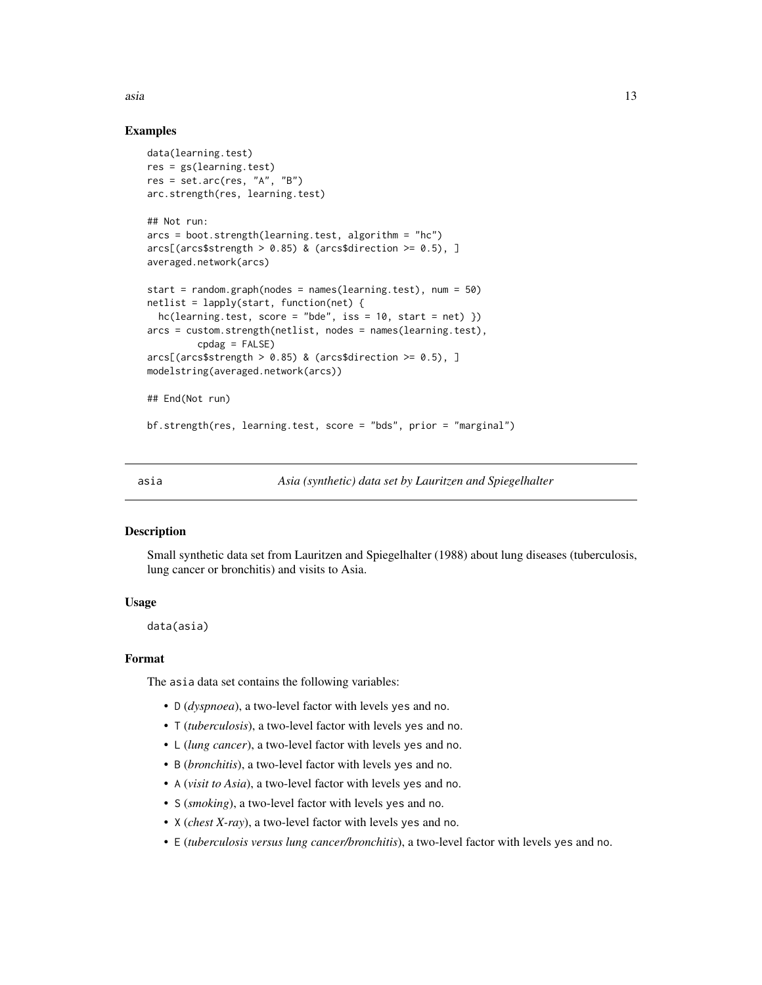<span id="page-12-0"></span>asia dia 13 metatra. Ny fisiana ara-daharampehintany ary ara-daharanjarahasin'ilay kaominina dia 413 metatra. Ny faritr'i North Amerika ary ara-daharanjarahasin'ilay kaominina dia 413 metatra. Ny faritr'i North Amerika ary

# Examples

```
data(learning.test)
res = gs(learning.test)res = set.arc(res, "A", "B")
arc.strength(res, learning.test)
## Not run:
arcs = boot.strength(learning.test, algorithm = "hc")
arcs[(\arcs$strength > 0.85) \& (\arcs$direction >= 0.5), ]averaged.network(arcs)
start = random.graph(nodes = names(learning.test), num = 50)
netlist = lapply(start, function(net) {
 hc(learning.test, score = "bde", iss = 10, start = net)}
arcs = custom.strength(netlist, nodes = names(learning.test),
         cpdag = FALSE)
arcs[(arcs$strength > 0.85) & (arcs$direction > = 0.5), ]
modelstring(averaged.network(arcs))
## End(Not run)
bf.strength(res, learning.test, score = "bds", prior = "marginal")
```
asia *Asia (synthetic) data set by Lauritzen and Spiegelhalter*

# Description

Small synthetic data set from Lauritzen and Spiegelhalter (1988) about lung diseases (tuberculosis, lung cancer or bronchitis) and visits to Asia.

# Usage

data(asia)

#### Format

The asia data set contains the following variables:

- D (*dyspnoea*), a two-level factor with levels yes and no.
- T (*tuberculosis*), a two-level factor with levels yes and no.
- L (*lung cancer*), a two-level factor with levels yes and no.
- B (*bronchitis*), a two-level factor with levels yes and no.
- A (*visit to Asia*), a two-level factor with levels yes and no.
- S (*smoking*), a two-level factor with levels yes and no.
- X (*chest X-ray*), a two-level factor with levels yes and no.
- E (*tuberculosis versus lung cancer/bronchitis*), a two-level factor with levels yes and no.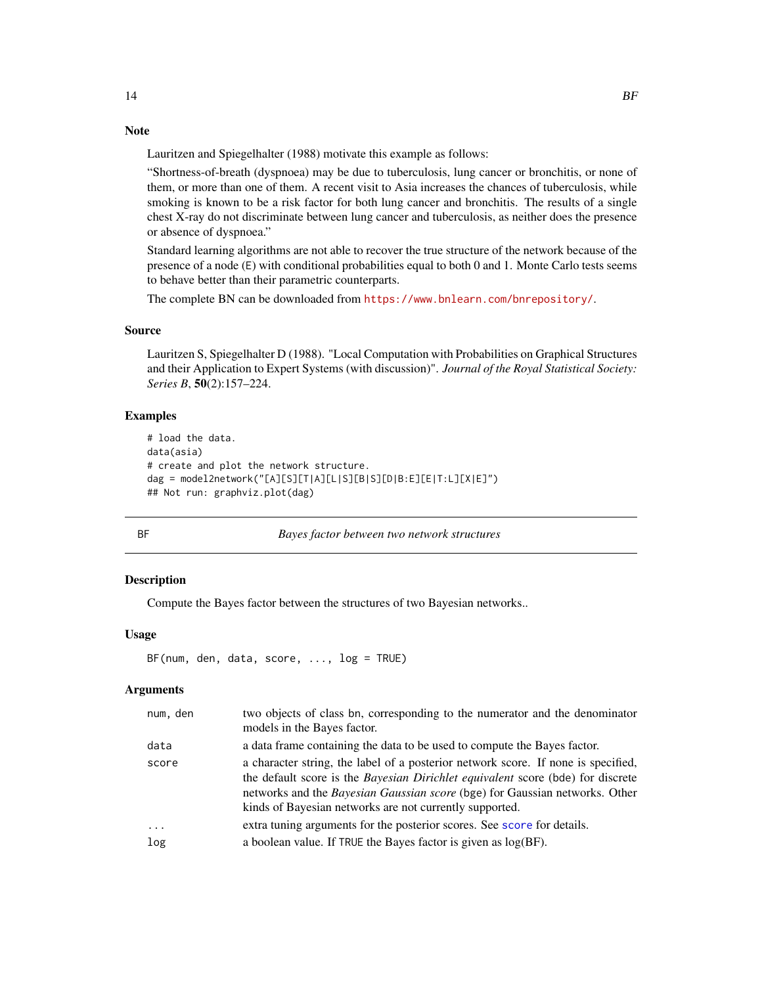# Note

Lauritzen and Spiegelhalter (1988) motivate this example as follows:

"Shortness-of-breath (dyspnoea) may be due to tuberculosis, lung cancer or bronchitis, or none of them, or more than one of them. A recent visit to Asia increases the chances of tuberculosis, while smoking is known to be a risk factor for both lung cancer and bronchitis. The results of a single chest X-ray do not discriminate between lung cancer and tuberculosis, as neither does the presence or absence of dyspnoea."

Standard learning algorithms are not able to recover the true structure of the network because of the presence of a node (E) with conditional probabilities equal to both 0 and 1. Monte Carlo tests seems to behave better than their parametric counterparts.

The complete BN can be downloaded from <https://www.bnlearn.com/bnrepository/>.

#### Source

Lauritzen S, Spiegelhalter D (1988). "Local Computation with Probabilities on Graphical Structures and their Application to Expert Systems (with discussion)". *Journal of the Royal Statistical Society: Series B*, 50(2):157–224.

## Examples

```
# load the data.
data(asia)
# create and plot the network structure.
dag = model2network("[A][S][T|A][L|S][B|S][D|B:E][E|T:L][X|E]")
## Not run: graphviz.plot(dag)
```
<span id="page-13-1"></span>

| I |
|---|

BF *Bayes factor between two network structures*

# **Description**

Compute the Bayes factor between the structures of two Bayesian networks..

# Usage

```
BF(num, den, data, score, ..., log = TRUE)
```
# Arguments

| two objects of class bn, corresponding to the numerator and the denominator<br>models in the Bayes factor.                                                                                                                                                                                                            |
|-----------------------------------------------------------------------------------------------------------------------------------------------------------------------------------------------------------------------------------------------------------------------------------------------------------------------|
| a data frame containing the data to be used to compute the Bayes factor.                                                                                                                                                                                                                                              |
| a character string, the label of a posterior network score. If none is specified,<br>the default score is the <i>Bayesian Dirichlet equivalent</i> score (bde) for discrete<br>networks and the Bayesian Gaussian score (bge) for Gaussian networks. Other<br>kinds of Bayesian networks are not currently supported. |
| extra tuning arguments for the posterior scores. See score for details.                                                                                                                                                                                                                                               |
| a boolean value. If TRUE the Bayes factor is given as $log(BF)$ .                                                                                                                                                                                                                                                     |
|                                                                                                                                                                                                                                                                                                                       |

<span id="page-13-0"></span>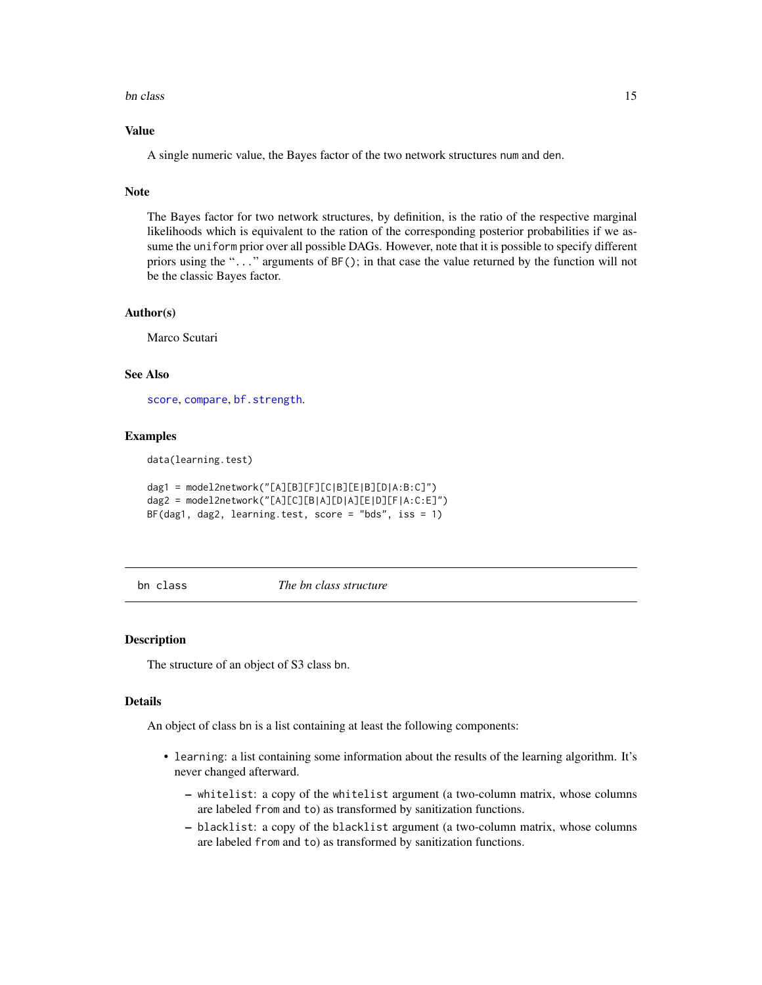#### <span id="page-14-0"></span>bn class and the contract of the contract of the contract of the contract of the contract of the contract of the contract of the contract of the contract of the contract of the contract of the contract of the contract of t

# Value

A single numeric value, the Bayes factor of the two network structures num and den.

# Note

The Bayes factor for two network structures, by definition, is the ratio of the respective marginal likelihoods which is equivalent to the ration of the corresponding posterior probabilities if we assume the uniform prior over all possible DAGs. However, note that it is possible to specify different priors using the "..." arguments of BF(); in that case the value returned by the function will not be the classic Bayes factor.

#### Author(s)

Marco Scutari

#### See Also

[score](#page-93-1), [compare](#page-34-1), [bf.strength](#page-9-1).

#### Examples

data(learning.test)

```
dag1 = model2network("[A][B][F][C|B][E|B][D|A:B:C]")
dag2 = model2network("[A][C][B|A][D|A][E|D][F|A:C:E]")
BF(dag1, dag2, learning.test, score = "bds", iss = 1)
```
<span id="page-14-2"></span>bn class *The bn class structure*

#### <span id="page-14-1"></span>Description

The structure of an object of S3 class bn.

#### Details

An object of class bn is a list containing at least the following components:

- learning: a list containing some information about the results of the learning algorithm. It's never changed afterward.
	- whitelist: a copy of the whitelist argument (a two-column matrix, whose columns are labeled from and to) as transformed by sanitization functions.
	- blacklist: a copy of the blacklist argument (a two-column matrix, whose columns are labeled from and to) as transformed by sanitization functions.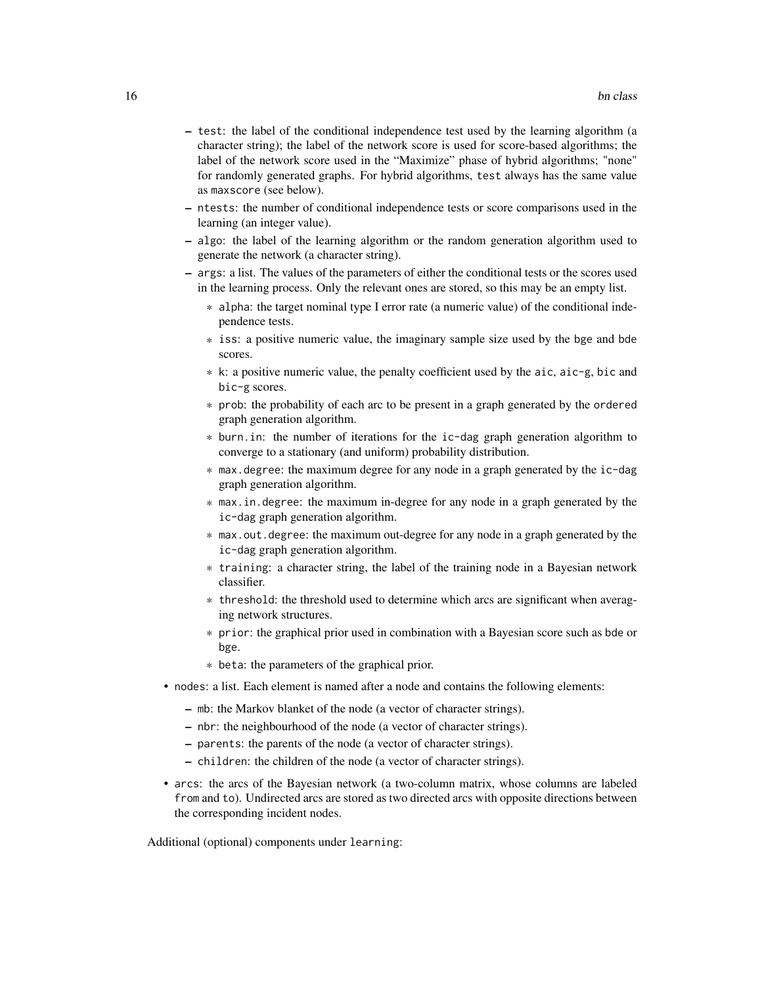- test: the label of the conditional independence test used by the learning algorithm (a character string); the label of the network score is used for score-based algorithms; the label of the network score used in the "Maximize" phase of hybrid algorithms; "none" for randomly generated graphs. For hybrid algorithms, test always has the same value as maxscore (see below).
- ntests: the number of conditional independence tests or score comparisons used in the learning (an integer value).
- algo: the label of the learning algorithm or the random generation algorithm used to generate the network (a character string).
- args: a list. The values of the parameters of either the conditional tests or the scores used in the learning process. Only the relevant ones are stored, so this may be an empty list.
	- \* alpha: the target nominal type I error rate (a numeric value) of the conditional independence tests.
	- \* iss: a positive numeric value, the imaginary sample size used by the bge and bde scores.
	- \* k: a positive numeric value, the penalty coefficient used by the aic, aic-g, bic and bic-g scores.
	- \* prob: the probability of each arc to be present in a graph generated by the ordered graph generation algorithm.
	- \* burn.in: the number of iterations for the ic-dag graph generation algorithm to converge to a stationary (and uniform) probability distribution.
	- \* max.degree: the maximum degree for any node in a graph generated by the ic-dag graph generation algorithm.
	- \* max.in.degree: the maximum in-degree for any node in a graph generated by the ic-dag graph generation algorithm.
	- \* max.out.degree: the maximum out-degree for any node in a graph generated by the ic-dag graph generation algorithm.
	- \* training: a character string, the label of the training node in a Bayesian network classifier.
	- \* threshold: the threshold used to determine which arcs are significant when averaging network structures.
	- \* prior: the graphical prior used in combination with a Bayesian score such as bde or bge.
	- \* beta: the parameters of the graphical prior.
- nodes: a list. Each element is named after a node and contains the following elements:
	- mb: the Markov blanket of the node (a vector of character strings).
	- nbr: the neighbourhood of the node (a vector of character strings).
	- parents: the parents of the node (a vector of character strings).
	- children: the children of the node (a vector of character strings).
- arcs: the arcs of the Bayesian network (a two-column matrix, whose columns are labeled from and to). Undirected arcs are stored as two directed arcs with opposite directions between the corresponding incident nodes.

Additional (optional) components under learning: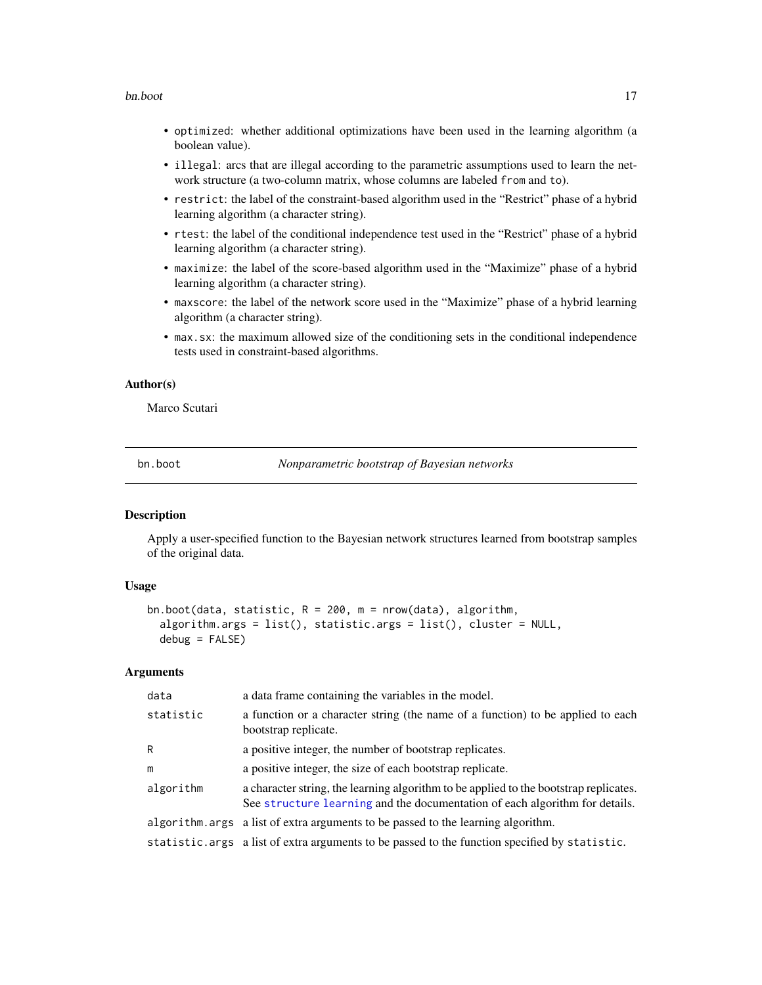#### <span id="page-16-0"></span>bn.boot 17

- optimized: whether additional optimizations have been used in the learning algorithm (a boolean value).
- illegal: arcs that are illegal according to the parametric assumptions used to learn the network structure (a two-column matrix, whose columns are labeled from and to).
- restrict: the label of the constraint-based algorithm used in the "Restrict" phase of a hybrid learning algorithm (a character string).
- rtest: the label of the conditional independence test used in the "Restrict" phase of a hybrid learning algorithm (a character string).
- maximize: the label of the score-based algorithm used in the "Maximize" phase of a hybrid learning algorithm (a character string).
- maxscore: the label of the network score used in the "Maximize" phase of a hybrid learning algorithm (a character string).
- max.sx: the maximum allowed size of the conditioning sets in the conditional independence tests used in constraint-based algorithms.

#### Author(s)

Marco Scutari

<span id="page-16-1"></span>bn.boot *Nonparametric bootstrap of Bayesian networks*

#### **Description**

Apply a user-specified function to the Bayesian network structures learned from bootstrap samples of the original data.

# Usage

```
bn.boot(data, statistic, R = 200, m = nrow(data), algorithm,
  algorithm.args = list(), statistic.args = list(), cluster = NULL,
  debug = FALSE)
```
#### Arguments

| data      | a data frame containing the variables in the model.                                                                                                                  |
|-----------|----------------------------------------------------------------------------------------------------------------------------------------------------------------------|
| statistic | a function or a character string (the name of a function) to be applied to each<br>bootstrap replicate.                                                              |
| R         | a positive integer, the number of bootstrap replicates.                                                                                                              |
| m         | a positive integer, the size of each bootstrap replicate.                                                                                                            |
| algorithm | a character string, the learning algorithm to be applied to the bootstrap replicates.<br>See structure learning and the documentation of each algorithm for details. |
|           | algorithm. args a list of extra arguments to be passed to the learning algorithm.                                                                                    |
|           | statistic. args a list of extra arguments to be passed to the function specified by statistic.                                                                       |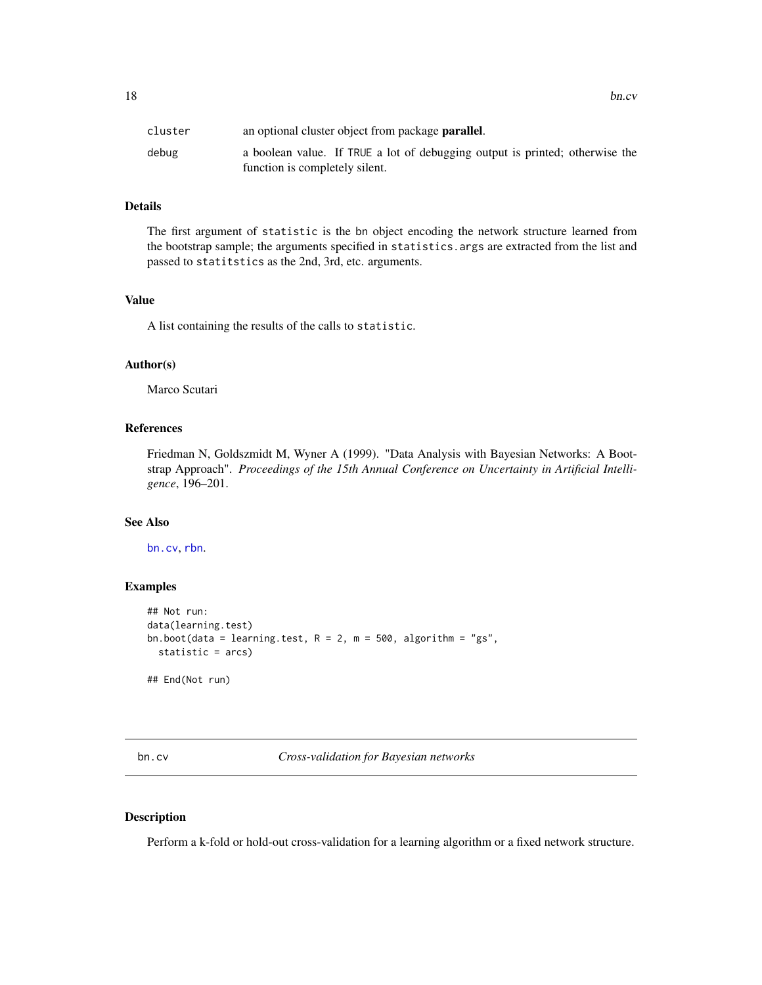<span id="page-17-0"></span>

| cluster | an optional cluster object from package <b>parallel</b> .                    |
|---------|------------------------------------------------------------------------------|
| debug   | a boolean value. If TRUE a lot of debugging output is printed; otherwise the |
|         | function is completely silent.                                               |

# Details

The first argument of statistic is the bn object encoding the network structure learned from the bootstrap sample; the arguments specified in statistics.args are extracted from the list and passed to statitstics as the 2nd, 3rd, etc. arguments.

#### Value

A list containing the results of the calls to statistic.

#### Author(s)

Marco Scutari

# References

Friedman N, Goldszmidt M, Wyner A (1999). "Data Analysis with Bayesian Networks: A Bootstrap Approach". *Proceedings of the 15th Annual Conference on Uncertainty in Artificial Intelligence*, 196–201.

# See Also

[bn.cv](#page-17-1), [rbn](#page-90-1).

#### Examples

```
## Not run:
data(learning.test)
bn.boot(data = learning.test, R = 2, m = 500, algorithm = "gs",
  statistic = arcs)
## End(Not run)
```
<span id="page-17-1"></span>bn.cv *Cross-validation for Bayesian networks*

#### Description

Perform a k-fold or hold-out cross-validation for a learning algorithm or a fixed network structure.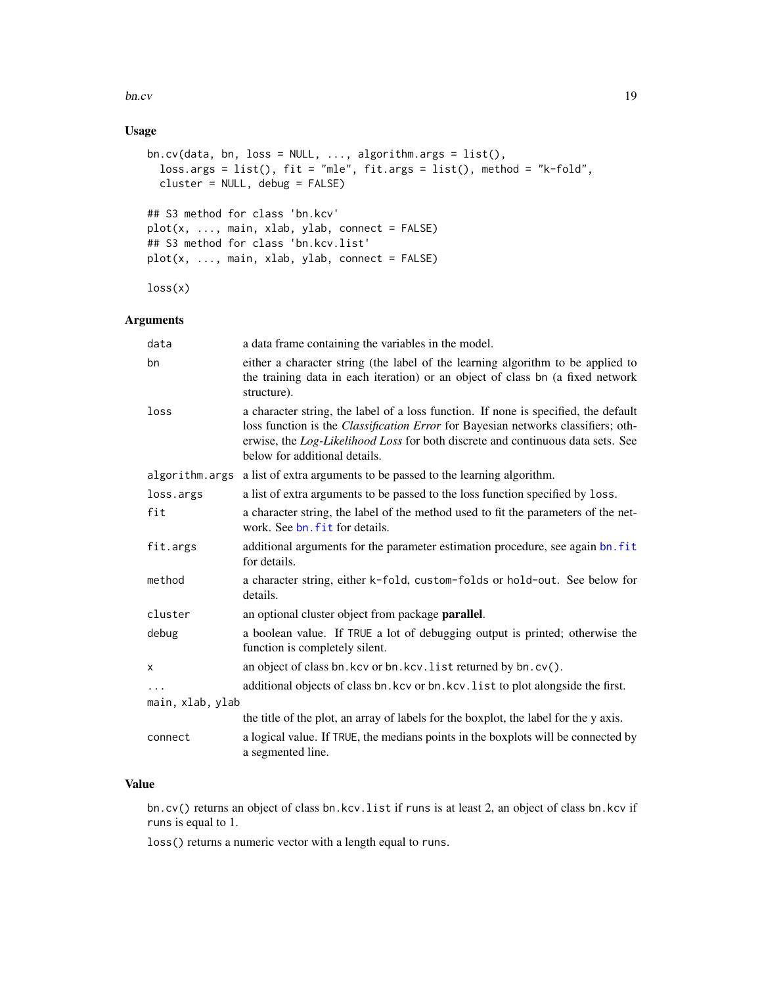bn.cv  $19$ 

# Usage

```
bn.cv(data, bn, loss = NULL, ..., algorithm.args = list(),loss.args = list(), fit = "mle", fit.args = list(), method = "k-fold",
 cluster = NULL, debug = FALSE)
## S3 method for class 'bn.kcv'
plot(x, ..., main, xlab, ylab, connect = FALSE)## S3 method for class 'bn.kcv.list'
plot(x, ..., main, xlab, ylab, connect = FALSE)
```
 $loss(x)$ 

# Arguments

| data             | a data frame containing the variables in the model.                                                                                                                                                                                                                                                 |
|------------------|-----------------------------------------------------------------------------------------------------------------------------------------------------------------------------------------------------------------------------------------------------------------------------------------------------|
| bn               | either a character string (the label of the learning algorithm to be applied to<br>the training data in each iteration) or an object of class bn (a fixed network<br>structure).                                                                                                                    |
| loss             | a character string, the label of a loss function. If none is specified, the default<br>loss function is the <i>Classification Error</i> for Bayesian networks classifiers; oth-<br>erwise, the Log-Likelihood Loss for both discrete and continuous data sets. See<br>below for additional details. |
| algorithm.args   | a list of extra arguments to be passed to the learning algorithm.                                                                                                                                                                                                                                   |
| loss.args        | a list of extra arguments to be passed to the loss function specified by loss.                                                                                                                                                                                                                      |
| fit              | a character string, the label of the method used to fit the parameters of the net-<br>work. See bn. fit for details.                                                                                                                                                                                |
| fit.args         | additional arguments for the parameter estimation procedure, see again bn. fit<br>for details.                                                                                                                                                                                                      |
| method           | a character string, either k-fold, custom-folds or hold-out. See below for<br>details.                                                                                                                                                                                                              |
| cluster          | an optional cluster object from package <b>parallel</b> .                                                                                                                                                                                                                                           |
| debug            | a boolean value. If TRUE a lot of debugging output is printed; otherwise the<br>function is completely silent.                                                                                                                                                                                      |
| x                | an object of class bn.kcv or bn.kcv.list returned by bn.cv().                                                                                                                                                                                                                                       |
| $\ddots$         | additional objects of class bn. kcv or bn. kcv. list to plot alongside the first.                                                                                                                                                                                                                   |
| main, xlab, ylab |                                                                                                                                                                                                                                                                                                     |
|                  | the title of the plot, an array of labels for the boxplot, the label for the y axis.                                                                                                                                                                                                                |
| connect          | a logical value. If TRUE, the medians points in the boxplots will be connected by<br>a segmented line.                                                                                                                                                                                              |

# Value

bn.cv() returns an object of class bn.kcv.list if runs is at least 2, an object of class bn.kcv if runs is equal to 1.

loss() returns a numeric vector with a length equal to runs.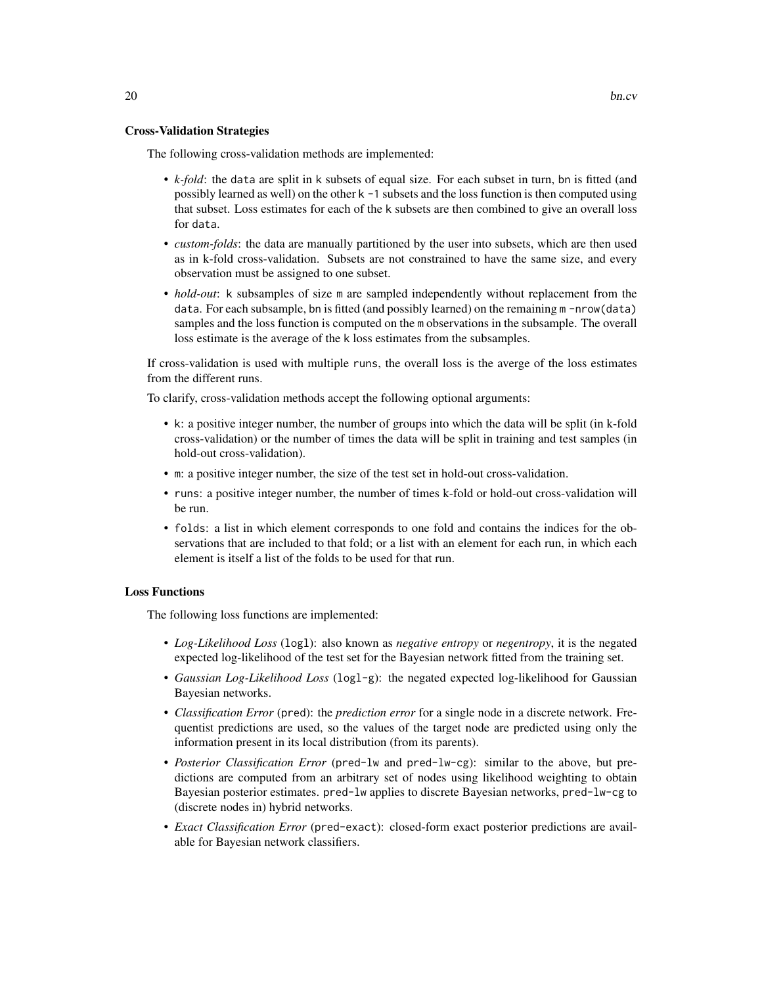#### Cross-Validation Strategies

The following cross-validation methods are implemented:

- *k-fold*: the data are split in k subsets of equal size. For each subset in turn, bn is fitted (and possibly learned as well) on the other k -1 subsets and the loss function is then computed using that subset. Loss estimates for each of the k subsets are then combined to give an overall loss for data.
- *custom-folds*: the data are manually partitioned by the user into subsets, which are then used as in k-fold cross-validation. Subsets are not constrained to have the same size, and every observation must be assigned to one subset.
- *hold-out*: k subsamples of size m are sampled independently without replacement from the data. For each subsample, bn is fitted (and possibly learned) on the remaining m -nrow(data) samples and the loss function is computed on the m observations in the subsample. The overall loss estimate is the average of the k loss estimates from the subsamples.

If cross-validation is used with multiple runs, the overall loss is the averge of the loss estimates from the different runs.

To clarify, cross-validation methods accept the following optional arguments:

- k: a positive integer number, the number of groups into which the data will be split (in k-fold cross-validation) or the number of times the data will be split in training and test samples (in hold-out cross-validation).
- m: a positive integer number, the size of the test set in hold-out cross-validation.
- runs: a positive integer number, the number of times k-fold or hold-out cross-validation will be run.
- folds: a list in which element corresponds to one fold and contains the indices for the observations that are included to that fold; or a list with an element for each run, in which each element is itself a list of the folds to be used for that run.

#### Loss Functions

The following loss functions are implemented:

- *Log-Likelihood Loss* (logl): also known as *negative entropy* or *negentropy*, it is the negated expected log-likelihood of the test set for the Bayesian network fitted from the training set.
- *Gaussian Log-Likelihood Loss* (logl-g): the negated expected log-likelihood for Gaussian Bayesian networks.
- *Classification Error* (pred): the *prediction error* for a single node in a discrete network. Frequentist predictions are used, so the values of the target node are predicted using only the information present in its local distribution (from its parents).
- *Posterior Classification Error* (pred-lw and pred-lw-cg): similar to the above, but predictions are computed from an arbitrary set of nodes using likelihood weighting to obtain Bayesian posterior estimates. pred-lw applies to discrete Bayesian networks, pred-lw-cg to (discrete nodes in) hybrid networks.
- *Exact Classification Error* (pred-exact): closed-form exact posterior predictions are available for Bayesian network classifiers.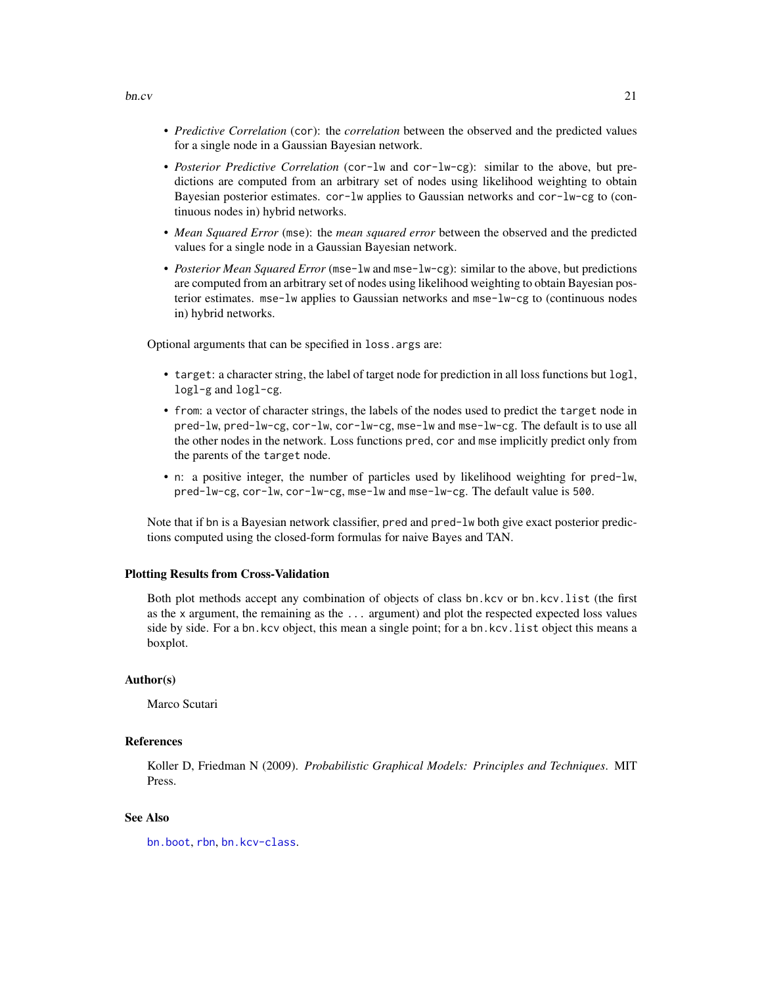- *Predictive Correlation* (cor): the *correlation* between the observed and the predicted values for a single node in a Gaussian Bayesian network.
- *Posterior Predictive Correlation* (cor-lw and cor-lw-cg): similar to the above, but predictions are computed from an arbitrary set of nodes using likelihood weighting to obtain Bayesian posterior estimates. cor-lw applies to Gaussian networks and cor-lw-cg to (continuous nodes in) hybrid networks.
- *Mean Squared Error* (mse): the *mean squared error* between the observed and the predicted values for a single node in a Gaussian Bayesian network.
- *Posterior Mean Squared Error* (mse-lw and mse-lw-cg): similar to the above, but predictions are computed from an arbitrary set of nodes using likelihood weighting to obtain Bayesian posterior estimates. mse-lw applies to Gaussian networks and mse-lw-cg to (continuous nodes in) hybrid networks.

Optional arguments that can be specified in loss.args are:

- target: a character string, the label of target node for prediction in all loss functions but logl, logl-g and logl-cg.
- from: a vector of character strings, the labels of the nodes used to predict the target node in pred-lw, pred-lw-cg, cor-lw, cor-lw-cg, mse-lw and mse-lw-cg. The default is to use all the other nodes in the network. Loss functions pred, cor and mse implicitly predict only from the parents of the target node.
- n: a positive integer, the number of particles used by likelihood weighting for pred-lw, pred-lw-cg, cor-lw, cor-lw-cg, mse-lw and mse-lw-cg. The default value is 500.

Note that if bn is a Bayesian network classifier, pred and pred-lw both give exact posterior predictions computed using the closed-form formulas for naive Bayes and TAN.

#### Plotting Results from Cross-Validation

Both plot methods accept any combination of objects of class bn.kcv or bn.kcv.list (the first as the x argument, the remaining as the ... argument) and plot the respected expected loss values side by side. For a bn.kcv object, this mean a single point; for a bn.kcv.list object this means a boxplot.

#### Author(s)

Marco Scutari

#### References

Koller D, Friedman N (2009). *Probabilistic Graphical Models: Principles and Techniques*. MIT Press.

# See Also

[bn.boot](#page-16-1), [rbn](#page-90-1), [bn.kcv-class](#page-29-1).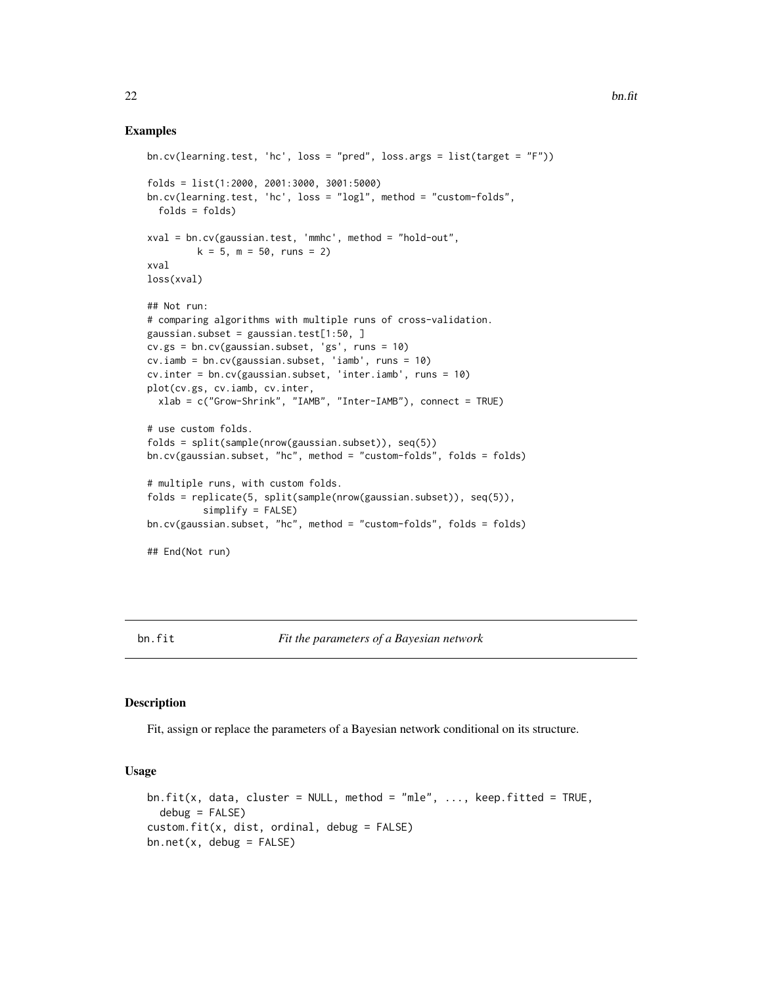### <span id="page-21-0"></span>Examples

```
bn.cv(learning.test, 'hc', loss = "pred", loss.args = list(target = "F"))
folds = list(1:2000, 2001:3000, 3001:5000)
bn.cv(learning.test, 'hc', loss = "logl", method = "custom-folds",
 folds = folds)
xval = bn.cv(gaussian.test, 'mmhc', method = "hold-out",
        k = 5, m = 50, runs = 2)
xval
loss(xval)
## Not run:
# comparing algorithms with multiple runs of cross-validation.
gaussian.subset = gaussian.test[1:50, ]
cv.gs = bn.cv(gaussian.subset, 'gs', runs = 10)
cv.iamb = bn.cv(gaussian.subset, 'iamb', runs = 10)
cv.inter = bn.cv(gaussian.subset, 'inter.iamb', runs = 10)
plot(cv.gs, cv.iamb, cv.inter,
 xlab = c("Grow-Shrink", "IAMB", "Inter-IAMB"), connect = TRUE)
# use custom folds.
folds = split(sample(nrow(gaussian.subset)), seq(5))
bn.cv(gaussian.subset, "hc", method = "custom-folds", folds = folds)
# multiple runs, with custom folds.
folds = replicate(5, split(sample(nrow(gaussian.subset)), seq(5)),
          simplify = FALSE)
bn.cv(gaussian.subset, "hc", method = "custom-folds", folds = folds)
## End(Not run)
```
#### <span id="page-21-1"></span>bn.fit *Fit the parameters of a Bayesian network*

#### Description

Fit, assign or replace the parameters of a Bayesian network conditional on its structure.

#### Usage

```
bn.fit(x, data, cluster = NULL, method = "mle", \dots, keep.fitted = TRUE,
 debug = FALSE)custom.fit(x, dist, ordinal, debug = FALSE)
bn.net(x, debug = FALSE)
```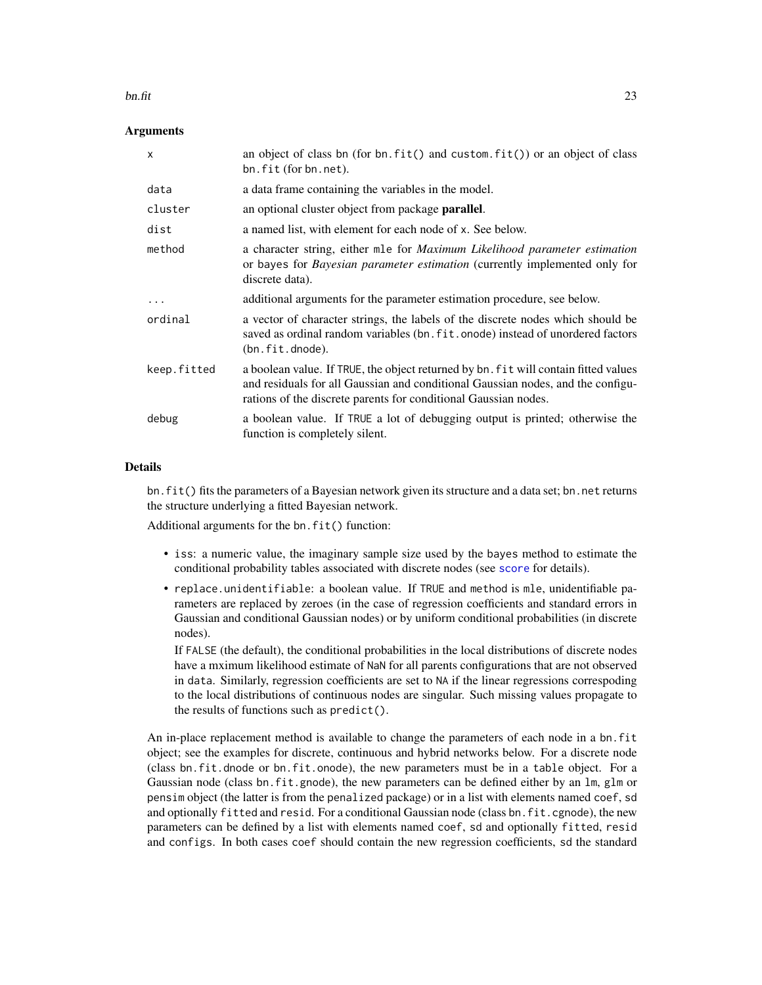#### bn.fit  $\qquad \qquad \qquad$  23

# Arguments

| $\mathsf{x}$ | an object of class bn (for bn. $fit()$ and custom. $fit()$ ) or an object of class<br>bn.fit (for bn.net).                                                                                                                                |
|--------------|-------------------------------------------------------------------------------------------------------------------------------------------------------------------------------------------------------------------------------------------|
| data         | a data frame containing the variables in the model.                                                                                                                                                                                       |
| cluster      | an optional cluster object from package <b>parallel</b> .                                                                                                                                                                                 |
| dist         | a named list, with element for each node of x. See below.                                                                                                                                                                                 |
| method       | a character string, either mle for <i>Maximum Likelihood parameter estimation</i><br>or bayes for <i>Bayesian parameter estimation</i> (currently implemented only for<br>discrete data).                                                 |
| $\cdots$     | additional arguments for the parameter estimation procedure, see below.                                                                                                                                                                   |
| ordinal      | a vector of character strings, the labels of the discrete nodes which should be<br>saved as ordinal random variables (bn. fit. onode) instead of unordered factors<br>(bn.fit.dnode).                                                     |
| keep.fitted  | a boolean value. If TRUE, the object returned by bn. fit will contain fitted values<br>and residuals for all Gaussian and conditional Gaussian nodes, and the configu-<br>rations of the discrete parents for conditional Gaussian nodes. |
| debug        | a boolean value. If TRUE a lot of debugging output is printed; otherwise the<br>function is completely silent.                                                                                                                            |

# Details

bn. fit() fits the parameters of a Bayesian network given its structure and a data set; bn. net returns the structure underlying a fitted Bayesian network.

Additional arguments for the bn.fit() function:

- iss: a numeric value, the imaginary sample size used by the bayes method to estimate the conditional probability tables associated with discrete nodes (see [score](#page-93-1) for details).
- replace.unidentifiable: a boolean value. If TRUE and method is mle, unidentifiable parameters are replaced by zeroes (in the case of regression coefficients and standard errors in Gaussian and conditional Gaussian nodes) or by uniform conditional probabilities (in discrete nodes).

If FALSE (the default), the conditional probabilities in the local distributions of discrete nodes have a mximum likelihood estimate of NaN for all parents configurations that are not observed in data. Similarly, regression coefficients are set to NA if the linear regressions correspoding to the local distributions of continuous nodes are singular. Such missing values propagate to the results of functions such as predict().

An in-place replacement method is available to change the parameters of each node in a bn.fit object; see the examples for discrete, continuous and hybrid networks below. For a discrete node (class bn.fit.dnode or bn.fit.onode), the new parameters must be in a table object. For a Gaussian node (class bn.fit.gnode), the new parameters can be defined either by an lm, glm or pensim object (the latter is from the penalized package) or in a list with elements named coef, sd and optionally fitted and resid. For a conditional Gaussian node (class bn.fit.cgnode), the new parameters can be defined by a list with elements named coef, sd and optionally fitted, resid and configs. In both cases coef should contain the new regression coefficients, sd the standard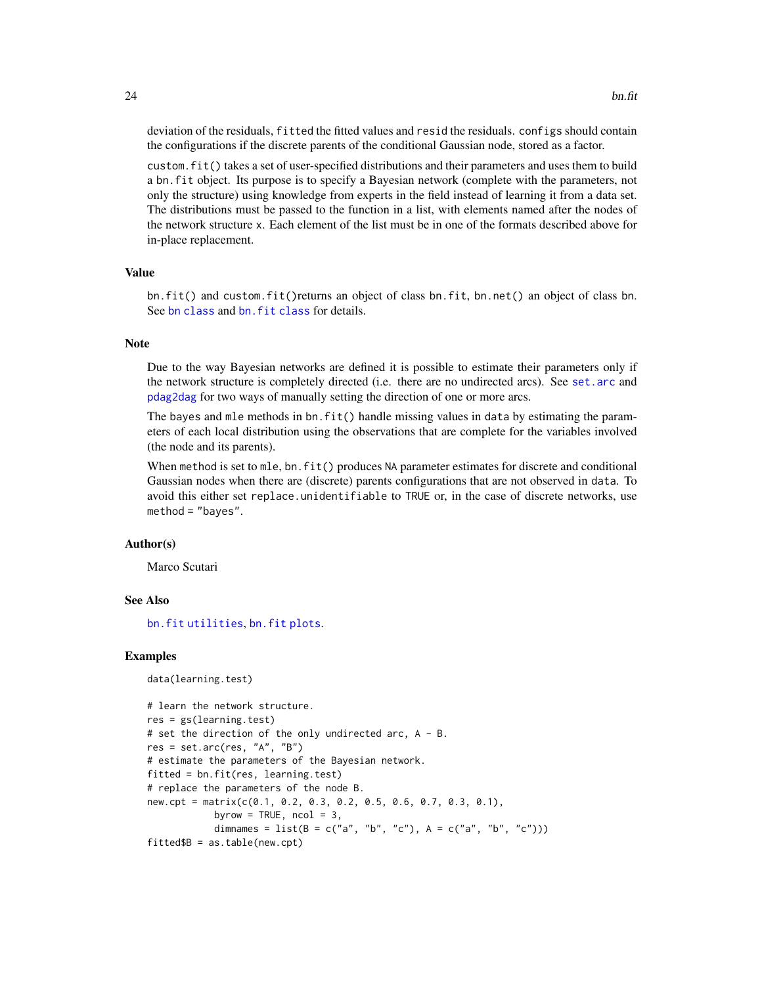deviation of the residuals, fitted the fitted values and resid the residuals. configs should contain the configurations if the discrete parents of the conditional Gaussian node, stored as a factor.

custom.fit() takes a set of user-specified distributions and their parameters and uses them to build a bn.fit object. Its purpose is to specify a Bayesian network (complete with the parameters, not only the structure) using knowledge from experts in the field instead of learning it from a data set. The distributions must be passed to the function in a list, with elements named after the nodes of the network structure x. Each element of the list must be in one of the formats described above for in-place replacement.

# Value

bn.fit() and custom.fit()returns an object of class bn.fit, bn.net() an object of class bn. See [bn class](#page-14-2) and bn. fit class for details.

#### Note

Due to the way Bayesian networks are defined it is possible to estimate their parameters only if the network structure is completely directed (i.e. there are no undirected arcs). See [set.arc](#page-7-1) and [pdag2dag](#page-55-1) for two ways of manually setting the direction of one or more arcs.

The bayes and mle methods in  $bn.fit()$  handle missing values in data by estimating the parameters of each local distribution using the observations that are complete for the variables involved (the node and its parents).

When method is set to mle, bn.fit() produces NA parameter estimates for discrete and conditional Gaussian nodes when there are (discrete) parents configurations that are not observed in data. To avoid this either set replace.unidentifiable to TRUE or, in the case of discrete networks, use method = "bayes".

#### Author(s)

Marco Scutari

# See Also

[bn.fit utilities](#page-27-1), [bn.fit plots](#page-26-1).

#### Examples

```
data(learning.test)
```

```
# learn the network structure.
res = gs(learning.test)# set the direction of the only undirected arc, A - B.
res = set.archive, "A", "B")# estimate the parameters of the Bayesian network.
fitted = bn.fit(res, learning.test)
# replace the parameters of the node B.
new.cpt = matrix(c(0.1, 0.2, 0.3, 0.2, 0.5, 0.6, 0.7, 0.3, 0.1),
           byrow = TRUE, ncol = 3,
           dimnames = list(B = c("a", "b", "c"), A = c("a", "b", "c"))fitted$B = as.table(new.cpt)
```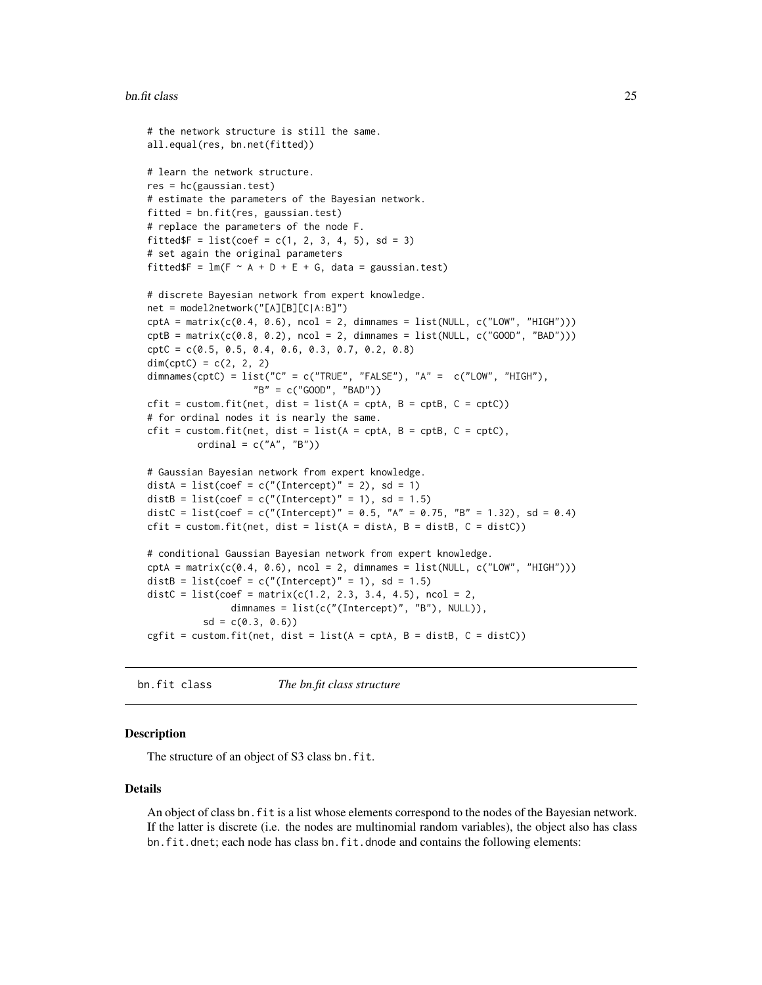#### <span id="page-24-0"></span>bn.fit class 25

```
# the network structure is still the same.
all.equal(res, bn.net(fitted))
# learn the network structure.
res = hc(gaussian.test)
# estimate the parameters of the Bayesian network.
fitted = bn.fit(res, gaussian.test)
# replace the parameters of the node F.
fitted$F = list(coef = c(1, 2, 3, 4, 5), sd = 3)
# set again the original parameters
fitted$F = lm(F \sim A + D + E + G, data = gaussian.test)
# discrete Bayesian network from expert knowledge.
net = model2network("[A][B][C|A:B]")
\text{cptA = matrix}(c(0.4, 0.6), \text{ ncol = 2, dimnames = list(NULL, c("LOW", "HIGH"))\text{cptB = matrix}(c(0.8, 0.2), \text{ncol = 2, dimnames = list(NULL, c("GOOD", "BAD"))cptC = c(0.5, 0.5, 0.4, 0.6, 0.3, 0.7, 0.2, 0.8)
dim(cptC) = c(2, 2, 2)dimnames(cptC) = list("C" = c("TRUE", "FALSE"), "A" = c("LOW", "HIGH"),"B" = c("GOOD", "BAD"))
cfit = custom.fit(net, dist = list(A = cpt, B = cpt, C = cptC))# for ordinal nodes it is nearly the same.
cfit = custom.fit(net, dist = list(A = cpt, B = cpt, C = cpt),ordinal = c("A", "B")# Gaussian Bayesian network from expert knowledge.
distA = list(coef = c("(Intercept)" = 2), sd = 1)
distB = list(coef = c("(Intercept)" = 1), sd = 1.5)
distC = list(coef = c("(Intercept)" = 0.5, "A" = 0.75, "B" = 1.32), sd = 0.4)
cfit = custom.fit(net, dist = list(A = distA, B = distB, C = distC))# conditional Gaussian Bayesian network from expert knowledge.
\text{cptA = matrix}(c(0.4, 0.6), \text{ncol = 2, dimnames = list(NULL, c("LOW", "HIGH"))})distB = list(coef = c("(Intercept)" = 1), sd = 1.5)
distC = list(coef = matrix(c(1.2, 2.3, 3.4, 4.5), ncol = 2,
               dimnames = list(c("(Intercept)", "B"), NULL)),
          sd = c(0.3, 0.6)cgfit = custom.fit(net, dist = list(A = \text{cpt}A, B = \text{dist}B, C = \text{dist}C))
```

```
bn.fit class The bn.fit class structure
```
#### <span id="page-24-2"></span>**Description**

The structure of an object of S3 class bn.fit.

#### Details

An object of class bn.fit is a list whose elements correspond to the nodes of the Bayesian network. If the latter is discrete (i.e. the nodes are multinomial random variables), the object also has class bn.fit.dnet; each node has class bn.fit.dnode and contains the following elements: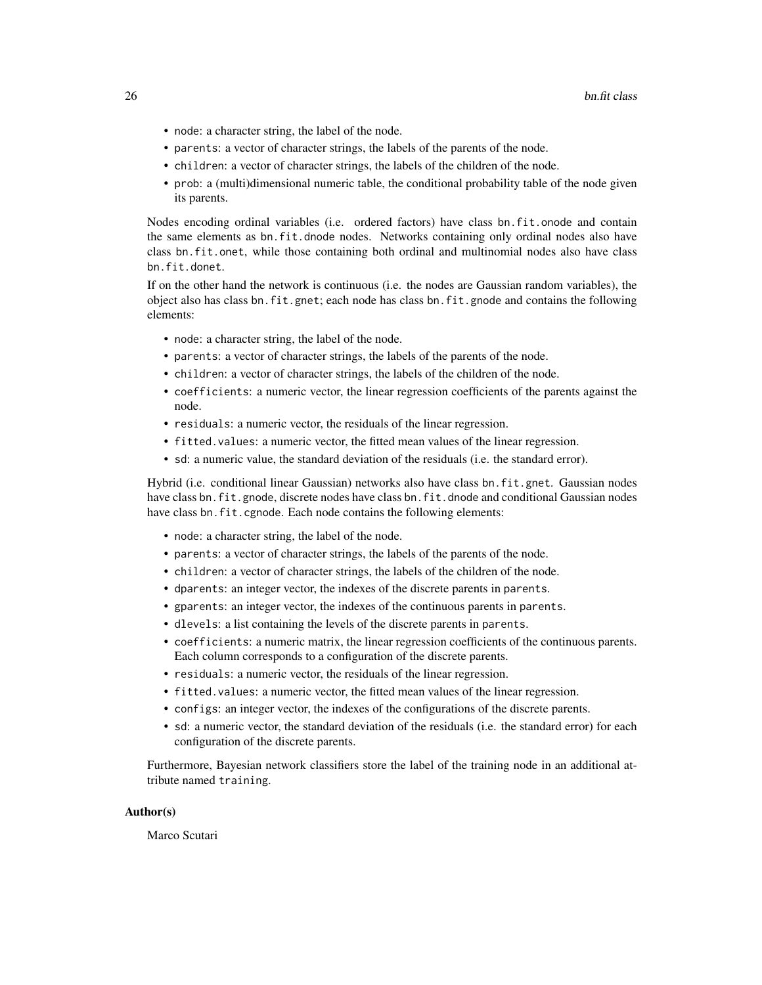- node: a character string, the label of the node.
- parents: a vector of character strings, the labels of the parents of the node.
- children: a vector of character strings, the labels of the children of the node.
- prob: a (multi)dimensional numeric table, the conditional probability table of the node given its parents.

Nodes encoding ordinal variables (i.e. ordered factors) have class bn.fit.onode and contain the same elements as bn.fit.dnode nodes. Networks containing only ordinal nodes also have class bn.fit.onet, while those containing both ordinal and multinomial nodes also have class bn.fit.donet.

If on the other hand the network is continuous (i.e. the nodes are Gaussian random variables), the object also has class bn.fit.gnet; each node has class bn.fit.gnode and contains the following elements:

- node: a character string, the label of the node.
- parents: a vector of character strings, the labels of the parents of the node.
- children: a vector of character strings, the labels of the children of the node.
- coefficients: a numeric vector, the linear regression coefficients of the parents against the node.
- residuals: a numeric vector, the residuals of the linear regression.
- fitted.values: a numeric vector, the fitted mean values of the linear regression.
- sd: a numeric value, the standard deviation of the residuals (i.e. the standard error).

Hybrid (i.e. conditional linear Gaussian) networks also have class bn.fit.gnet. Gaussian nodes have class bn.fit.gnode, discrete nodes have class bn.fit.dnode and conditional Gaussian nodes have class bn.fit.cgnode. Each node contains the following elements:

- node: a character string, the label of the node.
- parents: a vector of character strings, the labels of the parents of the node.
- children: a vector of character strings, the labels of the children of the node.
- dparents: an integer vector, the indexes of the discrete parents in parents.
- gparents: an integer vector, the indexes of the continuous parents in parents.
- dlevels: a list containing the levels of the discrete parents in parents.
- coefficients: a numeric matrix, the linear regression coefficients of the continuous parents. Each column corresponds to a configuration of the discrete parents.
- residuals: a numeric vector, the residuals of the linear regression.
- fitted.values: a numeric vector, the fitted mean values of the linear regression.
- configs: an integer vector, the indexes of the configurations of the discrete parents.
- sd: a numeric vector, the standard deviation of the residuals (i.e. the standard error) for each configuration of the discrete parents.

Furthermore, Bayesian network classifiers store the label of the training node in an additional attribute named training.

#### Author(s)

Marco Scutari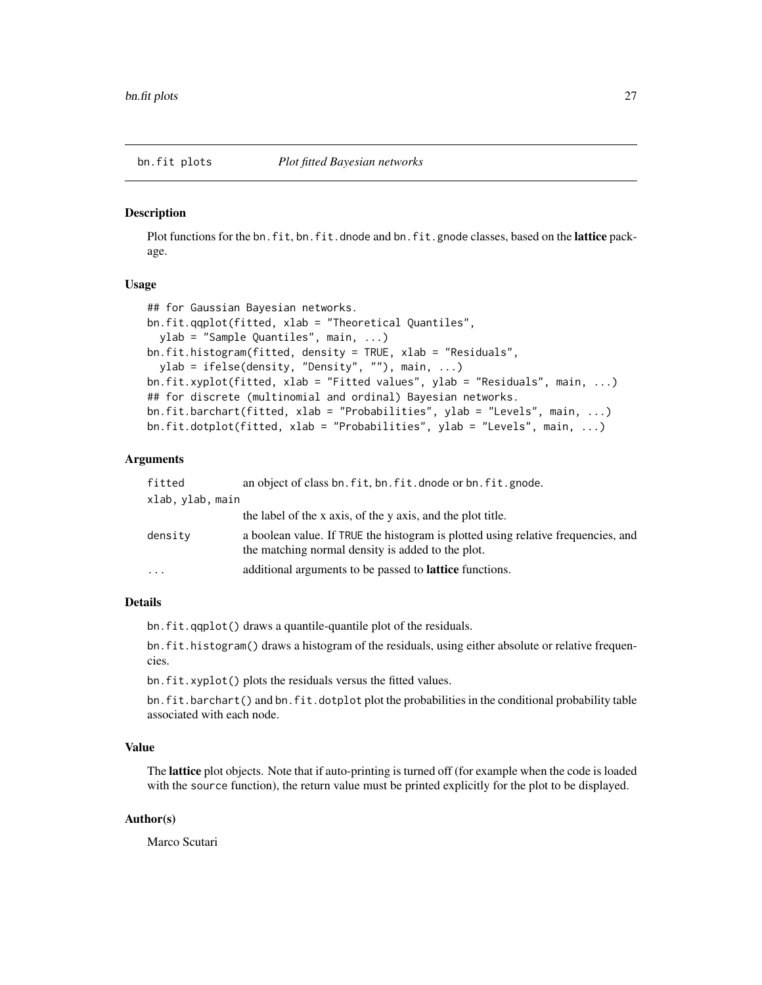<span id="page-26-1"></span><span id="page-26-0"></span>

#### **Description**

Plot functions for the bn.fit, bn.fit.dnode and bn.fit.gnode classes, based on the lattice package.

#### Usage

```
## for Gaussian Bayesian networks.
bn.fit.qqplot(fitted, xlab = "Theoretical Quantiles",
 ylab = "Sample Quantiles", main, ...)
bn.fit.histogram(fitted, density = TRUE, xlab = "Residuals",
 ylab = ifelse(density, "Density", ""), main, ...)
bn.fit.xyplot(fitted, xlab = "Fitted values", ylab = "Residuals", main, ...)
## for discrete (multinomial and ordinal) Bayesian networks.
bn.fit.barchart(fitted, xlab = "Probabilities", ylab = "Levels", main, ...)
bn.fit.dotplot(fitted, xlab = "Probabilities", ylab = "Levels", main, ...)
```
#### Arguments

| fitted           | an object of class bn. fit, bn. fit. dnode or bn. fit. gnode.                                                                          |
|------------------|----------------------------------------------------------------------------------------------------------------------------------------|
| xlab, ylab, main |                                                                                                                                        |
|                  | the label of the x axis, of the y axis, and the plot title.                                                                            |
| densitv          | a boolean value. If TRUE the histogram is plotted using relative frequencies, and<br>the matching normal density is added to the plot. |
| $\ddots$         | additional arguments to be passed to <b>lattice</b> functions.                                                                         |
|                  |                                                                                                                                        |

# Details

bn.fit.qqplot() draws a quantile-quantile plot of the residuals.

bn.fit.histogram() draws a histogram of the residuals, using either absolute or relative frequencies.

bn.fit.xyplot() plots the residuals versus the fitted values.

bn.fit.barchart() and bn.fit.dotplot plot the probabilities in the conditional probability table associated with each node.

#### Value

The lattice plot objects. Note that if auto-printing is turned off (for example when the code is loaded with the source function), the return value must be printed explicitly for the plot to be displayed.

# Author(s)

Marco Scutari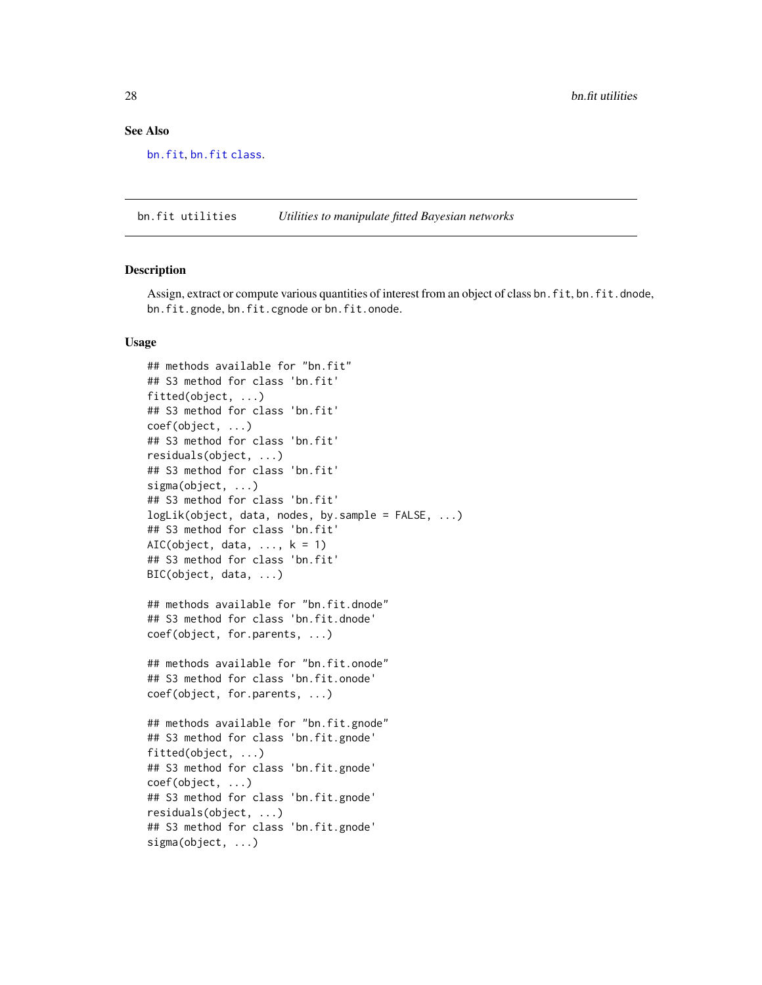### See Also

[bn.fit](#page-21-1), [bn.fit class](#page-24-1).

<span id="page-27-1"></span>bn.fit utilities *Utilities to manipulate fitted Bayesian networks*

#### Description

Assign, extract or compute various quantities of interest from an object of class bn.fit, bn.fit.dnode, bn.fit.gnode, bn.fit.cgnode or bn.fit.onode.

#### Usage

```
## methods available for "bn.fit"
## S3 method for class 'bn.fit'
fitted(object, ...)
## S3 method for class 'bn.fit'
coef(object, ...)
## S3 method for class 'bn.fit'
residuals(object, ...)
## S3 method for class 'bn.fit'
sigma(object, ...)
## S3 method for class 'bn.fit'
logLik(object, data, nodes, by sample = FALSE, ...)## S3 method for class 'bn.fit'
AIC(object, data, \dots, k = 1)
## S3 method for class 'bn.fit'
BIC(object, data, ...)
## methods available for "bn.fit.dnode"
## S3 method for class 'bn.fit.dnode'
coef(object, for.parents, ...)
## methods available for "bn.fit.onode"
## S3 method for class 'bn.fit.onode'
coef(object, for.parents, ...)
## methods available for "bn.fit.gnode"
## S3 method for class 'bn.fit.gnode'
fitted(object, ...)
## S3 method for class 'bn.fit.gnode'
coef(object, ...)
## S3 method for class 'bn.fit.gnode'
residuals(object, ...)
## S3 method for class 'bn.fit.gnode'
sigma(object, ...)
```
<span id="page-27-0"></span>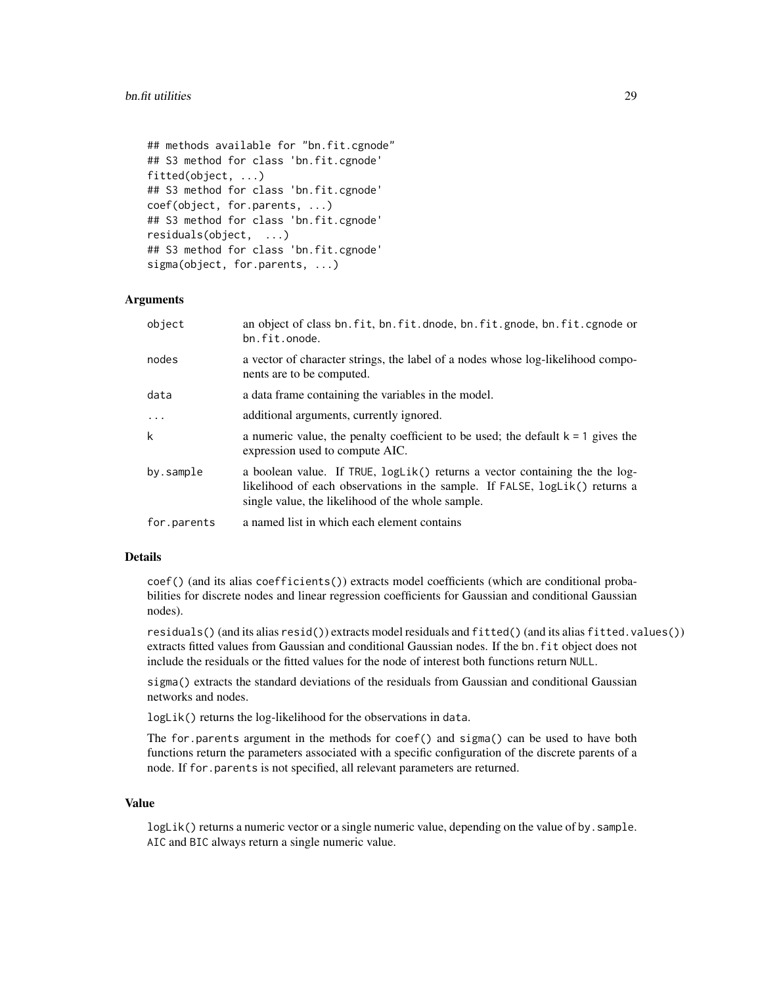```
## methods available for "bn.fit.cgnode"
## S3 method for class 'bn.fit.cgnode'
fitted(object, ...)
## S3 method for class 'bn.fit.cgnode'
coef(object, for.parents, ...)
## S3 method for class 'bn.fit.cgnode'
residuals(object, ...)
## S3 method for class 'bn.fit.cgnode'
sigma(object, for.parents, ...)
```
# Arguments

| object      | an object of class bn. fit, bn. fit. dnode, bn. fit. gnode, bn. fit. cgnode or<br>bn.fit.onode.                                                                                                                   |
|-------------|-------------------------------------------------------------------------------------------------------------------------------------------------------------------------------------------------------------------|
| nodes       | a vector of character strings, the label of a nodes whose log-likelihood compo-<br>nents are to be computed.                                                                                                      |
| data        | a data frame containing the variables in the model.                                                                                                                                                               |
| $\cdots$    | additional arguments, currently ignored.                                                                                                                                                                          |
| k           | a numeric value, the penalty coefficient to be used; the default $k = 1$ gives the<br>expression used to compute AIC.                                                                                             |
| by.sample   | a boolean value. If TRUE, $logLik()$ returns a vector containing the the log-<br>likelihood of each observations in the sample. If FALSE, logLik() returns a<br>single value, the likelihood of the whole sample. |
| for.parents | a named list in which each element contains                                                                                                                                                                       |

#### Details

coef() (and its alias coefficients()) extracts model coefficients (which are conditional probabilities for discrete nodes and linear regression coefficients for Gaussian and conditional Gaussian nodes).

residuals() (and its alias resid()) extracts model residuals and fitted() (and its alias fitted.values()) extracts fitted values from Gaussian and conditional Gaussian nodes. If the bn.fit object does not include the residuals or the fitted values for the node of interest both functions return NULL.

sigma() extracts the standard deviations of the residuals from Gaussian and conditional Gaussian networks and nodes.

logLik() returns the log-likelihood for the observations in data.

The for parents argument in the methods for  $\text{coef}()$  and  $\text{sigma}()$  can be used to have both functions return the parameters associated with a specific configuration of the discrete parents of a node. If for.parents is not specified, all relevant parameters are returned.

# Value

logLik() returns a numeric vector or a single numeric value, depending on the value of by. sample. AIC and BIC always return a single numeric value.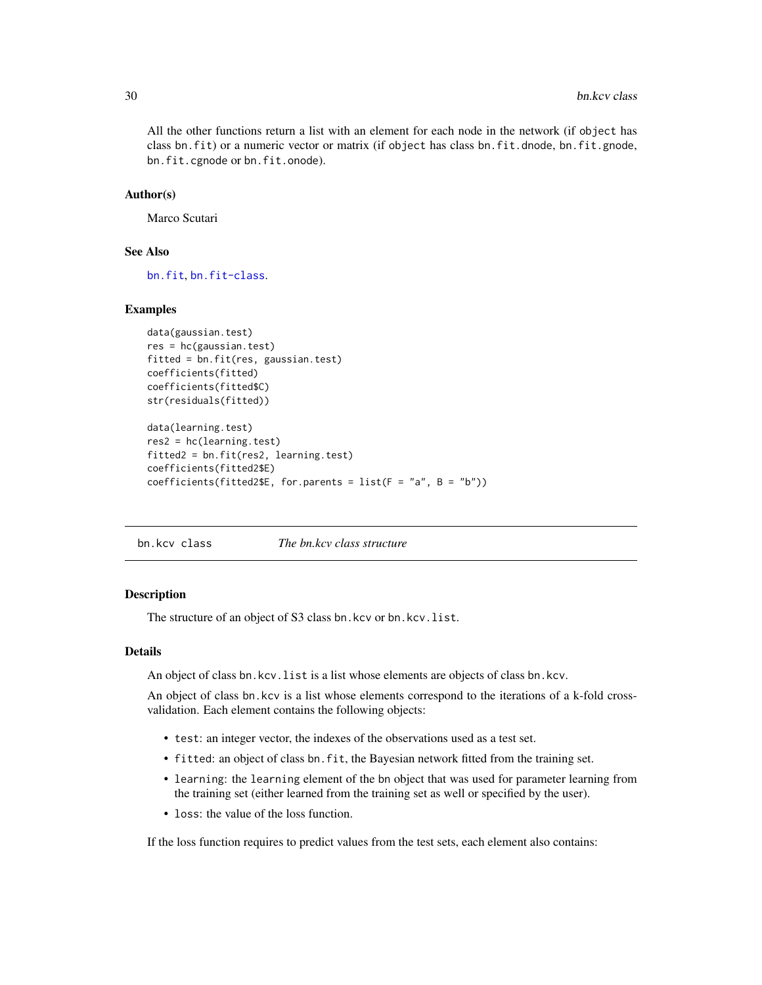<span id="page-29-0"></span>All the other functions return a list with an element for each node in the network (if object has class bn.fit) or a numeric vector or matrix (if object has class bn.fit.dnode, bn.fit.gnode, bn.fit.cgnode or bn.fit.onode).

#### Author(s)

Marco Scutari

# See Also

[bn.fit](#page-21-1), [bn.fit-class](#page-24-2).

# Examples

```
data(gaussian.test)
res = hc(gaussian.test)
fitted = bn.fit(res, gaussian.test)
coefficients(fitted)
coefficients(fitted$C)
str(residuals(fitted))
```

```
data(learning.test)
res2 = hc(learning.test)
fitted2 = bn.fit(res2, learning.test)
coefficients(fitted2$E)
coefficients(fitted2$E, for.parents = list(F = "a", B = "b"))
```
bn.kcv class *The bn.kcv class structure*

#### <span id="page-29-1"></span>Description

The structure of an object of S3 class bn.kcv or bn.kcv.list.

# Details

An object of class bn.kcv.list is a list whose elements are objects of class bn.kcv.

An object of class bn.kcv is a list whose elements correspond to the iterations of a k-fold crossvalidation. Each element contains the following objects:

- test: an integer vector, the indexes of the observations used as a test set.
- fitted: an object of class bn.fit, the Bayesian network fitted from the training set.
- learning: the learning element of the bn object that was used for parameter learning from the training set (either learned from the training set as well or specified by the user).
- loss: the value of the loss function.

If the loss function requires to predict values from the test sets, each element also contains: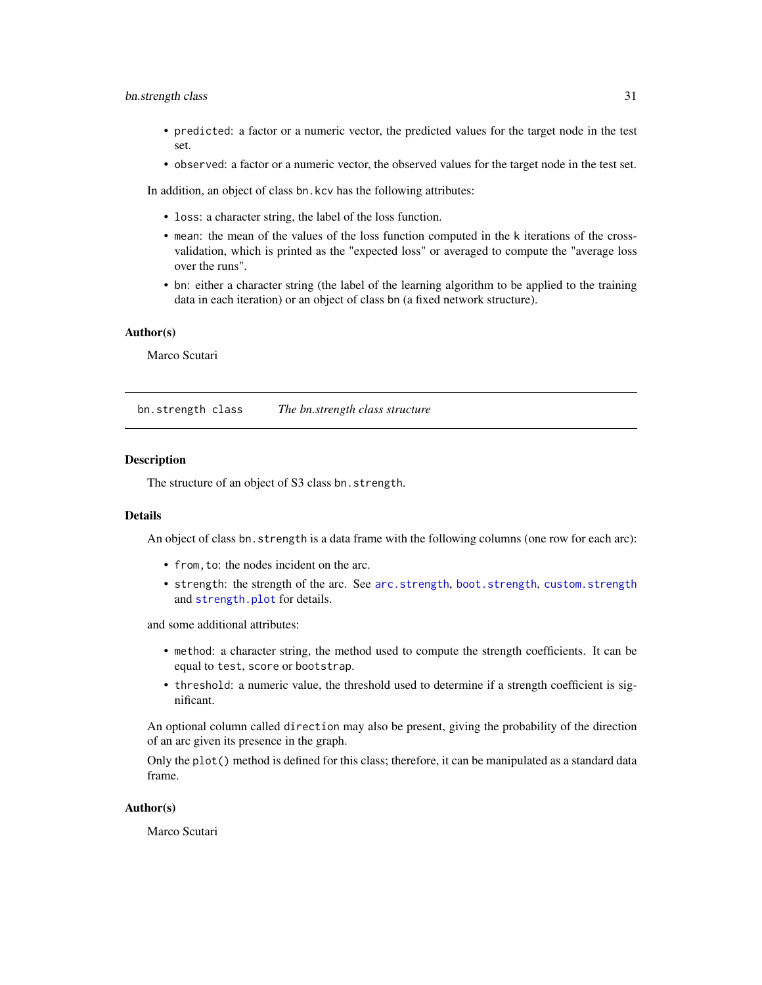# <span id="page-30-0"></span>bn.strength class 31

- predicted: a factor or a numeric vector, the predicted values for the target node in the test set.
- observed: a factor or a numeric vector, the observed values for the target node in the test set.

In addition, an object of class bn.kcv has the following attributes:

- loss: a character string, the label of the loss function.
- mean: the mean of the values of the loss function computed in the k iterations of the crossvalidation, which is printed as the "expected loss" or averaged to compute the "average loss over the runs".
- bn: either a character string (the label of the learning algorithm to be applied to the training data in each iteration) or an object of class bn (a fixed network structure).

# Author(s)

Marco Scutari

<span id="page-30-1"></span>bn.strength class *The bn.strength class structure*

#### **Description**

The structure of an object of S3 class bn.strength.

#### Details

An object of class bn.strength is a data frame with the following columns (one row for each arc):

- from,to: the nodes incident on the arc.
- strength: the strength of the arc. See [arc.strength](#page-9-2), [boot.strength](#page-9-1), [custom.strength](#page-9-1) and [strength.plot](#page-98-1) for details.

and some additional attributes:

- method: a character string, the method used to compute the strength coefficients. It can be equal to test, score or bootstrap.
- threshold: a numeric value, the threshold used to determine if a strength coefficient is significant.

An optional column called direction may also be present, giving the probability of the direction of an arc given its presence in the graph.

Only the plot() method is defined for this class; therefore, it can be manipulated as a standard data frame.

# Author(s)

Marco Scutari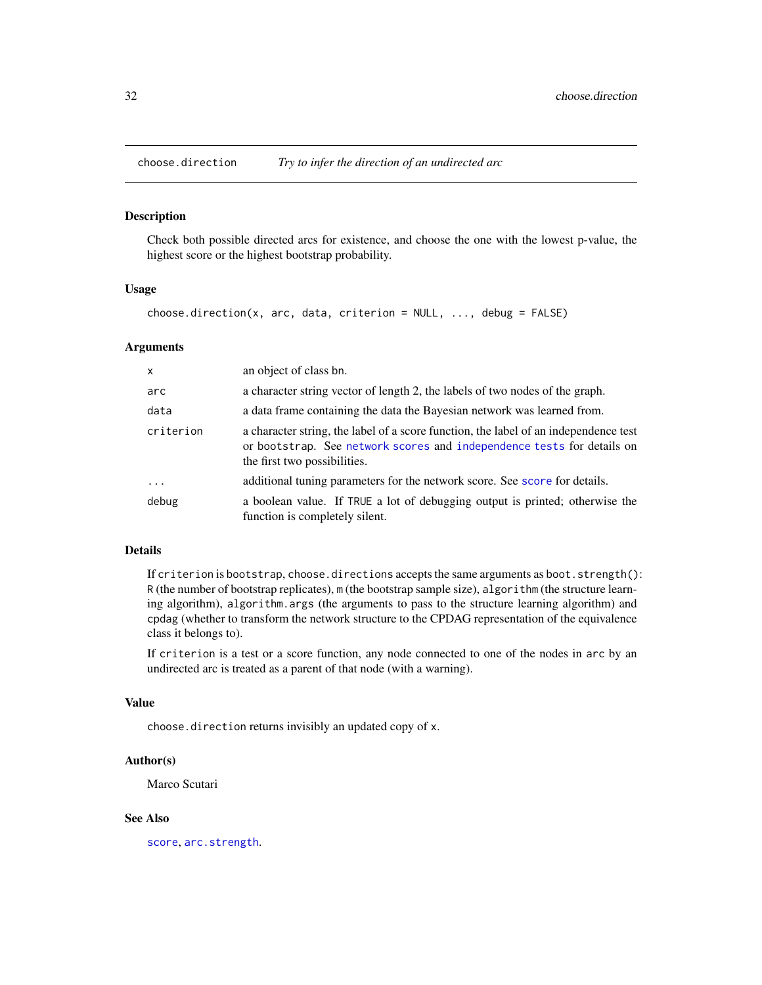<span id="page-31-1"></span><span id="page-31-0"></span>

#### Description

Check both possible directed arcs for existence, and choose the one with the lowest p-value, the highest score or the highest bootstrap probability.

#### Usage

 $choose.direction(x, arc, data, criterion = NULL, ..., delay = FALSE)$ 

#### Arguments

| $\mathsf{x}$ | an object of class bn.                                                                                                                                                                         |
|--------------|------------------------------------------------------------------------------------------------------------------------------------------------------------------------------------------------|
| arc          | a character string vector of length 2, the labels of two nodes of the graph.                                                                                                                   |
| data         | a data frame containing the data the Bayesian network was learned from.                                                                                                                        |
| criterion    | a character string, the label of a score function, the label of an independence test<br>or bootstrap. See network scores and independence tests for details on<br>the first two possibilities. |
| $\ddots$     | additional tuning parameters for the network score. See score for details.                                                                                                                     |
| debug        | a boolean value. If TRUE a lot of debugging output is printed; otherwise the<br>function is completely silent.                                                                                 |

# Details

If criterion is bootstrap, choose.directions accepts the same arguments as boot.strength(): R (the number of bootstrap replicates), m (the bootstrap sample size), algorithm (the structure learning algorithm), algorithm.args (the arguments to pass to the structure learning algorithm) and cpdag (whether to transform the network structure to the CPDAG representation of the equivalence class it belongs to).

If criterion is a test or a score function, any node connected to one of the nodes in arc by an undirected arc is treated as a parent of that node (with a warning).

#### Value

choose.direction returns invisibly an updated copy of x.

#### Author(s)

Marco Scutari

# See Also

[score](#page-93-1), [arc.strength](#page-9-2).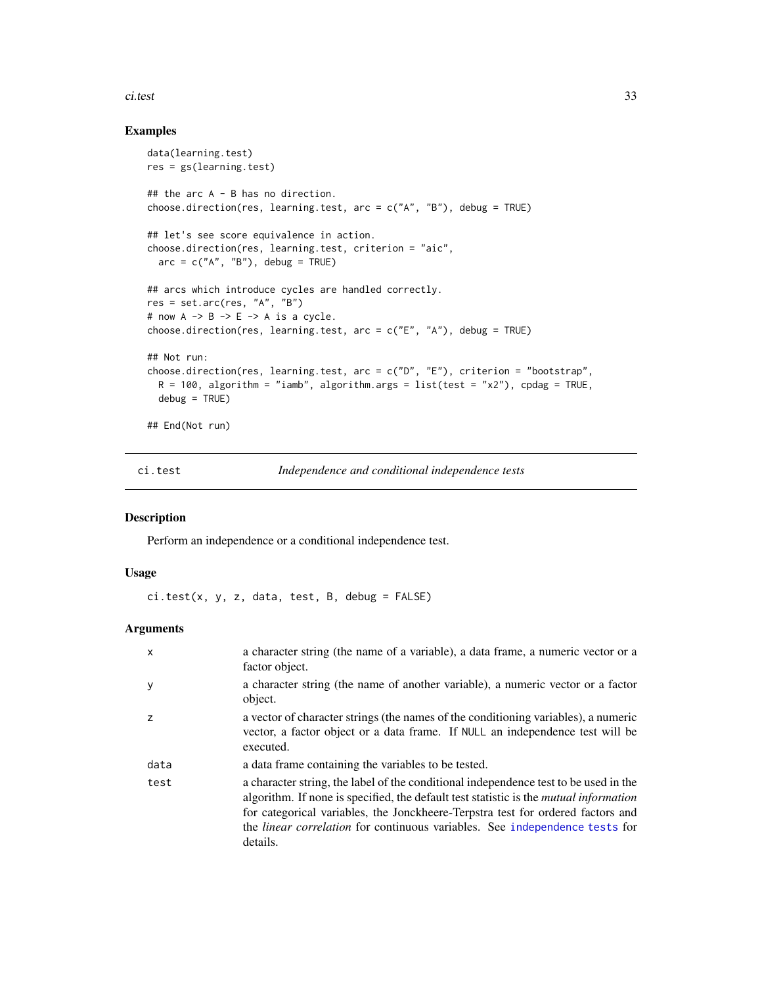#### <span id="page-32-0"></span>ci.test 33

# Examples

```
data(learning.test)
res = gs(learning.test)
## the arc A - B has no direction.
choose.direction(res, learning.test, arc = c("A", "B"), debug = TRUE)
## let's see score equivalence in action.
choose.direction(res, learning.test, criterion = "aic",
  arc = c("A", "B"), debug = TRUE)
## arcs which introduce cycles are handled correctly.
res = set.arc(res, "A", "B")
# now A \rightarrow B \rightarrow E \rightarrow A is a cycle.
choose.direction(res, learning.test, arc = c("E", "A"), debug = TRUE)
## Not run:
choose.direction(res, learning.test, arc = c("D", "E"), criterion = "bootstrap",
  R = 100, algorithm = "iamb", algorithm.args = list(test = "x2"), cpdag = TRUE,
  debug = TRUE)
## End(Not run)
```
<span id="page-32-1"></span>ci.test *Independence and conditional independence tests*

# Description

Perform an independence or a conditional independence test.

#### Usage

ci.test(x, y, z, data, test, B, debug = FALSE)

# Arguments

| X    | a character string (the name of a variable), a data frame, a numeric vector or a<br>factor object.                                                                                                                                                                                                                                                                        |
|------|---------------------------------------------------------------------------------------------------------------------------------------------------------------------------------------------------------------------------------------------------------------------------------------------------------------------------------------------------------------------------|
|      | a character string (the name of another variable), a numeric vector or a factor<br>object.                                                                                                                                                                                                                                                                                |
| 7    | a vector of character strings (the names of the conditioning variables), a numeric<br>vector, a factor object or a data frame. If NULL an independence test will be<br>executed.                                                                                                                                                                                          |
| data | a data frame containing the variables to be tested.                                                                                                                                                                                                                                                                                                                       |
| test | a character string, the label of the conditional independence test to be used in the<br>algorithm. If none is specified, the default test statistic is the <i>mutual information</i><br>for categorical variables, the Jonckheere-Terpstra test for ordered factors and<br>the <i>linear correlation</i> for continuous variables. See independence tests for<br>details. |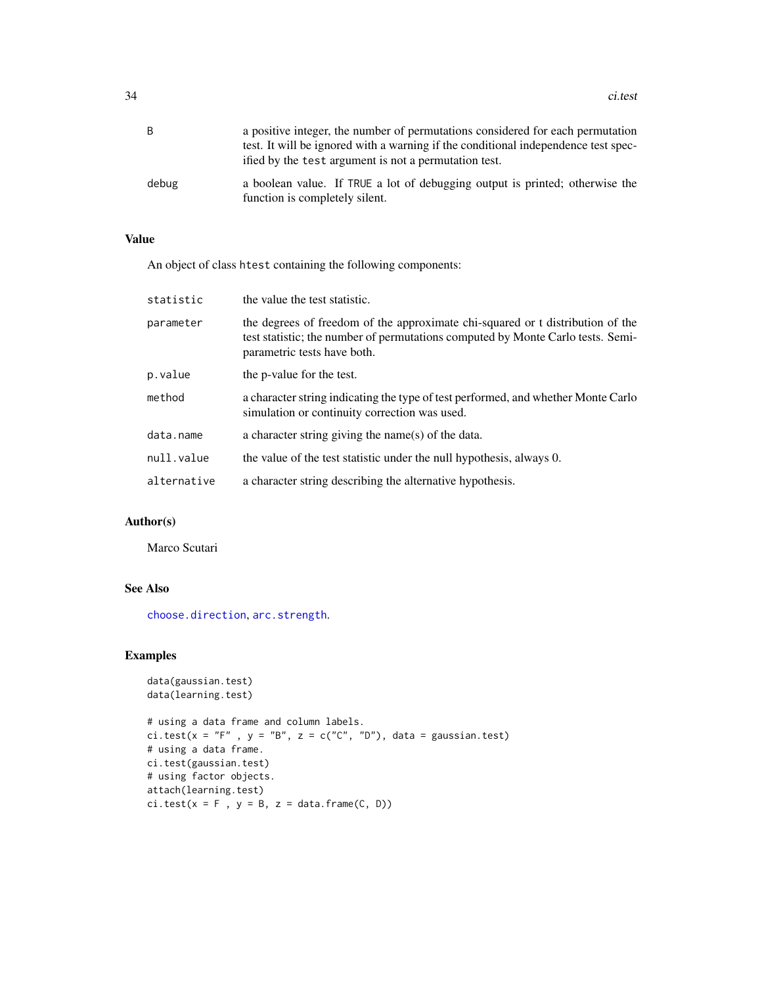| B     | a positive integer, the number of permutations considered for each permutation                                 |
|-------|----------------------------------------------------------------------------------------------------------------|
|       | test. It will be ignored with a warning if the conditional independence test spec-                             |
|       | ified by the test argument is not a permutation test.                                                          |
| debug | a boolean value. If TRUE a lot of debugging output is printed; otherwise the<br>function is completely silent. |

# Value

An object of class htest containing the following components:

| statistic   | the value the test statistic.                                                                                                                                                                    |
|-------------|--------------------------------------------------------------------------------------------------------------------------------------------------------------------------------------------------|
| parameter   | the degrees of freedom of the approximate chi-squared or t distribution of the<br>test statistic; the number of permutations computed by Monte Carlo tests. Semi-<br>parametric tests have both. |
| p.value     | the p-value for the test.                                                                                                                                                                        |
| method      | a character string indicating the type of test performed, and whether Monte Carlo<br>simulation or continuity correction was used.                                                               |
| data.name   | a character string giving the name(s) of the data.                                                                                                                                               |
| null.value  | the value of the test statistic under the null hypothesis, always 0.                                                                                                                             |
| alternative | a character string describing the alternative hypothesis.                                                                                                                                        |
|             |                                                                                                                                                                                                  |

# Author(s)

Marco Scutari

# See Also

[choose.direction](#page-31-1), [arc.strength](#page-9-2).

# Examples

```
data(gaussian.test)
data(learning.test)
```

```
# using a data frame and column labels.
ci.test(x = "F", y = "B", z = c("C", "D"), data = gaussian.test)
# using a data frame.
ci.test(gaussian.test)
# using factor objects.
attach(learning.test)
ci.test(x = F, y = B, z = data-frame(C, D))
```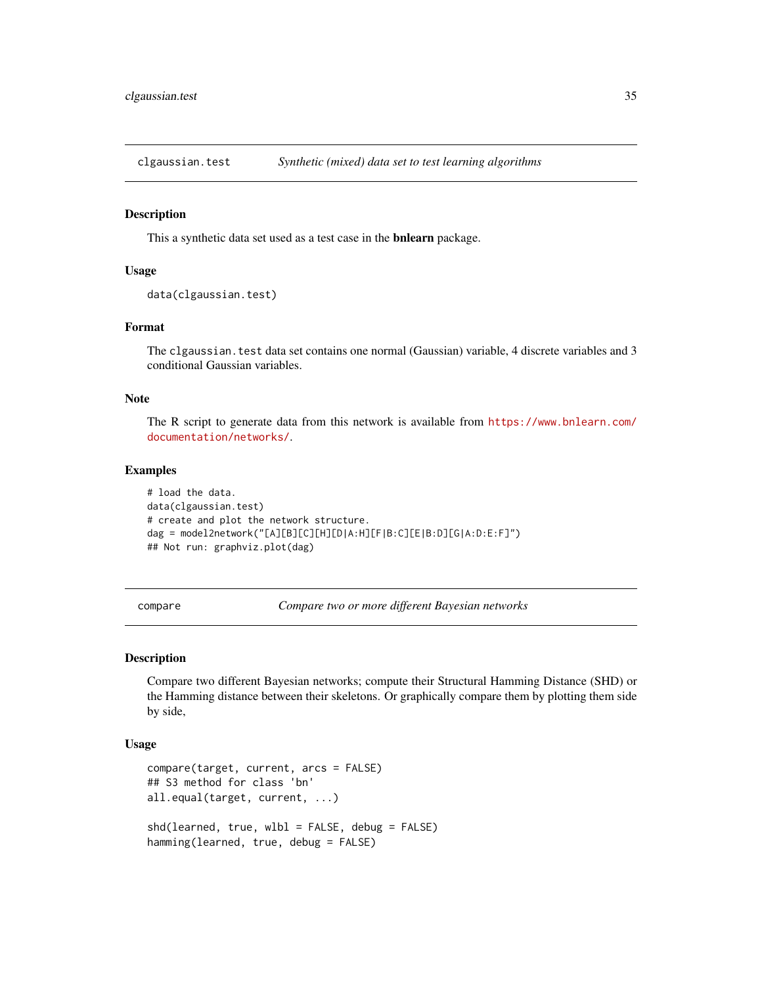<span id="page-34-0"></span>clgaussian.test *Synthetic (mixed) data set to test learning algorithms*

#### Description

This a synthetic data set used as a test case in the bnlearn package.

# Usage

```
data(clgaussian.test)
```
# Format

The clgaussian. test data set contains one normal (Gaussian) variable, 4 discrete variables and 3 conditional Gaussian variables.

# Note

The R script to generate data from this network is available from [https://www.bnlearn.com/](https://www.bnlearn.com/documentation/networks/) [documentation/networks/](https://www.bnlearn.com/documentation/networks/).

#### Examples

```
# load the data.
data(clgaussian.test)
# create and plot the network structure.
dag = model2network("[A][B][C][H][D|A:H][F|B:C][E|B:D][G|A:D:E:F]")
## Not run: graphviz.plot(dag)
```
<span id="page-34-1"></span>compare *Compare two or more different Bayesian networks*

# Description

Compare two different Bayesian networks; compute their Structural Hamming Distance (SHD) or the Hamming distance between their skeletons. Or graphically compare them by plotting them side by side,

# Usage

```
compare(target, current, arcs = FALSE)
## S3 method for class 'bn'
all.equal(target, current, ...)
shd(learned, true, wlbl = FALSE, debug = FALSE)
hamming(learned, true, debug = FALSE)
```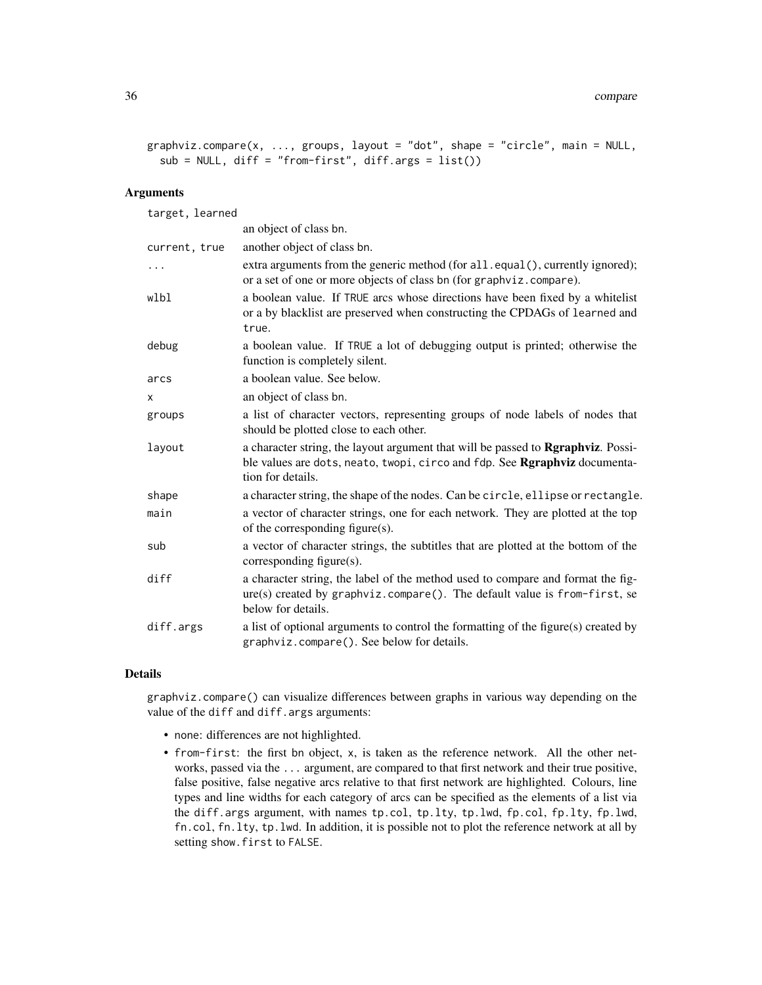```
graphviz.compare(x, ..., groups, layout = "dot", shape = "circle", main = NULL,
 sub = NULL, diff = "from-first", diff.args = list()
```
# Arguments

| target, learned |                                                                                                                                                                                             |
|-----------------|---------------------------------------------------------------------------------------------------------------------------------------------------------------------------------------------|
|                 | an object of class bn.                                                                                                                                                                      |
| current, true   | another object of class bn.                                                                                                                                                                 |
| $\ldots$        | extra arguments from the generic method (for all . equal (), currently ignored);<br>or a set of one or more objects of class bn (for graphyiz.compare).                                     |
| wlbl            | a boolean value. If TRUE arcs whose directions have been fixed by a whitelist<br>or a by blacklist are preserved when constructing the CPDAGs of learned and<br>true.                       |
| debug           | a boolean value. If TRUE a lot of debugging output is printed; otherwise the<br>function is completely silent.                                                                              |
| arcs            | a boolean value. See below.                                                                                                                                                                 |
| X               | an object of class bn.                                                                                                                                                                      |
| groups          | a list of character vectors, representing groups of node labels of nodes that<br>should be plotted close to each other.                                                                     |
| layout          | a character string, the layout argument that will be passed to <b>Rgraphviz</b> . Possi-<br>ble values are dots, neato, twopi, circo and fdp. See Rgraphviz documenta-<br>tion for details. |
| shape           | a character string, the shape of the nodes. Can be circle, ellipse or rectangle.                                                                                                            |
| main            | a vector of character strings, one for each network. They are plotted at the top<br>of the corresponding figure(s).                                                                         |
| sub             | a vector of character strings, the subtitles that are plotted at the bottom of the<br>corresponding figure(s).                                                                              |
| diff            | a character string, the label of the method used to compare and format the fig-<br>ure(s) created by graphviz.compare(). The default value is from-first, se<br>below for details.          |
| diff.args       | a list of optional arguments to control the formatting of the figure(s) created by<br>graphviz.compare(). See below for details.                                                            |
|                 |                                                                                                                                                                                             |

# Details

graphviz.compare() can visualize differences between graphs in various way depending on the value of the diff and diff.args arguments:

- none: differences are not highlighted.
- from-first: the first bn object, x, is taken as the reference network. All the other networks, passed via the ... argument, are compared to that first network and their true positive, false positive, false negative arcs relative to that first network are highlighted. Colours, line types and line widths for each category of arcs can be specified as the elements of a list via the diff.args argument, with names tp.col, tp.lty, tp.lwd, fp.col, fp.lty, fp.lwd, fn.col, fn.lty, tp.lwd. In addition, it is possible not to plot the reference network at all by setting show.first to FALSE.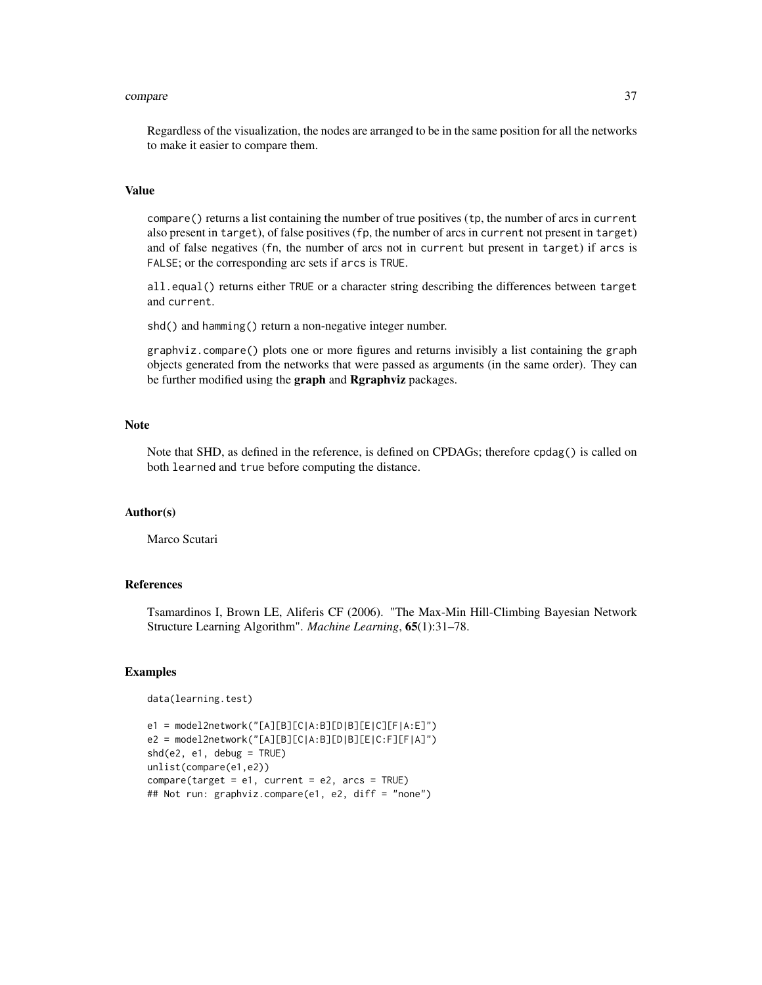#### compare 37

Regardless of the visualization, the nodes are arranged to be in the same position for all the networks to make it easier to compare them.

# Value

compare() returns a list containing the number of true positives (tp, the number of arcs in current also present in target), of false positives (fp, the number of arcs in current not present in target) and of false negatives (fn, the number of arcs not in current but present in target) if arcs is FALSE; or the corresponding arc sets if arcs is TRUE.

all.equal() returns either TRUE or a character string describing the differences between target and current.

shd() and hamming() return a non-negative integer number.

graphviz.compare() plots one or more figures and returns invisibly a list containing the graph objects generated from the networks that were passed as arguments (in the same order). They can be further modified using the graph and Rgraphviz packages.

# **Note**

Note that SHD, as defined in the reference, is defined on CPDAGs; therefore cpdag() is called on both learned and true before computing the distance.

# Author(s)

Marco Scutari

# References

Tsamardinos I, Brown LE, Aliferis CF (2006). "The Max-Min Hill-Climbing Bayesian Network Structure Learning Algorithm". *Machine Learning*, 65(1):31–78.

```
data(learning.test)
```

```
e1 = model2network("[A][B][C|A:B][D|B][E|C][F|A:E]")
e2 = model2network("[A][B][C|A:B][D|B][E|C:F][F|A]")
shd(e2, e1, debug = TRUE)
unlist(compare(e1,e2))
compare(target = e1, current = e2, arcs = TRUE)## Not run: graphviz.compare(e1, e2, diff = "none")
```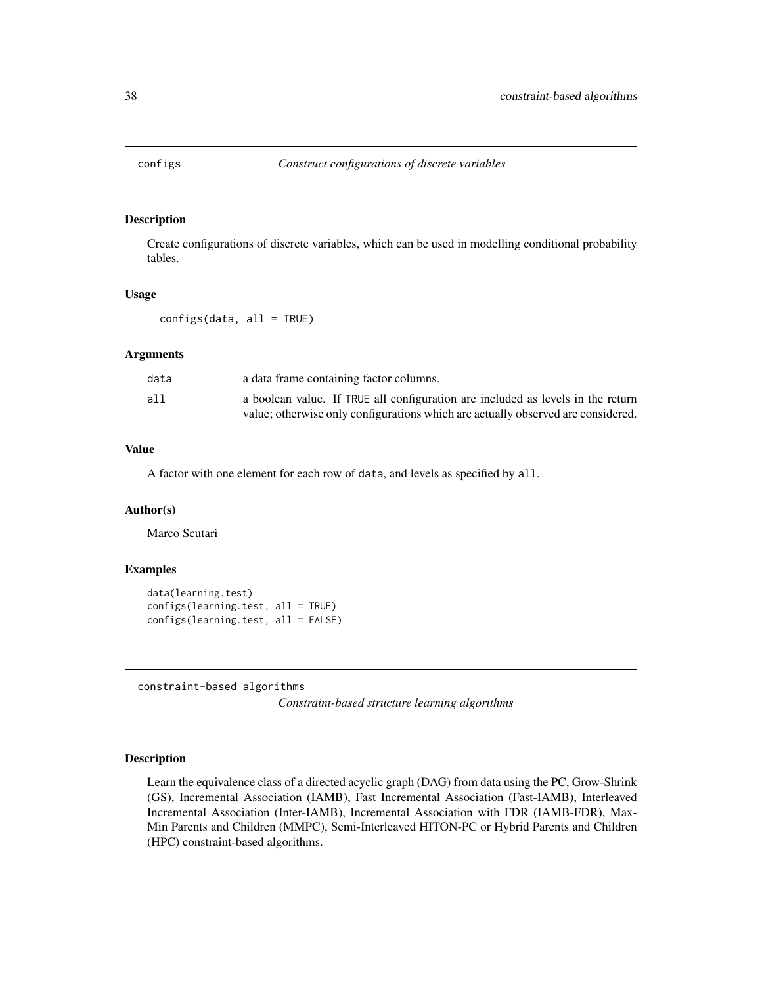## Description

Create configurations of discrete variables, which can be used in modelling conditional probability tables.

## Usage

configs(data, all = TRUE)

## Arguments

| data | a data frame containing factor columns.                                          |
|------|----------------------------------------------------------------------------------|
| all  | a boolean value. If TRUE all configuration are included as levels in the return  |
|      | value; otherwise only configurations which are actually observed are considered. |

## Value

A factor with one element for each row of data, and levels as specified by all.

# Author(s)

Marco Scutari

# Examples

```
data(learning.test)
configs(learning.test, all = TRUE)
configs(learning.test, all = FALSE)
```
<span id="page-37-0"></span>constraint-based algorithms

*Constraint-based structure learning algorithms*

# Description

Learn the equivalence class of a directed acyclic graph (DAG) from data using the PC, Grow-Shrink (GS), Incremental Association (IAMB), Fast Incremental Association (Fast-IAMB), Interleaved Incremental Association (Inter-IAMB), Incremental Association with FDR (IAMB-FDR), Max-Min Parents and Children (MMPC), Semi-Interleaved HITON-PC or Hybrid Parents and Children (HPC) constraint-based algorithms.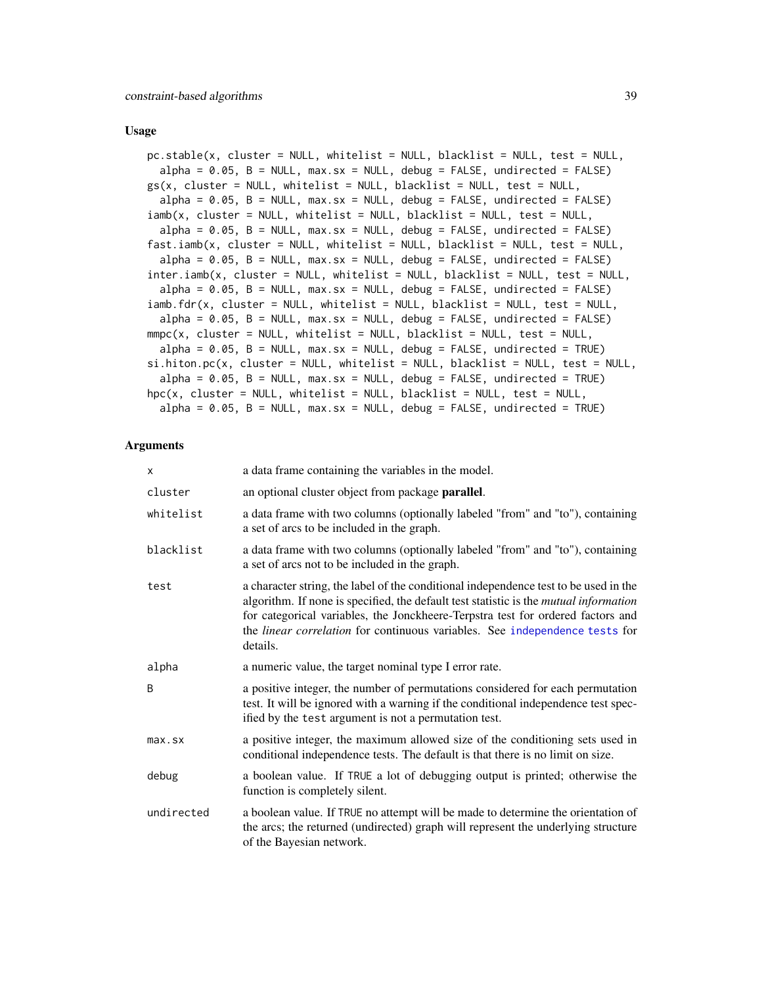#### Usage

```
pc.stable(x, cluster = NULL, whitelist = NULL, blacklist = NULL, test = NULL,
  alpha = 0.05, B = NULL, max.sx = NULL, delay = FALSE, undirected = FALSE)
gs(x, cluster = NULL, whitelist = NULL, blacklist = NULL, test = NULL,
  alpha = 0.05, B = NULL, max.sx = NULL, debug = FALSE, undirected = FALSE)
iamb(x, cluster = NULL, whitelist = NULL, blacklist = NULL, test = NULL,
 alpha = 0.05, B = NULL, max.sx = NULL, debug = FALSE, undirected = FALSE)
fast.iamb(x, cluster = NULL, whitelist = NULL, blacklist = NULL, test = NULL,
  alpha = 0.05, B = NULL, max.sx = NULL, debug = FALSE, undirected = FALSE)
inter.iamb(x, cluster = NULL, whitelist = NULL, blacklist = NULL, test = NULL,
 alpha = 0.05, B = NULL, max.sx = NULL, debug = FALSE, undirected = FALSE)
iamb.fdr(x, cluster = NULL, whitelist = NULL, blacklist = NULL, test = NULL,
  alpha = 0.05, B = NULL, max.sx = NULL, debug = FALSE, undirected = FALSE)
mmpc(x, cluster = NULL, whitelist = NULL, blacklist = NULL, test = NULL,alpha = 0.05, B = NULL, max.sx = NULL, debug = FALSE, undirected = TRUEsi.hiton.pc(x, cluster = NULL, whitelist = NULL, blacklist = NULL, test = NULL,
  alpha = 0.05, B = NULL, max.sx = NULL, delay = FALSE, undirected = TRUE)
hpc(x, cluster = NULL, whitelist = NULL, blacklist = NULL, test = NULL,
  alpha = 0.05, B = NULL, max.sx = NULL, delay = FALSE, undirected = TRUE)
```
#### Arguments

| X            | a data frame containing the variables in the model.                                                                                                                                                                                                                                                                                                                |
|--------------|--------------------------------------------------------------------------------------------------------------------------------------------------------------------------------------------------------------------------------------------------------------------------------------------------------------------------------------------------------------------|
| cluster      | an optional cluster object from package <b>parallel</b> .                                                                                                                                                                                                                                                                                                          |
| whitelist    | a data frame with two columns (optionally labeled "from" and "to"), containing<br>a set of arcs to be included in the graph.                                                                                                                                                                                                                                       |
| blacklist    | a data frame with two columns (optionally labeled "from" and "to"), containing<br>a set of arcs not to be included in the graph.                                                                                                                                                                                                                                   |
| test         | a character string, the label of the conditional independence test to be used in the<br>algorithm. If none is specified, the default test statistic is the <i>mutual information</i><br>for categorical variables, the Jonckheere-Terpstra test for ordered factors and<br>the linear correlation for continuous variables. See independence tests for<br>details. |
| alpha        | a numeric value, the target nominal type I error rate.                                                                                                                                                                                                                                                                                                             |
| B            | a positive integer, the number of permutations considered for each permutation<br>test. It will be ignored with a warning if the conditional independence test spec-<br>ified by the test argument is not a permutation test.                                                                                                                                      |
| $max$ . $sx$ | a positive integer, the maximum allowed size of the conditioning sets used in<br>conditional independence tests. The default is that there is no limit on size.                                                                                                                                                                                                    |
| debug        | a boolean value. If TRUE a lot of debugging output is printed; otherwise the<br>function is completely silent.                                                                                                                                                                                                                                                     |
| undirected   | a boolean value. If TRUE no attempt will be made to determine the orientation of<br>the arcs; the returned (undirected) graph will represent the underlying structure<br>of the Bayesian network.                                                                                                                                                                  |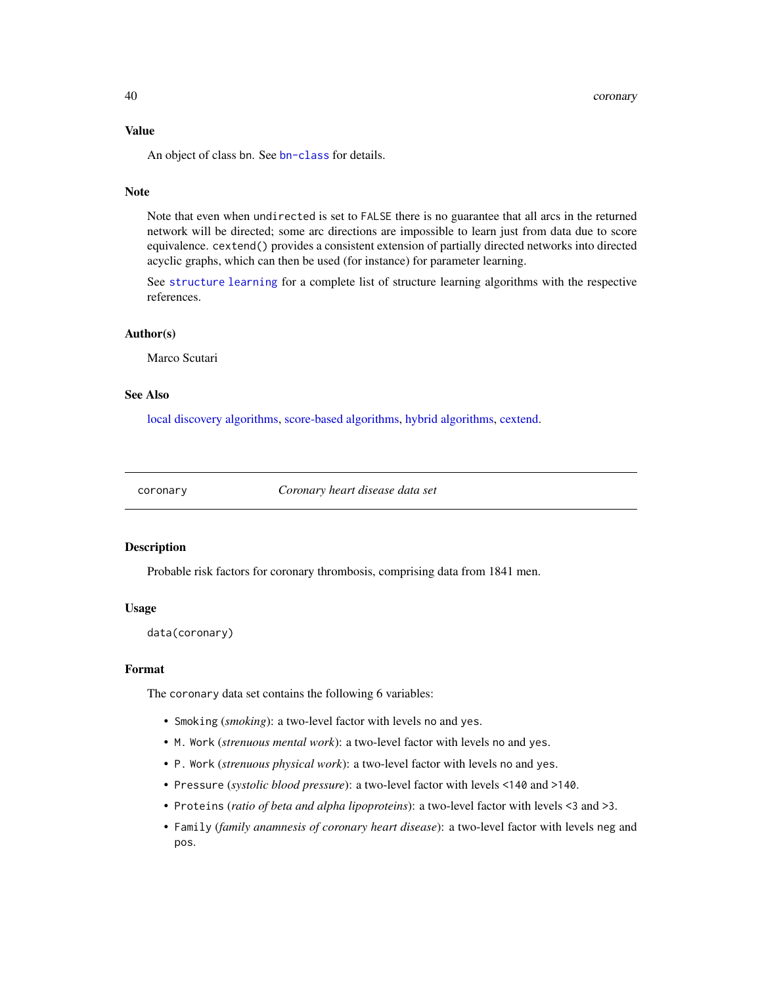# Value

An object of class bn. See [bn-class](#page-14-0) for details.

# Note

Note that even when undirected is set to FALSE there is no guarantee that all arcs in the returned network will be directed; some arc directions are impossible to learn just from data due to score equivalence. cextend() provides a consistent extension of partially directed networks into directed acyclic graphs, which can then be used (for instance) for parameter learning.

See [structure learning](#page-102-0) for a complete list of structure learning algorithms with the respective references.

### Author(s)

Marco Scutari

## See Also

[local discovery algorithms,](#page-73-0) [score-based algorithms,](#page-96-0) [hybrid algorithms,](#page-63-0) [cextend.](#page-40-0)

coronary *Coronary heart disease data set*

# **Description**

Probable risk factors for coronary thrombosis, comprising data from 1841 men.

# Usage

data(coronary)

# Format

The coronary data set contains the following 6 variables:

- Smoking (*smoking*): a two-level factor with levels no and yes.
- M. Work (*strenuous mental work*): a two-level factor with levels no and yes.
- P. Work (*strenuous physical work*): a two-level factor with levels no and yes.
- Pressure (*systolic blood pressure*): a two-level factor with levels <140 and >140.
- Proteins (*ratio of beta and alpha lipoproteins*): a two-level factor with levels <3 and >3.
- Family (*family anamnesis of coronary heart disease*): a two-level factor with levels neg and pos.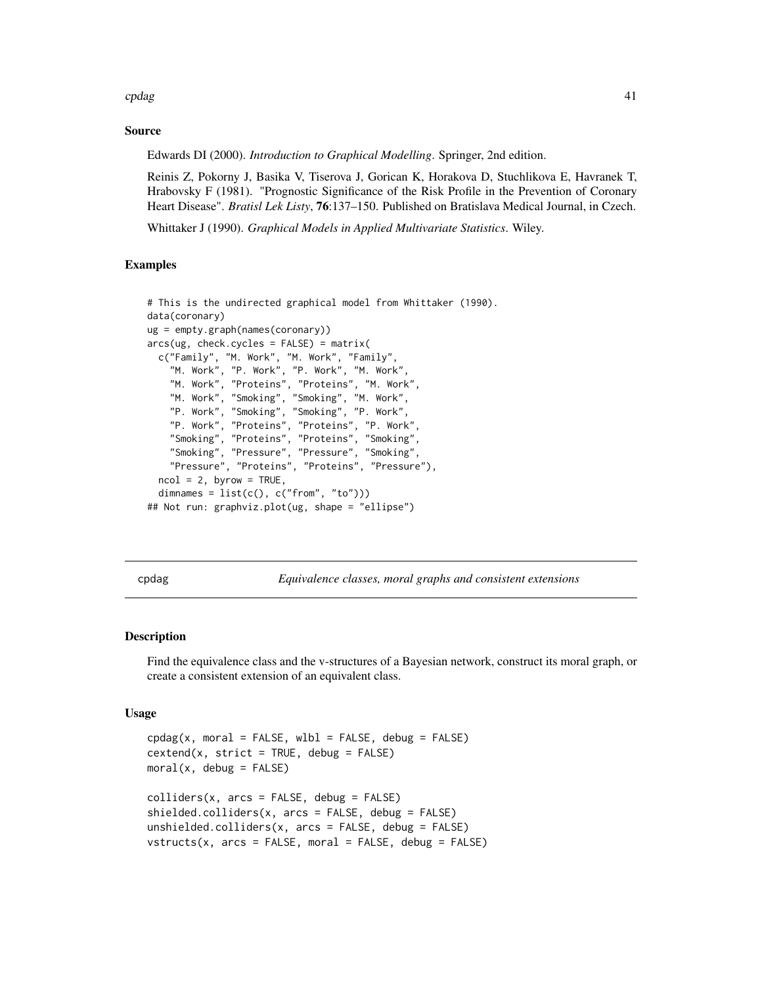cpdag and the contract of the contract of the contract of the contract of the contract of the contract of the contract of the contract of the contract of the contract of the contract of the contract of the contract of the

# Source

Edwards DI (2000). *Introduction to Graphical Modelling*. Springer, 2nd edition.

Reinis Z, Pokorny J, Basika V, Tiserova J, Gorican K, Horakova D, Stuchlikova E, Havranek T, Hrabovsky F (1981). "Prognostic Significance of the Risk Profile in the Prevention of Coronary Heart Disease". *Bratisl Lek Listy*, 76:137–150. Published on Bratislava Medical Journal, in Czech.

Whittaker J (1990). *Graphical Models in Applied Multivariate Statistics*. Wiley.

# Examples

```
# This is the undirected graphical model from Whittaker (1990).
data(coronary)
ug = empty.graph(names(coronary))
arcs(ug, check.cycles = FALSE) = matrix(c("Family", "M. Work", "M. Work", "Family",
    "M. Work", "P. Work", "P. Work", "M. Work",
    "M. Work", "Proteins", "Proteins", "M. Work",
    "M. Work", "Smoking", "Smoking", "M. Work",
    "P. Work", "Smoking", "Smoking", "P. Work",
    "P. Work", "Proteins", "Proteins", "P. Work",
    "Smoking", "Proteins", "Proteins", "Smoking",
    "Smoking", "Pressure", "Pressure", "Smoking",
    "Pressure", "Proteins", "Proteins", "Pressure"),
  ncol = 2, byrow = TRUE,
  dimnames = list(c(), c("from", "to")))## Not run: graphviz.plot(ug, shape = "ellipse")
```
<span id="page-40-1"></span>cpdag *Equivalence classes, moral graphs and consistent extensions*

## <span id="page-40-0"></span>**Description**

Find the equivalence class and the v-structures of a Bayesian network, construct its moral graph, or create a consistent extension of an equivalent class.

#### Usage

```
cpdag(x, moral = FALSE, wh = FALSE, delay = FALSE)cextend(x, strict = TRUE, debug = FALSE)
moral(x, debug = FALSE)colliders(x, arcs = FALSE, debug = FALSE)shielded.colliders(x, arcs = FALSE, debug = FALSE)unshielded.colliders(x, arcs = FALSE, debug = FALSE)
vstructures(x, arcs = FALSE, moral = FALSE, delay = FALSE)
```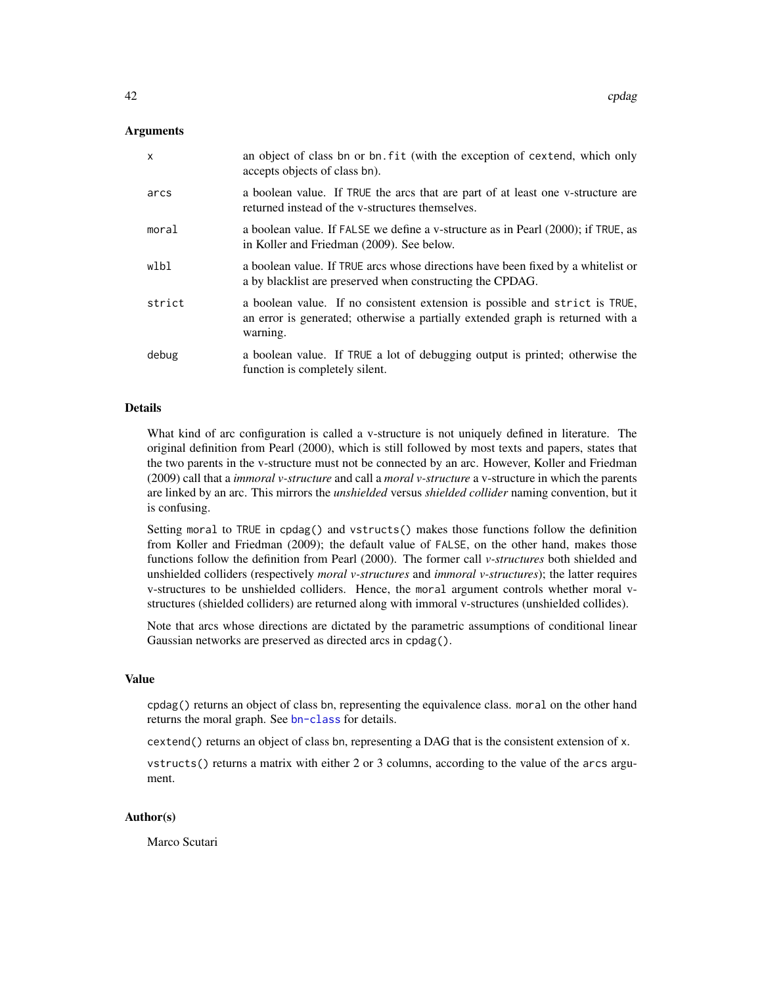## Arguments

| $\mathsf{x}$ | an object of class bn or bn. fit (with the exception of cextend, which only<br>accepts objects of class bn).                                                              |
|--------------|---------------------------------------------------------------------------------------------------------------------------------------------------------------------------|
| arcs         | a boolean value. If TRUE the arcs that are part of at least one v-structure are<br>returned instead of the v-structures themselves.                                       |
| moral        | a boolean value. If FALSE we define a v-structure as in Pearl (2000); if TRUE, as<br>in Koller and Friedman (2009). See below.                                            |
| wlbl         | a boolean value. If TRUE arcs whose directions have been fixed by a whitelist or<br>a by blacklist are preserved when constructing the CPDAG.                             |
| strict       | a boolean value. If no consistent extension is possible and strict is TRUE,<br>an error is generated; otherwise a partially extended graph is returned with a<br>warning. |
| debug        | a boolean value. If TRUE a lot of debugging output is printed; otherwise the<br>function is completely silent.                                                            |

#### Details

What kind of arc configuration is called a v-structure is not uniquely defined in literature. The original definition from Pearl (2000), which is still followed by most texts and papers, states that the two parents in the v-structure must not be connected by an arc. However, Koller and Friedman (2009) call that a *immoral v-structure* and call a *moral v-structure* a v-structure in which the parents are linked by an arc. This mirrors the *unshielded* versus *shielded collider* naming convention, but it is confusing.

Setting moral to TRUE in cpdag() and vstructs() makes those functions follow the definition from Koller and Friedman (2009); the default value of FALSE, on the other hand, makes those functions follow the definition from Pearl (2000). The former call *v-structures* both shielded and unshielded colliders (respectively *moral v-structures* and *immoral v-structures*); the latter requires v-structures to be unshielded colliders. Hence, the moral argument controls whether moral vstructures (shielded colliders) are returned along with immoral v-structures (unshielded collides).

Note that arcs whose directions are dictated by the parametric assumptions of conditional linear Gaussian networks are preserved as directed arcs in cpdag().

#### Value

cpdag() returns an object of class bn, representing the equivalence class. moral on the other hand returns the moral graph. See [bn-class](#page-14-0) for details.

cextend() returns an object of class bn, representing a DAG that is the consistent extension of x.

vstructs() returns a matrix with either 2 or 3 columns, according to the value of the arcs argument.

## Author(s)

Marco Scutari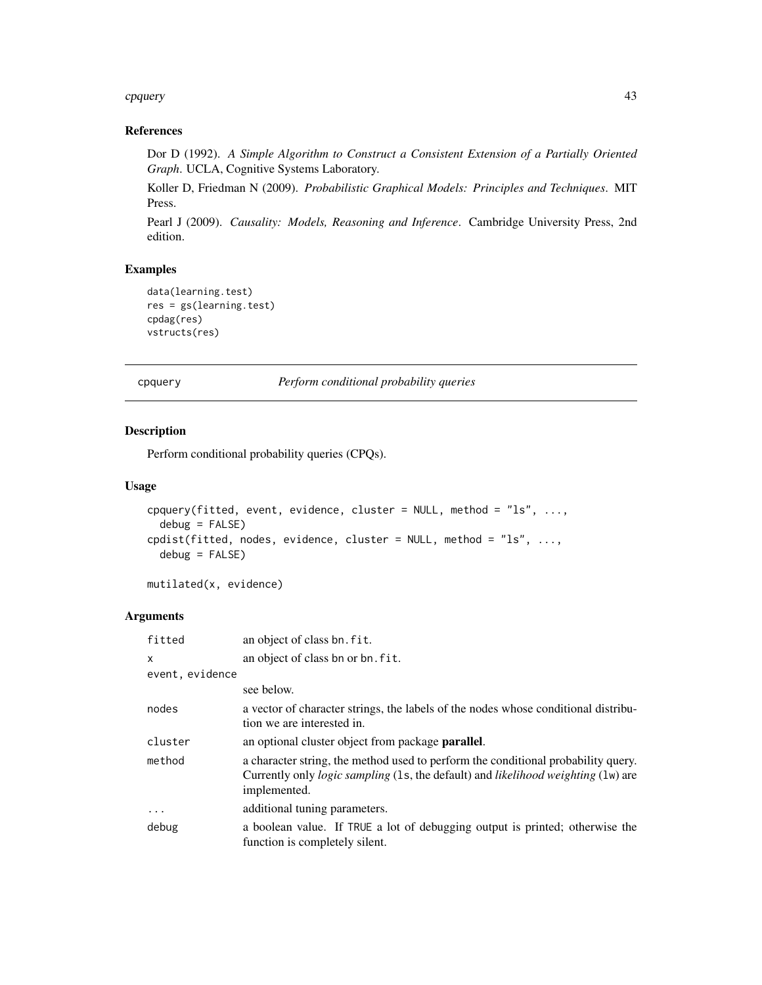#### cpquery and the contract of the contract of the contract of the contract of the contract of the contract of the contract of the contract of the contract of the contract of the contract of the contract of the contract of th

# References

Dor D (1992). *A Simple Algorithm to Construct a Consistent Extension of a Partially Oriented Graph*. UCLA, Cognitive Systems Laboratory.

Koller D, Friedman N (2009). *Probabilistic Graphical Models: Principles and Techniques*. MIT Press.

Pearl J (2009). *Causality: Models, Reasoning and Inference*. Cambridge University Press, 2nd edition.

# Examples

```
data(learning.test)
res = gs(learning.test)
cpdag(res)
vstructs(res)
```
cpquery *Perform conditional probability queries*

# Description

Perform conditional probability queries (CPQs).

## Usage

```
cpquery(fitted, event, evidence, cluster = NULL, method = "ls", ...,
  debug = FALSE)
cpdist(fitted, nodes, evidence, cluster = NULL, method = "ls", ...,
 debug = FALSE)
```
mutilated(x, evidence)

# Arguments

| fitted          | an object of class bn. fit.                                                                                                                                                                          |
|-----------------|------------------------------------------------------------------------------------------------------------------------------------------------------------------------------------------------------|
| $\mathsf{x}$    | an object of class bn or bn. fit.                                                                                                                                                                    |
| event, evidence |                                                                                                                                                                                                      |
|                 | see below.                                                                                                                                                                                           |
| nodes           | a vector of character strings, the labels of the nodes whose conditional distribu-<br>tion we are interested in.                                                                                     |
| cluster         | an optional cluster object from package <b>parallel</b> .                                                                                                                                            |
| method          | a character string, the method used to perform the conditional probability query.<br>Currently only <i>logic sampling</i> (1s, the default) and <i>likelihood weighting</i> (1w) are<br>implemented. |
| $\cdots$        | additional tuning parameters.                                                                                                                                                                        |
| debug           | a boolean value. If TRUE a lot of debugging output is printed; otherwise the<br>function is completely silent.                                                                                       |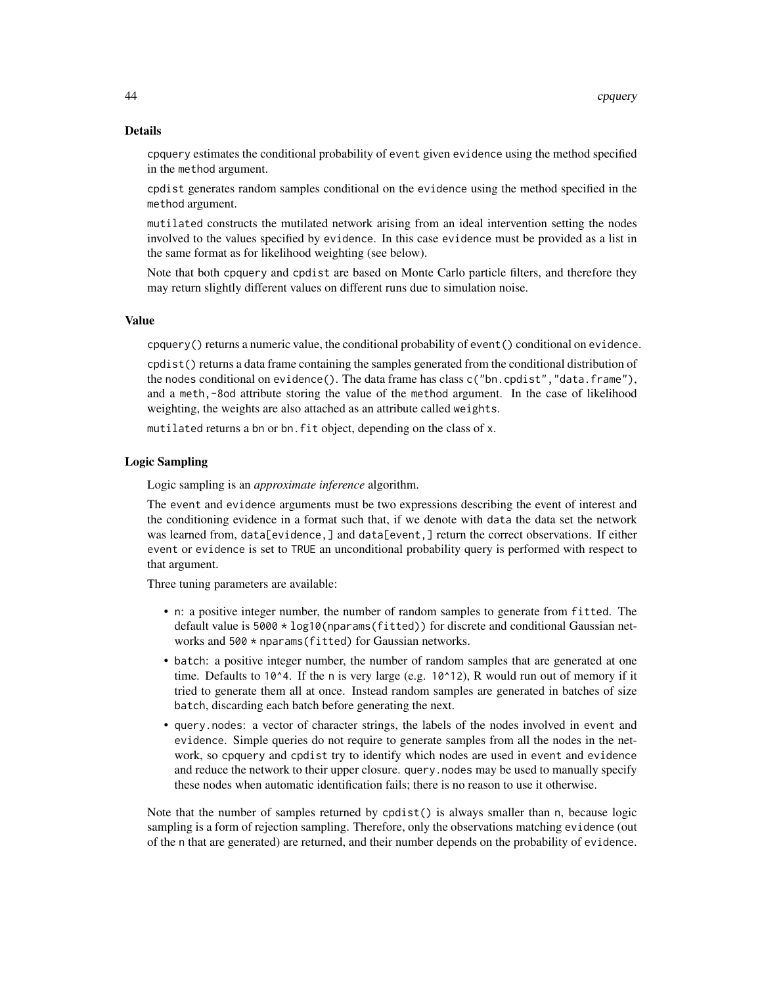#### Details

cpquery estimates the conditional probability of event given evidence using the method specified in the method argument.

cpdist generates random samples conditional on the evidence using the method specified in the method argument.

mutilated constructs the mutilated network arising from an ideal intervention setting the nodes involved to the values specified by evidence. In this case evidence must be provided as a list in the same format as for likelihood weighting (see below).

Note that both cpquery and cpdist are based on Monte Carlo particle filters, and therefore they may return slightly different values on different runs due to simulation noise.

## Value

cpquery() returns a numeric value, the conditional probability of event() conditional on evidence.

cpdist() returns a data frame containing the samples generated from the conditional distribution of the nodes conditional on evidence(). The data frame has class c("bn.cpdist","data.frame"), and a meth,-8od attribute storing the value of the method argument. In the case of likelihood weighting, the weights are also attached as an attribute called weights.

mutilated returns a bn or bn.fit object, depending on the class of x.

#### Logic Sampling

Logic sampling is an *approximate inference* algorithm.

The event and evidence arguments must be two expressions describing the event of interest and the conditioning evidence in a format such that, if we denote with data the data set the network was learned from, data[evidence,] and data[event,] return the correct observations. If either event or evidence is set to TRUE an unconditional probability query is performed with respect to that argument.

Three tuning parameters are available:

- n: a positive integer number, the number of random samples to generate from fitted. The default value is 5000 \* log10(nparams(fitted)) for discrete and conditional Gaussian networks and 500 \* nparams(fitted) for Gaussian networks.
- batch: a positive integer number, the number of random samples that are generated at one time. Defaults to 10^4. If the n is very large (e.g. 10^12), R would run out of memory if it tried to generate them all at once. Instead random samples are generated in batches of size batch, discarding each batch before generating the next.
- query.nodes: a vector of character strings, the labels of the nodes involved in event and evidence. Simple queries do not require to generate samples from all the nodes in the network, so cpquery and cpdist try to identify which nodes are used in event and evidence and reduce the network to their upper closure. query.nodes may be used to manually specify these nodes when automatic identification fails; there is no reason to use it otherwise.

Note that the number of samples returned by cpdist() is always smaller than n, because logic sampling is a form of rejection sampling. Therefore, only the observations matching evidence (out of the n that are generated) are returned, and their number depends on the probability of evidence.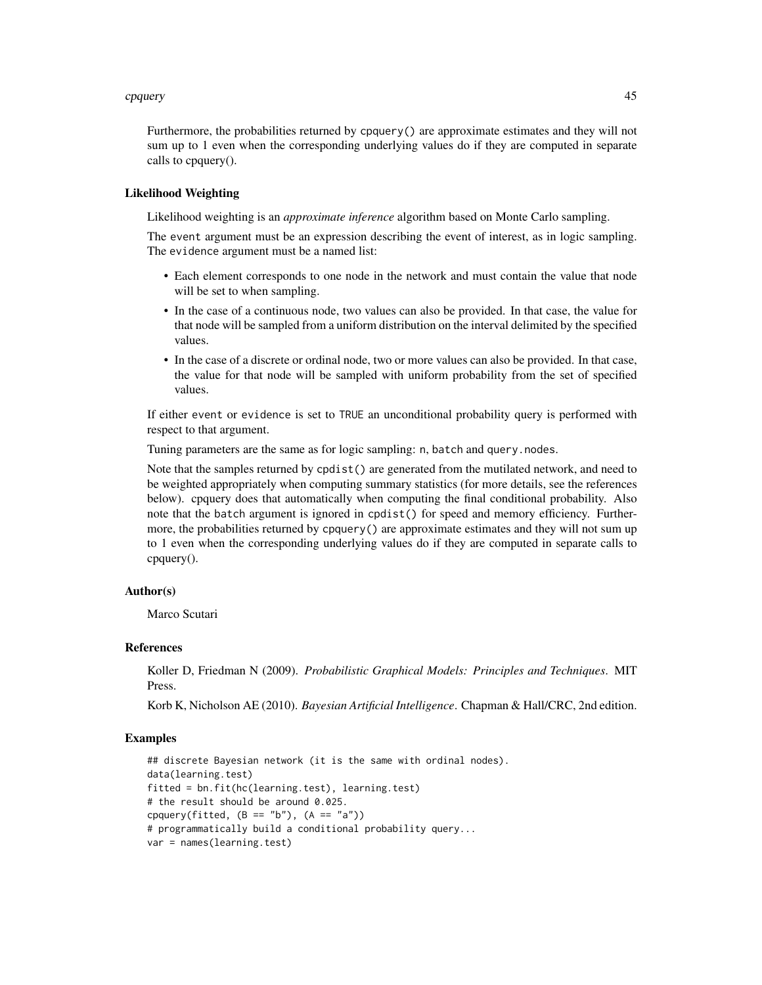#### cpquery and the contract of the contract of the contract of the contract of the contract of the contract of the contract of the contract of the contract of the contract of the contract of the contract of the contract of th

Furthermore, the probabilities returned by cpquery() are approximate estimates and they will not sum up to 1 even when the corresponding underlying values do if they are computed in separate calls to cpquery().

#### Likelihood Weighting

Likelihood weighting is an *approximate inference* algorithm based on Monte Carlo sampling.

The event argument must be an expression describing the event of interest, as in logic sampling. The evidence argument must be a named list:

- Each element corresponds to one node in the network and must contain the value that node will be set to when sampling.
- In the case of a continuous node, two values can also be provided. In that case, the value for that node will be sampled from a uniform distribution on the interval delimited by the specified values.
- In the case of a discrete or ordinal node, two or more values can also be provided. In that case, the value for that node will be sampled with uniform probability from the set of specified values.

If either event or evidence is set to TRUE an unconditional probability query is performed with respect to that argument.

Tuning parameters are the same as for logic sampling: n, batch and query.nodes.

Note that the samples returned by cpdist() are generated from the mutilated network, and need to be weighted appropriately when computing summary statistics (for more details, see the references below). cpquery does that automatically when computing the final conditional probability. Also note that the batch argument is ignored in cpdist() for speed and memory efficiency. Furthermore, the probabilities returned by cpquery() are approximate estimates and they will not sum up to 1 even when the corresponding underlying values do if they are computed in separate calls to cpquery().

## Author(s)

Marco Scutari

#### References

Koller D, Friedman N (2009). *Probabilistic Graphical Models: Principles and Techniques*. MIT Press.

Korb K, Nicholson AE (2010). *Bayesian Artificial Intelligence*. Chapman & Hall/CRC, 2nd edition.

```
## discrete Bayesian network (it is the same with ordinal nodes).
data(learning.test)
fitted = bn.fit(hc(learning.test), learning.test)
# the result should be around 0.025.
cpquery(fitted, (B == "b"), (A == "a"))
# programmatically build a conditional probability query...
var = names(learning.test)
```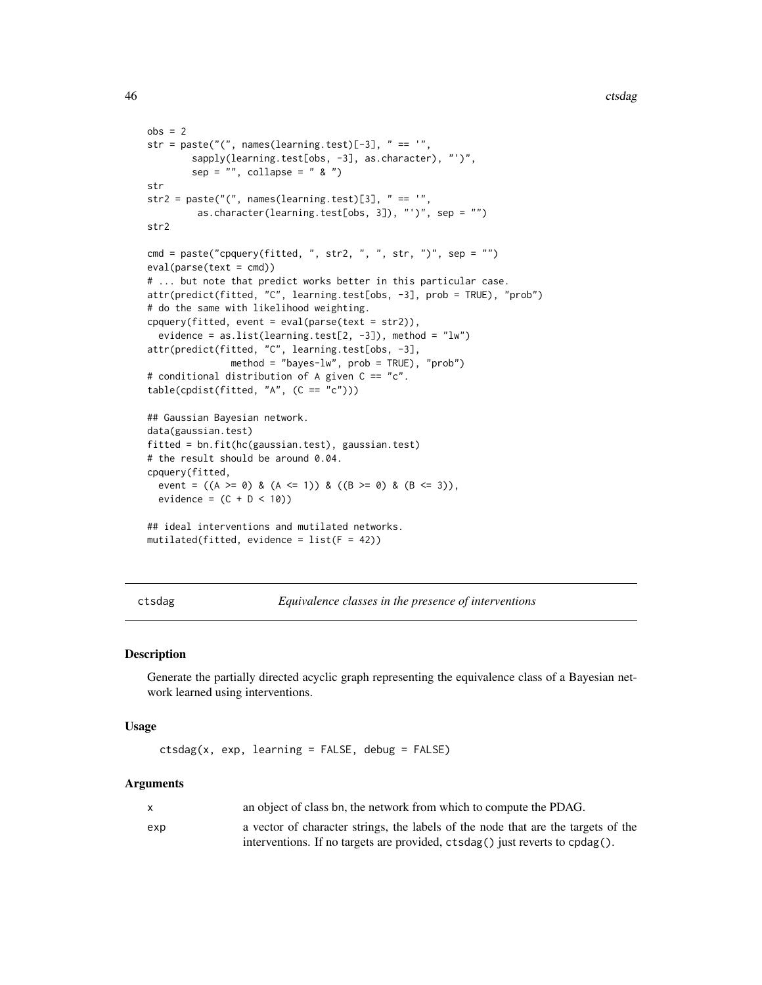```
obs = 2str = paste("(", names(learning.test)[-3], " == '",
        sapply(learning.test[obs, -3], as.character), "')",
        sep = "", collapse = " & "')str
str2 = paste(",", names(learning.test)[3], " == ","as.character(learning.test[obs, 3]), "')", sep = "")
str2
cmd = paste("cpquery(fitted, ", str2, ", ", str, ")", sep = "")
eval(parse(text = cmd))
# ... but note that predict works better in this particular case.
attr(predict(fitted, "C", learning.test[obs, -3], prob = TRUE), "prob")
# do the same with likelihood weighting.
cpquery(fitted, event = eval(parse(text = str2)),
 evidence = as.list(learning.test[2, -3]), method = "lw")
attr(predict(fitted, "C", learning.test[obs, -3],
              method = "bayes-lw", prob = TRUE), "prob")
# conditional distribution of A given C == "c".
table(cpdfst(fitted, "A", (C == "c")))## Gaussian Bayesian network.
data(gaussian.test)
fitted = bn.fit(hc(gaussian.test), gaussian.test)
# the result should be around 0.04.
cpquery(fitted,
 event = ((A \ge 0) \& (A \le 1)) \& ((B \ge 0) \& (B \le 3)),evidence = (C + D < 10)## ideal interventions and mutilated networks.
mutilated(fitted, evidence = list(F = 42))
```
ctsdag *Equivalence classes in the presence of interventions*

#### Description

Generate the partially directed acyclic graph representing the equivalence class of a Bayesian network learned using interventions.

#### Usage

```
ctsdag(x, exp, learning = FALSE, debug = FALSE)
```
#### Arguments

| $\mathsf{x}$ | an object of class bn, the network from which to compute the PDAG.                |
|--------------|-----------------------------------------------------------------------------------|
| exp          | a vector of character strings, the labels of the node that are the targets of the |
|              | interventions. If no targets are provided, ctsdag() just reverts to cpdag().      |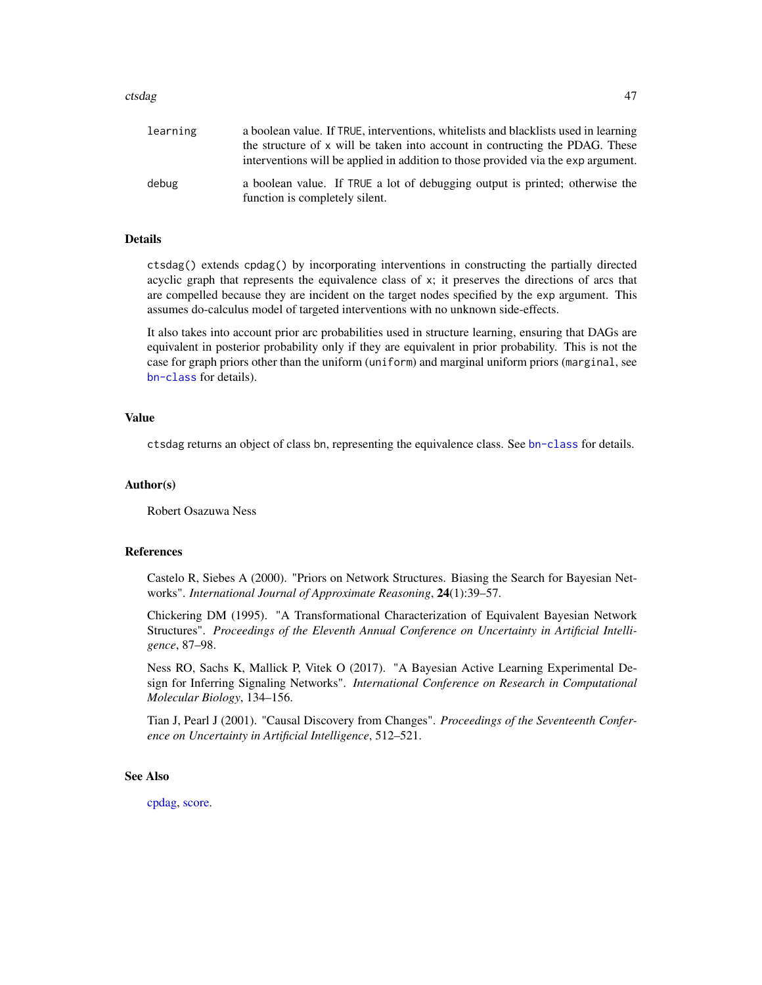#### ctsdag and the control of the control of the control of the control of the control of the control of the control of the control of the control of the control of the control of the control of the control of the control of t

| learning | a boolean value. If TRUE, interventions, whitelists and blacklists used in learning                            |
|----------|----------------------------------------------------------------------------------------------------------------|
|          | the structure of x will be taken into account in contructing the PDAG. These                                   |
|          | interventions will be applied in addition to those provided via the exp argument.                              |
| debug    | a boolean value. If TRUE a lot of debugging output is printed; otherwise the<br>function is completely silent. |

## Details

ctsdag() extends cpdag() by incorporating interventions in constructing the partially directed acyclic graph that represents the equivalence class of x; it preserves the directions of arcs that are compelled because they are incident on the target nodes specified by the exp argument. This assumes do-calculus model of targeted interventions with no unknown side-effects.

It also takes into account prior arc probabilities used in structure learning, ensuring that DAGs are equivalent in posterior probability only if they are equivalent in prior probability. This is not the case for graph priors other than the uniform (uniform) and marginal uniform priors (marginal, see [bn-class](#page-14-0) for details).

# Value

ctsdag returns an object of class bn, representing the equivalence class. See [bn-class](#page-14-0) for details.

#### Author(s)

Robert Osazuwa Ness

## References

Castelo R, Siebes A (2000). "Priors on Network Structures. Biasing the Search for Bayesian Networks". *International Journal of Approximate Reasoning*, 24(1):39–57.

Chickering DM (1995). "A Transformational Characterization of Equivalent Bayesian Network Structures". *Proceedings of the Eleventh Annual Conference on Uncertainty in Artificial Intelligence*, 87–98.

Ness RO, Sachs K, Mallick P, Vitek O (2017). "A Bayesian Active Learning Experimental Design for Inferring Signaling Networks". *International Conference on Research in Computational Molecular Biology*, 134–156.

Tian J, Pearl J (2001). "Causal Discovery from Changes". *Proceedings of the Seventeenth Conference on Uncertainty in Artificial Intelligence*, 512–521.

#### See Also

[cpdag,](#page-40-1) [score.](#page-93-0)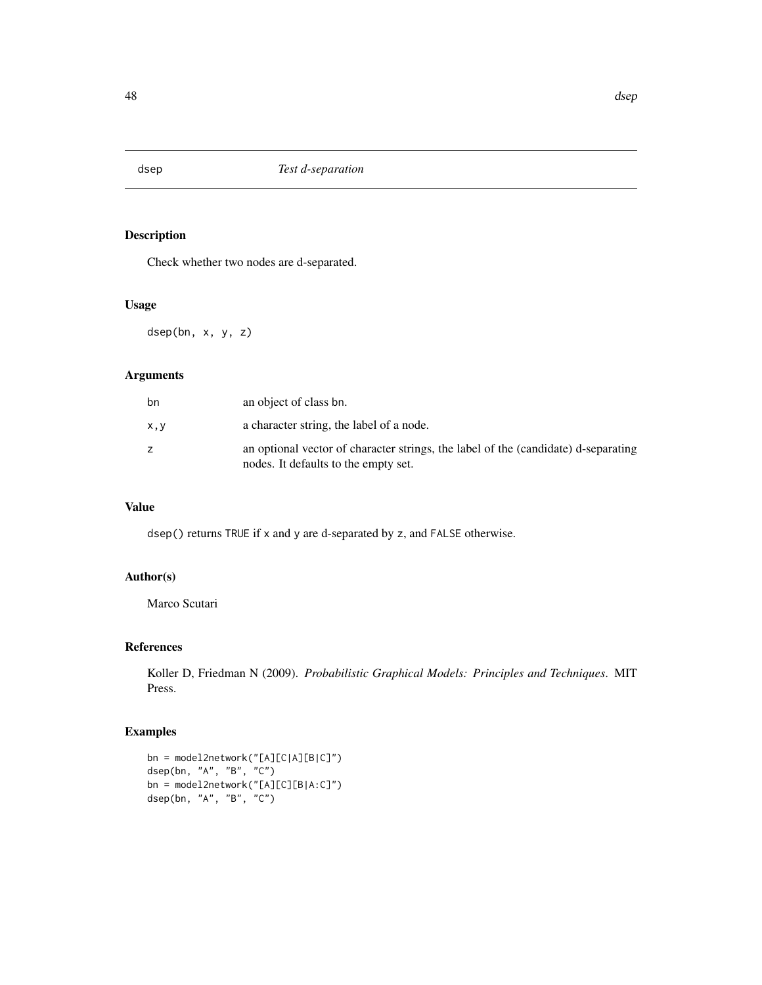# Description

Check whether two nodes are d-separated.

# Usage

dsep(bn, x, y, z)

# Arguments

| bn  | an object of class bn.                                                                                                     |
|-----|----------------------------------------------------------------------------------------------------------------------------|
| x,y | a character string, the label of a node.                                                                                   |
|     | an optional vector of character strings, the label of the (candidate) d-separating<br>nodes. It defaults to the empty set. |

# Value

dsep() returns TRUE if x and y are d-separated by z, and FALSE otherwise.

# Author(s)

Marco Scutari

# References

Koller D, Friedman N (2009). *Probabilistic Graphical Models: Principles and Techniques*. MIT Press.

```
bn = model2network("[A][C|A][B|C]")
dsep(bn, "A", "B", "C")
bn = model2network("[A][C][B|A:C]")
dsep(bn, "A", "B", "C")
```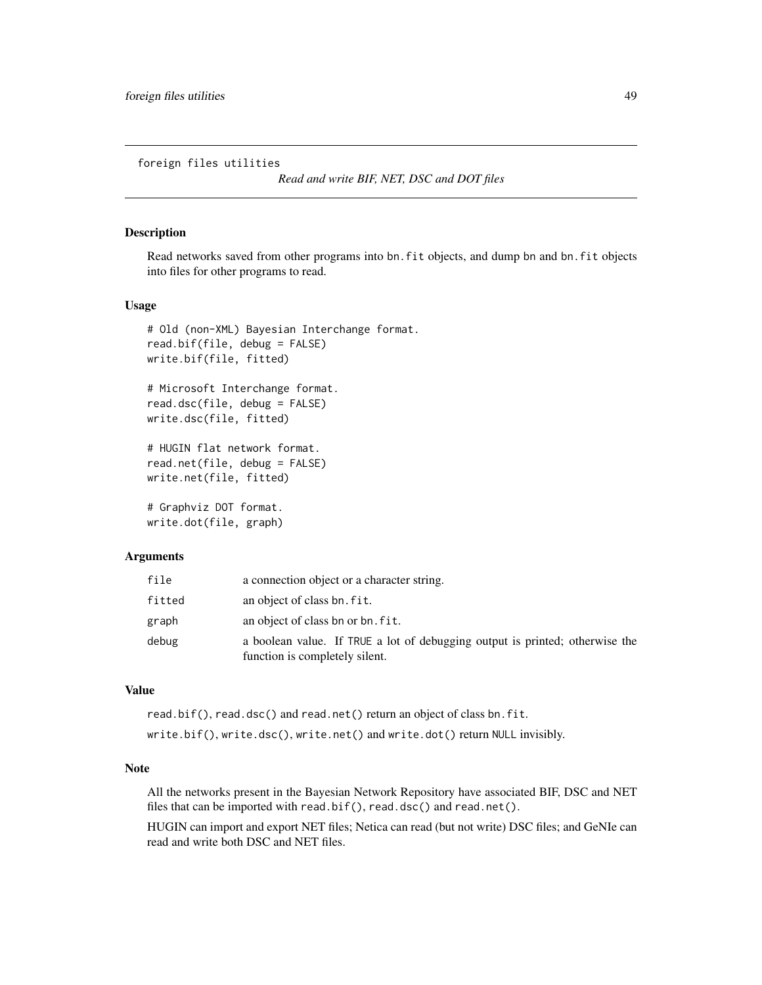foreign files utilities

*Read and write BIF, NET, DSC and DOT files*

## Description

Read networks saved from other programs into bn.fit objects, and dump bn and bn.fit objects into files for other programs to read.

## Usage

```
# Old (non-XML) Bayesian Interchange format.
read.bif(file, debug = FALSE)
write.bif(file, fitted)
# Microsoft Interchange format.
read.dsc(file, debug = FALSE)
write.dsc(file, fitted)
# HUGIN flat network format.
read.net(file, debug = FALSE)
write.net(file, fitted)
# Graphviz DOT format.
write.dot(file, graph)
```
#### Arguments

| file   | a connection object or a character string.                                                                     |
|--------|----------------------------------------------------------------------------------------------------------------|
| fitted | an object of class bn. fit.                                                                                    |
| graph  | an object of class bn or bn. fit.                                                                              |
| debug  | a boolean value. If TRUE a lot of debugging output is printed; otherwise the<br>function is completely silent. |

## Value

read.bif(), read.dsc() and read.net() return an object of class bn.fit. write.bif(), write.dsc(), write.net() and write.dot() return NULL invisibly.

## Note

All the networks present in the Bayesian Network Repository have associated BIF, DSC and NET files that can be imported with read.bif(), read.dsc() and read.net().

HUGIN can import and export NET files; Netica can read (but not write) DSC files; and GeNIe can read and write both DSC and NET files.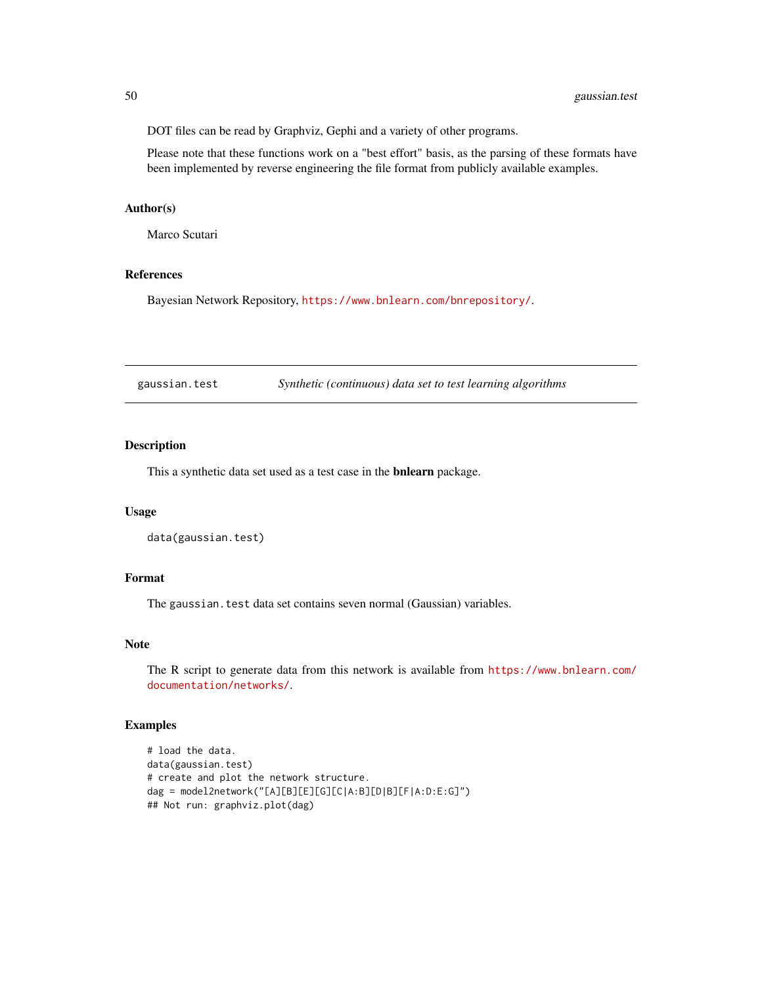DOT files can be read by Graphviz, Gephi and a variety of other programs.

Please note that these functions work on a "best effort" basis, as the parsing of these formats have been implemented by reverse engineering the file format from publicly available examples.

## Author(s)

Marco Scutari

# References

Bayesian Network Repository, <https://www.bnlearn.com/bnrepository/>.

gaussian.test *Synthetic (continuous) data set to test learning algorithms*

## Description

This a synthetic data set used as a test case in the bnlearn package.

## Usage

```
data(gaussian.test)
```
#### Format

The gaussian.test data set contains seven normal (Gaussian) variables.

## Note

The R script to generate data from this network is available from [https://www.bnlearn.com/](https://www.bnlearn.com/documentation/networks/) [documentation/networks/](https://www.bnlearn.com/documentation/networks/).

```
# load the data.
data(gaussian.test)
# create and plot the network structure.
dag = model2network("[A][B][E][G][C|A:B][D|B][F|A:D:E:G]")
## Not run: graphviz.plot(dag)
```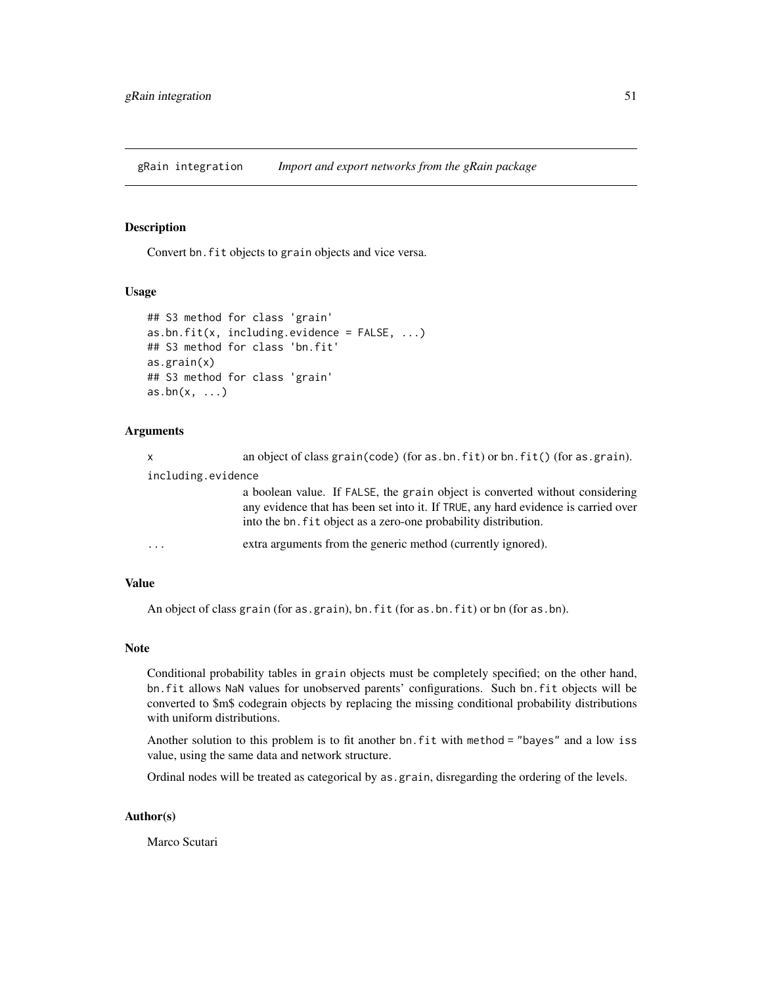gRain integration *Import and export networks from the gRain package*

# Description

Convert bn.fit objects to grain objects and vice versa.

## Usage

```
## S3 method for class 'grain'
as.bn.fit(x, including.evidence = FALSE, ...)## S3 method for class 'bn.fit'
as.grain(x)
## S3 method for class 'grain'
as.bn(x, \ldots)
```
# Arguments

| X                  | an object of class grain(code) (for as.bn.fit) or bn.fit() (for as.grain).                                                                                                                                                            |
|--------------------|---------------------------------------------------------------------------------------------------------------------------------------------------------------------------------------------------------------------------------------|
| including.evidence |                                                                                                                                                                                                                                       |
|                    | a boolean value. If FALSE, the grain object is converted without considering<br>any evidence that has been set into it. If TRUE, any hard evidence is carried over<br>into the bn. fit object as a zero-one probability distribution. |
| $\ddotsc$          | extra arguments from the generic method (currently ignored).                                                                                                                                                                          |

## Value

An object of class grain (for as.grain), bn.fit (for as.bn.fit) or bn (for as.bn).

#### Note

Conditional probability tables in grain objects must be completely specified; on the other hand, bn.fit allows NaN values for unobserved parents' configurations. Such bn.fit objects will be converted to \$m\$ codegrain objects by replacing the missing conditional probability distributions with uniform distributions.

Another solution to this problem is to fit another bn.fit with method = "bayes" and a low iss value, using the same data and network structure.

Ordinal nodes will be treated as categorical by as.grain, disregarding the ordering of the levels.

## Author(s)

Marco Scutari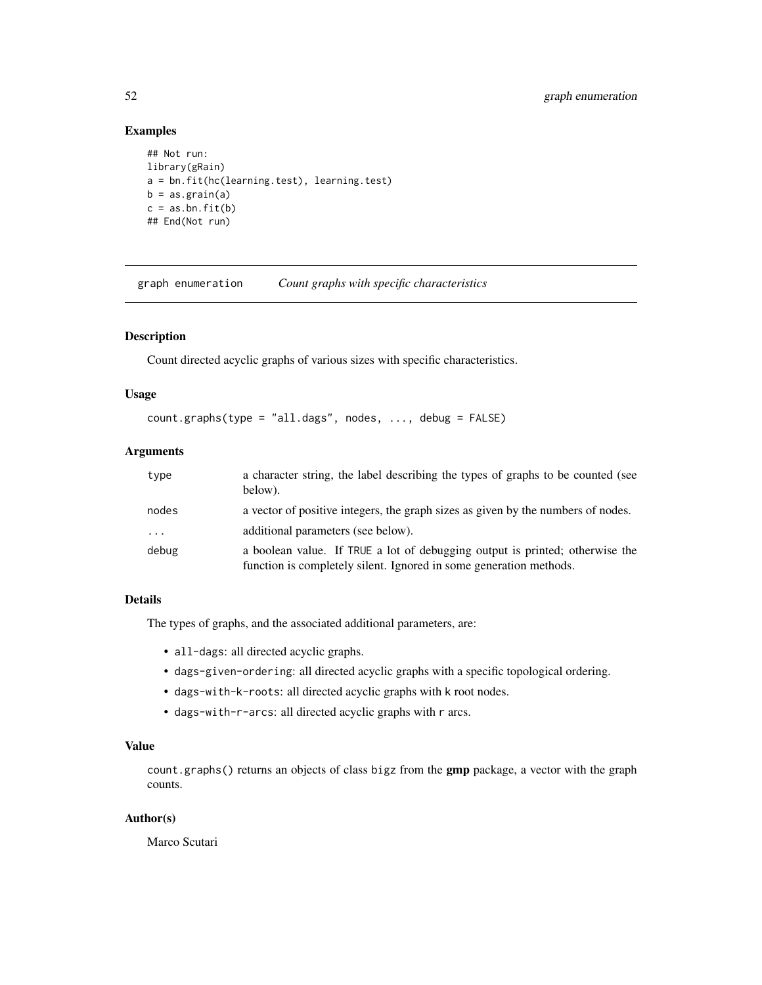# Examples

```
## Not run:
library(gRain)
a = bn.fit(hc(learning.test), learning.test)
b = as.grain(a)c = as.bn.fit(b)## End(Not run)
```
graph enumeration *Count graphs with specific characteristics*

# Description

Count directed acyclic graphs of various sizes with specific characteristics.

# Usage

```
count.graphs(type = "all.dags", nodes, ..., debug = FALSE)
```
# Arguments

| type  | a character string, the label describing the types of graphs to be counted (see<br>below).                                                         |
|-------|----------------------------------------------------------------------------------------------------------------------------------------------------|
| nodes | a vector of positive integers, the graph sizes as given by the numbers of nodes.                                                                   |
| .     | additional parameters (see below).                                                                                                                 |
| debug | a boolean value. If TRUE a lot of debugging output is printed; otherwise the<br>function is completely silent. Ignored in some generation methods. |

# Details

The types of graphs, and the associated additional parameters, are:

- all-dags: all directed acyclic graphs.
- dags-given-ordering: all directed acyclic graphs with a specific topological ordering.
- dags-with-k-roots: all directed acyclic graphs with k root nodes.
- dags-with-r-arcs: all directed acyclic graphs with r arcs.

# Value

count.graphs() returns an objects of class bigz from the **gmp** package, a vector with the graph counts.

# Author(s)

Marco Scutari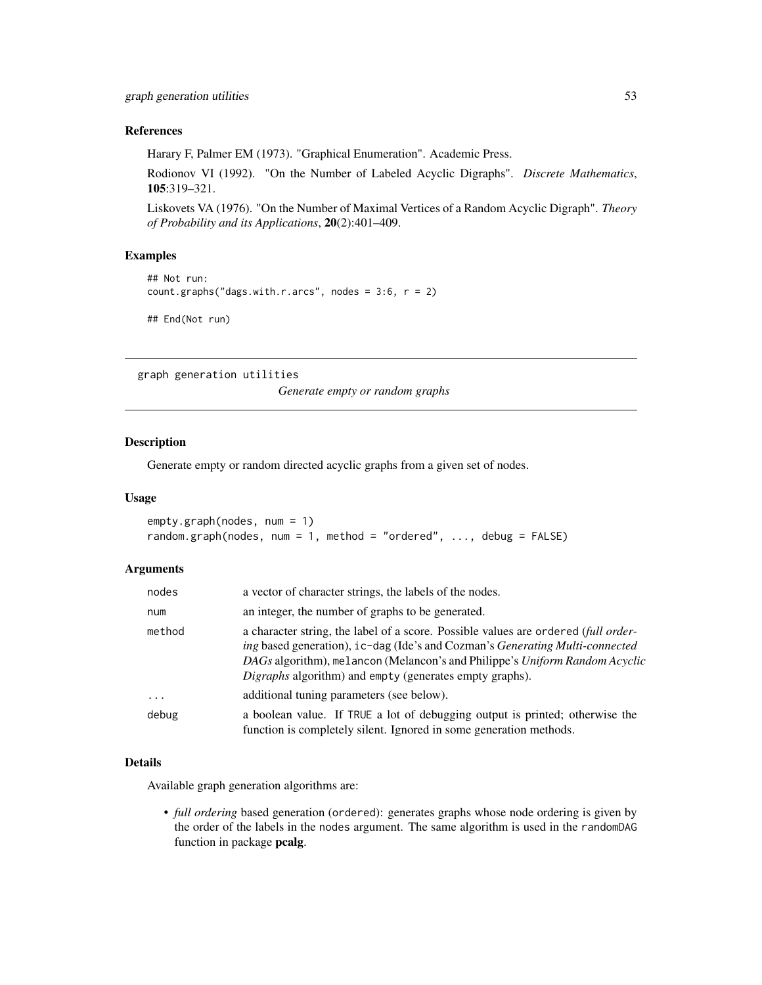# References

Harary F, Palmer EM (1973). "Graphical Enumeration". Academic Press.

Rodionov VI (1992). "On the Number of Labeled Acyclic Digraphs". *Discrete Mathematics*, 105:319–321.

Liskovets VA (1976). "On the Number of Maximal Vertices of a Random Acyclic Digraph". *Theory of Probability and its Applications*, 20(2):401–409.

## Examples

```
## Not run:
count.graphs("dags.with.r.arcs", nodes = 3:6, r = 2)
```
## End(Not run)

graph generation utilities

*Generate empty or random graphs*

## Description

Generate empty or random directed acyclic graphs from a given set of nodes.

# Usage

```
empty.graph(nodes, num = 1)
random.graph(nodes, num = 1, method = "ordered", ..., debug = FALSE)
```
# Arguments

| nodes      | a vector of character strings, the labels of the nodes.                                                                                                                                                                                                                                                      |
|------------|--------------------------------------------------------------------------------------------------------------------------------------------------------------------------------------------------------------------------------------------------------------------------------------------------------------|
| num        | an integer, the number of graphs to be generated.                                                                                                                                                                                                                                                            |
| method     | a character string, the label of a score. Possible values are ordered (full order-<br>ing based generation), ic-dag (Ide's and Cozman's Generating Multi-connected<br>DAGs algorithm), melancon (Melancon's and Philippe's Uniform Random Acyclic<br>Digraphs algorithm) and empty (generates empty graphs). |
| $\ddots$ . | additional tuning parameters (see below).                                                                                                                                                                                                                                                                    |
| debug      | a boolean value. If TRUE a lot of debugging output is printed; otherwise the<br>function is completely silent. Ignored in some generation methods.                                                                                                                                                           |

## Details

Available graph generation algorithms are:

• *full ordering* based generation (ordered): generates graphs whose node ordering is given by the order of the labels in the nodes argument. The same algorithm is used in the randomDAG function in package pcalg.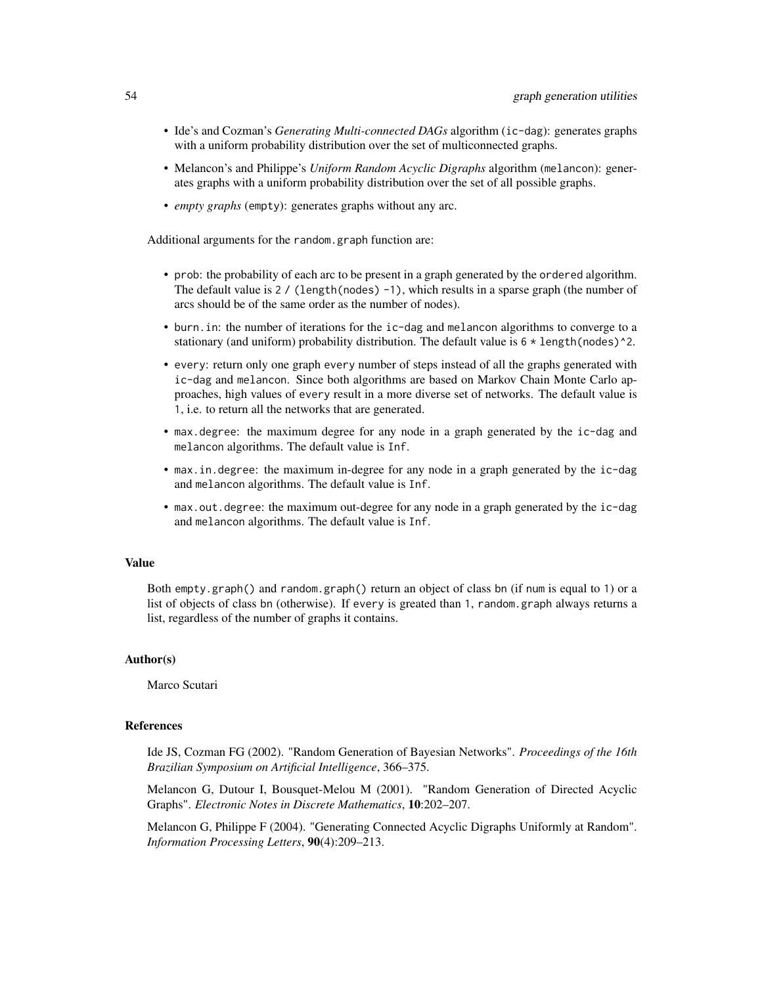- Ide's and Cozman's *Generating Multi-connected DAGs* algorithm (ic-dag): generates graphs with a uniform probability distribution over the set of multiconnected graphs.
- Melancon's and Philippe's *Uniform Random Acyclic Digraphs* algorithm (melancon): generates graphs with a uniform probability distribution over the set of all possible graphs.
- *empty graphs* (empty): generates graphs without any arc.

Additional arguments for the random.graph function are:

- prob: the probability of each arc to be present in a graph generated by the ordered algorithm. The default value is 2 / (length(nodes) -1), which results in a sparse graph (the number of arcs should be of the same order as the number of nodes).
- burn.in: the number of iterations for the ic-dag and melancon algorithms to converge to a stationary (and uniform) probability distribution. The default value is 6  $*$  length(nodes)^2.
- every: return only one graph every number of steps instead of all the graphs generated with ic-dag and melancon. Since both algorithms are based on Markov Chain Monte Carlo approaches, high values of every result in a more diverse set of networks. The default value is 1, i.e. to return all the networks that are generated.
- max.degree: the maximum degree for any node in a graph generated by the ic-dag and melancon algorithms. The default value is Inf.
- max.in.degree: the maximum in-degree for any node in a graph generated by the ic-dag and melancon algorithms. The default value is Inf.
- max.out.degree: the maximum out-degree for any node in a graph generated by the ic-dag and melancon algorithms. The default value is Inf.

## Value

Both empty.graph() and random.graph() return an object of class bn (if num is equal to 1) or a list of objects of class bn (otherwise). If every is greated than 1, random.graph always returns a list, regardless of the number of graphs it contains.

#### Author(s)

Marco Scutari

# References

Ide JS, Cozman FG (2002). "Random Generation of Bayesian Networks". *Proceedings of the 16th Brazilian Symposium on Artificial Intelligence*, 366–375.

Melancon G, Dutour I, Bousquet-Melou M (2001). "Random Generation of Directed Acyclic Graphs". *Electronic Notes in Discrete Mathematics*, 10:202–207.

Melancon G, Philippe F (2004). "Generating Connected Acyclic Digraphs Uniformly at Random". *Information Processing Letters*, 90(4):209–213.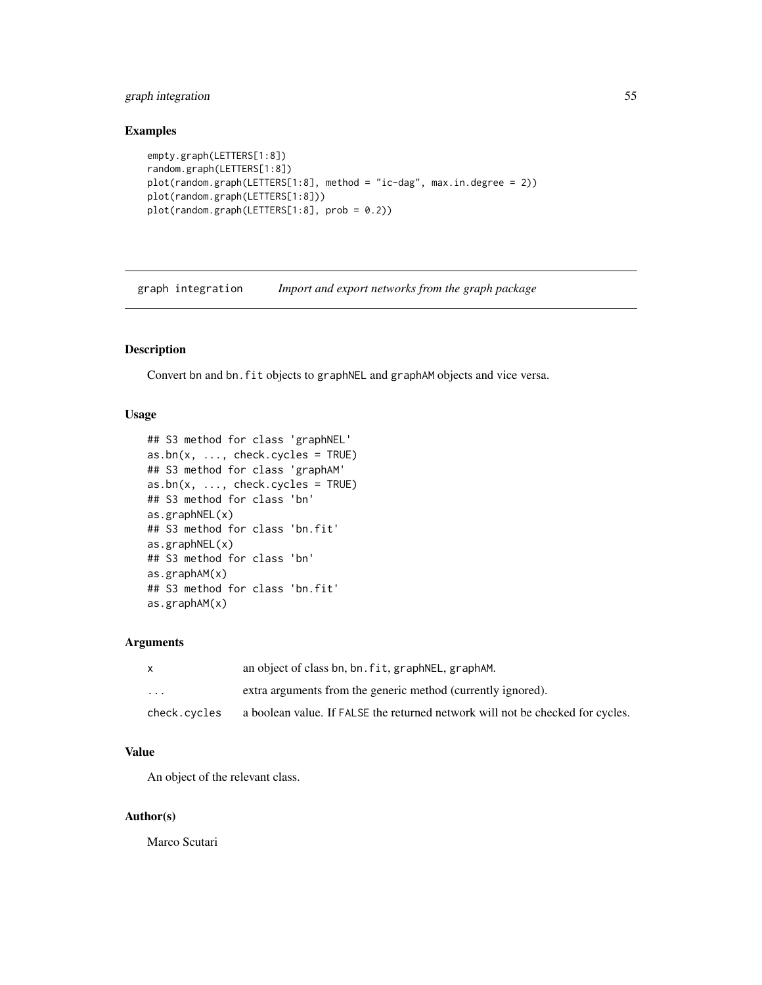# graph integration 55

# Examples

```
empty.graph(LETTERS[1:8])
random.graph(LETTERS[1:8])
plot(random.graph(LETTERS[1:8], method = "ic-dag", max.in.degree = 2))
plot(random.graph(LETTERS[1:8]))
plot(random.graph(LETTERS[1:8], prob = 0.2))
```
graph integration *Import and export networks from the graph package*

# Description

Convert bn and bn.fit objects to graphNEL and graphAM objects and vice versa.

## Usage

```
## S3 method for class 'graphNEL'
as.bn(x, ..., check.cycles = TRUE)## S3 method for class 'graphAM'
as.bn(x, ..., check.cycles = TRUE)## S3 method for class 'bn'
as.graphNEL(x)
## S3 method for class 'bn.fit'
as.graphNEL(x)
## S3 method for class 'bn'
as.graphAM(x)
## S3 method for class 'bn.fit'
as.graphAM(x)
```
# Arguments

|                         | an object of class bn, bn. fit, graph NEL, graph AM.                           |
|-------------------------|--------------------------------------------------------------------------------|
| $\cdot$ $\cdot$ $\cdot$ | extra arguments from the generic method (currently ignored).                   |
| check.cvcles            | a boolean value. If FALSE the returned network will not be checked for cycles. |

## Value

An object of the relevant class.

#### Author(s)

Marco Scutari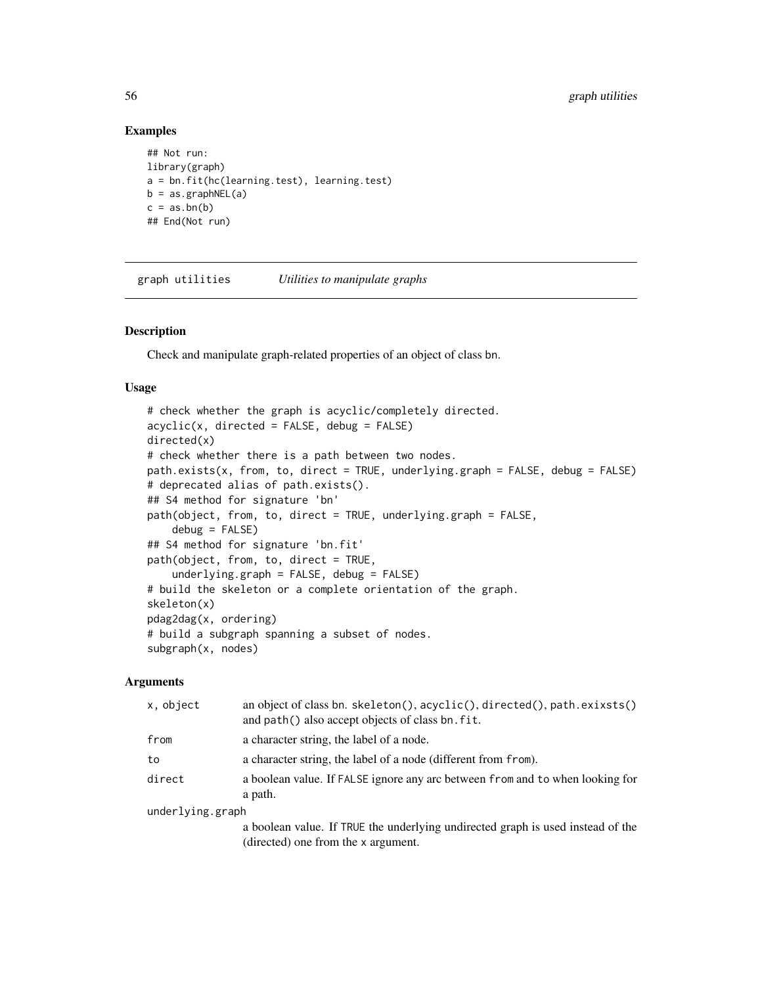## Examples

```
## Not run:
library(graph)
a = bn.fit(hc(learning.test), learning.test)
b = as.graphNEL(a)c = as,bn(b)## End(Not run)
```
graph utilities *Utilities to manipulate graphs*

## Description

Check and manipulate graph-related properties of an object of class bn.

## Usage

```
# check whether the graph is acyclic/completely directed.
acyclic(x, directed = FALSE, debug = FALSE)directed(x)
# check whether there is a path between two nodes.
path.exists(x, from, to, direct = TRUE, underlying.graph = FALSE, debug = FALSE)
# deprecated alias of path.exists().
## S4 method for signature 'bn'
path(object, from, to, direct = TRUE, underlying.graph = FALSE,
    debug = FALSE)## S4 method for signature 'bn.fit'
path(object, from, to, direct = TRUE,
    underlying.graph = FALSE, debug = FALSE)
# build the skeleton or a complete orientation of the graph.
skeleton(x)
pdag2dag(x, ordering)
# build a subgraph spanning a subset of nodes.
subgraph(x, nodes)
```
#### Arguments

| x, object        | an object of class bn. skeleton(), acyclic(), directed(), path.exixsts()<br>and path() also accept objects of class bn. fit. |
|------------------|------------------------------------------------------------------------------------------------------------------------------|
| from             | a character string, the label of a node.                                                                                     |
| to               | a character string, the label of a node (different from from).                                                               |
| direct           | a boolean value. If FALSE ignore any arc between from and to when looking for<br>a path.                                     |
| underlying.graph |                                                                                                                              |
|                  | a boolean value. If TRUE the underlying undirected graph is used instead of the<br>(directed) one from the x argument.       |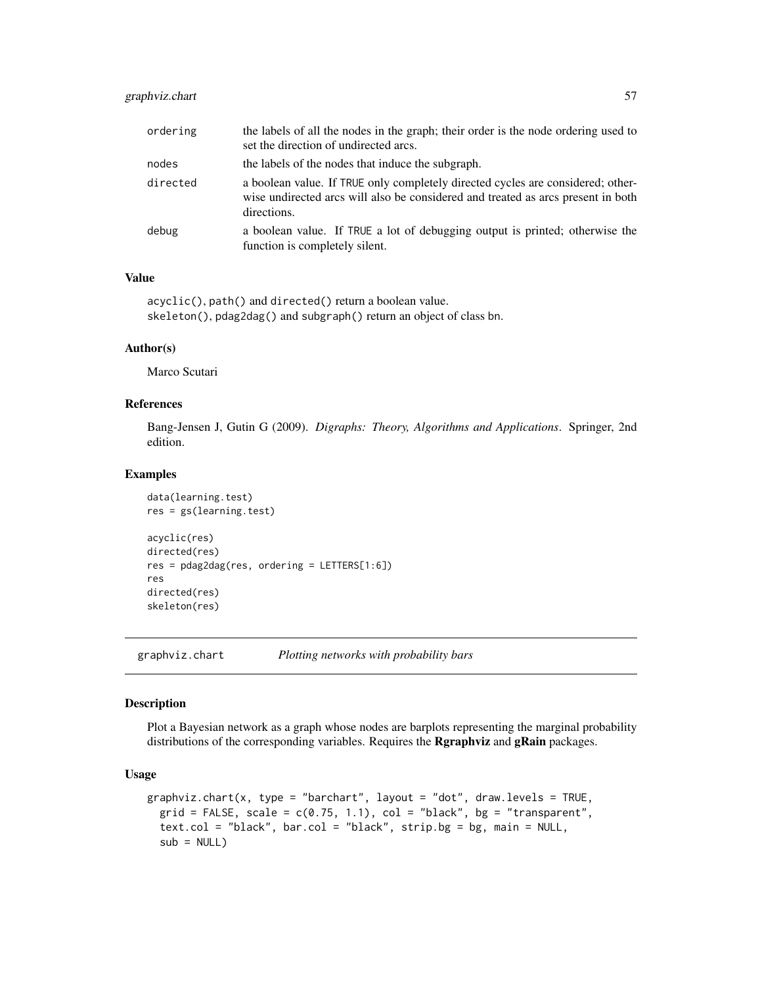# graphviz.chart 57

| ordering | the labels of all the nodes in the graph; their order is the node ordering used to<br>set the direction of undirected arcs.                                                        |
|----------|------------------------------------------------------------------------------------------------------------------------------------------------------------------------------------|
| nodes    | the labels of the nodes that induce the subgraph.                                                                                                                                  |
| directed | a boolean value. If TRUE only completely directed cycles are considered; other-<br>wise undirected arcs will also be considered and treated as arcs present in both<br>directions. |
| debug    | a boolean value. If TRUE a lot of debugging output is printed; otherwise the<br>function is completely silent.                                                                     |

# Value

```
acyclic(), path() and directed() return a boolean value.
skeleton(), pdag2dag() and subgraph() return an object of class bn.
```
# Author(s)

Marco Scutari

# References

Bang-Jensen J, Gutin G (2009). *Digraphs: Theory, Algorithms and Applications*. Springer, 2nd edition.

# Examples

```
data(learning.test)
res = gs(learning.test)
acyclic(res)
directed(res)
res = pdag2dag(res, ordering = LETTERS[1:6])
res
directed(res)
skeleton(res)
```
graphviz.chart *Plotting networks with probability bars*

# Description

Plot a Bayesian network as a graph whose nodes are barplots representing the marginal probability distributions of the corresponding variables. Requires the **Rgraphviz** and **gRain** packages.

# Usage

```
graphviz.chart(x, type = "barchart", layout = "dot", draw.levels = TRUE,
 grid = FALSE, scale = c(0.75, 1.1), col = "black", bg = "transparent",
  text.col = "black", bar.col = "black", strip.bg = bg, main = NULL,
  sub = NULL
```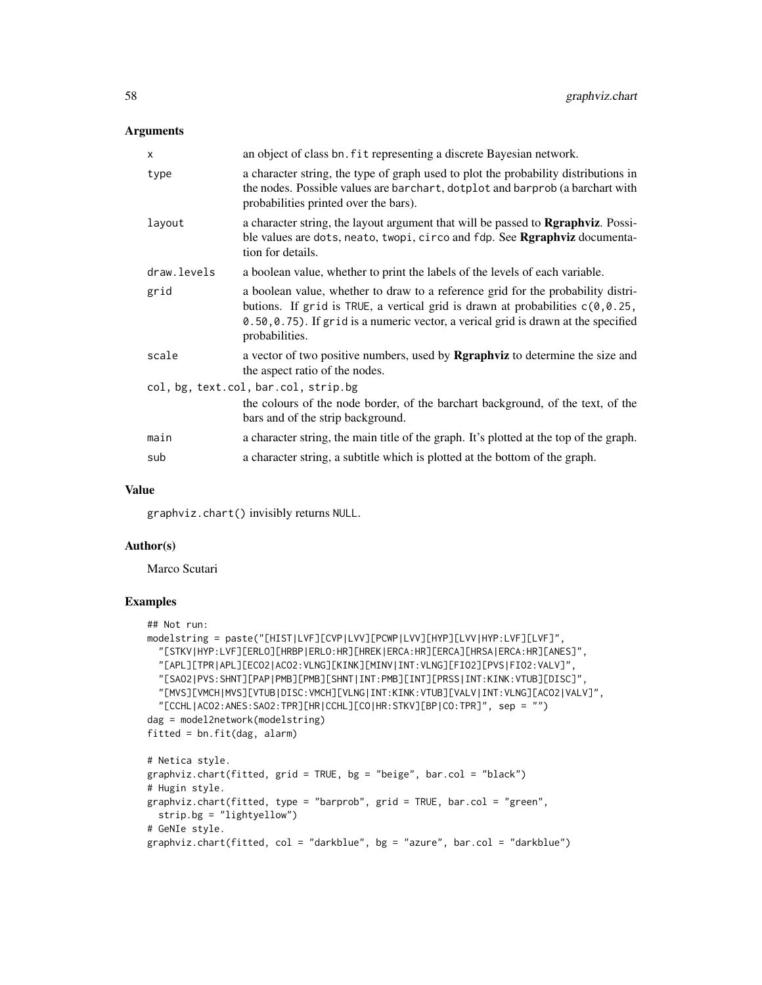## Arguments

| an object of class bn. fit representing a discrete Bayesian network.                                                                                                                                                                                                              |  |
|-----------------------------------------------------------------------------------------------------------------------------------------------------------------------------------------------------------------------------------------------------------------------------------|--|
| a character string, the type of graph used to plot the probability distributions in<br>the nodes. Possible values are barchart, dotplot and barprob (a barchart with<br>probabilities printed over the bars).                                                                     |  |
| a character string, the layout argument that will be passed to <b>Rgraphviz</b> . Possi-<br>ble values are dots, neato, twopi, circo and fdp. See Rgraphviz documenta-<br>tion for details.                                                                                       |  |
| a boolean value, whether to print the labels of the levels of each variable.                                                                                                                                                                                                      |  |
| a boolean value, whether to draw to a reference grid for the probability distri-<br>butions. If grid is TRUE, a vertical grid is drawn at probabilities $c(0, 0.25, 0.25)$<br>0.50,0.75). If grid is a numeric vector, a verical grid is drawn at the specified<br>probabilities. |  |
| a vector of two positive numbers, used by <b>Rgraphviz</b> to determine the size and<br>the aspect ratio of the nodes.                                                                                                                                                            |  |
| col, bg, text.col, bar.col, strip.bg                                                                                                                                                                                                                                              |  |
| the colours of the node border, of the barchart background, of the text, of the<br>bars and of the strip background.                                                                                                                                                              |  |
| a character string, the main title of the graph. It's plotted at the top of the graph.                                                                                                                                                                                            |  |
| a character string, a subtitle which is plotted at the bottom of the graph.                                                                                                                                                                                                       |  |
|                                                                                                                                                                                                                                                                                   |  |

#### Value

graphviz.chart() invisibly returns NULL.

# Author(s)

Marco Scutari

```
## Not run:
modelstring = paste("[HIST|LVF][CVP|LVV][PCWP|LVV][HYP][LVV|HYP:LVF][LVF]",
  "[STKV|HYP:LVF][ERLO][HRBP|ERLO:HR][HREK|ERCA:HR][ERCA][HRSA|ERCA:HR][ANES]",
  "[APL][TPR|APL][ECO2|ACO2:VLNG][KINK][MINV|INT:VLNG][FIO2][PVS|FIO2:VALV]",
  "[SAO2|PVS:SHNT][PAP|PMB][PMB][SHNT|INT:PMB][INT][PRSS|INT:KINK:VTUB][DISC]",
  "[MVS][VMCH|MVS][VTUB|DISC:VMCH][VLNG|INT:KINK:VTUB][VALV|INT:VLNG][ACO2|VALV]",
  "[CCHL|ACO2:ANES:SAO2:TPR][HR|CCHL][CO|HR:STKV][BP|CO:TPR]", sep = "")
dag = model2network(modelstring)
fitted = bn.fit(dag, alarm)
# Netica style.
graphviz.chart(fitted, grid = TRUE, bg = "beige", bar.col = "black")
# Hugin style.
graphviz.chart(fitted, type = "barprob", grid = TRUE, bar.col = "green",
  strip.bg = "lightyellow")
# GeNIe style.
graphviz.chart(fitted, col = "darkblue", bg = "azure", bar.col = "darkblue")
```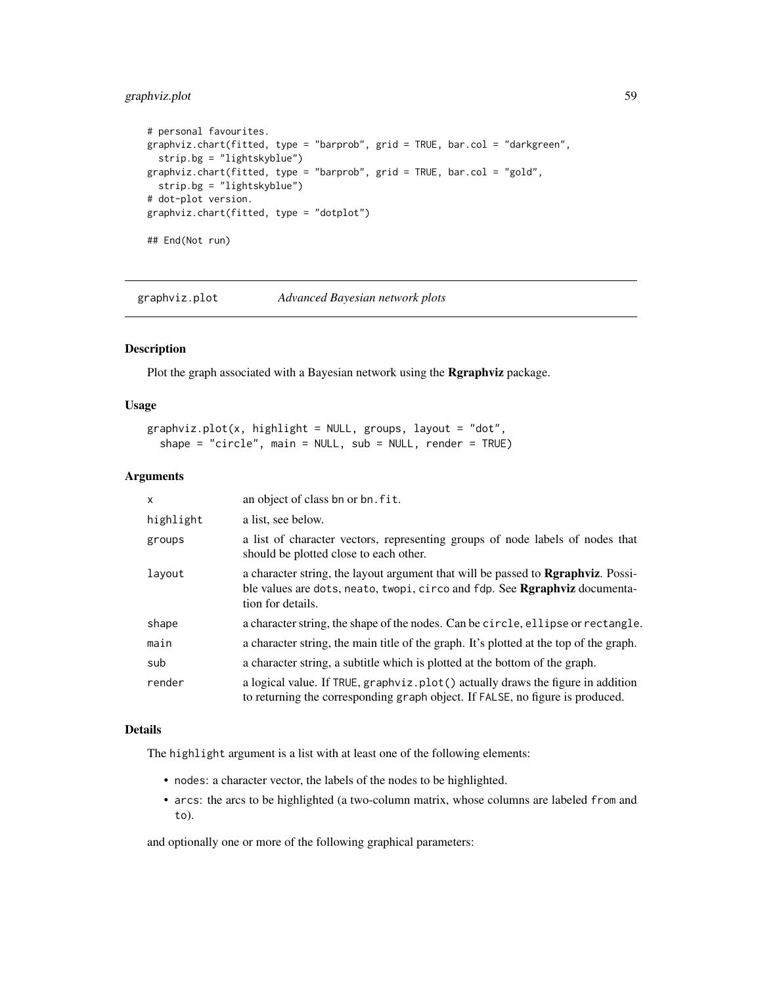# graphviz.plot 59

```
# personal favourites.
graphviz.chart(fitted, type = "barprob", grid = TRUE, bar.col = "darkgreen",
  strip.bg = "lightskyblue")
graphviz.chart(fitted, type = "barprob", grid = TRUE, bar.col = "gold",
  strip.bg = "lightskyblue")
# dot-plot version.
graphviz.chart(fitted, type = "dotplot")
## End(Not run)
```
graphviz.plot *Advanced Bayesian network plots*

# Description

Plot the graph associated with a Bayesian network using the Rgraphviz package.

# Usage

```
graphviz.plot(x, highlight = NULL, groups, layout = "dot",
  shape = "circle", main = NULL, sub = NULL, render = TRUE)
```
## Arguments

| $\times$  | an object of class bn or bn. fit.                                                                                                                                                                    |
|-----------|------------------------------------------------------------------------------------------------------------------------------------------------------------------------------------------------------|
| highlight | a list, see below.                                                                                                                                                                                   |
| groups    | a list of character vectors, representing groups of node labels of nodes that<br>should be plotted close to each other.                                                                              |
| layout    | a character string, the layout argument that will be passed to <b>Repraphyliz</b> . Possi-<br>ble values are dots, neato, twopi, circo and fdp. See <b>Rgraphyiz</b> documenta-<br>tion for details. |
| shape     | a character string, the shape of the nodes. Can be circle, ellipse or rectangle.                                                                                                                     |
| main      | a character string, the main title of the graph. It's plotted at the top of the graph.                                                                                                               |
| sub       | a character string, a subtitle which is plotted at the bottom of the graph.                                                                                                                          |
| render    | a logical value. If TRUE, graphyiz.plot() actually draws the figure in addition<br>to returning the corresponding graph object. If FALSE, no figure is produced.                                     |

#### Details

The highlight argument is a list with at least one of the following elements:

- nodes: a character vector, the labels of the nodes to be highlighted.
- arcs: the arcs to be highlighted (a two-column matrix, whose columns are labeled from and to).

and optionally one or more of the following graphical parameters: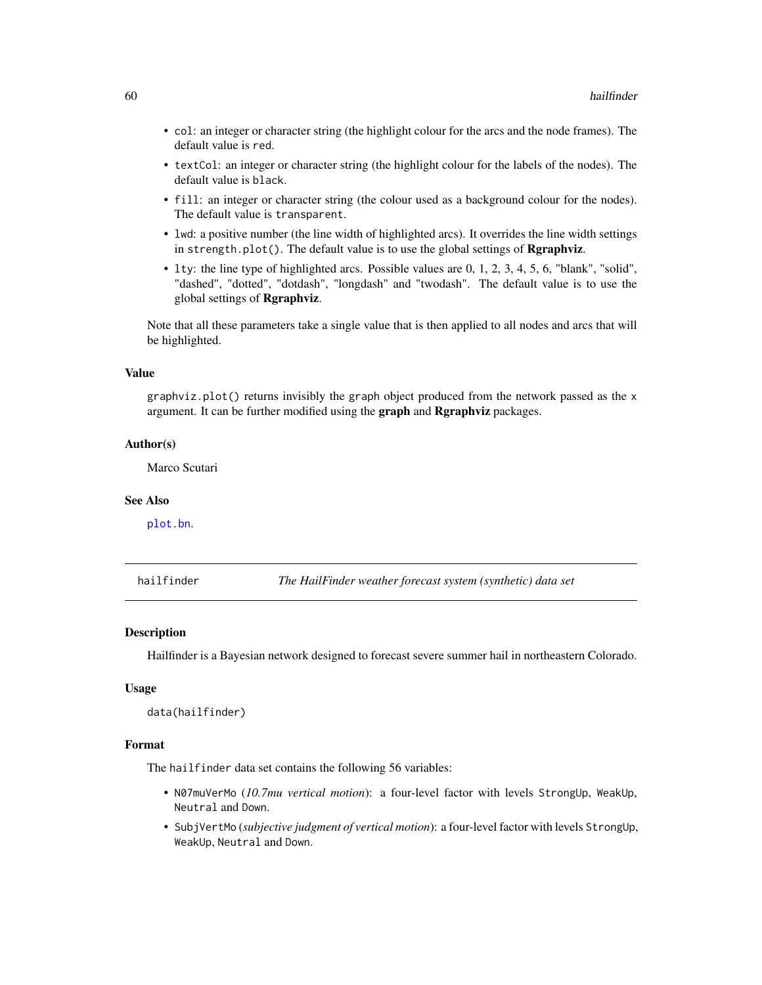- col: an integer or character string (the highlight colour for the arcs and the node frames). The default value is red.
- textCol: an integer or character string (the highlight colour for the labels of the nodes). The default value is black.
- fill: an integer or character string (the colour used as a background colour for the nodes). The default value is transparent.
- lwd: a positive number (the line width of highlighted arcs). It overrides the line width settings in strength.plot(). The default value is to use the global settings of  $\mathbf{Rgraphviz}$ .
- lty: the line type of highlighted arcs. Possible values are 0, 1, 2, 3, 4, 5, 6, "blank", "solid", "dashed", "dotted", "dotdash", "longdash" and "twodash". The default value is to use the global settings of Rgraphviz.

Note that all these parameters take a single value that is then applied to all nodes and arcs that will be highlighted.

#### Value

 $graphviz.plot()$  returns invisibly the graph object produced from the network passed as the  $x$ argument. It can be further modified using the graph and Rgraphviz packages.

# Author(s)

Marco Scutari

## See Also

[plot.bn](#page-86-0).

hailfinder *The HailFinder weather forecast system (synthetic) data set*

#### Description

Hailfinder is a Bayesian network designed to forecast severe summer hail in northeastern Colorado.

## Usage

```
data(hailfinder)
```
#### Format

The hailfinder data set contains the following 56 variables:

- N07muVerMo (*10.7mu vertical motion*): a four-level factor with levels StrongUp, WeakUp, Neutral and Down.
- SubjVertMo (*subjective judgment of vertical motion*): a four-level factor with levels StrongUp, WeakUp, Neutral and Down.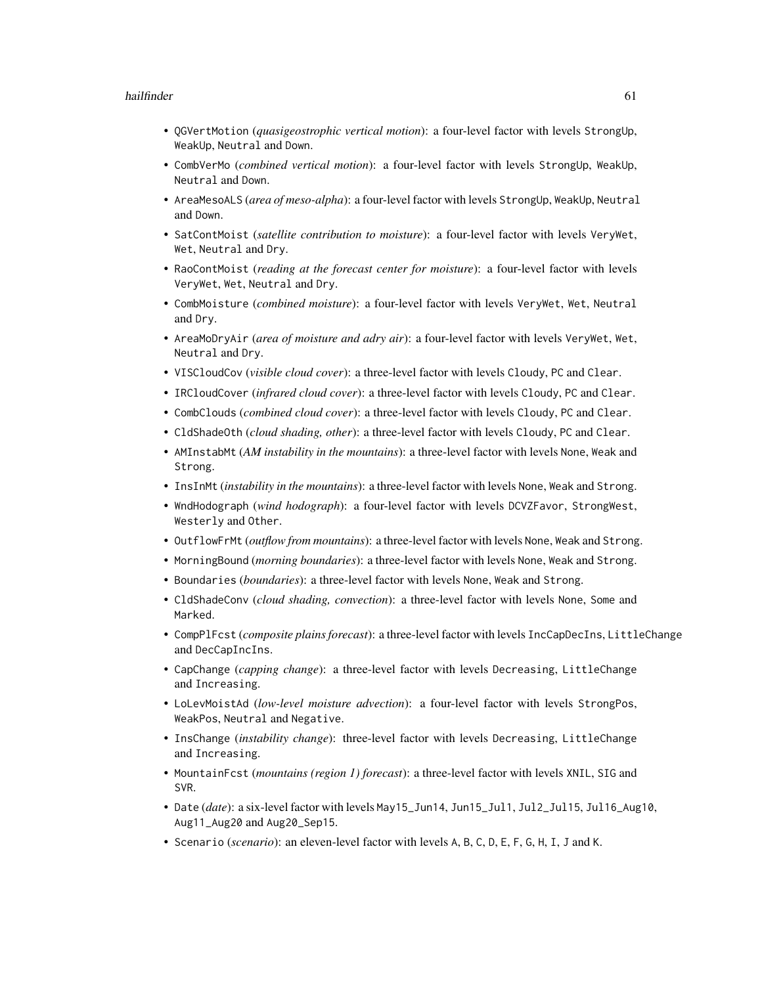### hailfinder 61 between 1980 and 1980 and 1980 and 1980 and 1980 and 1980 and 1980 and 1980 and 1980 and 1980 and 1980 and 1980 and 1980 and 1980 and 1980 and 1980 and 1980 and 1980 and 1980 and 1980 and 1980 and 1980 and 19

- QGVertMotion (*quasigeostrophic vertical motion*): a four-level factor with levels StrongUp, WeakUp, Neutral and Down.
- CombVerMo (*combined vertical motion*): a four-level factor with levels StrongUp, WeakUp, Neutral and Down.
- AreaMesoALS (*area of meso-alpha*): a four-level factor with levels StrongUp, WeakUp, Neutral and Down.
- SatContMoist (*satellite contribution to moisture*): a four-level factor with levels VeryWet, Wet, Neutral and Dry.
- RaoContMoist (*reading at the forecast center for moisture*): a four-level factor with levels VeryWet, Wet, Neutral and Dry.
- CombMoisture (*combined moisture*): a four-level factor with levels VeryWet, Wet, Neutral and Dry.
- AreaMoDryAir (*area of moisture and adry air*): a four-level factor with levels VeryWet, Wet, Neutral and Dry.
- VISCloudCov (*visible cloud cover*): a three-level factor with levels Cloudy, PC and Clear.
- IRCloudCover (*infrared cloud cover*): a three-level factor with levels Cloudy, PC and Clear.
- CombClouds (*combined cloud cover*): a three-level factor with levels Cloudy, PC and Clear.
- CldShadeOth (*cloud shading, other*): a three-level factor with levels Cloudy, PC and Clear.
- AMInstabMt (*AM instability in the mountains*): a three-level factor with levels None, Weak and Strong.
- InsInMt (*instability in the mountains*): a three-level factor with levels None, Weak and Strong.
- WndHodograph (*wind hodograph*): a four-level factor with levels DCVZFavor, StrongWest, Westerly and Other.
- OutflowFrMt (*outflow from mountains*): a three-level factor with levels None, Weak and Strong.
- MorningBound (*morning boundaries*): a three-level factor with levels None, Weak and Strong.
- Boundaries (*boundaries*): a three-level factor with levels None, Weak and Strong.
- CldShadeConv (*cloud shading, convection*): a three-level factor with levels None, Some and Marked.
- CompPlFcst (*composite plains forecast*): a three-level factor with levels IncCapDecIns, LittleChange and DecCapIncIns.
- CapChange (*capping change*): a three-level factor with levels Decreasing, LittleChange and Increasing.
- LoLevMoistAd (*low-level moisture advection*): a four-level factor with levels StrongPos, WeakPos, Neutral and Negative.
- InsChange (*instability change*): three-level factor with levels Decreasing, LittleChange and Increasing.
- MountainFcst (*mountains (region 1) forecast*): a three-level factor with levels XNIL, SIG and SVR.
- Date (*date*): a six-level factor with levels May15\_Jun14, Jun15\_Jul1, Jul2\_Jul15, Jul16\_Aug10, Aug11\_Aug20 and Aug20\_Sep15.
- Scenario (*scenario*): an eleven-level factor with levels A, B, C, D, E, F, G, H, I, J and K.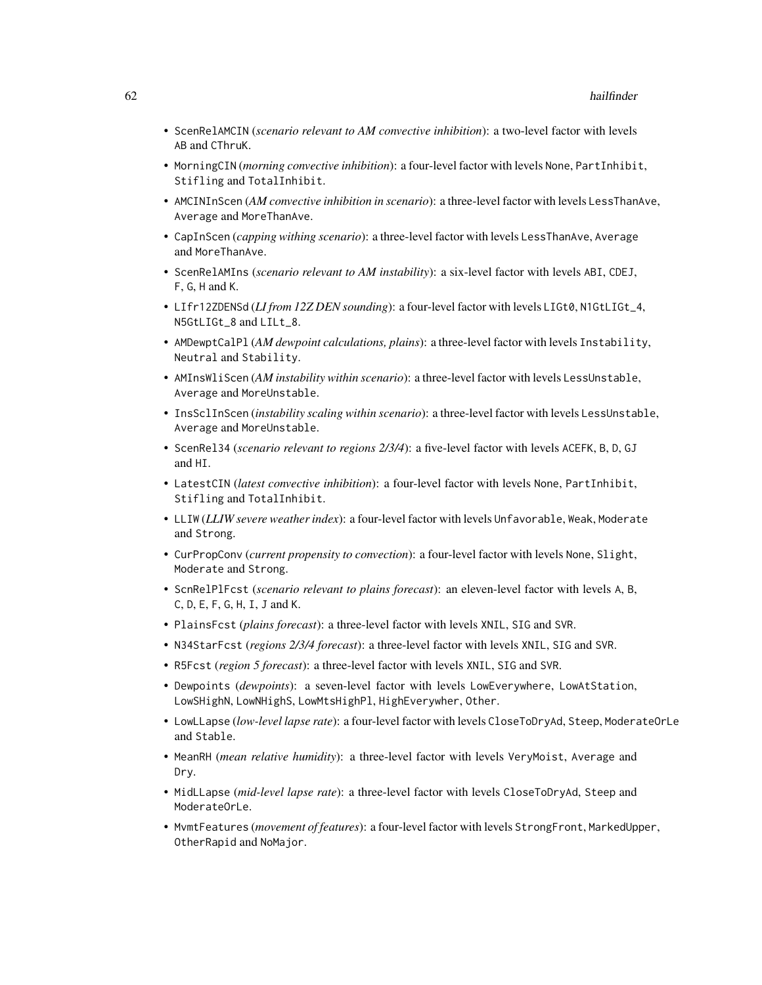- ScenRelAMCIN (*scenario relevant to AM convective inhibition*): a two-level factor with levels AB and CThruK.
- MorningCIN (*morning convective inhibition*): a four-level factor with levels None, PartInhibit, Stifling and TotalInhibit.
- AMCINInScen (*AM convective inhibition in scenario*): a three-level factor with levels LessThanAve, Average and MoreThanAve.
- CapInScen (*capping withing scenario*): a three-level factor with levels LessThanAve, Average and MoreThanAve.
- ScenRelAMIns (*scenario relevant to AM instability*): a six-level factor with levels ABI, CDEJ, F, G, H and K.
- LIfr12ZDENSd (*LI from 12Z DEN sounding*): a four-level factor with levels LIGt0, N1GtLIGt\_4, N5GtLIGt\_8 and LILt\_8.
- AMDewptCalPl (*AM dewpoint calculations, plains*): a three-level factor with levels Instability, Neutral and Stability.
- AMInsWliScen (*AM instability within scenario*): a three-level factor with levels LessUnstable, Average and MoreUnstable.
- InsSclInScen (*instability scaling within scenario*): a three-level factor with levels LessUnstable, Average and MoreUnstable.
- ScenRel34 (*scenario relevant to regions 2/3/4*): a five-level factor with levels ACEFK, B, D, GJ and HI.
- LatestCIN (*latest convective inhibition*): a four-level factor with levels None, PartInhibit, Stifling and TotalInhibit.
- LLIW (*LLIW severe weather index*): a four-level factor with levels Unfavorable, Weak, Moderate and Strong.
- CurPropConv (*current propensity to convection*): a four-level factor with levels None, Slight, Moderate and Strong.
- ScnRelPlFcst (*scenario relevant to plains forecast*): an eleven-level factor with levels A, B, C, D, E, F, G, H, I, J and K.
- PlainsFcst (*plains forecast*): a three-level factor with levels XNIL, SIG and SVR.
- N34StarFcst (*regions 2/3/4 forecast*): a three-level factor with levels XNIL, SIG and SVR.
- R5Fcst (*region 5 forecast*): a three-level factor with levels XNIL, SIG and SVR.
- Dewpoints (*dewpoints*): a seven-level factor with levels LowEverywhere, LowAtStation, LowSHighN, LowNHighS, LowMtsHighPl, HighEverywher, Other.
- LowLLapse (*low-level lapse rate*): a four-level factor with levels CloseToDryAd, Steep, ModerateOrLe and Stable.
- MeanRH (*mean relative humidity*): a three-level factor with levels VeryMoist, Average and Dry.
- MidLLapse (*mid-level lapse rate*): a three-level factor with levels CloseToDryAd, Steep and ModerateOrLe.
- MvmtFeatures (*movement of features*): a four-level factor with levels StrongFront, MarkedUpper, OtherRapid and NoMajor.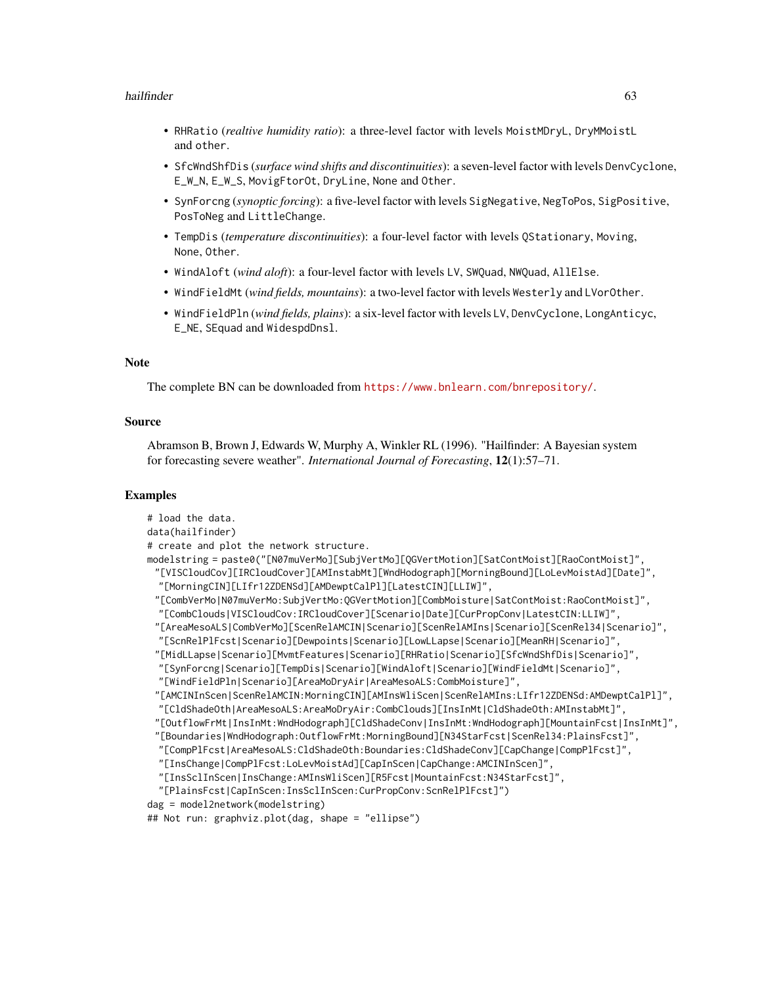## hailfinder 63

- RHRatio (*realtive humidity ratio*): a three-level factor with levels MoistMDryL, DryMMoistL and other.
- SfcWndShfDis (*surface wind shifts and discontinuities*): a seven-level factor with levels DenvCyclone, E\_W\_N, E\_W\_S, MovigFtorOt, DryLine, None and Other.
- SynForcng (*synoptic forcing*): a five-level factor with levels SigNegative, NegToPos, SigPositive, PosToNeg and LittleChange.
- TempDis (*temperature discontinuities*): a four-level factor with levels QStationary, Moving, None, Other.
- WindAloft (*wind aloft*): a four-level factor with levels LV, SWQuad, NWQuad, AllElse.
- WindFieldMt (*wind fields, mountains*): a two-level factor with levels Westerly and LVorOther.
- WindFieldPln (*wind fields, plains*): a six-level factor with levels LV, DenvCyclone, LongAnticyc, E\_NE, SEquad and WidespdDnsl.

# **Note**

The complete BN can be downloaded from <https://www.bnlearn.com/bnrepository/>.

## Source

Abramson B, Brown J, Edwards W, Murphy A, Winkler RL (1996). "Hailfinder: A Bayesian system for forecasting severe weather". *International Journal of Forecasting*, 12(1):57–71.

```
# load the data.
data(hailfinder)
# create and plot the network structure.
modelstring = paste0("[N07muVerMo][SubjVertMo][QGVertMotion][SatContMoist][RaoContMoist]",
 "[VISCloudCov][IRCloudCover][AMInstabMt][WndHodograph][MorningBound][LoLevMoistAd][Date]",
 "[MorningCIN][LIfr12ZDENSd][AMDewptCalPl][LatestCIN][LLIW]",
 "[CombVerMo|N07muVerMo:SubjVertMo:QGVertMotion][CombMoisture|SatContMoist:RaoContMoist]",
 "[CombClouds|VISCloudCov:IRCloudCover][Scenario|Date][CurPropConv|LatestCIN:LLIW]",
 "[AreaMesoALS|CombVerMo][ScenRelAMCIN|Scenario][ScenRelAMIns|Scenario][ScenRel34|Scenario]",
 "[ScnRelPlFcst|Scenario][Dewpoints|Scenario][LowLLapse|Scenario][MeanRH|Scenario]",
 "[MidLLapse|Scenario][MvmtFeatures|Scenario][RHRatio|Scenario][SfcWndShfDis|Scenario]",
 "[SynForcng|Scenario][TempDis|Scenario][WindAloft|Scenario][WindFieldMt|Scenario]",
 "[WindFieldPln|Scenario][AreaMoDryAir|AreaMesoALS:CombMoisture]",
 "[AMCINInScen|ScenRelAMCIN:MorningCIN][AMInsWliScen|ScenRelAMIns:LIfr12ZDENSd:AMDewptCalPl]",
 "[CldShadeOth|AreaMesoALS:AreaMoDryAir:CombClouds][InsInMt|CldShadeOth:AMInstabMt]",
 "[OutflowFrMt|InsInMt:WndHodograph][CldShadeConv|InsInMt:WndHodograph][MountainFcst|InsInMt]",
 "[Boundaries|WndHodograph:OutflowFrMt:MorningBound][N34StarFcst|ScenRel34:PlainsFcst]",
 "[CompPlFcst|AreaMesoALS:CldShadeOth:Boundaries:CldShadeConv][CapChange|CompPlFcst]",
 "[InsChange|CompPlFcst:LoLevMoistAd][CapInScen|CapChange:AMCINInScen]",
 "[InsSclInScen|InsChange:AMInsWliScen][R5Fcst|MountainFcst:N34StarFcst]",
  "[PlainsFcst|CapInScen:InsSclInScen:CurPropConv:ScnRelPlFcst]")
dag = model2network(modelstring)
## Not run: graphviz.plot(dag, shape = "ellipse")
```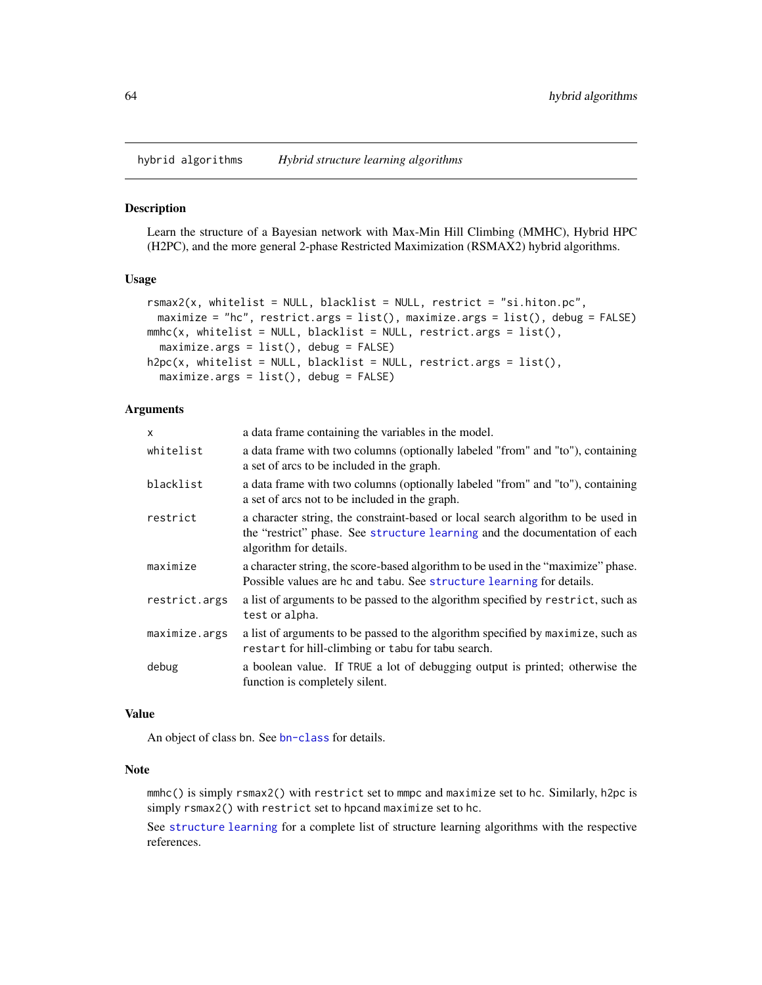<span id="page-63-0"></span>hybrid algorithms *Hybrid structure learning algorithms*

#### Description

Learn the structure of a Bayesian network with Max-Min Hill Climbing (MMHC), Hybrid HPC (H2PC), and the more general 2-phase Restricted Maximization (RSMAX2) hybrid algorithms.

## Usage

```
rsmax2(x, whitelist = NULL, blacklist = NULL, restrict = "si.hiton.pc",
 maximize = "hc", restrict.args = list(), maximize.args = list(), debug = FALSE)
mmbc(x, whitelist = NULL, blacklist = NULL, restrict.args = list(),maximize. args = list(), debug = FALSE)h2pc(x, whitelist = NULL, blacklist = NULL, restrict.args = list(),
 maximize. args = list(), delay = FALSE)
```
## Arguments

| X             | a data frame containing the variables in the model.                                                                                                                                      |
|---------------|------------------------------------------------------------------------------------------------------------------------------------------------------------------------------------------|
| whitelist     | a data frame with two columns (optionally labeled "from" and "to"), containing<br>a set of arcs to be included in the graph.                                                             |
| blacklist     | a data frame with two columns (optionally labeled "from" and "to"), containing<br>a set of arcs not to be included in the graph.                                                         |
| restrict      | a character string, the constraint-based or local search algorithm to be used in<br>the "restrict" phase. See structure learning and the documentation of each<br>algorithm for details. |
| maximize      | a character string, the score-based algorithm to be used in the "maximize" phase.<br>Possible values are hc and tabu. See structure learning for details.                                |
| restrict.args | a list of arguments to be passed to the algorithm specified by restrict, such as<br>test or alpha.                                                                                       |
| maximize.args | a list of arguments to be passed to the algorithm specified by maximize, such as<br>restart for hill-climbing or tabu for tabu search.                                                   |
| debug         | a boolean value. If TRUE a lot of debugging output is printed; otherwise the<br>function is completely silent.                                                                           |

## Value

An object of class bn. See [bn-class](#page-14-0) for details.

#### Note

mmhc() is simply rsmax2() with restrict set to mmpc and maximize set to hc. Similarly, h2pc is simply rsmax2() with restrict set to hpcand maximize set to hc.

See [structure learning](#page-102-0) for a complete list of structure learning algorithms with the respective references.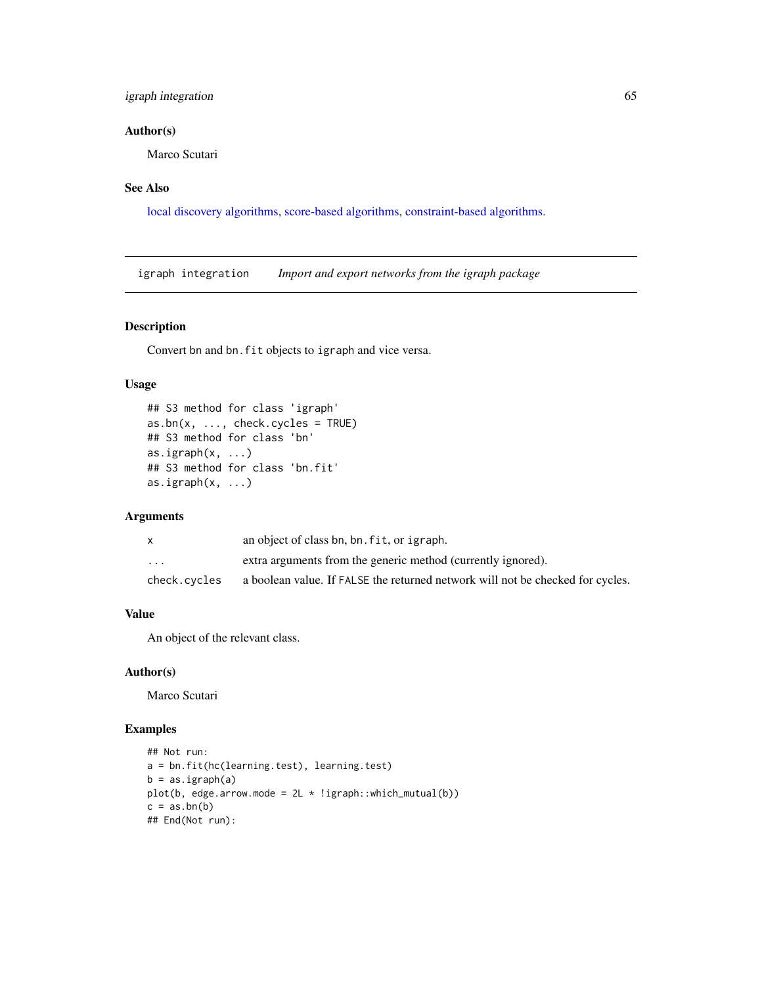# igraph integration 65

# Author(s)

Marco Scutari

# See Also

[local discovery algorithms,](#page-73-0) [score-based algorithms,](#page-96-0) [constraint-based algorithms.](#page-37-0)

igraph integration *Import and export networks from the igraph package*

# Description

Convert bn and bn.fit objects to igraph and vice versa.

# Usage

```
## S3 method for class 'igraph'
as.bn(x, ..., check.cycles = TRUE)
## S3 method for class 'bn'
as.igraph(x, ...)
## S3 method for class 'bn.fit'
as.ignph(x, ...)
```
# Arguments

|              | an object of class bn, bn. fit, or igraph.                                     |
|--------------|--------------------------------------------------------------------------------|
| $\ddotsc$    | extra arguments from the generic method (currently ignored).                   |
| check.cycles | a boolean value. If FALSE the returned network will not be checked for cycles. |

# Value

An object of the relevant class.

#### Author(s)

Marco Scutari

```
## Not run:
a = bn.fit(hc(learning.test), learning.test)
b = as.jpgplot(b, edge.arrow.mode = 2L * !igraph::which_mutual(b))
c = as.bn(b)## End(Not run):
```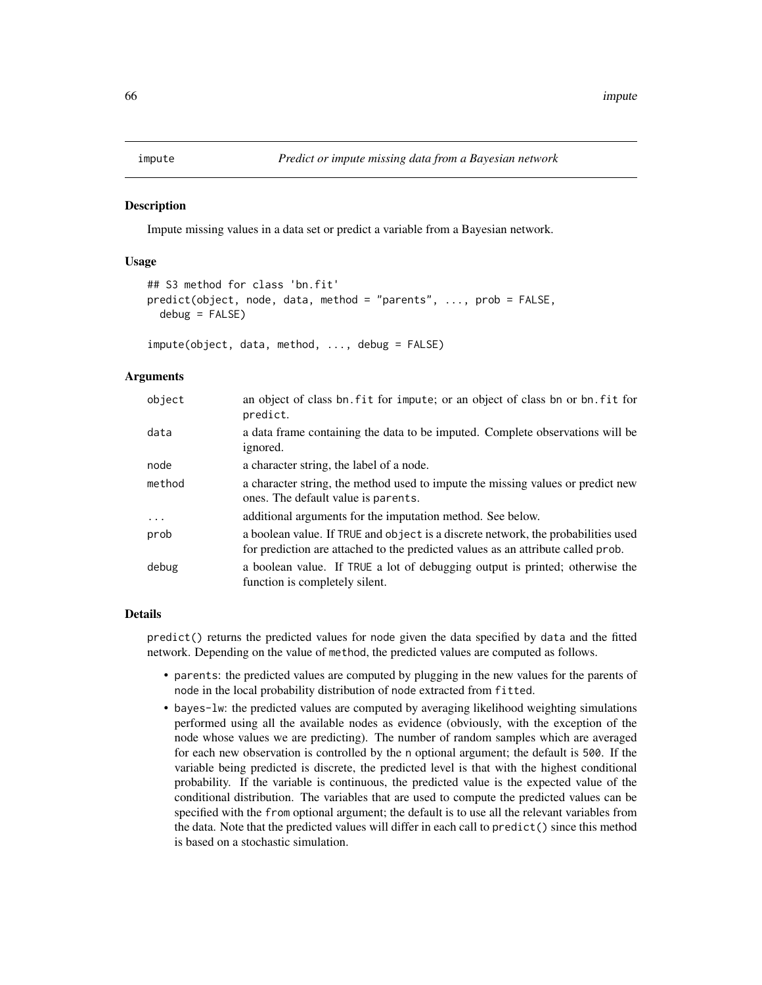#### Description

Impute missing values in a data set or predict a variable from a Bayesian network.

## Usage

```
## S3 method for class 'bn.fit'
predict(object, node, data, method = "parents", ..., prob = FALSE,
  debug = FALSE)
```
impute(object, data, method, ..., debug = FALSE)

# Arguments

| object  | an object of class bn. fit for impute; or an object of class bn or bn. fit for<br>predict.                                                                            |
|---------|-----------------------------------------------------------------------------------------------------------------------------------------------------------------------|
| data    | a data frame containing the data to be imputed. Complete observations will be<br>ignored.                                                                             |
| node    | a character string, the label of a node.                                                                                                                              |
| method  | a character string, the method used to impute the missing values or predict new<br>ones. The default value is parents.                                                |
| $\cdot$ | additional arguments for the imputation method. See below.                                                                                                            |
| prob    | a boolean value. If TRUE and object is a discrete network, the probabilities used<br>for prediction are attached to the predicted values as an attribute called prob. |
| debug   | a boolean value. If TRUE a lot of debugging output is printed; otherwise the<br>function is completely silent.                                                        |

## Details

predict() returns the predicted values for node given the data specified by data and the fitted network. Depending on the value of method, the predicted values are computed as follows.

- parents: the predicted values are computed by plugging in the new values for the parents of node in the local probability distribution of node extracted from fitted.
- bayes-lw: the predicted values are computed by averaging likelihood weighting simulations performed using all the available nodes as evidence (obviously, with the exception of the node whose values we are predicting). The number of random samples which are averaged for each new observation is controlled by the n optional argument; the default is 500. If the variable being predicted is discrete, the predicted level is that with the highest conditional probability. If the variable is continuous, the predicted value is the expected value of the conditional distribution. The variables that are used to compute the predicted values can be specified with the from optional argument; the default is to use all the relevant variables from the data. Note that the predicted values will differ in each call to predict() since this method is based on a stochastic simulation.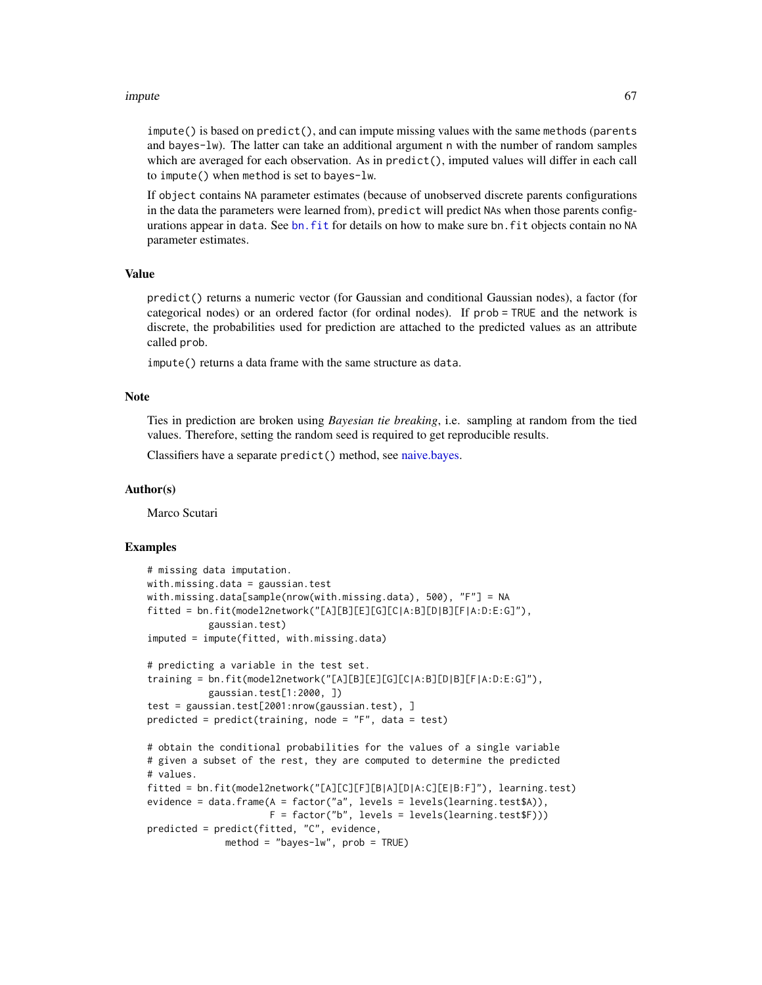#### impute 67 and 57 and 57 and 57 and 57 and 57 and 57 and 57 and 57 and 57 and 57 and 57 and 57 and 57 and 57 and 57 and 57 and 57 and 57 and 57 and 57 and 57 and 57 and 57 and 57 and 57 and 57 and 57 and 57 and 57 and 57 an

impute() is based on predict(), and can impute missing values with the same methods (parents and bayes-lw). The latter can take an additional argument n with the number of random samples which are averaged for each observation. As in predict(), imputed values will differ in each call to impute() when method is set to bayes-lw.

If object contains NA parameter estimates (because of unobserved discrete parents configurations in the data the parameters were learned from), predict will predict NAs when those parents configurations appear in data. See [bn.fit](#page-21-0) for details on how to make sure bn.fit objects contain no NA parameter estimates.

# Value

predict() returns a numeric vector (for Gaussian and conditional Gaussian nodes), a factor (for categorical nodes) or an ordered factor (for ordinal nodes). If prob = TRUE and the network is discrete, the probabilities used for prediction are attached to the predicted values as an attribute called prob.

impute() returns a data frame with the same structure as data.

## Note

Ties in prediction are broken using *Bayesian tie breaking*, i.e. sampling at random from the tied values. Therefore, setting the random seed is required to get reproducible results.

Classifiers have a separate predict() method, see [naive.bayes.](#page-79-0)

## Author(s)

Marco Scutari

```
# missing data imputation.
with.missing.data = gaussian.test
with.missing.data[sample(nrow(with.missing.data), 500), "F"] = NA
fitted = bn.fit(model2network("[A][B][E][G][C|A:B][D|B][F|A:D:E:G]"),
           gaussian.test)
imputed = impute(fitted, with.missing.data)
# predicting a variable in the test set.
training = bn.fit(model2network("[A][B][E][G][C|A:B][D|B][F|A:D:E:G]"),
           gaussian.test[1:2000, ])
test = gaussian.test[2001:nrow(gaussian.test), ]
predicted = predict(training, node = "F", data = test)
# obtain the conditional probabilities for the values of a single variable
# given a subset of the rest, they are computed to determine the predicted
# values.
fitted = bn.fit(model2network("[A][C][F][B|A][D|A:C][E|B:F]"), learning.test)
evidence = data.frame(A = factor("a", levels = levels(learning.test$A)),
                      F = factor("b", levels = levels(learning.test$F)))
predicted = predict(fitted, "C", evidence,
             method = "bayes-lw", prob = TRUE)
```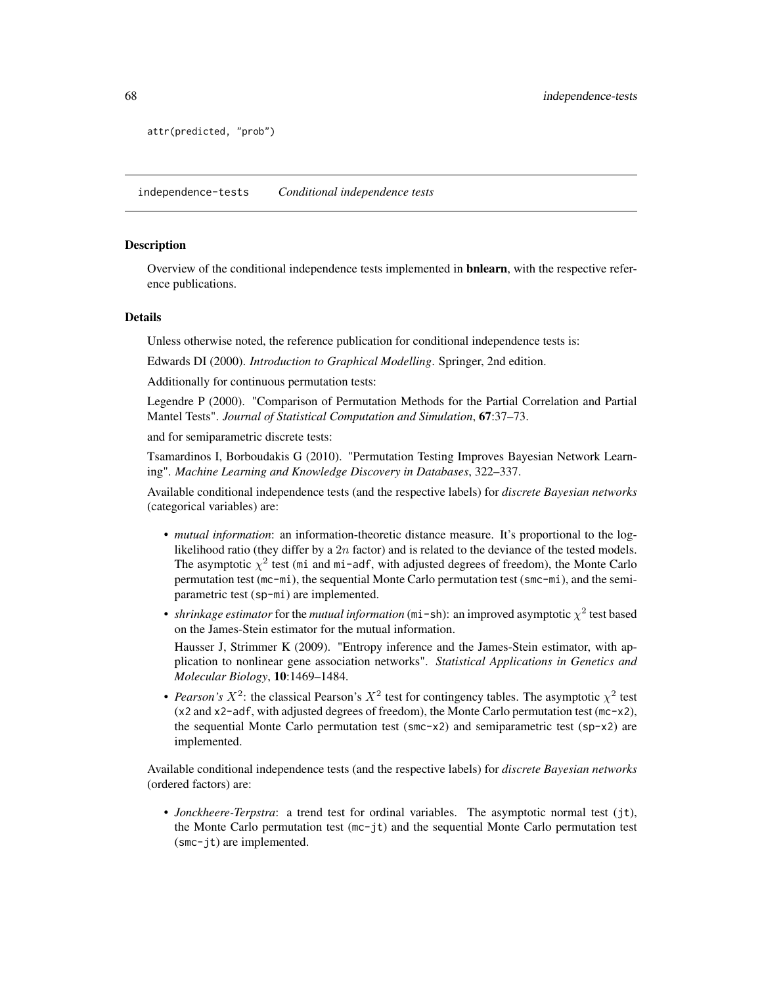```
attr(predicted, "prob")
```
independence-tests *Conditional independence tests*

## <span id="page-67-0"></span>Description

Overview of the conditional independence tests implemented in **bnlearn**, with the respective reference publications.

#### Details

Unless otherwise noted, the reference publication for conditional independence tests is:

Edwards DI (2000). *Introduction to Graphical Modelling*. Springer, 2nd edition.

Additionally for continuous permutation tests:

Legendre P (2000). "Comparison of Permutation Methods for the Partial Correlation and Partial Mantel Tests". *Journal of Statistical Computation and Simulation*, 67:37–73.

and for semiparametric discrete tests:

Tsamardinos I, Borboudakis G (2010). "Permutation Testing Improves Bayesian Network Learning". *Machine Learning and Knowledge Discovery in Databases*, 322–337.

Available conditional independence tests (and the respective labels) for *discrete Bayesian networks* (categorical variables) are:

- *mutual information*: an information-theoretic distance measure. It's proportional to the loglikelihood ratio (they differ by a  $2n$  factor) and is related to the deviance of the tested models. The asymptotic  $\chi^2$  test (mi and mi-adf, with adjusted degrees of freedom), the Monte Carlo permutation test (mc-mi), the sequential Monte Carlo permutation test (smc-mi), and the semiparametric test (sp-mi) are implemented.
- *shrinkage estimator* for the *mutual information* ( $m$ i sh): an improved asymptotic  $\chi^2$  test based on the James-Stein estimator for the mutual information.

Hausser J, Strimmer K (2009). "Entropy inference and the James-Stein estimator, with application to nonlinear gene association networks". *Statistical Applications in Genetics and Molecular Biology*, 10:1469–1484.

• *Pearson's*  $X^2$ : the classical Pearson's  $X^2$  test for contingency tables. The asymptotic  $\chi^2$  test (x2 and x2-adf, with adjusted degrees of freedom), the Monte Carlo permutation test (mc-x2), the sequential Monte Carlo permutation test (smc-x2) and semiparametric test (sp-x2) are implemented.

Available conditional independence tests (and the respective labels) for *discrete Bayesian networks* (ordered factors) are:

• *Jonckheere-Terpstra*: a trend test for ordinal variables. The asymptotic normal test (jt), the Monte Carlo permutation test  $(m - j t)$  and the sequential Monte Carlo permutation test (smc-jt) are implemented.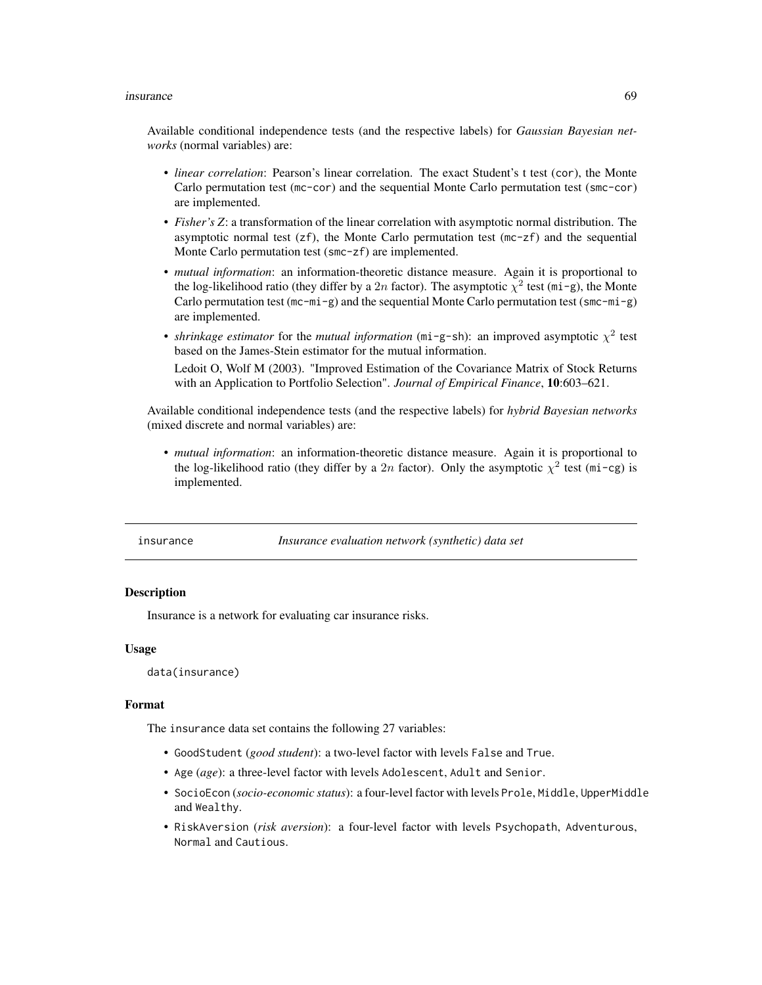#### insurance 69

Available conditional independence tests (and the respective labels) for *Gaussian Bayesian networks* (normal variables) are:

- *linear correlation*: Pearson's linear correlation. The exact Student's t test (cor), the Monte Carlo permutation test (mc-cor) and the sequential Monte Carlo permutation test (smc-cor) are implemented.
- *Fisher's Z*: a transformation of the linear correlation with asymptotic normal distribution. The asymptotic normal test  $(zf)$ , the Monte Carlo permutation test  $(mc-zf)$  and the sequential Monte Carlo permutation test (smc-zf) are implemented.
- *mutual information*: an information-theoretic distance measure. Again it is proportional to the log-likelihood ratio (they differ by a 2n factor). The asymptotic  $\chi^2$  test (mi-g), the Monte Carlo permutation test (mc-mi-g) and the sequential Monte Carlo permutation test (smc-mi-g) are implemented.
- *shrinkage estimator* for the *mutual information* (mi-g-sh): an improved asymptotic  $\chi^2$  test based on the James-Stein estimator for the mutual information. Ledoit O, Wolf M (2003). "Improved Estimation of the Covariance Matrix of Stock Returns with an Application to Portfolio Selection". *Journal of Empirical Finance*, 10:603–621.

Available conditional independence tests (and the respective labels) for *hybrid Bayesian networks* (mixed discrete and normal variables) are:

• *mutual information*: an information-theoretic distance measure. Again it is proportional to the log-likelihood ratio (they differ by a 2n factor). Only the asymptotic  $\chi^2$  test (mi-cg) is implemented.

| insurance | Insurance evaluation network (synthetic) data set |
|-----------|---------------------------------------------------|
|-----------|---------------------------------------------------|

# Description

Insurance is a network for evaluating car insurance risks.

## Usage

```
data(insurance)
```
## Format

The insurance data set contains the following 27 variables:

- GoodStudent (*good student*): a two-level factor with levels False and True.
- Age (*age*): a three-level factor with levels Adolescent, Adult and Senior.
- SocioEcon (*socio-economic status*): a four-level factor with levels Prole, Middle, UpperMiddle and Wealthy.
- RiskAversion (*risk aversion*): a four-level factor with levels Psychopath, Adventurous, Normal and Cautious.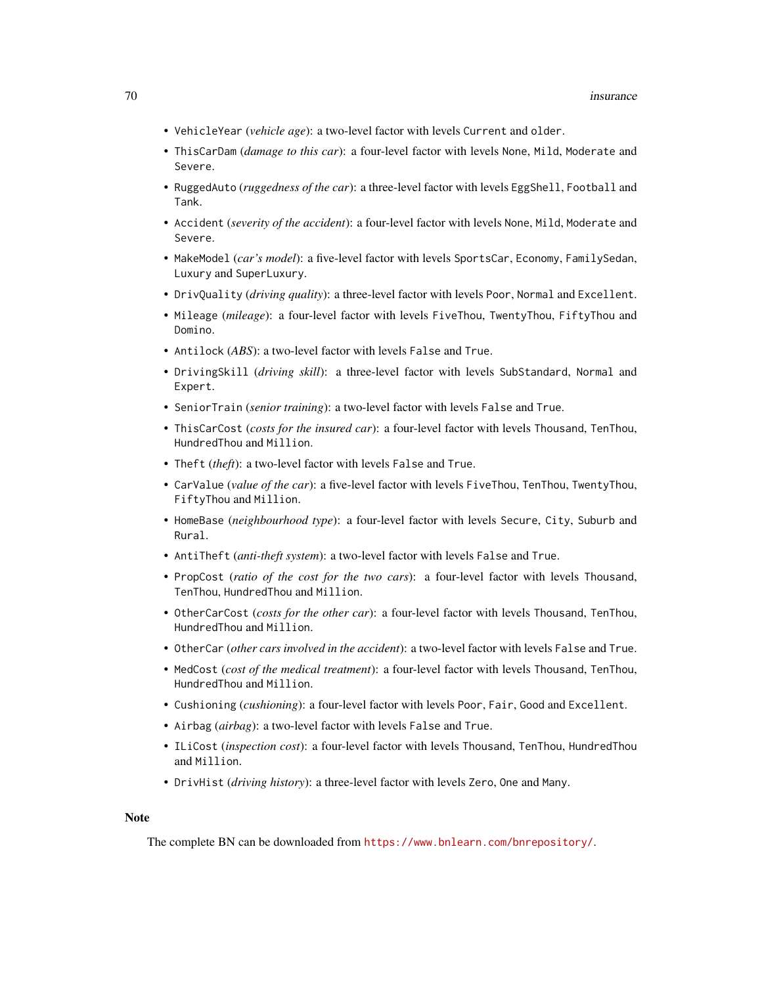- VehicleYear (*vehicle age*): a two-level factor with levels Current and older.
- ThisCarDam (*damage to this car*): a four-level factor with levels None, Mild, Moderate and Severe.
- RuggedAuto (*ruggedness of the car*): a three-level factor with levels EggShell, Football and Tank.
- Accident (*severity of the accident*): a four-level factor with levels None, Mild, Moderate and Severe.
- MakeModel (*car's model*): a five-level factor with levels SportsCar, Economy, FamilySedan, Luxury and SuperLuxury.
- DrivQuality (*driving quality*): a three-level factor with levels Poor, Normal and Excellent.
- Mileage (*mileage*): a four-level factor with levels FiveThou, TwentyThou, FiftyThou and Domino.
- Antilock (*ABS*): a two-level factor with levels False and True.
- DrivingSkill (*driving skill*): a three-level factor with levels SubStandard, Normal and Expert.
- SeniorTrain (*senior training*): a two-level factor with levels False and True.
- ThisCarCost (*costs for the insured car*): a four-level factor with levels Thousand, TenThou, HundredThou and Million.
- Theft (*theft*): a two-level factor with levels False and True.
- CarValue (*value of the car*): a five-level factor with levels FiveThou, TenThou, TwentyThou, FiftyThou and Million.
- HomeBase (*neighbourhood type*): a four-level factor with levels Secure, City, Suburb and Rural.
- AntiTheft (*anti-theft system*): a two-level factor with levels False and True.
- PropCost (*ratio of the cost for the two cars*): a four-level factor with levels Thousand, TenThou, HundredThou and Million.
- OtherCarCost (*costs for the other car*): a four-level factor with levels Thousand, TenThou, HundredThou and Million.
- OtherCar (*other cars involved in the accident*): a two-level factor with levels False and True.
- MedCost (*cost of the medical treatment*): a four-level factor with levels Thousand, TenThou, HundredThou and Million.
- Cushioning (*cushioning*): a four-level factor with levels Poor, Fair, Good and Excellent.
- Airbag (*airbag*): a two-level factor with levels False and True.
- ILiCost (*inspection cost*): a four-level factor with levels Thousand, TenThou, HundredThou and Million.
- DrivHist (*driving history*): a three-level factor with levels Zero, One and Many.

#### Note

The complete BN can be downloaded from <https://www.bnlearn.com/bnrepository/>.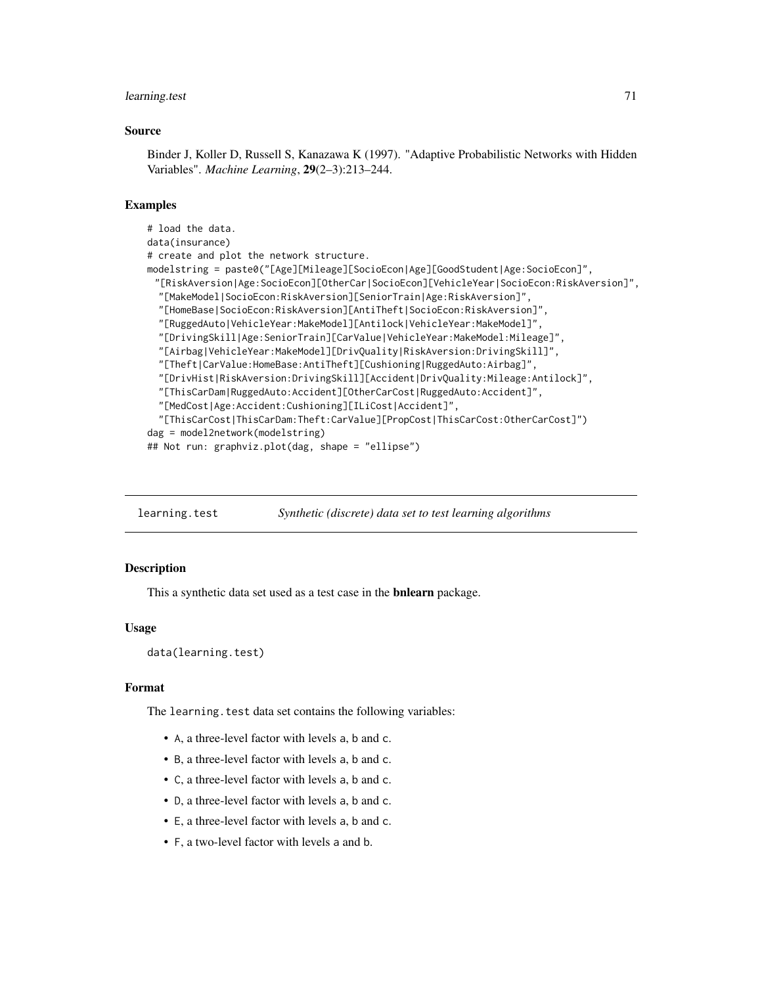# learning.test 71

## Source

Binder J, Koller D, Russell S, Kanazawa K (1997). "Adaptive Probabilistic Networks with Hidden Variables". *Machine Learning*, 29(2–3):213–244.

# Examples

```
# load the data.
data(insurance)
# create and plot the network structure.
modelstring = paste0("[Age][Mileage][SocioEcon|Age][GoodStudent|Age:SocioEcon]",
 "[RiskAversion|Age:SocioEcon][OtherCar|SocioEcon][VehicleYear|SocioEcon:RiskAversion]",
  "[MakeModel|SocioEcon:RiskAversion][SeniorTrain|Age:RiskAversion]",
  "[HomeBase|SocioEcon:RiskAversion][AntiTheft|SocioEcon:RiskAversion]",
  "[RuggedAuto|VehicleYear:MakeModel][Antilock|VehicleYear:MakeModel]",
  "[DrivingSkill|Age:SeniorTrain][CarValue|VehicleYear:MakeModel:Mileage]",
  "[Airbag|VehicleYear:MakeModel][DrivQuality|RiskAversion:DrivingSkill]",
  "[Theft|CarValue:HomeBase:AntiTheft][Cushioning|RuggedAuto:Airbag]",
  "[DrivHist|RiskAversion:DrivingSkill][Accident|DrivQuality:Mileage:Antilock]",
  "[ThisCarDam|RuggedAuto:Accident][OtherCarCost|RuggedAuto:Accident]",
  "[MedCost|Age:Accident:Cushioning][ILiCost|Accident]",
  "[ThisCarCost|ThisCarDam:Theft:CarValue][PropCost|ThisCarCost:OtherCarCost]")
dag = model2network(modelstring)
## Not run: graphviz.plot(dag, shape = "ellipse")
```
learning.test *Synthetic (discrete) data set to test learning algorithms*

## Description

This a synthetic data set used as a test case in the bnlearn package.

#### Usage

```
data(learning.test)
```
#### Format

The learning. test data set contains the following variables:

- A, a three-level factor with levels a, b and c.
- B, a three-level factor with levels a, b and c.
- C, a three-level factor with levels a, b and c.
- D, a three-level factor with levels a, b and c.
- E, a three-level factor with levels a, b and c.
- F, a two-level factor with levels a and b.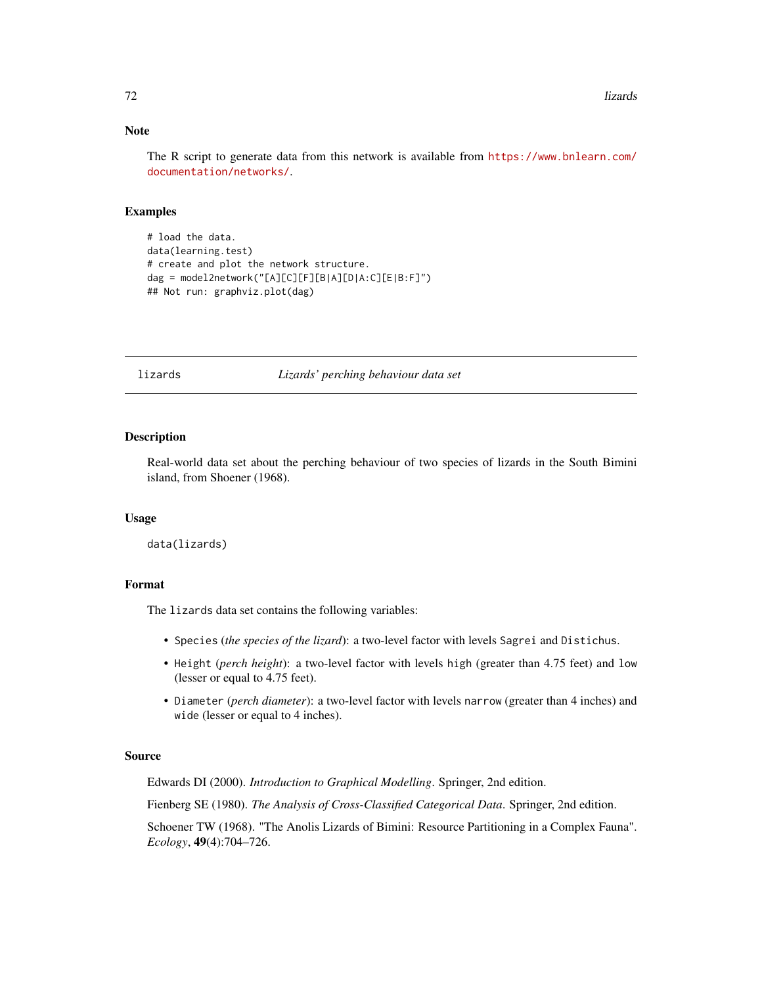# Note

The R script to generate data from this network is available from [https://www.bnlearn.com/](https://www.bnlearn.com/documentation/networks/) [documentation/networks/](https://www.bnlearn.com/documentation/networks/).

## Examples

```
# load the data.
data(learning.test)
# create and plot the network structure.
dag = model2network("[A][C][F][B|A][D|A:C][E|B:F]")
## Not run: graphviz.plot(dag)
```
lizards *Lizards' perching behaviour data set*

# Description

Real-world data set about the perching behaviour of two species of lizards in the South Bimini island, from Shoener (1968).

### Usage

```
data(lizards)
```
## Format

The lizards data set contains the following variables:

- Species (*the species of the lizard*): a two-level factor with levels Sagrei and Distichus.
- Height (*perch height*): a two-level factor with levels high (greater than 4.75 feet) and low (lesser or equal to 4.75 feet).
- Diameter (*perch diameter*): a two-level factor with levels narrow (greater than 4 inches) and wide (lesser or equal to 4 inches).

# Source

Edwards DI (2000). *Introduction to Graphical Modelling*. Springer, 2nd edition.

Fienberg SE (1980). *The Analysis of Cross-Classified Categorical Data*. Springer, 2nd edition.

Schoener TW (1968). "The Anolis Lizards of Bimini: Resource Partitioning in a Complex Fauna". *Ecology*, 49(4):704–726.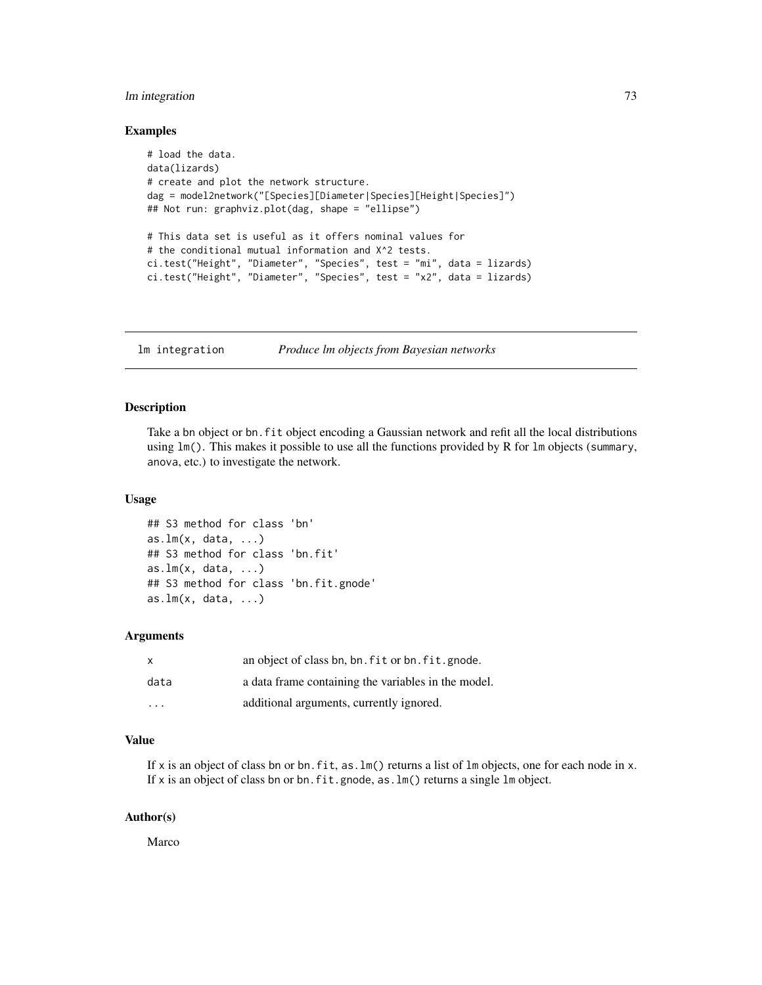# lm integration 73

## Examples

```
# load the data.
data(lizards)
# create and plot the network structure.
dag = model2network("[Species][Diameter|Species][Height|Species]")
## Not run: graphviz.plot(dag, shape = "ellipse")
# This data set is useful as it offers nominal values for
# the conditional mutual information and X^2 tests.
ci.test("Height", "Diameter", "Species", test = "mi", data = lizards)
ci.test("Height", "Diameter", "Species", test = "x2", data = lizards)
```
lm integration *Produce lm objects from Bayesian networks*

## Description

Take a bn object or bn.fit object encoding a Gaussian network and refit all the local distributions using lm(). This makes it possible to use all the functions provided by R for lm objects (summary, anova, etc.) to investigate the network.

## Usage

```
## S3 method for class 'bn'
as.lm(x, data, ...)## S3 method for class 'bn.fit'
as.lm(x, data, ...)## S3 method for class 'bn.fit.gnode'
as.lm(x, data, ...)
```
## Arguments

| $\mathsf{x}$            | an object of class bn, bn. fit or bn. fit. gnode.   |
|-------------------------|-----------------------------------------------------|
| data                    | a data frame containing the variables in the model. |
| $\cdot$ $\cdot$ $\cdot$ | additional arguments, currently ignored.            |

# Value

If x is an object of class bn or bn.fit, as.lm() returns a list of lm objects, one for each node in x. If x is an object of class bn or bn.fit.gnode, as.lm() returns a single lm object.

## Author(s)

Marco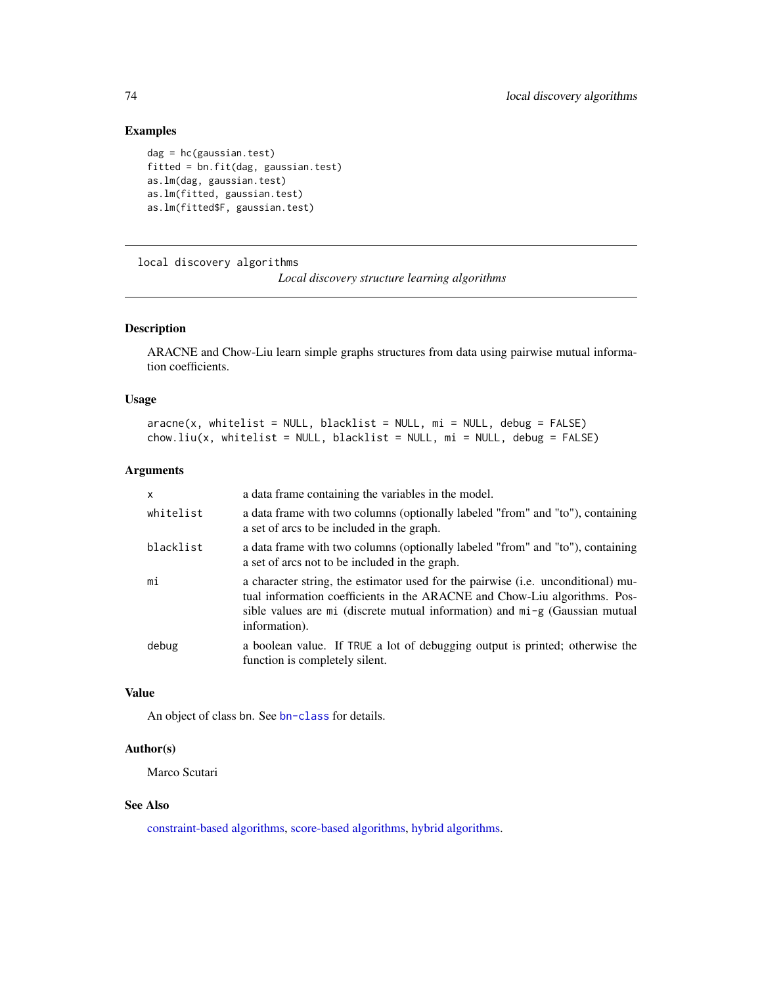# Examples

```
dag = hc(gaussian.test)
fitted = bn.fit(dag, gaussian.test)
as.lm(dag, gaussian.test)
as.lm(fitted, gaussian.test)
as.lm(fitted$F, gaussian.test)
```
<span id="page-73-0"></span>local discovery algorithms

*Local discovery structure learning algorithms*

# <span id="page-73-1"></span>Description

ARACNE and Chow-Liu learn simple graphs structures from data using pairwise mutual information coefficients.

#### Usage

```
aracne(x, whitelist = NULL, blacklist = NULL, mi = NULL, debug = FALSE)chow.liu(x, whitelist = NULL, blacklist = NULL, mi = NULL, debug = FALSE)
```
# Arguments

| X         | a data frame containing the variables in the model.                                                                                                                                                                                                                     |
|-----------|-------------------------------------------------------------------------------------------------------------------------------------------------------------------------------------------------------------------------------------------------------------------------|
| whitelist | a data frame with two columns (optionally labeled "from" and "to"), containing<br>a set of arcs to be included in the graph.                                                                                                                                            |
| blacklist | a data frame with two columns (optionally labeled "from" and "to"), containing<br>a set of arcs not to be included in the graph.                                                                                                                                        |
| mi        | a character string, the estimator used for the pairwise ( <i>i.e.</i> unconditional) mu-<br>tual information coefficients in the ARACNE and Chow-Liu algorithms. Pos-<br>sible values are mi (discrete mutual information) and $mi$ g (Gaussian mutual<br>information). |
| debug     | a boolean value. If TRUE a lot of debugging output is printed; otherwise the<br>function is completely silent.                                                                                                                                                          |

## Value

An object of class bn. See [bn-class](#page-14-0) for details.

#### Author(s)

Marco Scutari

## See Also

[constraint-based algorithms,](#page-37-0) [score-based algorithms,](#page-96-0) [hybrid algorithms.](#page-63-0)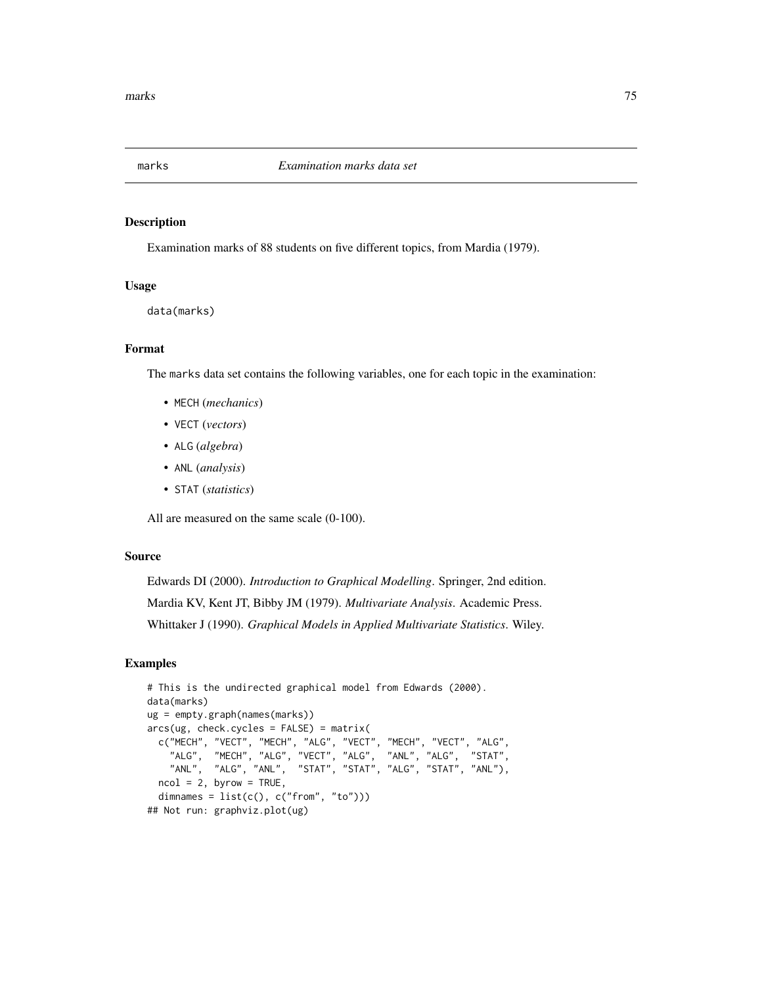## Description

Examination marks of 88 students on five different topics, from Mardia (1979).

# Usage

data(marks)

# Format

The marks data set contains the following variables, one for each topic in the examination:

- MECH (*mechanics*)
- VECT (*vectors*)
- ALG (*algebra*)
- ANL (*analysis*)
- STAT (*statistics*)

All are measured on the same scale (0-100).

# Source

Edwards DI (2000). *Introduction to Graphical Modelling*. Springer, 2nd edition. Mardia KV, Kent JT, Bibby JM (1979). *Multivariate Analysis*. Academic Press. Whittaker J (1990). *Graphical Models in Applied Multivariate Statistics*. Wiley.

# Examples

```
# This is the undirected graphical model from Edwards (2000).
data(marks)
ug = empty.graph(names(marks))
arcs(ug, check.cycles = FALSE) = matrix(c("MECH", "VECT", "MECH", "ALG", "VECT", "MECH", "VECT", "ALG",
    "ALG", "MECH", "ALG", "VECT", "ALG", "ANL", "ALG", "STAT",
    "ANL", "ALG", "ANL", "STAT", "STAT", "ALG", "STAT", "ANL"),
 ncol = 2, byrow = TRUE,
 dimnames = list(c(), c("from", "to")))## Not run: graphviz.plot(ug)
```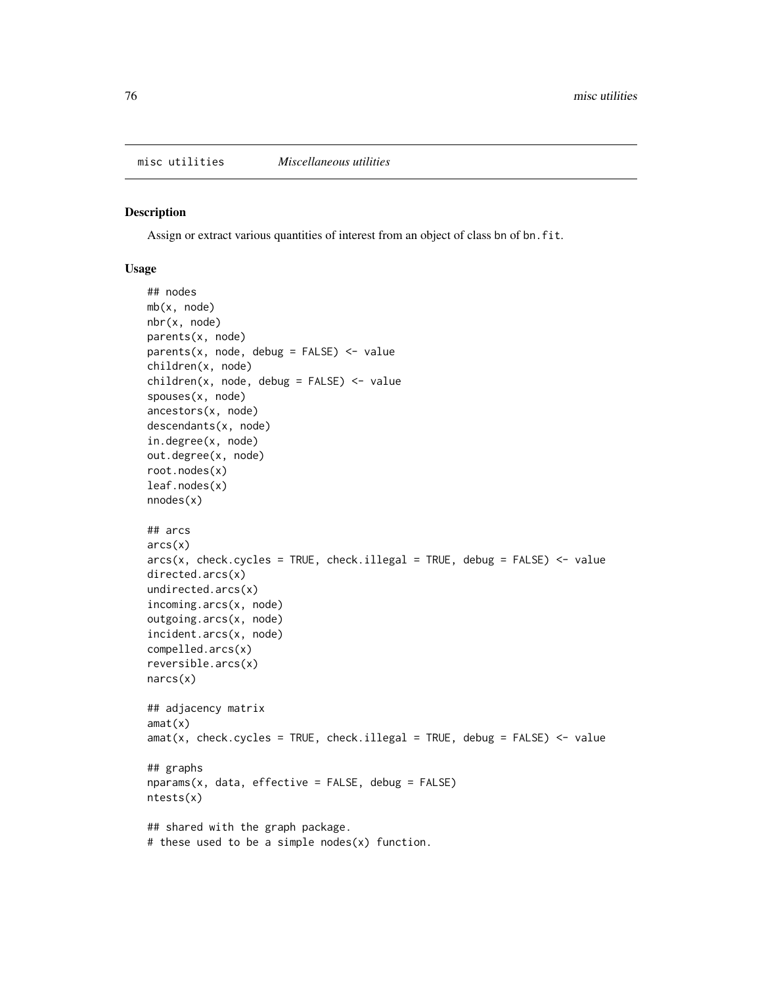#### Description

Assign or extract various quantities of interest from an object of class bn of bn.fit.

## Usage

```
## nodes
mb(x, node)
nbr(x, node)
parents(x, node)
parents(x, node, debug = FALSE) <- value
children(x, node)
children(x, node, debug = FALSE) <- value
spouses(x, node)
ancestors(x, node)
descendants(x, node)
in.degree(x, node)
out.degree(x, node)
root.nodes(x)
leaf.nodes(x)
nnodes(x)
## arcs
arcs(x)
arcs(x, check.cycles = TRUE, check.ilegal = TRUE, debug = FALSE) < - valuedirected.arcs(x)
undirected.arcs(x)
incoming.arcs(x, node)
outgoing.arcs(x, node)
incident.arcs(x, node)
compelled.arcs(x)
reversible.arcs(x)
narcs(x)
## adjacency matrix
amat(x)
amat(x, check.cycles = TRUE, check.i1legal = TRUE, debus = FALSE) <- value
## graphs
nparams(x, data, effective = FALSE, debug = FALSE)ntests(x)
## shared with the graph package.
# these used to be a simple nodes(x) function.
```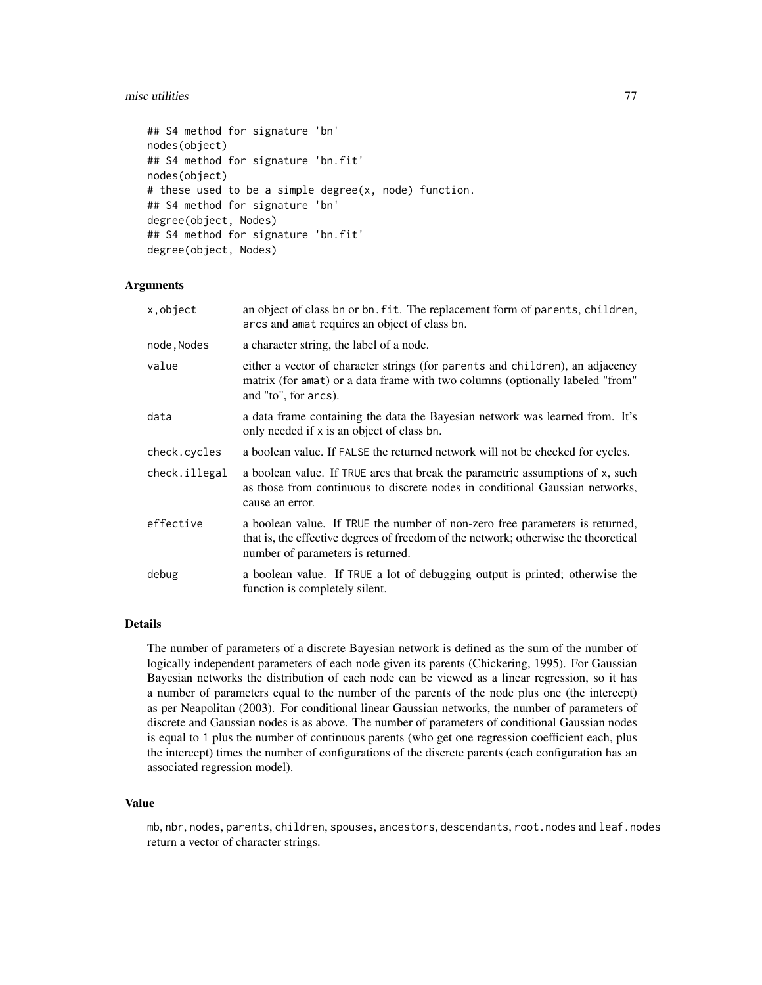#### misc utilities 77

```
## S4 method for signature 'bn'
nodes(object)
## S4 method for signature 'bn.fit'
nodes(object)
# these used to be a simple degree(x, node) function.
## S4 method for signature 'bn'
degree(object, Nodes)
## S4 method for signature 'bn.fit'
degree(object, Nodes)
```
# Arguments

| x, object     | an object of class bn or bn. fit. The replacement form of parents, children,<br>arcs and amat requires an object of class bn.                                                                            |
|---------------|----------------------------------------------------------------------------------------------------------------------------------------------------------------------------------------------------------|
| node, Nodes   | a character string, the label of a node.                                                                                                                                                                 |
| value         | either a vector of character strings (for parents and children), an adjacency<br>matrix (for amat) or a data frame with two columns (optionally labeled "from"<br>and "to", for arcs).                   |
| data          | a data frame containing the data the Bayesian network was learned from. It's<br>only needed if x is an object of class bn.                                                                               |
| check.cycles  | a boolean value. If FALSE the returned network will not be checked for cycles.                                                                                                                           |
| check.illegal | a boolean value. If TRUE arcs that break the parametric assumptions of x, such<br>as those from continuous to discrete nodes in conditional Gaussian networks,<br>cause an error.                        |
| effective     | a boolean value. If TRUE the number of non-zero free parameters is returned,<br>that is, the effective degrees of freedom of the network; otherwise the theoretical<br>number of parameters is returned. |
| debug         | a boolean value. If TRUE a lot of debugging output is printed; otherwise the<br>function is completely silent.                                                                                           |

# Details

The number of parameters of a discrete Bayesian network is defined as the sum of the number of logically independent parameters of each node given its parents (Chickering, 1995). For Gaussian Bayesian networks the distribution of each node can be viewed as a linear regression, so it has a number of parameters equal to the number of the parents of the node plus one (the intercept) as per Neapolitan (2003). For conditional linear Gaussian networks, the number of parameters of discrete and Gaussian nodes is as above. The number of parameters of conditional Gaussian nodes is equal to 1 plus the number of continuous parents (who get one regression coefficient each, plus the intercept) times the number of configurations of the discrete parents (each configuration has an associated regression model).

# Value

mb, nbr, nodes, parents, children, spouses, ancestors, descendants, root.nodes and leaf.nodes return a vector of character strings.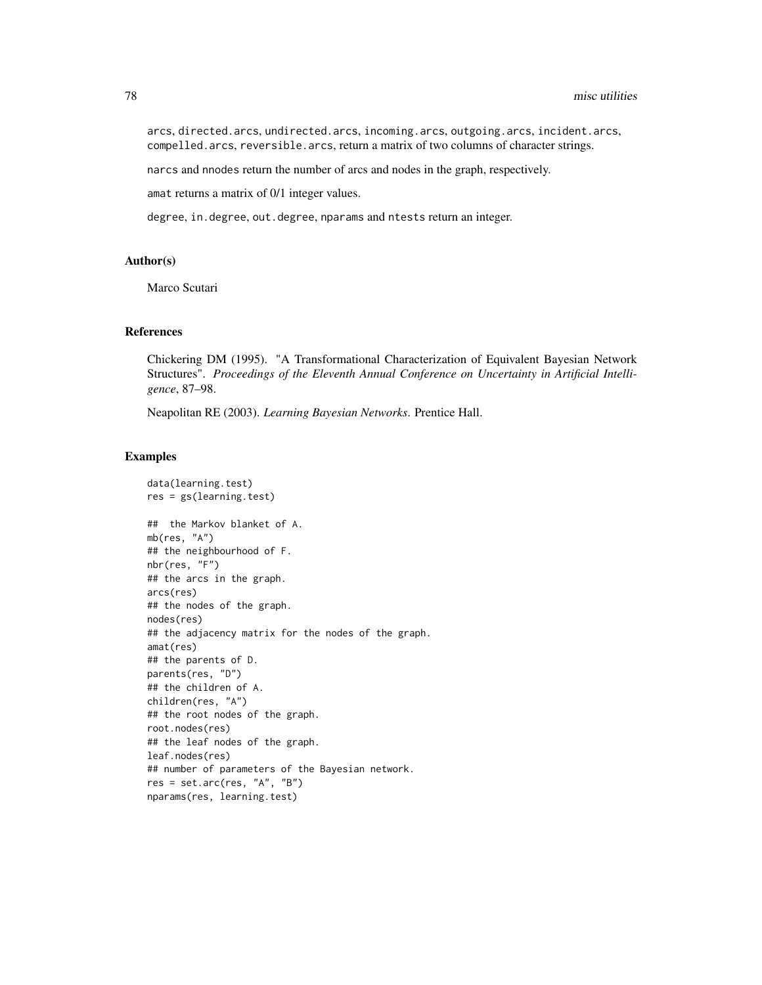arcs, directed.arcs, undirected.arcs, incoming.arcs, outgoing.arcs, incident.arcs, compelled.arcs, reversible.arcs, return a matrix of two columns of character strings.

narcs and nnodes return the number of arcs and nodes in the graph, respectively.

amat returns a matrix of 0/1 integer values.

degree, in.degree, out.degree, nparams and ntests return an integer.

# Author(s)

Marco Scutari

#### References

Chickering DM (1995). "A Transformational Characterization of Equivalent Bayesian Network Structures". *Proceedings of the Eleventh Annual Conference on Uncertainty in Artificial Intelligence*, 87–98.

Neapolitan RE (2003). *Learning Bayesian Networks*. Prentice Hall.

## Examples

```
data(learning.test)
res = gs(learning.test)
## the Markov blanket of A.
mb(res, "A")
## the neighbourhood of F.
nbr(res, "F")
## the arcs in the graph.
arcs(res)
## the nodes of the graph.
nodes(res)
## the adjacency matrix for the nodes of the graph.
amat(res)
## the parents of D.
parents(res, "D")
## the children of A.
children(res, "A")
## the root nodes of the graph.
root.nodes(res)
## the leaf nodes of the graph.
leaf.nodes(res)
## number of parameters of the Bayesian network.
res = set.archive, "A", "B")nparams(res, learning.test)
```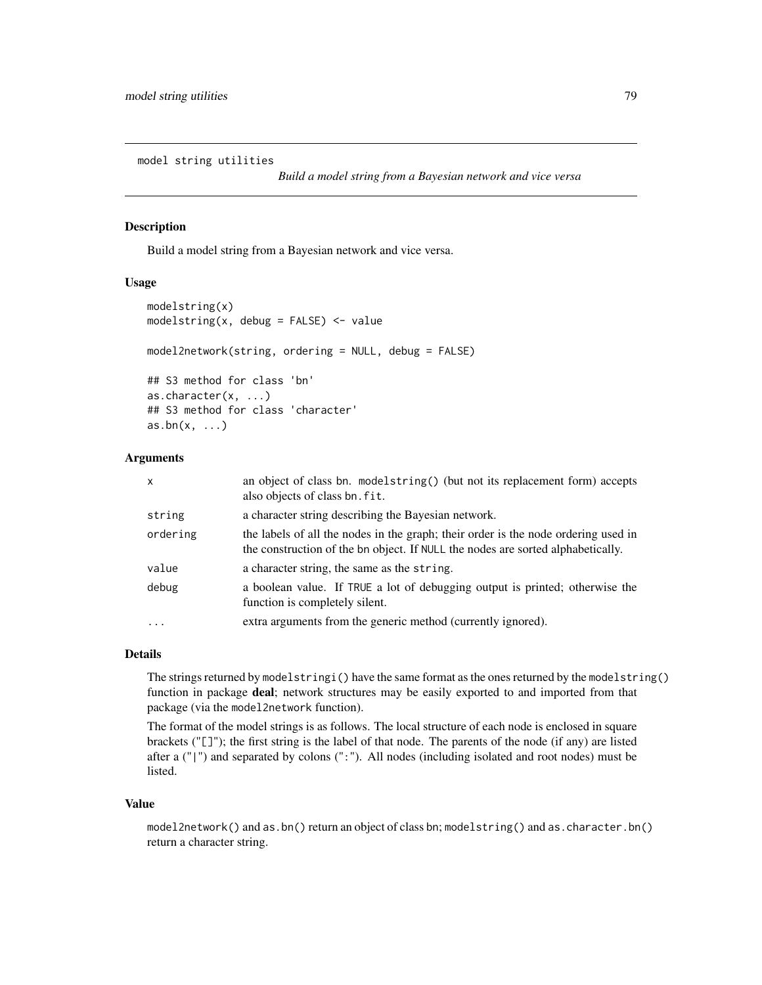model string utilities

*Build a model string from a Bayesian network and vice versa*

# Description

Build a model string from a Bayesian network and vice versa.

## Usage

```
modelstring(x)
modelstring(x, debug = FALSE) <- value
model2network(string, ordering = NULL, debug = FALSE)
## S3 method for class 'bn'
as.character(x, ...)
## S3 method for class 'character'
as.bn(x, \ldots)
```
# Arguments

| x         | an object of class bn. modelstring() (but not its replacement form) accepts<br>also objects of class bn. fit.                                                         |
|-----------|-----------------------------------------------------------------------------------------------------------------------------------------------------------------------|
| string    | a character string describing the Bayesian network.                                                                                                                   |
| ordering  | the labels of all the nodes in the graph; their order is the node ordering used in<br>the construction of the bn object. If NULL the nodes are sorted alphabetically. |
| value     | a character string, the same as the string.                                                                                                                           |
| debug     | a boolean value. If TRUE a lot of debugging output is printed; otherwise the<br>function is completely silent.                                                        |
| $\ddotsc$ | extra arguments from the generic method (currently ignored).                                                                                                          |

#### Details

The strings returned by modelstringi() have the same format as the ones returned by the modelstring() function in package deal; network structures may be easily exported to and imported from that package (via the model2network function).

The format of the model strings is as follows. The local structure of each node is enclosed in square brackets ("[]"); the first string is the label of that node. The parents of the node (if any) are listed after a ("|") and separated by colons (":"). All nodes (including isolated and root nodes) must be listed.

#### Value

model2network() and as.bn() return an object of class bn; modelstring() and as.character.bn() return a character string.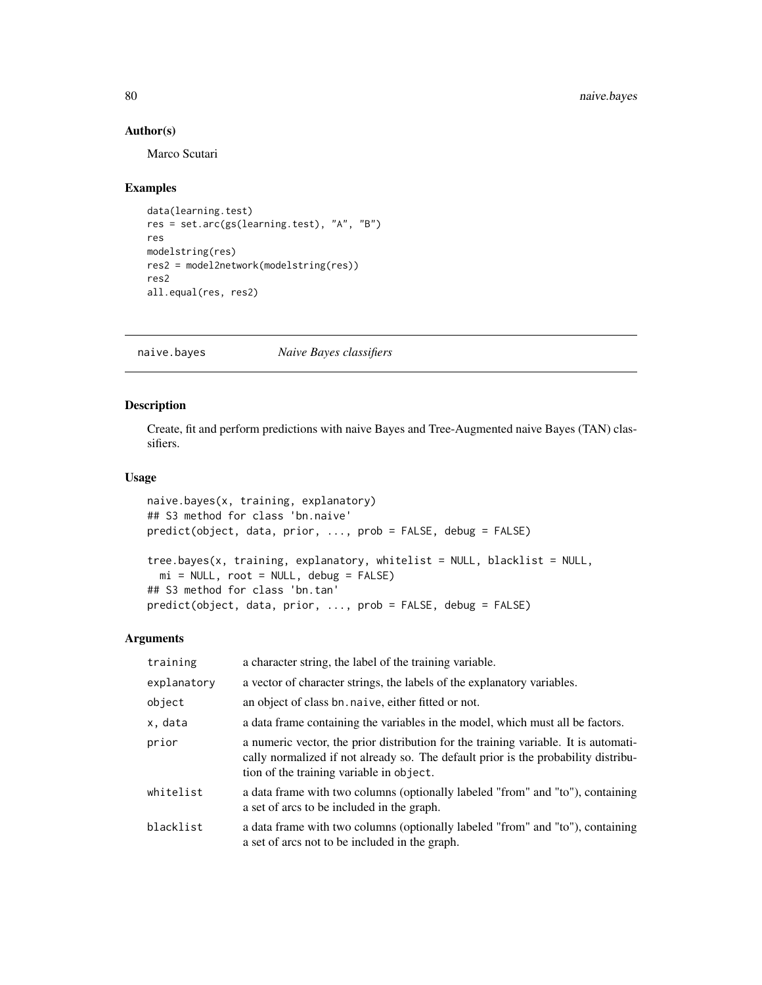## Author(s)

Marco Scutari

# Examples

```
data(learning.test)
res = set.arc(gs(learning.test), "A", "B")
res
modelstring(res)
res2 = model2network(modelstring(res))
res2
all.equal(res, res2)
```
<span id="page-79-0"></span>naive.bayes *Naive Bayes classifiers*

# <span id="page-79-1"></span>Description

Create, fit and perform predictions with naive Bayes and Tree-Augmented naive Bayes (TAN) classifiers.

## Usage

```
naive.bayes(x, training, explanatory)
## S3 method for class 'bn.naive'
predict(object, data, prior, ..., prob = FALSE, debug = FALSE)
tree.bayes(x, training, explanatory, whitelist = NULL, blacklist = NULL,
 mi = NULL, root = NULL, delay = FALSE)## S3 method for class 'bn.tan'
predict(object, data, prior, ..., prob = FALSE, debug = FALSE)
```
## Arguments

| training    | a character string, the label of the training variable.                                                                                                                                                               |
|-------------|-----------------------------------------------------------------------------------------------------------------------------------------------------------------------------------------------------------------------|
| explanatory | a vector of character strings, the labels of the explanatory variables.                                                                                                                                               |
| object      | an object of class bn. naive, either fitted or not.                                                                                                                                                                   |
| x, data     | a data frame containing the variables in the model, which must all be factors.                                                                                                                                        |
| prior       | a numeric vector, the prior distribution for the training variable. It is automati-<br>cally normalized if not already so. The default prior is the probability distribu-<br>tion of the training variable in object. |
| whitelist   | a data frame with two columns (optionally labeled "from" and "to"), containing<br>a set of arcs to be included in the graph.                                                                                          |
| blacklist   | a data frame with two columns (optionally labeled "from" and "to"), containing<br>a set of arcs not to be included in the graph.                                                                                      |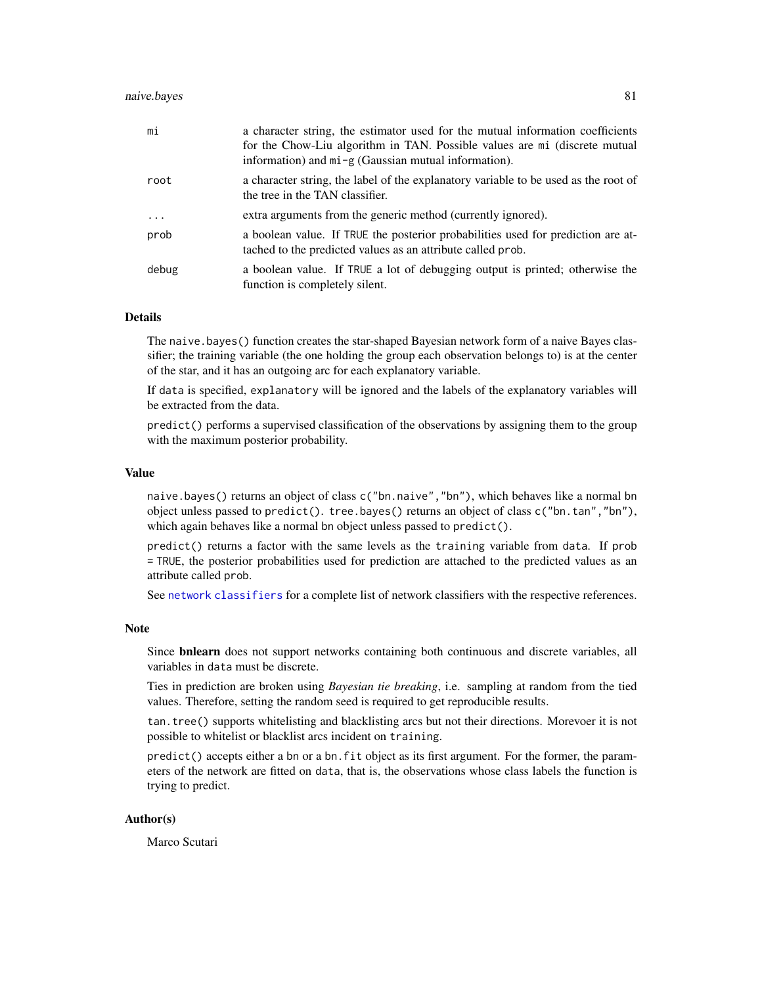## naive.bayes 81

| mi       | a character string, the estimator used for the mutual information coefficients<br>for the Chow-Liu algorithm in TAN. Possible values are mi (discrete mutual<br>information) and $mi - g$ (Gaussian mutual information). |
|----------|--------------------------------------------------------------------------------------------------------------------------------------------------------------------------------------------------------------------------|
| root     | a character string, the label of the explanatory variable to be used as the root of<br>the tree in the TAN classifier.                                                                                                   |
| $\cdots$ | extra arguments from the generic method (currently ignored).                                                                                                                                                             |
| prob     | a boolean value. If TRUE the posterior probabilities used for prediction are at-<br>tached to the predicted values as an attribute called prob.                                                                          |
| debug    | a boolean value. If TRUE a lot of debugging output is printed; otherwise the<br>function is completely silent.                                                                                                           |

#### Details

The naive.bayes() function creates the star-shaped Bayesian network form of a naive Bayes classifier; the training variable (the one holding the group each observation belongs to) is at the center of the star, and it has an outgoing arc for each explanatory variable.

If data is specified, explanatory will be ignored and the labels of the explanatory variables will be extracted from the data.

predict() performs a supervised classification of the observations by assigning them to the group with the maximum posterior probability.

#### Value

naive.bayes() returns an object of class c("bn.naive","bn"), which behaves like a normal bn object unless passed to predict(). tree.bayes() returns an object of class c("bn.tan","bn"), which again behaves like a normal bn object unless passed to predict().

predict() returns a factor with the same levels as the training variable from data. If prob = TRUE, the posterior probabilities used for prediction are attached to the predicted values as an attribute called prob.

See [network classifiers](#page-81-0) for a complete list of network classifiers with the respective references.

## Note

Since bnlearn does not support networks containing both continuous and discrete variables, all variables in data must be discrete.

Ties in prediction are broken using *Bayesian tie breaking*, i.e. sampling at random from the tied values. Therefore, setting the random seed is required to get reproducible results.

tan.tree() supports whitelisting and blacklisting arcs but not their directions. Morevoer it is not possible to whitelist or blacklist arcs incident on training.

predict() accepts either a bn or a bn. fit object as its first argument. For the former, the parameters of the network are fitted on data, that is, the observations whose class labels the function is trying to predict.

## Author(s)

Marco Scutari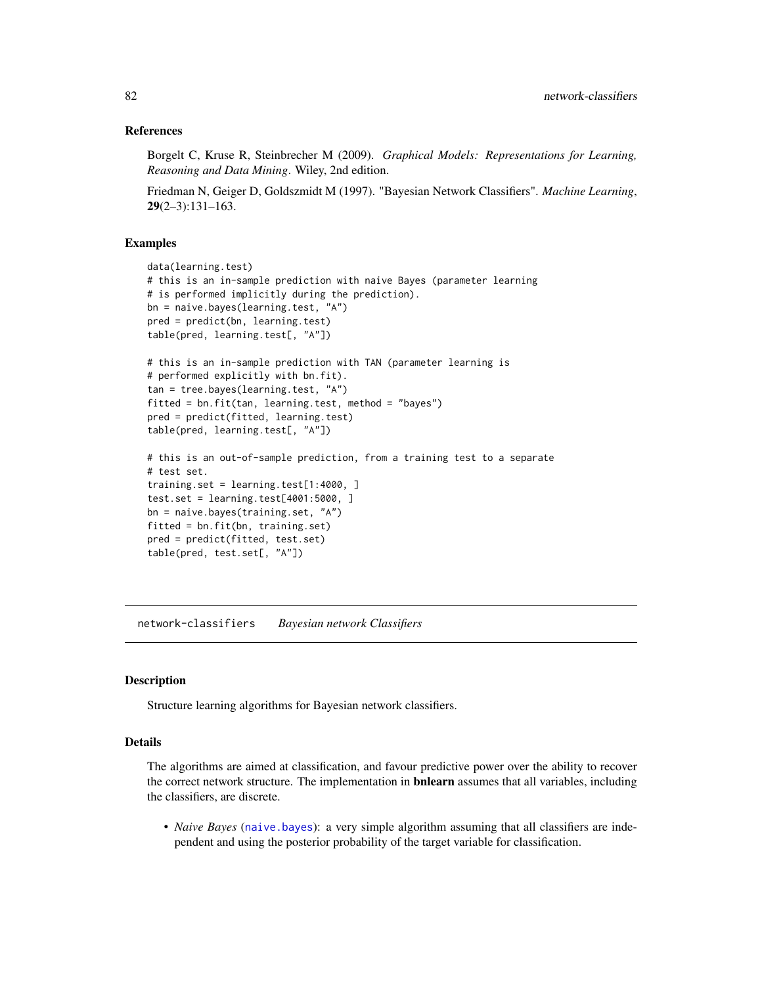## References

Borgelt C, Kruse R, Steinbrecher M (2009). *Graphical Models: Representations for Learning, Reasoning and Data Mining*. Wiley, 2nd edition.

Friedman N, Geiger D, Goldszmidt M (1997). "Bayesian Network Classifiers". *Machine Learning*,  $29(2-3):131-163.$ 

## Examples

```
data(learning.test)
# this is an in-sample prediction with naive Bayes (parameter learning
# is performed implicitly during the prediction).
bn = naive.bayes(learning.test, "A")
pred = predict(bn, learning.test)
table(pred, learning.test[, "A"])
# this is an in-sample prediction with TAN (parameter learning is
# performed explicitly with bn.fit).
tan = tree.bayes(learning.test, "A")
fitted = bn.fit(tan, learning.test, method = "bayes")
pred = predict(fitted, learning.test)
table(pred, learning.test[, "A"])
# this is an out-of-sample prediction, from a training test to a separate
# test set.
training.set = learning.test[1:4000, ]
test.set = learning.test[4001:5000, ]
bn = naive.bayes(training.set, "A")
fitted = bn.fit(bn, training.set)
pred = predict(fitted, test.set)
table(pred, test.set[, "A"])
```
network-classifiers *Bayesian network Classifiers*

#### <span id="page-81-0"></span>Description

Structure learning algorithms for Bayesian network classifiers.

## Details

The algorithms are aimed at classification, and favour predictive power over the ability to recover the correct network structure. The implementation in **bnlearn** assumes that all variables, including the classifiers, are discrete.

• *Naive Bayes* ([naive.bayes](#page-79-0)): a very simple algorithm assuming that all classifiers are independent and using the posterior probability of the target variable for classification.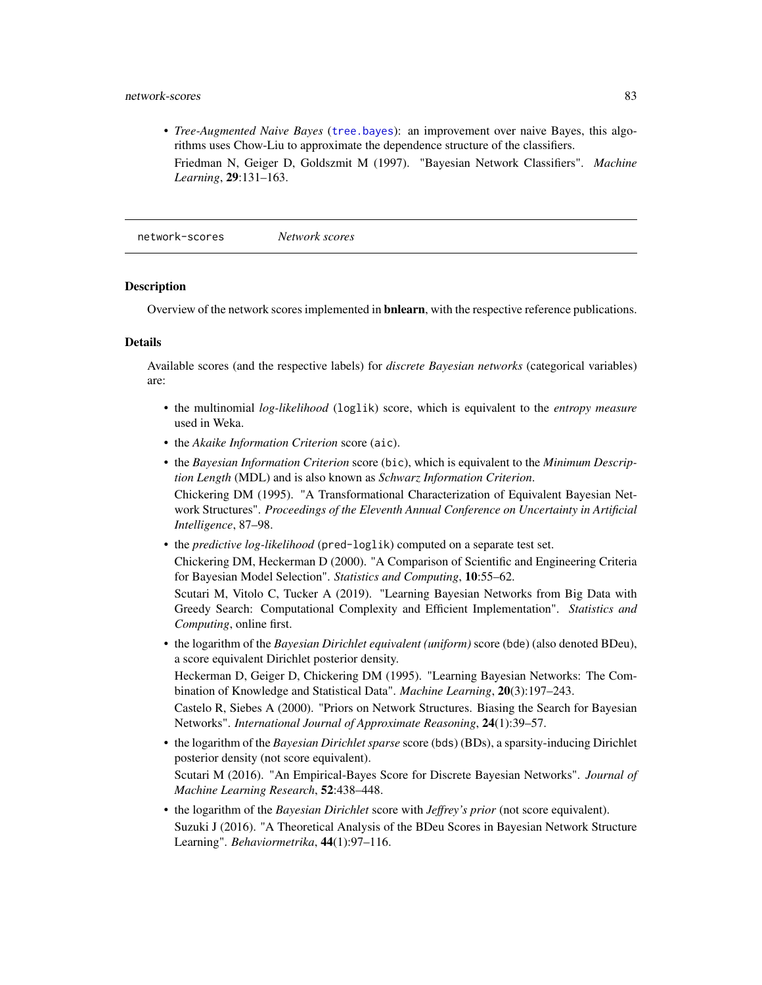## network-scores 83

• *Tree-Augmented Naive Bayes* ([tree.bayes](#page-79-1)): an improvement over naive Bayes, this algorithms uses Chow-Liu to approximate the dependence structure of the classifiers. Friedman N, Geiger D, Goldszmit M (1997). "Bayesian Network Classifiers". *Machine Learning*, 29:131–163.

network-scores *Network scores*

#### <span id="page-82-0"></span>**Description**

Overview of the network scores implemented in bnlearn, with the respective reference publications.

## Details

Available scores (and the respective labels) for *discrete Bayesian networks* (categorical variables) are:

- the multinomial *log-likelihood* (loglik) score, which is equivalent to the *entropy measure* used in Weka.
- the *Akaike Information Criterion* score (aic).
- the *Bayesian Information Criterion* score (bic), which is equivalent to the *Minimum Description Length* (MDL) and is also known as *Schwarz Information Criterion*. Chickering DM (1995). "A Transformational Characterization of Equivalent Bayesian Network Structures". *Proceedings of the Eleventh Annual Conference on Uncertainty in Artificial Intelligence*, 87–98.
- the *predictive log-likelihood* (pred-loglik) computed on a separate test set.

Chickering DM, Heckerman D (2000). "A Comparison of Scientific and Engineering Criteria for Bayesian Model Selection". *Statistics and Computing*, 10:55–62. Scutari M, Vitolo C, Tucker A (2019). "Learning Bayesian Networks from Big Data with Greedy Search: Computational Complexity and Efficient Implementation". *Statistics and*

*Computing*, online first. • the logarithm of the *Bayesian Dirichlet equivalent (uniform)* score (bde) (also denoted BDeu), a score equivalent Dirichlet posterior density.

Heckerman D, Geiger D, Chickering DM (1995). "Learning Bayesian Networks: The Combination of Knowledge and Statistical Data". *Machine Learning*, 20(3):197–243.

Castelo R, Siebes A (2000). "Priors on Network Structures. Biasing the Search for Bayesian Networks". *International Journal of Approximate Reasoning*, 24(1):39–57.

• the logarithm of the *Bayesian Dirichlet sparse* score (bds) (BDs), a sparsity-inducing Dirichlet posterior density (not score equivalent).

Scutari M (2016). "An Empirical-Bayes Score for Discrete Bayesian Networks". *Journal of Machine Learning Research*, 52:438–448.

• the logarithm of the *Bayesian Dirichlet* score with *Jeffrey's prior* (not score equivalent). Suzuki J (2016). "A Theoretical Analysis of the BDeu Scores in Bayesian Network Structure Learning". *Behaviormetrika*, 44(1):97–116.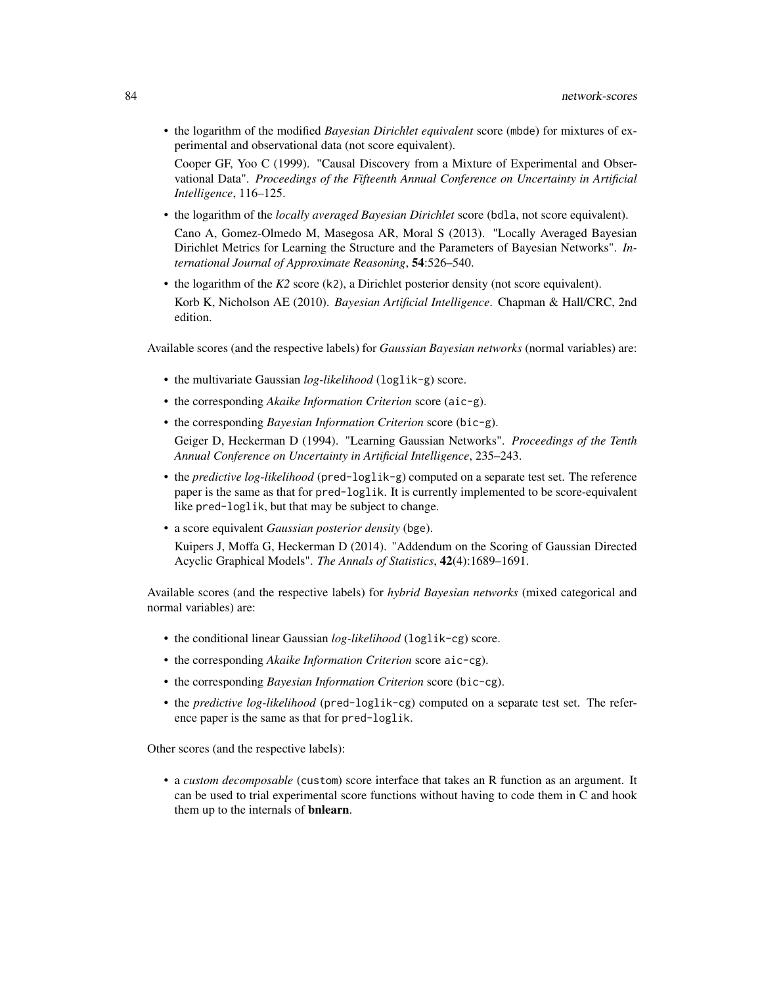• the logarithm of the modified *Bayesian Dirichlet equivalent* score (mbde) for mixtures of experimental and observational data (not score equivalent).

Cooper GF, Yoo C (1999). "Causal Discovery from a Mixture of Experimental and Observational Data". *Proceedings of the Fifteenth Annual Conference on Uncertainty in Artificial Intelligence*, 116–125.

- the logarithm of the *locally averaged Bayesian Dirichlet* score (bdla, not score equivalent). Cano A, Gomez-Olmedo M, Masegosa AR, Moral S (2013). "Locally Averaged Bayesian Dirichlet Metrics for Learning the Structure and the Parameters of Bayesian Networks". *International Journal of Approximate Reasoning*, 54:526–540.
- the logarithm of the *K2* score (k2), a Dirichlet posterior density (not score equivalent). Korb K, Nicholson AE (2010). *Bayesian Artificial Intelligence*. Chapman & Hall/CRC, 2nd edition.

Available scores (and the respective labels) for *Gaussian Bayesian networks* (normal variables) are:

- the multivariate Gaussian *log-likelihood* (loglik-g) score.
- the corresponding *Akaike Information Criterion* score (aic-g).
- the corresponding *Bayesian Information Criterion* score (bic-g).

Geiger D, Heckerman D (1994). "Learning Gaussian Networks". *Proceedings of the Tenth Annual Conference on Uncertainty in Artificial Intelligence*, 235–243.

- the *predictive log-likelihood* (pred-loglik-g) computed on a separate test set. The reference paper is the same as that for pred-loglik. It is currently implemented to be score-equivalent like pred-loglik, but that may be subject to change.
- a score equivalent *Gaussian posterior density* (bge). Kuipers J, Moffa G, Heckerman D (2014). "Addendum on the Scoring of Gaussian Directed Acyclic Graphical Models". *The Annals of Statistics*, 42(4):1689–1691.

Available scores (and the respective labels) for *hybrid Bayesian networks* (mixed categorical and normal variables) are:

- the conditional linear Gaussian *log-likelihood* (loglik-cg) score.
- the corresponding *Akaike Information Criterion* score aic-cg).
- the corresponding *Bayesian Information Criterion* score (bic-cg).
- the *predictive log-likelihood* (pred-loglik-cg) computed on a separate test set. The reference paper is the same as that for pred-loglik.

Other scores (and the respective labels):

• a *custom decomposable* (custom) score interface that takes an R function as an argument. It can be used to trial experimental score functions without having to code them in C and hook them up to the internals of **bnlearn**.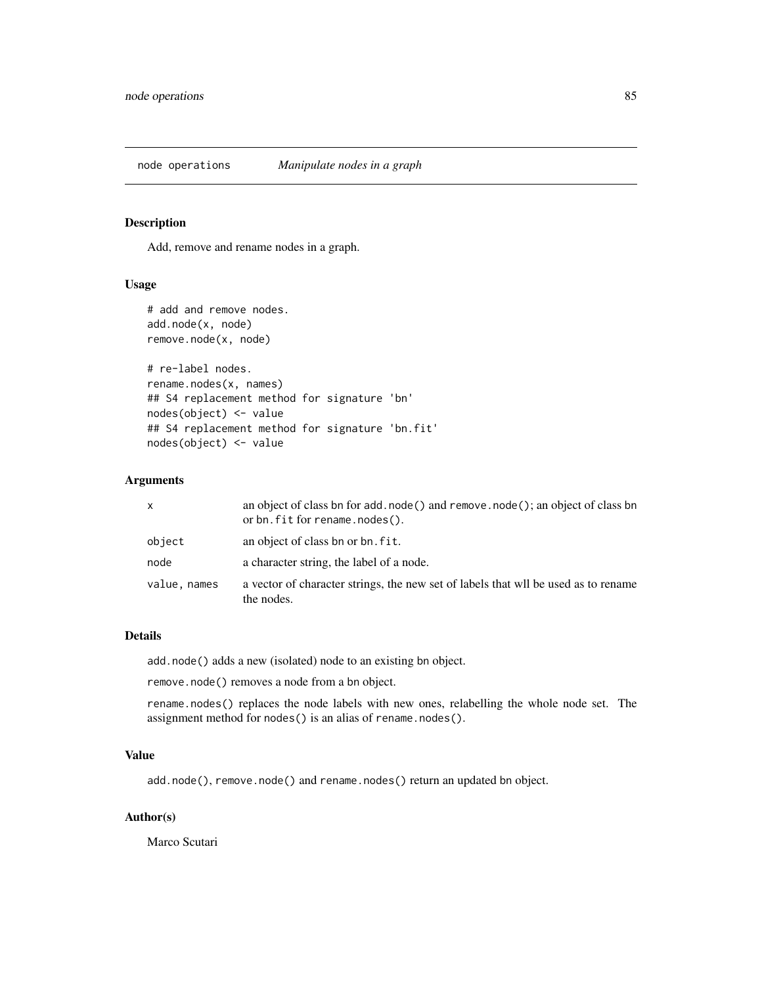node operations *Manipulate nodes in a graph*

#### Description

Add, remove and rename nodes in a graph.

## Usage

```
# add and remove nodes.
add.node(x, node)
remove.node(x, node)
```

```
# re-label nodes.
rename.nodes(x, names)
## S4 replacement method for signature 'bn'
nodes(object) <- value
## S4 replacement method for signature 'bn.fit'
nodes(object) <- value
```
# Arguments

| X            | an object of class bn for add. node () and remove. node (); an object of class bn<br>or bn. fit for rename. nodes(). |
|--------------|----------------------------------------------------------------------------------------------------------------------|
| object       | an object of class bn or bn. fit.                                                                                    |
| node         | a character string, the label of a node.                                                                             |
| value, names | a vector of character strings, the new set of labels that will be used as to rename<br>the nodes.                    |

# Details

add.node() adds a new (isolated) node to an existing bn object.

remove.node() removes a node from a bn object.

rename.nodes() replaces the node labels with new ones, relabelling the whole node set. The assignment method for nodes() is an alias of rename.nodes().

## Value

add.node(), remove.node() and rename.nodes() return an updated bn object.

## Author(s)

Marco Scutari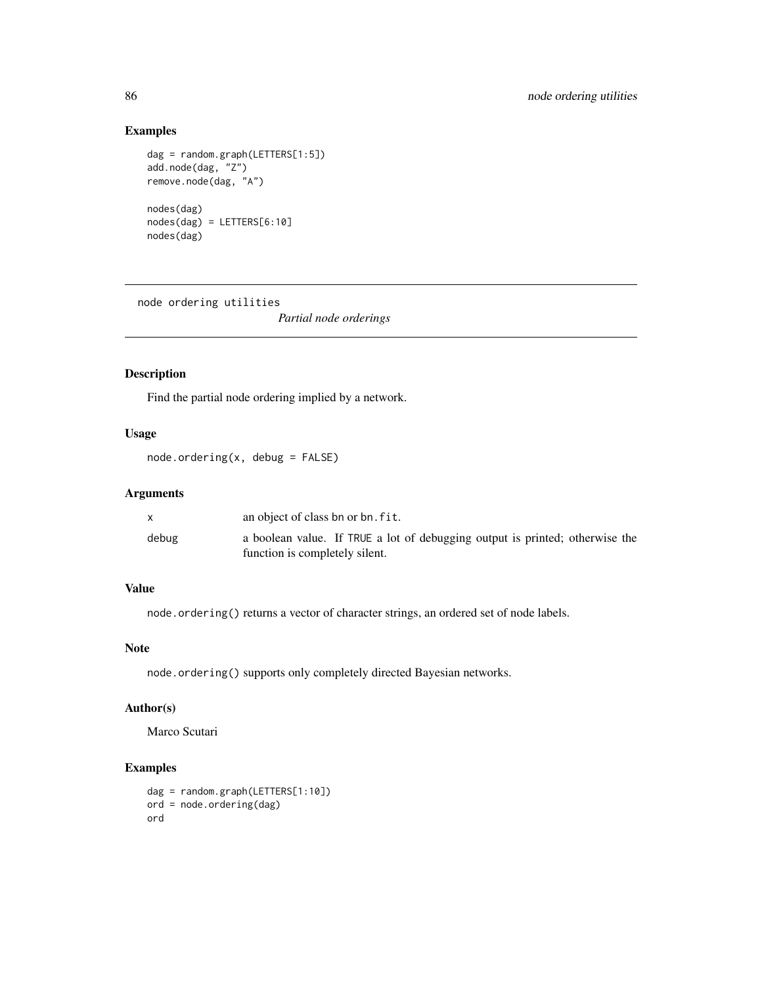# Examples

```
dag = random.graph(LETTERS[1:5])
add.node(dag, "Z")
remove.node(dag, "A")
nodes(dag)
nodes(dag) = LETTERS[6:10]
nodes(dag)
```
node ordering utilities

*Partial node orderings*

# Description

Find the partial node ordering implied by a network.

# Usage

node.ordering(x, debug = FALSE)

# Arguments

|       | an object of class bn or bn. fit.                                            |
|-------|------------------------------------------------------------------------------|
| debug | a boolean value. If TRUE a lot of debugging output is printed; otherwise the |
|       | function is completely silent.                                               |

# Value

node.ordering() returns a vector of character strings, an ordered set of node labels.

# Note

node.ordering() supports only completely directed Bayesian networks.

# Author(s)

Marco Scutari

# Examples

```
dag = random.graph(LETTERS[1:10])
ord = node.ordering(dag)
ord
```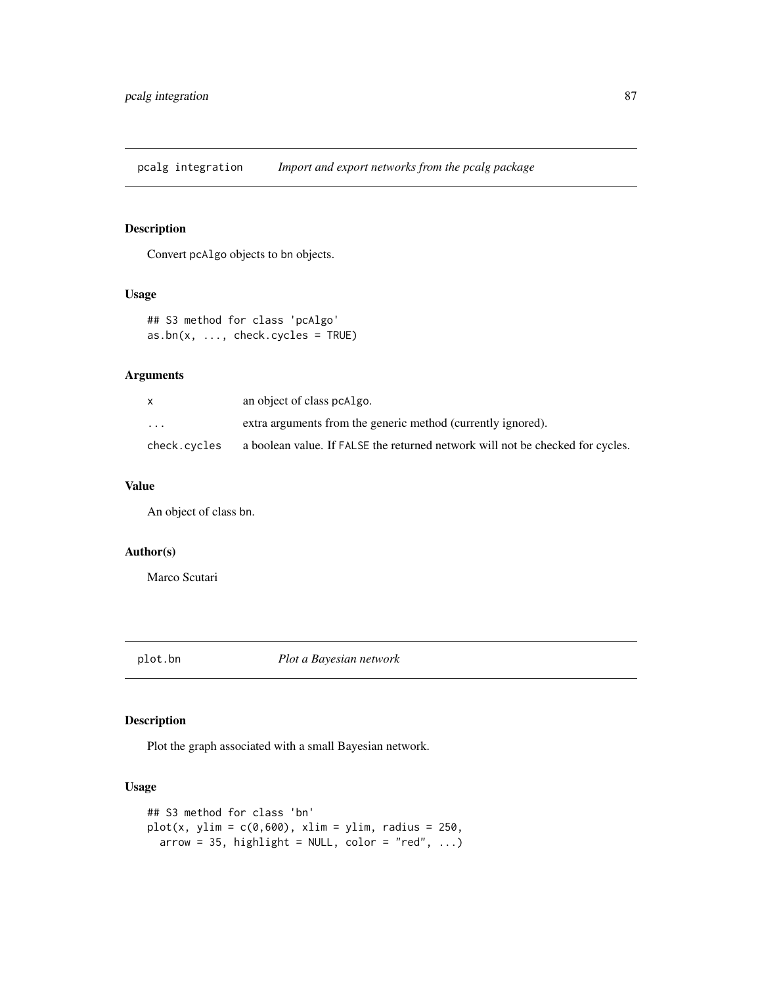pcalg integration *Import and export networks from the pcalg package*

# Description

Convert pcAlgo objects to bn objects.

# Usage

```
## S3 method for class 'pcAlgo'
as.bn(x, ..., check.cycles = TRUE)
```
# Arguments

| $\mathsf{x}$ | an object of class pcAlgo.                                                     |
|--------------|--------------------------------------------------------------------------------|
| .            | extra arguments from the generic method (currently ignored).                   |
| check.cycles | a boolean value. If FALSE the returned network will not be checked for cycles. |

# Value

An object of class bn.

# Author(s)

Marco Scutari

plot.bn *Plot a Bayesian network*

# Description

Plot the graph associated with a small Bayesian network.

# Usage

```
## S3 method for class 'bn'
plot(x, ylim = c(0, 600), xlim = ylim, radius = 250,arrow = 35, highlight = NULL, color = "red", \ldots)
```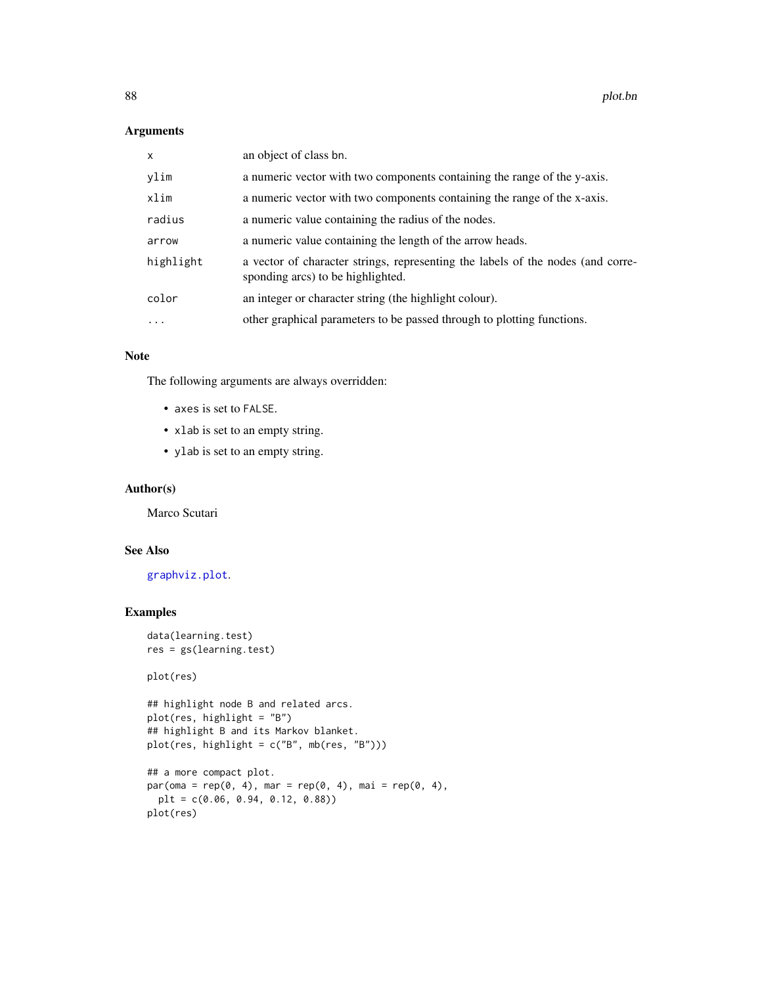# Arguments

| $\mathsf{x}$ | an object of class bn.                                                                                               |
|--------------|----------------------------------------------------------------------------------------------------------------------|
| ylim         | a numeric vector with two components containing the range of the y-axis.                                             |
| xlim         | a numeric vector with two components containing the range of the x-axis.                                             |
| radius       | a numeric value containing the radius of the nodes.                                                                  |
| arrow        | a numeric value containing the length of the arrow heads.                                                            |
| highlight    | a vector of character strings, representing the labels of the nodes (and corre-<br>sponding arcs) to be highlighted. |
| color        | an integer or character string (the highlight colour).                                                               |
| $\ddots$ .   | other graphical parameters to be passed through to plotting functions.                                               |

# Note

The following arguments are always overridden:

- axes is set to FALSE.
- xlab is set to an empty string.
- ylab is set to an empty string.

## Author(s)

Marco Scutari

# See Also

[graphviz.plot](#page-58-0).

# Examples

data(learning.test) res = gs(learning.test)

plot(res)

```
## highlight node B and related arcs.
plot(res, highlight = "B")
## highlight B and its Markov blanket.
plot(res, highlight = c("B", mb(res, "B")))
```

```
## a more compact plot.
par(oma = rep(0, 4), mar = rep(0, 4), mai = rep(0, 4),plt = c(0.06, 0.94, 0.12, 0.88))
plot(res)
```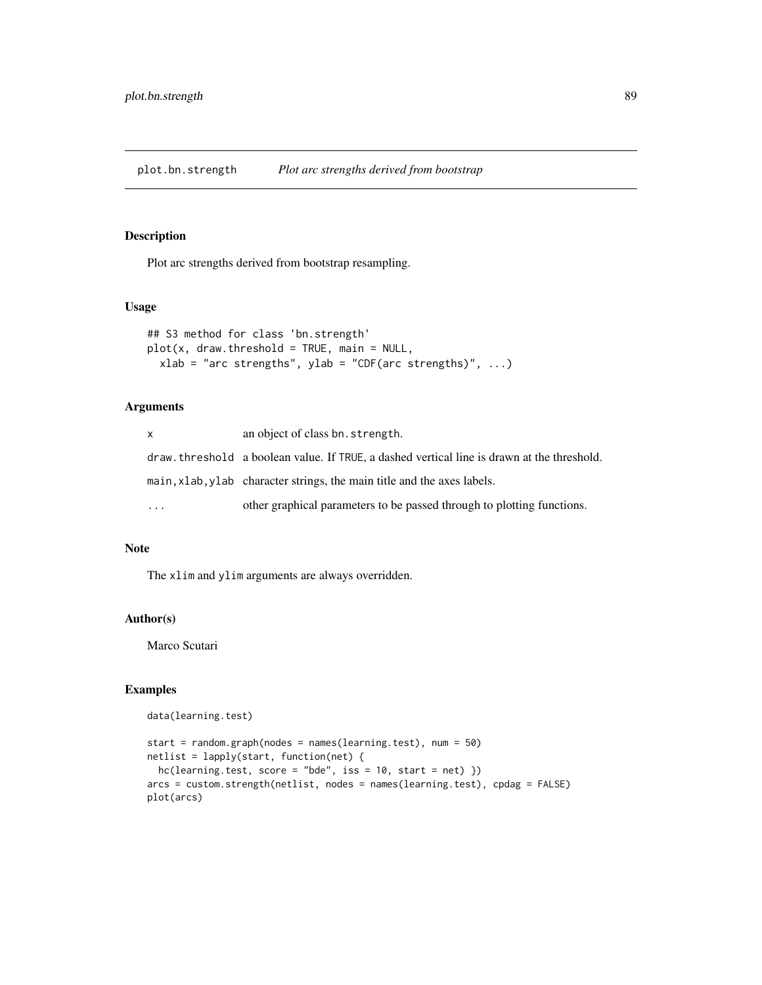plot.bn.strength *Plot arc strengths derived from bootstrap*

## Description

Plot arc strengths derived from bootstrap resampling.

## Usage

```
## S3 method for class 'bn.strength'
plot(x, draw.threshold = TRUE, main = NULL,
  xlab = "arc strengths", ylab = "CDF(arc strengths)", \dots)
```
# Arguments

| x.        | an object of class bn. strength.                                                            |
|-----------|---------------------------------------------------------------------------------------------|
|           | draw, threshold a boolean value. If TRUE, a dashed vertical line is drawn at the threshold. |
|           | main, xlab, ylab character strings, the main title and the axes labels.                     |
| $\ddotsc$ | other graphical parameters to be passed through to plotting functions.                      |

# Note

The xlim and ylim arguments are always overridden.

## Author(s)

Marco Scutari

# Examples

```
data(learning.test)
```

```
start = random.graph(nodes = names(learning.test), num = 50)
netlist = lapply(start, function(net) {
  hc(learning.test, score = "bde", iss = 10, start = net) })arcs = custom.strength(netlist, nodes = names(learning.test), cpdag = FALSE)
plot(arcs)
```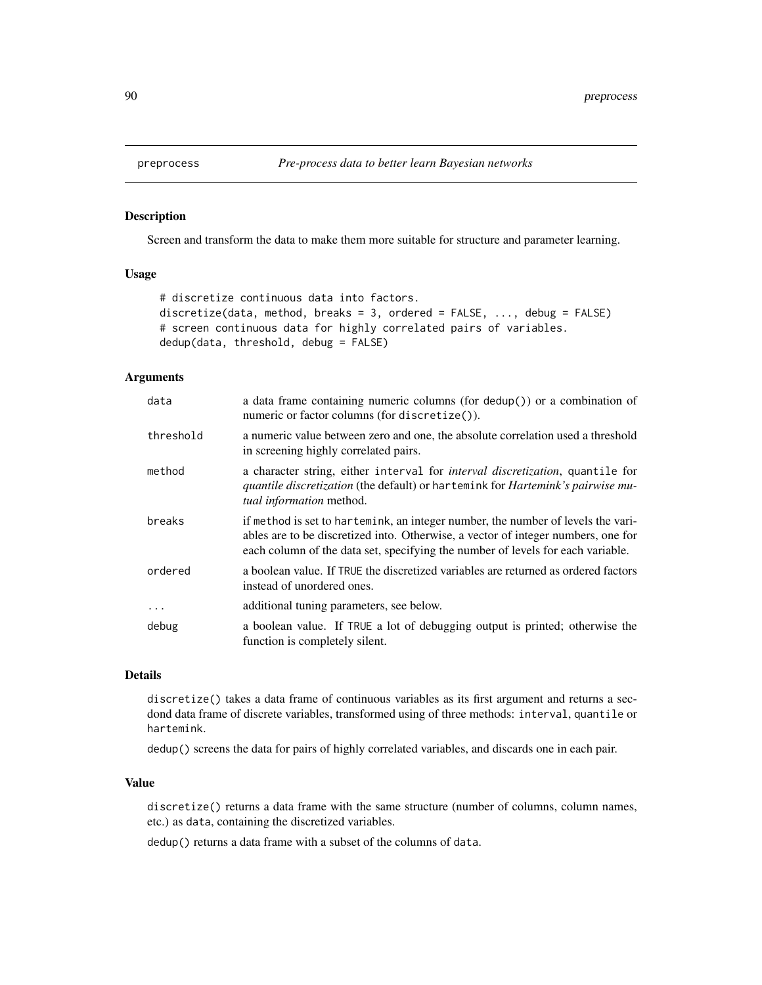#### **Description**

Screen and transform the data to make them more suitable for structure and parameter learning.

# Usage

```
# discretize continuous data into factors.
discretize(data, method, breaks = 3, ordered = FALSE, ..., debug = FALSE)
# screen continuous data for highly correlated pairs of variables.
dedup(data, threshold, debug = FALSE)
```
# Arguments

| data      | a data frame containing numeric columns (for $\text{dedup}()$ ) or a combination of<br>numeric or factor columns (for discretize()).                                                                                                                     |
|-----------|----------------------------------------------------------------------------------------------------------------------------------------------------------------------------------------------------------------------------------------------------------|
| threshold | a numeric value between zero and one, the absolute correlation used a threshold<br>in screening highly correlated pairs.                                                                                                                                 |
| method    | a character string, either interval for <i>interval discretization</i> , quantile for<br>quantile discretization (the default) or hartemink for Hartemink's pairwise mu-<br>tual information method.                                                     |
| breaks    | if method is set to hartemink, an integer number, the number of levels the vari-<br>ables are to be discretized into. Otherwise, a vector of integer numbers, one for<br>each column of the data set, specifying the number of levels for each variable. |
| ordered   | a boolean value. If TRUE the discretized variables are returned as ordered factors<br>instead of unordered ones.                                                                                                                                         |
| $\cdots$  | additional tuning parameters, see below.                                                                                                                                                                                                                 |
| debug     | a boolean value. If TRUE a lot of debugging output is printed; otherwise the<br>function is completely silent.                                                                                                                                           |

#### Details

discretize() takes a data frame of continuous variables as its first argument and returns a secdond data frame of discrete variables, transformed using of three methods: interval, quantile or hartemink.

dedup() screens the data for pairs of highly correlated variables, and discards one in each pair.

# Value

discretize() returns a data frame with the same structure (number of columns, column names, etc.) as data, containing the discretized variables.

dedup() returns a data frame with a subset of the columns of data.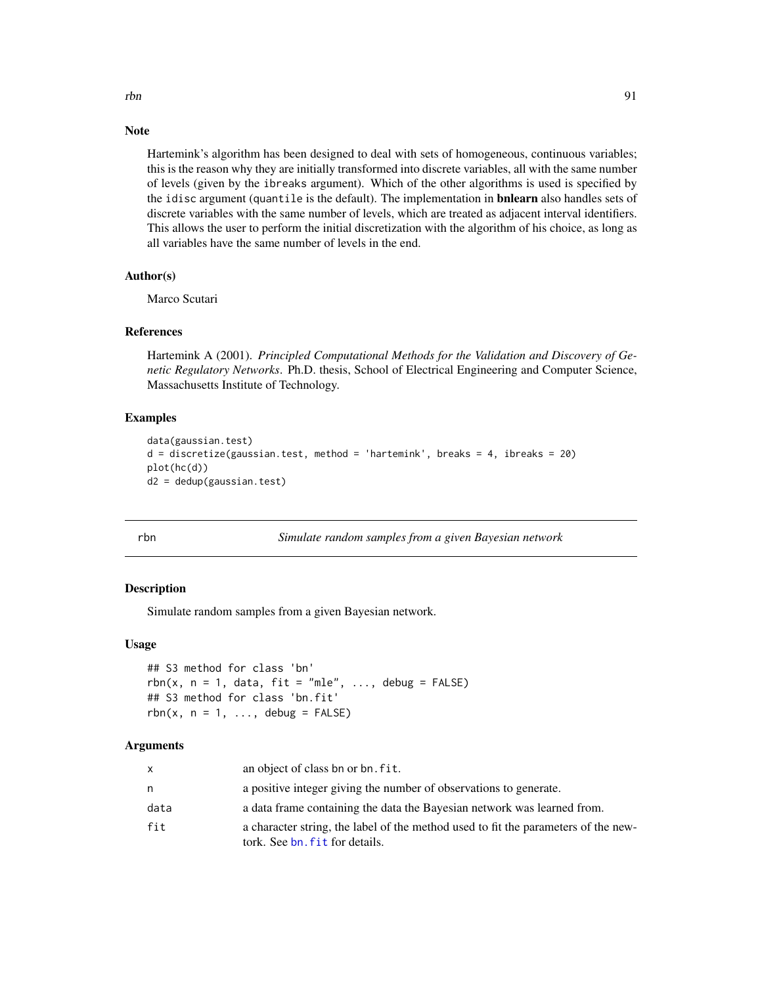#### Note

Hartemink's algorithm has been designed to deal with sets of homogeneous, continuous variables; this is the reason why they are initially transformed into discrete variables, all with the same number of levels (given by the ibreaks argument). Which of the other algorithms is used is specified by the idisc argument (quantile is the default). The implementation in **bnlearn** also handles sets of discrete variables with the same number of levels, which are treated as adjacent interval identifiers. This allows the user to perform the initial discretization with the algorithm of his choice, as long as all variables have the same number of levels in the end.

## Author(s)

Marco Scutari

#### References

Hartemink A (2001). *Principled Computational Methods for the Validation and Discovery of Genetic Regulatory Networks*. Ph.D. thesis, School of Electrical Engineering and Computer Science, Massachusetts Institute of Technology.

## Examples

```
data(gaussian.test)
d = discretize(gaussian.test, method = 'hartemink', breaks = 4, ibreaks = 20)
plot(hc(d))
d2 = dedup(gaussian.test)
```

| ۰. |   |  |
|----|---|--|
|    | I |  |

## rbn *Simulate random samples from a given Bayesian network*

# Description

Simulate random samples from a given Bayesian network.

## Usage

```
## S3 method for class 'bn'
rbn(x, n = 1, data, fit = "mle", ..., delay = FALSE)## S3 method for class 'bn.fit'
rbn(x, n = 1, \ldots, debug = FALSE)
```
#### Arguments

| $\mathsf{x}$ | an object of class bn or bn. fit.                                                                                    |
|--------------|----------------------------------------------------------------------------------------------------------------------|
| n.           | a positive integer giving the number of observations to generate.                                                    |
| data         | a data frame containing the data the Bayesian network was learned from.                                              |
| fit          | a character string, the label of the method used to fit the parameters of the new-<br>tork. See bn, fit for details. |

rbn 91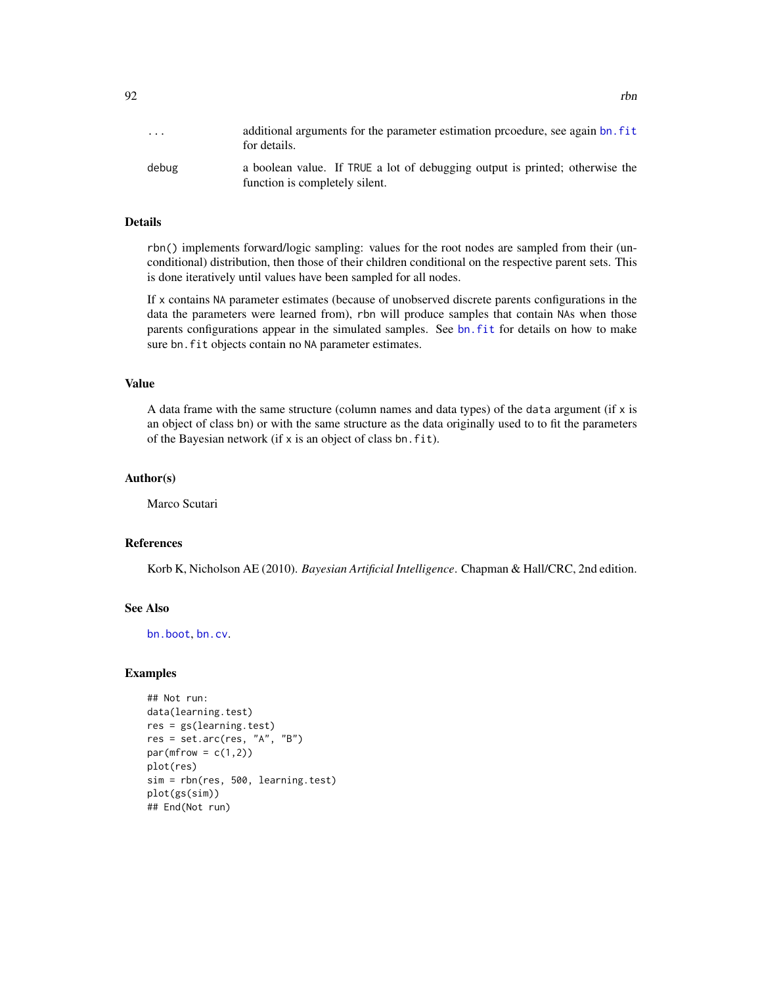| $\cdots$ | additional arguments for the parameter estimation prooedure, see again bn. fit<br>for details.                 |
|----------|----------------------------------------------------------------------------------------------------------------|
| debug    | a boolean value. If TRUE a lot of debugging output is printed; otherwise the<br>function is completely silent. |

## **Details**

rbn() implements forward/logic sampling: values for the root nodes are sampled from their (unconditional) distribution, then those of their children conditional on the respective parent sets. This is done iteratively until values have been sampled for all nodes.

If x contains NA parameter estimates (because of unobserved discrete parents configurations in the data the parameters were learned from), rbn will produce samples that contain NAs when those parents configurations appear in the simulated samples. See [bn.fit](#page-21-0) for details on how to make sure bn. fit objects contain no NA parameter estimates.

#### Value

A data frame with the same structure (column names and data types) of the data argument (if  $x$  is an object of class bn) or with the same structure as the data originally used to to fit the parameters of the Bayesian network (if x is an object of class bn.fit).

## Author(s)

Marco Scutari

## References

Korb K, Nicholson AE (2010). *Bayesian Artificial Intelligence*. Chapman & Hall/CRC, 2nd edition.

# See Also

[bn.boot](#page-16-0), [bn.cv](#page-17-0).

## Examples

```
## Not run:
data(learning.test)
res = gs(learning.test)
res = set.arc(res, "A", "B")
par(mfrow = c(1,2))plot(res)
sim = rbn(res, 500, learning.test)
plot(gs(sim))
## End(Not run)
```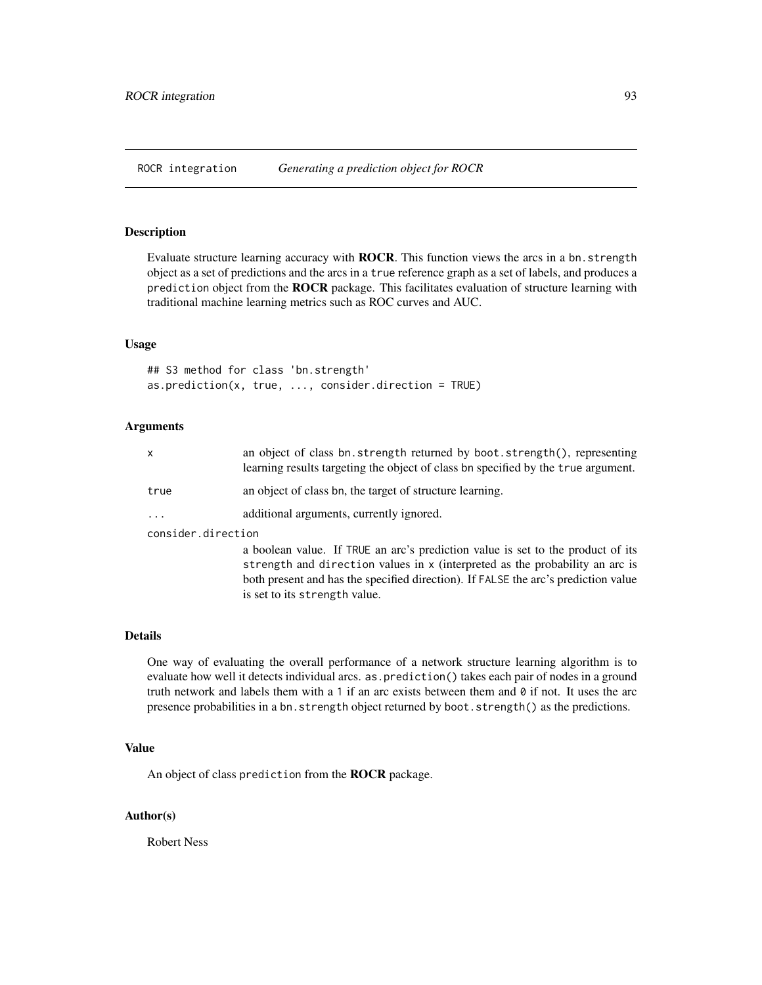ROCR integration *Generating a prediction object for ROCR*

# Description

Evaluate structure learning accuracy with **ROCR**. This function views the arcs in a bn.strength object as a set of predictions and the arcs in a true reference graph as a set of labels, and produces a prediction object from the ROCR package. This facilitates evaluation of structure learning with traditional machine learning metrics such as ROC curves and AUC.

## Usage

```
## S3 method for class 'bn.strength'
as.prediction(x, true, ..., consider.direction = TRUE)
```
is set to its strength value.

## Arguments

| x                  | an object of class bn.strength returned by boot.strength(), representing<br>learning results targeting the object of class bn specified by the true argument.                                                                                         |  |
|--------------------|-------------------------------------------------------------------------------------------------------------------------------------------------------------------------------------------------------------------------------------------------------|--|
| true               | an object of class bn, the target of structure learning.                                                                                                                                                                                              |  |
| $\ddots$ .         | additional arguments, currently ignored.                                                                                                                                                                                                              |  |
| consider.direction |                                                                                                                                                                                                                                                       |  |
|                    | a boolean value. If TRUE an arc's prediction value is set to the product of its<br>strength and direction values in x (interpreted as the probability an arc is<br>both present and has the specified direction). If FALSE the arc's prediction value |  |

## Details

One way of evaluating the overall performance of a network structure learning algorithm is to evaluate how well it detects individual arcs. as.prediction() takes each pair of nodes in a ground truth network and labels them with a 1 if an arc exists between them and  $\theta$  if not. It uses the arc presence probabilities in a bn.strength object returned by boot.strength() as the predictions.

#### Value

An object of class prediction from the ROCR package.

# Author(s)

Robert Ness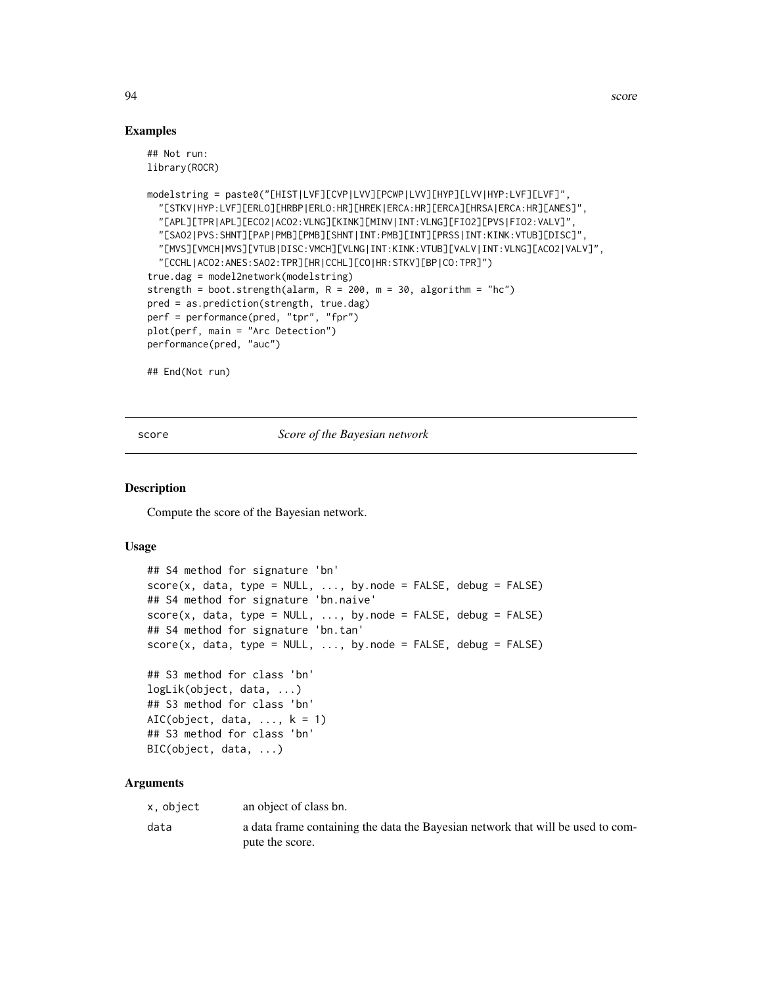94 score

## Examples

```
## Not run:
library(ROCR)
modelstring = paste0("[HIST|LVF][CVP|LVV][PCWP|LVV][HYP][LVV|HYP:LVF][LVF]",
  "[STKV|HYP:LVF][ERLO][HRBP|ERLO:HR][HREK|ERCA:HR][ERCA][HRSA|ERCA:HR][ANES]",
  "[APL][TPR|APL][ECO2|ACO2:VLNG][KINK][MINV|INT:VLNG][FIO2][PVS|FIO2:VALV]",
  "[SAO2|PVS:SHNT][PAP|PMB][PMB][SHNT|INT:PMB][INT][PRSS|INT:KINK:VTUB][DISC]",
  "[MVS][VMCH|MVS][VTUB|DISC:VMCH][VLNG|INT:KINK:VTUB][VALV|INT:VLNG][ACO2|VALV]",
  "[CCHL|ACO2:ANES:SAO2:TPR][HR|CCHL][CO|HR:STKV][BP|CO:TPR]")
true.dag = model2network(modelstring)
strength = boot.strength(alarm, R = 200, m = 30, algorithm = "hc")
pred = as.prediction(strength, true.dag)
perf = performance(pred, "tpr", "fpr")
plot(perf, main = "Arc Detection")
performance(pred, "auc")
## End(Not run)
```
<span id="page-93-0"></span>

score *Score of the Bayesian network*

#### **Description**

Compute the score of the Bayesian network.

#### Usage

```
## S4 method for signature 'bn'
score(x, data, type = NULL, ..., bynode = FALSE, debug = FALSE)## S4 method for signature 'bn.naive'
score(x, data, type = NULL, ..., bynode = FALSE, delay = FALSE)## S4 method for signature 'bn.tan'
score(x, data, type = NULL, ..., bynode = FALSE, debug = FALSE)## S3 method for class 'bn'
logLik(object, data, ...)
## S3 method for class 'bn'
AIC(object, data, \dots, k = 1)
## S3 method for class 'bn'
BIC(object, data, ...)
```
#### Arguments

| x, object | an object of class bn.                                                          |
|-----------|---------------------------------------------------------------------------------|
| data      | a data frame containing the data the Bayesian network that will be used to com- |
|           | pute the score.                                                                 |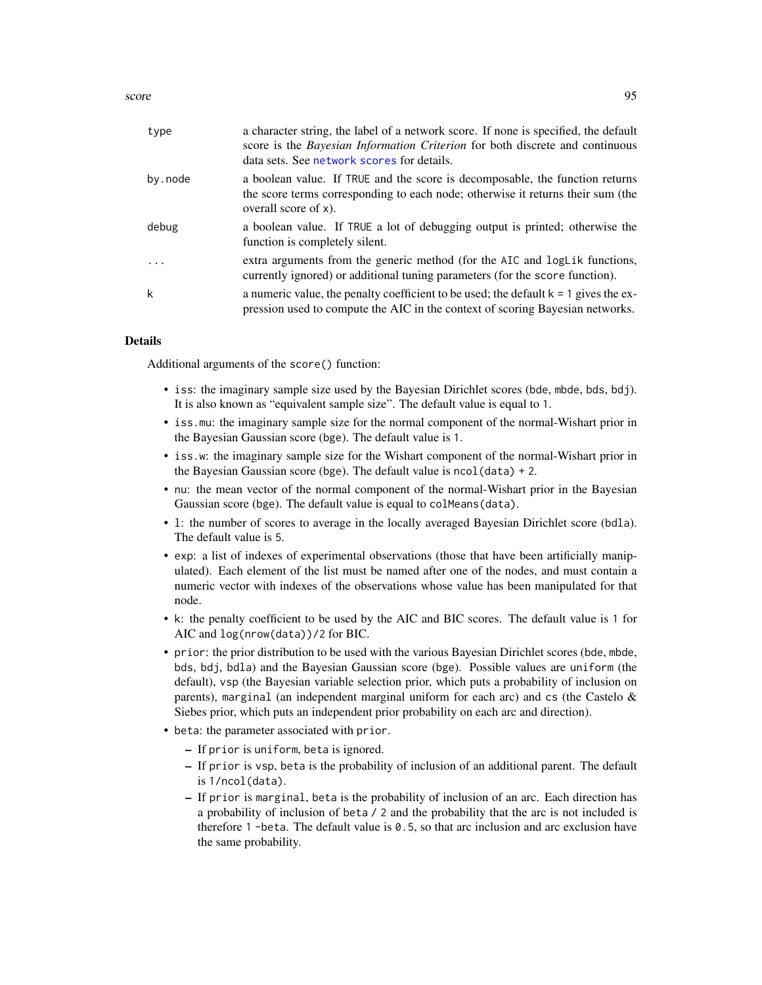score  $\sim$  95

| type     | a character string, the label of a network score. If none is specified, the default<br>score is the <i>Bayesian Information Criterion</i> for both discrete and continuous<br>data sets. See network scores for details. |
|----------|--------------------------------------------------------------------------------------------------------------------------------------------------------------------------------------------------------------------------|
| by.node  | a boolean value. If TRUE and the score is decomposable, the function returns<br>the score terms corresponding to each node; otherwise it returns their sum (the<br>overall score of $x$ ).                               |
| debug    | a boolean value. If TRUE a lot of debugging output is printed; otherwise the<br>function is completely silent.                                                                                                           |
| $\ddots$ | extra arguments from the generic method (for the AIC and logLik functions,<br>currently ignored) or additional tuning parameters (for the score function).                                                               |
| k        | a numeric value, the penalty coefficient to be used; the default $k = 1$ gives the ex-<br>pression used to compute the AIC in the context of scoring Bayesian networks.                                                  |

#### Details

Additional arguments of the score() function:

- iss: the imaginary sample size used by the Bayesian Dirichlet scores (bde, mbde, bds, bdj). It is also known as "equivalent sample size". The default value is equal to 1.
- iss.mu: the imaginary sample size for the normal component of the normal-Wishart prior in the Bayesian Gaussian score (bge). The default value is 1.
- iss.w: the imaginary sample size for the Wishart component of the normal-Wishart prior in the Bayesian Gaussian score (bge). The default value is ncol(data) + 2.
- nu: the mean vector of the normal component of the normal-Wishart prior in the Bayesian Gaussian score (bge). The default value is equal to colMeans(data).
- l: the number of scores to average in the locally averaged Bayesian Dirichlet score (bdla). The default value is 5.
- exp: a list of indexes of experimental observations (those that have been artificially manipulated). Each element of the list must be named after one of the nodes, and must contain a numeric vector with indexes of the observations whose value has been manipulated for that node.
- k: the penalty coefficient to be used by the AIC and BIC scores. The default value is 1 for AIC and log(nrow(data))/2 for BIC.
- prior: the prior distribution to be used with the various Bayesian Dirichlet scores (bde, mbde, bds, bdj, bdla) and the Bayesian Gaussian score (bge). Possible values are uniform (the default), vsp (the Bayesian variable selection prior, which puts a probability of inclusion on parents), marginal (an independent marginal uniform for each arc) and cs (the Castelo & Siebes prior, which puts an independent prior probability on each arc and direction).
- beta: the parameter associated with prior.
	- If prior is uniform, beta is ignored.
	- If prior is vsp, beta is the probability of inclusion of an additional parent. The default is 1/ncol(data).
	- If prior is marginal, beta is the probability of inclusion of an arc. Each direction has a probability of inclusion of beta / 2 and the probability that the arc is not included is therefore 1 -beta. The default value is 0.5, so that arc inclusion and arc exclusion have the same probability.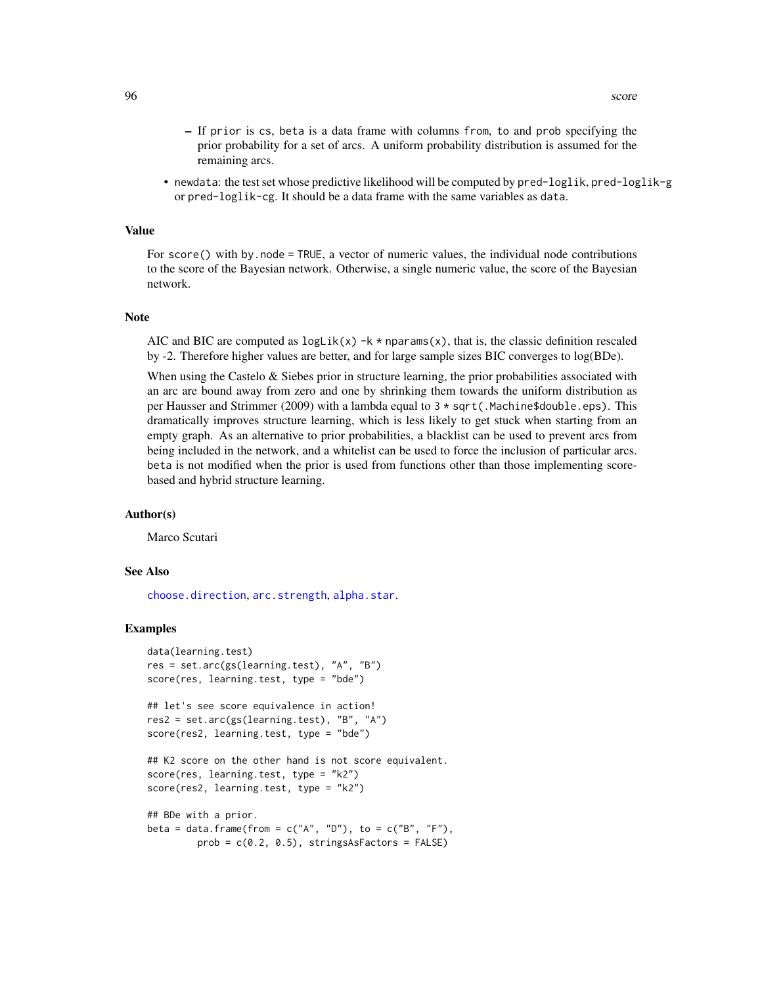- If prior is cs, beta is a data frame with columns from, to and prob specifying the prior probability for a set of arcs. A uniform probability distribution is assumed for the remaining arcs.
- newdata: the test set whose predictive likelihood will be computed by pred-loglik, pred-loglik-g or pred-loglik-cg. It should be a data frame with the same variables as data.

## Value

For score() with by.node = TRUE, a vector of numeric values, the individual node contributions to the score of the Bayesian network. Otherwise, a single numeric value, the score of the Bayesian network.

#### Note

AIC and BIC are computed as  $loglik(x) -k * nparams(x)$ , that is, the classic definition rescaled by -2. Therefore higher values are better, and for large sample sizes BIC converges to log(BDe).

When using the Castelo & Siebes prior in structure learning, the prior probabilities associated with an arc are bound away from zero and one by shrinking them towards the uniform distribution as per Hausser and Strimmer (2009) with a lambda equal to  $3 \times \sqrt{3}$  (Machine\$double.eps). This dramatically improves structure learning, which is less likely to get stuck when starting from an empty graph. As an alternative to prior probabilities, a blacklist can be used to prevent arcs from being included in the network, and a whitelist can be used to force the inclusion of particular arcs. beta is not modified when the prior is used from functions other than those implementing scorebased and hybrid structure learning.

#### Author(s)

Marco Scutari

## See Also

[choose.direction](#page-31-0), [arc.strength](#page-9-0), [alpha.star](#page-6-0).

## Examples

```
data(learning.test)
res = set.arc(gs(learning.test), "A", "B")
score(res, learning.test, type = "bde")
## let's see score equivalence in action!
res2 = set.arc(gs(learning.test), "B", "A")
score(res2, learning.test, type = "bde")
## K2 score on the other hand is not score equivalent.
score(res, learning.test, type = "k2")
score(res2, learning.test, type = "k2")
## BDe with a prior.
beta = data.frame(from = c("A", "D"), to = c("B", "F"),
         prob = c(0.2, 0.5), stringsAsFactors = FALSE)
```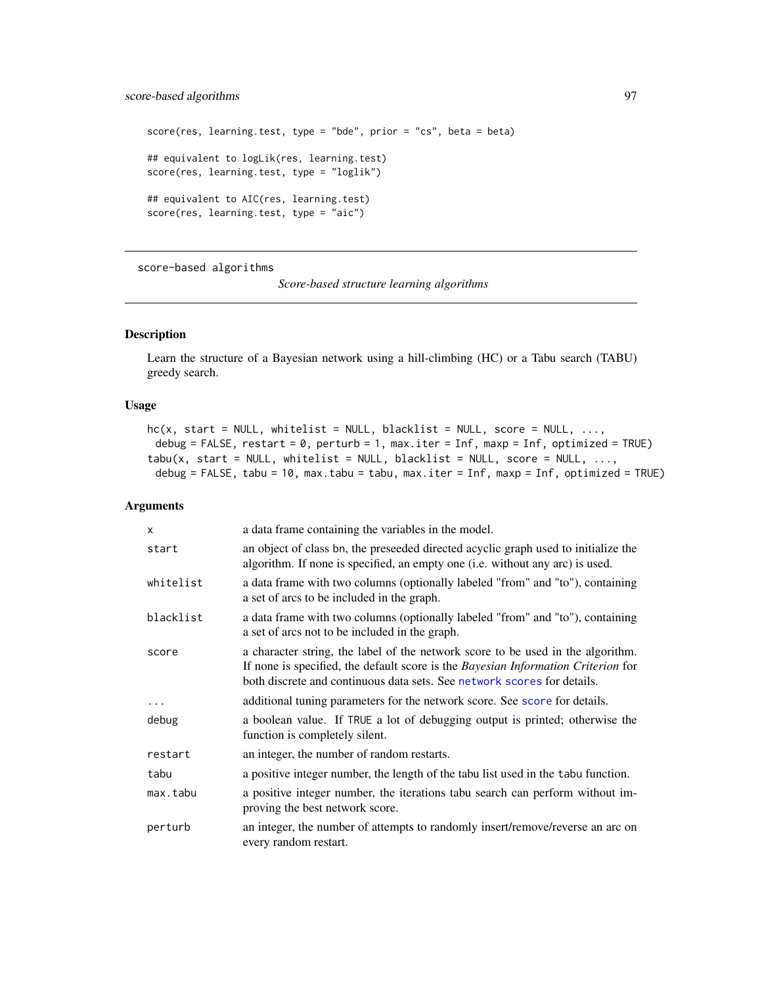```
score(res, learning.test, type = "bde", prior = "cs", beta = beta)
## equivalent to logLik(res, learning.test)
score(res, learning.test, type = "loglik")
## equivalent to AIC(res, learning.test)
score(res, learning.test, type = "aic")
```
<span id="page-96-0"></span>score-based algorithms

*Score-based structure learning algorithms*

# <span id="page-96-1"></span>Description

Learn the structure of a Bayesian network using a hill-climbing (HC) or a Tabu search (TABU) greedy search.

## Usage

```
hc(x, start = NULL, whitelist = NULL, blacklist = NULL, score = NULL, ...,debug = FALSE, restart = 0, perturb = 1, max.iter = Inf, maxp = Inf, optimized = TRUE)
tabu(x, start = NULL, whitelist = NULL, blacklist = NULL, score = NULL, ...,
 debug = FALSE, tabu = 10, max.tabu = tabu, max.iter = Inf, maxp = Inf, optimized = TRUE)
```
# Arguments

| $\mathsf{x}$ | a data frame containing the variables in the model.                                                                                                                                                                                             |
|--------------|-------------------------------------------------------------------------------------------------------------------------------------------------------------------------------------------------------------------------------------------------|
| start        | an object of class bn, the preseeded directed acyclic graph used to initialize the<br>algorithm. If none is specified, an empty one (i.e. without any arc) is used.                                                                             |
| whitelist    | a data frame with two columns (optionally labeled "from" and "to"), containing<br>a set of arcs to be included in the graph.                                                                                                                    |
| blacklist    | a data frame with two columns (optionally labeled "from" and "to"), containing<br>a set of arcs not to be included in the graph.                                                                                                                |
| score        | a character string, the label of the network score to be used in the algorithm.<br>If none is specified, the default score is the Bayesian Information Criterion for<br>both discrete and continuous data sets. See network scores for details. |
| $\cdots$     | additional tuning parameters for the network score. See score for details.                                                                                                                                                                      |
| debug        | a boolean value. If TRUE a lot of debugging output is printed; otherwise the<br>function is completely silent.                                                                                                                                  |
| restart      | an integer, the number of random restarts.                                                                                                                                                                                                      |
| tabu         | a positive integer number, the length of the tabu list used in the tabu function.                                                                                                                                                               |
| max.tabu     | a positive integer number, the iterations tabu search can perform without im-<br>proving the best network score.                                                                                                                                |
| perturb      | an integer, the number of attempts to randomly insert/remove/reverse an arc on<br>every random restart.                                                                                                                                         |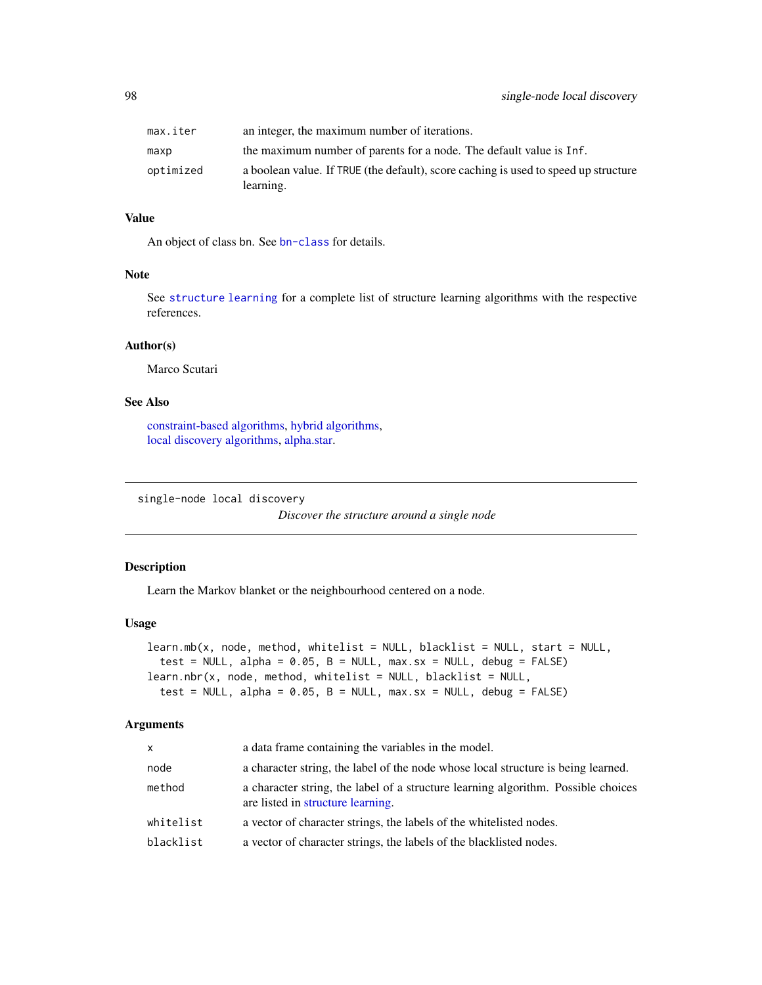| max.iter  | an integer, the maximum number of iterations.                                                    |
|-----------|--------------------------------------------------------------------------------------------------|
| maxp      | the maximum number of parents for a node. The default value is Inf.                              |
| optimized | a boolean value. If TRUE (the default), score caching is used to speed up structure<br>learning. |

# Value

An object of class bn. See [bn-class](#page-14-0) for details.

# Note

See [structure learning](#page-102-0) for a complete list of structure learning algorithms with the respective references.

# Author(s)

Marco Scutari

# See Also

[constraint-based algorithms,](#page-37-0) [hybrid algorithms,](#page-63-0) [local discovery algorithms,](#page-73-0) [alpha.star.](#page-6-0)

single-node local discovery

*Discover the structure around a single node*

## Description

Learn the Markov blanket or the neighbourhood centered on a node.

#### Usage

```
learn.mb(x, node, method, whitelist = NULL, blacklist = NULL, start = NULL,
  test = NULL, alpha = 0.05, B = NULL, max.sx = NULL, debug = FALSE)
learn.nbr(x, node, method, whitelist = NULL, blacklist = NULL,
  test = NULL, alpha = 0.05, B = NULL, max.sx = NULL, debug = FALSE)
```
# Arguments

| X         | a data frame containing the variables in the model.                                                                    |
|-----------|------------------------------------------------------------------------------------------------------------------------|
| node      | a character string, the label of the node whose local structure is being learned.                                      |
| method    | a character string, the label of a structure learning algorithm. Possible choices<br>are listed in structure learning. |
| whitelist | a vector of character strings, the labels of the white listed nodes.                                                   |
| blacklist | a vector of character strings, the labels of the blacklisted nodes.                                                    |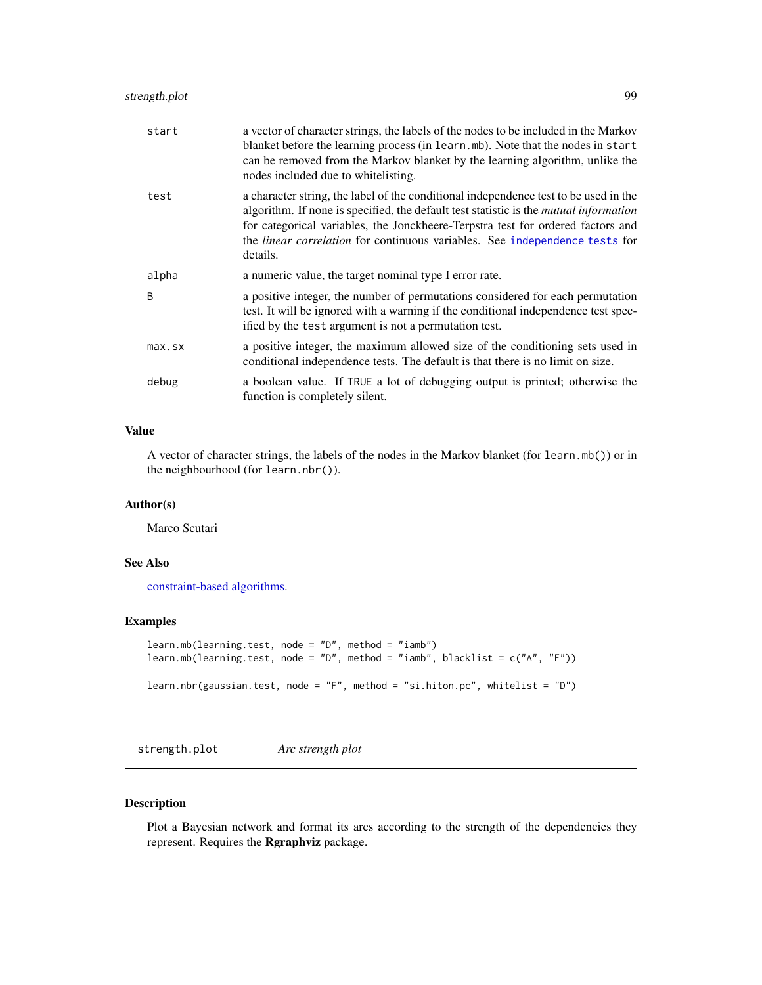| start        | a vector of character strings, the labels of the nodes to be included in the Markov<br>blanket before the learning process (in learn.mb). Note that the nodes in start<br>can be removed from the Markov blanket by the learning algorithm, unlike the<br>nodes included due to white listing.                                                                            |
|--------------|---------------------------------------------------------------------------------------------------------------------------------------------------------------------------------------------------------------------------------------------------------------------------------------------------------------------------------------------------------------------------|
| test         | a character string, the label of the conditional independence test to be used in the<br>algorithm. If none is specified, the default test statistic is the <i>mutual information</i><br>for categorical variables, the Jonckheere-Terpstra test for ordered factors and<br>the <i>linear correlation</i> for continuous variables. See independence tests for<br>details. |
| alpha        | a numeric value, the target nominal type I error rate.                                                                                                                                                                                                                                                                                                                    |
| <sub>B</sub> | a positive integer, the number of permutations considered for each permutation<br>test. It will be ignored with a warning if the conditional independence test spec-<br>ified by the test argument is not a permutation test.                                                                                                                                             |
| $max$ . $sx$ | a positive integer, the maximum allowed size of the conditioning sets used in<br>conditional independence tests. The default is that there is no limit on size.                                                                                                                                                                                                           |
| debug        | a boolean value. If TRUE a lot of debugging output is printed; otherwise the<br>function is completely silent.                                                                                                                                                                                                                                                            |

# Value

A vector of character strings, the labels of the nodes in the Markov blanket (for learn.mb()) or in the neighbourhood (for learn.nbr()).

## Author(s)

Marco Scutari

# See Also

[constraint-based algorithms.](#page-37-0)

# Examples

```
learn.mb(learning.test, node = "D", method = "iamb")
learn.mb(learning.test, node = "D", method = "iamb", blacklist = c("A", "F"))
learn.nbr(gaussian.test, node = "F", method = "si.hiton.pc", whitelist = "D")
```
strength.plot *Arc strength plot*

## Description

Plot a Bayesian network and format its arcs according to the strength of the dependencies they represent. Requires the Rgraphviz package.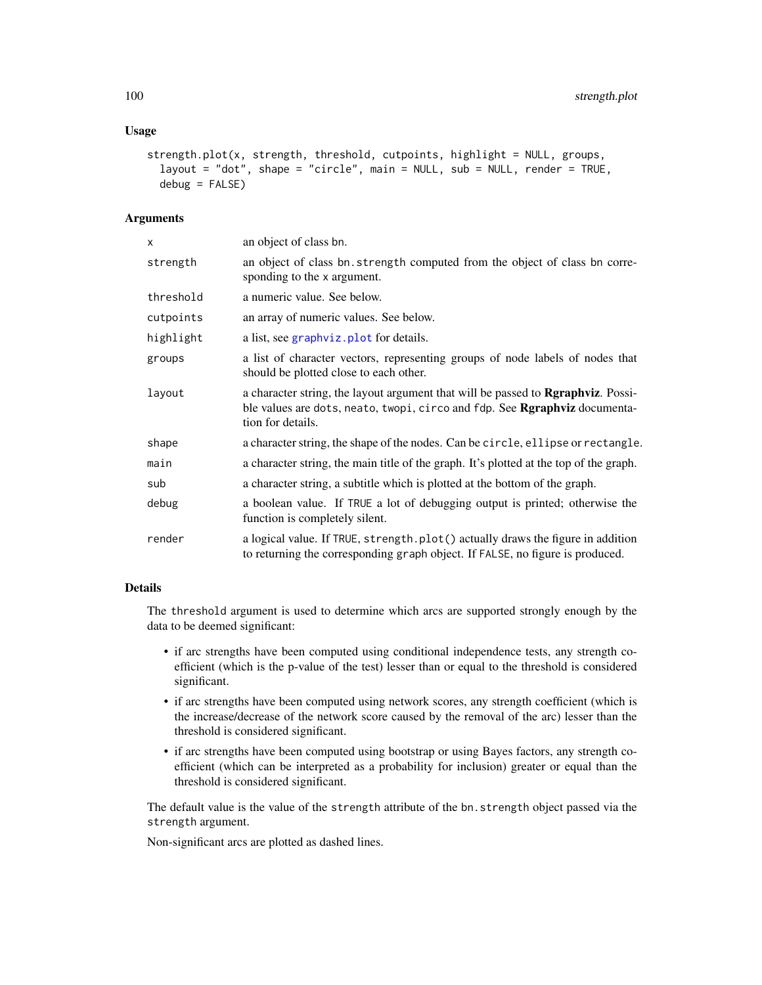## Usage

```
strength.plot(x, strength, threshold, cutpoints, highlight = NULL, groups,
  layout = "dot", shape = "circle", main = NULL, sub = NULL, render = TRUE,
  debug = FALSE)
```
# Arguments

| X.        | an object of class bn.                                                                                                                                                                        |
|-----------|-----------------------------------------------------------------------------------------------------------------------------------------------------------------------------------------------|
| strength  | an object of class bn. strength computed from the object of class bn corre-<br>sponding to the x argument.                                                                                    |
| threshold | a numeric value. See below.                                                                                                                                                                   |
| cutpoints | an array of numeric values. See below.                                                                                                                                                        |
| highlight | a list, see graphyiz. plot for details.                                                                                                                                                       |
| groups    | a list of character vectors, representing groups of node labels of nodes that<br>should be plotted close to each other.                                                                       |
| layout    | a character string, the layout argument that will be passed to <b>Repraphyliz</b> . Possi-<br>ble values are dots, neato, twopi, circo and fdp. See Rgraphviz documenta-<br>tion for details. |
| shape     | a character string, the shape of the nodes. Can be circle, ellipse or rectangle.                                                                                                              |
| main      | a character string, the main title of the graph. It's plotted at the top of the graph.                                                                                                        |
| sub       | a character string, a subtitle which is plotted at the bottom of the graph.                                                                                                                   |
| debug     | a boolean value. If TRUE a lot of debugging output is printed; otherwise the<br>function is completely silent.                                                                                |
| render    | a logical value. If TRUE, strength.plot() actually draws the figure in addition<br>to returning the corresponding graph object. If FALSE, no figure is produced.                              |
|           |                                                                                                                                                                                               |

# Details

The threshold argument is used to determine which arcs are supported strongly enough by the data to be deemed significant:

- if arc strengths have been computed using conditional independence tests, any strength coefficient (which is the p-value of the test) lesser than or equal to the threshold is considered significant.
- if arc strengths have been computed using network scores, any strength coefficient (which is the increase/decrease of the network score caused by the removal of the arc) lesser than the threshold is considered significant.
- if arc strengths have been computed using bootstrap or using Bayes factors, any strength coefficient (which can be interpreted as a probability for inclusion) greater or equal than the threshold is considered significant.

The default value is the value of the strength attribute of the bn.strength object passed via the strength argument.

Non-significant arcs are plotted as dashed lines.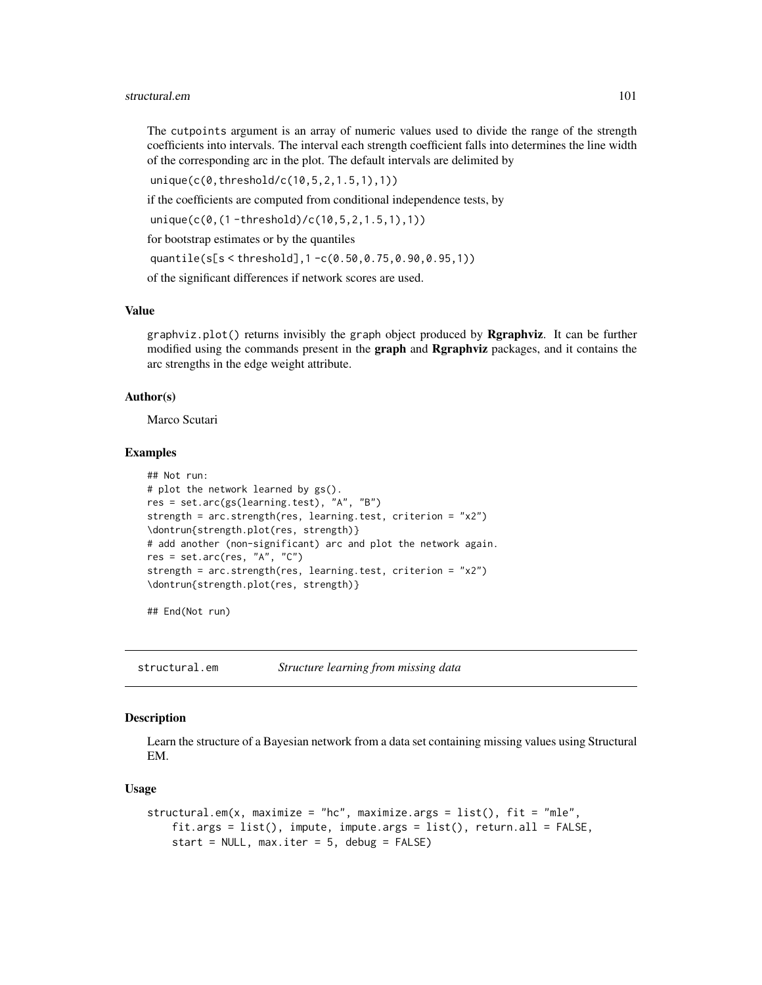The cutpoints argument is an array of numeric values used to divide the range of the strength coefficients into intervals. The interval each strength coefficient falls into determines the line width of the corresponding arc in the plot. The default intervals are delimited by

unique(c(0,threshold/c(10,5,2,1.5,1),1))

if the coefficients are computed from conditional independence tests, by

unique(c(0,(1 -threshold)/c(10,5,2,1.5,1),1))

for bootstrap estimates or by the quantiles

quantile(s[s < threshold],1 -c(0.50,0.75,0.90,0.95,1))

of the significant differences if network scores are used.

## Value

 $graphviz.plot()$  returns invisibly the graph object produced by  $Rgraphviz$ . It can be further modified using the commands present in the **graph** and **Rgraphviz** packages, and it contains the arc strengths in the edge weight attribute.

## Author(s)

Marco Scutari

## Examples

```
## Not run:
# plot the network learned by gs().
res = set.arc(gs(learning.test), "A", "B")
strength = arc.strength(res, learning.test, criterion = "x2")
\dontrun{strength.plot(res, strength)}
# add another (non-significant) arc and plot the network again.
res = set.archive, "A", "C")strength = arc.strength(res, learning.test, criterion = "x2")
\dontrun{strength.plot(res, strength)}
```
## End(Not run)

structural.em *Structure learning from missing data*

# **Description**

Learn the structure of a Bayesian network from a data set containing missing values using Structural EM.

#### Usage

```
structural.em(x, maximize = "hc", maximize.args = list(), fit = "mle",
   fit.args = list(), impute, impute.args = list(), return.all = FALSE,
   start = NULL, max.iter = 5, debug = FALSE)
```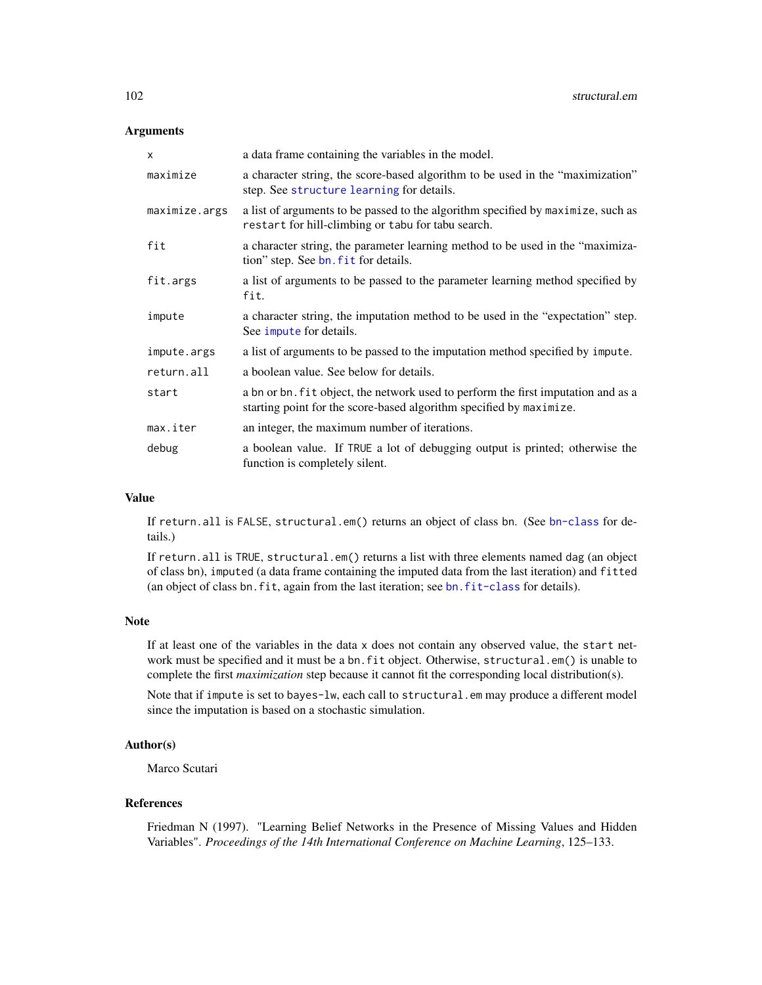## **Arguments**

| X             | a data frame containing the variables in the model.                                                                                                      |
|---------------|----------------------------------------------------------------------------------------------------------------------------------------------------------|
| maximize      | a character string, the score-based algorithm to be used in the "maximization"<br>step. See structure learning for details.                              |
| maximize.args | a list of arguments to be passed to the algorithm specified by maximize, such as<br>restart for hill-climbing or tabu for tabu search.                   |
| fit           | a character string, the parameter learning method to be used in the "maximiza-<br>tion" step. See bn. fit for details.                                   |
| fit.args      | a list of arguments to be passed to the parameter learning method specified by<br>fit.                                                                   |
| impute        | a character string, the imputation method to be used in the "expectation" step.<br>See impute for details.                                               |
| impute.args   | a list of arguments to be passed to the imputation method specified by impute.                                                                           |
| return.all    | a boolean value. See below for details.                                                                                                                  |
| start         | a bn or bn. fit object, the network used to perform the first imputation and as a<br>starting point for the score-based algorithm specified by maximize. |
| max.iter      | an integer, the maximum number of iterations.                                                                                                            |
| debug         | a boolean value. If TRUE a lot of debugging output is printed; otherwise the<br>function is completely silent.                                           |

#### Value

If return.all is FALSE, structural.em() returns an object of class bn. (See [bn-class](#page-14-0) for details.)

If return.all is TRUE, structural.em() returns a list with three elements named dag (an object of class bn), imputed (a data frame containing the imputed data from the last iteration) and fitted (an object of class bn.fit, again from the last iteration; see [bn.fit-class](#page-24-0) for details).

#### Note

If at least one of the variables in the data x does not contain any observed value, the start network must be specified and it must be a bn.fit object. Otherwise, structural.em() is unable to complete the first *maximization* step because it cannot fit the corresponding local distribution(s).

Note that if impute is set to bayes-lw, each call to structural.em may produce a different model since the imputation is based on a stochastic simulation.

## Author(s)

Marco Scutari

## References

Friedman N (1997). "Learning Belief Networks in the Presence of Missing Values and Hidden Variables". *Proceedings of the 14th International Conference on Machine Learning*, 125–133.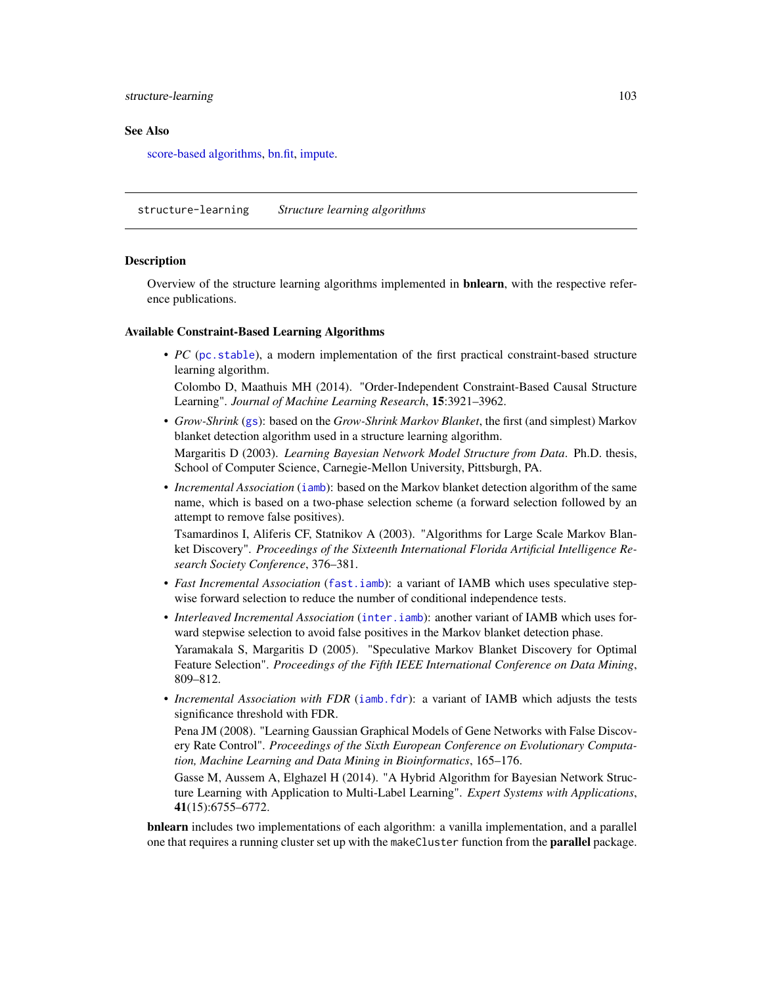## structure-learning 103

#### See Also

[score-based algorithms,](#page-96-0) [bn.fit,](#page-21-0) [impute.](#page-65-0)

structure-learning *Structure learning algorithms*

## <span id="page-102-0"></span>Description

Overview of the structure learning algorithms implemented in **bnlearn**, with the respective reference publications.

#### Available Constraint-Based Learning Algorithms

• *PC* ([pc.stable](#page-37-1)), a modern implementation of the first practical constraint-based structure learning algorithm.

Colombo D, Maathuis MH (2014). "Order-Independent Constraint-Based Causal Structure Learning". *Journal of Machine Learning Research*, 15:3921–3962.

- *Grow-Shrink* ([gs](#page-37-1)): based on the *Grow-Shrink Markov Blanket*, the first (and simplest) Markov blanket detection algorithm used in a structure learning algorithm. Margaritis D (2003). *Learning Bayesian Network Model Structure from Data*. Ph.D. thesis, School of Computer Science, Carnegie-Mellon University, Pittsburgh, PA.
- *Incremental Association* ([iamb](#page-37-1)): based on the Markov blanket detection algorithm of the same name, which is based on a two-phase selection scheme (a forward selection followed by an attempt to remove false positives).

Tsamardinos I, Aliferis CF, Statnikov A (2003). "Algorithms for Large Scale Markov Blanket Discovery". *Proceedings of the Sixteenth International Florida Artificial Intelligence Research Society Conference*, 376–381.

- *Fast Incremental Association* ([fast.iamb](#page-37-1)): a variant of IAMB which uses speculative stepwise forward selection to reduce the number of conditional independence tests.
- *Interleaved Incremental Association* ([inter.iamb](#page-37-1)): another variant of IAMB which uses forward stepwise selection to avoid false positives in the Markov blanket detection phase. Yaramakala S, Margaritis D (2005). "Speculative Markov Blanket Discovery for Optimal Feature Selection". *Proceedings of the Fifth IEEE International Conference on Data Mining*, 809–812.
- *Incremental Association with FDR* ([iamb.fdr](#page-37-1)): a variant of IAMB which adjusts the tests significance threshold with FDR.

Pena JM (2008). "Learning Gaussian Graphical Models of Gene Networks with False Discovery Rate Control". *Proceedings of the Sixth European Conference on Evolutionary Computation, Machine Learning and Data Mining in Bioinformatics*, 165–176.

Gasse M, Aussem A, Elghazel H (2014). "A Hybrid Algorithm for Bayesian Network Structure Learning with Application to Multi-Label Learning". *Expert Systems with Applications*, 41(15):6755–6772.

bnlearn includes two implementations of each algorithm: a vanilla implementation, and a parallel one that requires a running cluster set up with the makeCluster function from the **parallel** package.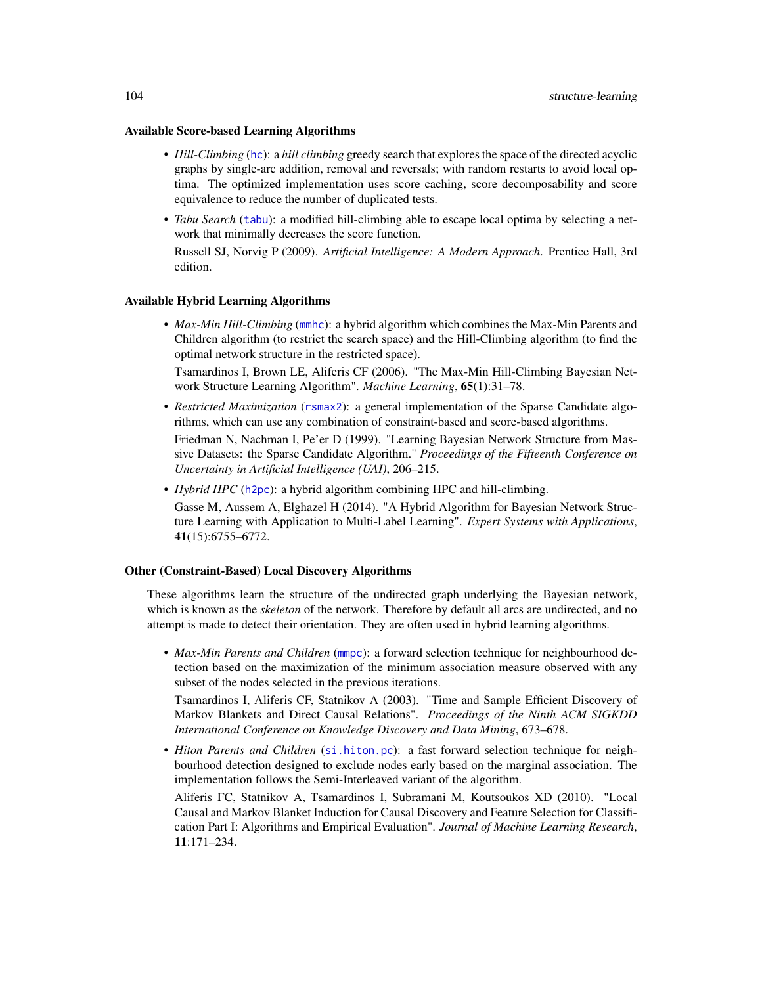#### Available Score-based Learning Algorithms

- *Hill-Climbing* ([hc](#page-96-1)): a *hill climbing* greedy search that explores the space of the directed acyclic graphs by single-arc addition, removal and reversals; with random restarts to avoid local optima. The optimized implementation uses score caching, score decomposability and score equivalence to reduce the number of duplicated tests.
- *Tabu Search* ([tabu](#page-96-1)): a modified hill-climbing able to escape local optima by selecting a network that minimally decreases the score function.

Russell SJ, Norvig P (2009). *Artificial Intelligence: A Modern Approach*. Prentice Hall, 3rd edition.

## Available Hybrid Learning Algorithms

• *Max-Min Hill-Climbing* ([mmhc](#page-63-1)): a hybrid algorithm which combines the Max-Min Parents and Children algorithm (to restrict the search space) and the Hill-Climbing algorithm (to find the optimal network structure in the restricted space).

Tsamardinos I, Brown LE, Aliferis CF (2006). "The Max-Min Hill-Climbing Bayesian Network Structure Learning Algorithm". *Machine Learning*, 65(1):31–78.

- *Restricted Maximization* ([rsmax2](#page-63-1)): a general implementation of the Sparse Candidate algorithms, which can use any combination of constraint-based and score-based algorithms. Friedman N, Nachman I, Pe'er D (1999). "Learning Bayesian Network Structure from Massive Datasets: the Sparse Candidate Algorithm." *Proceedings of the Fifteenth Conference on Uncertainty in Artificial Intelligence (UAI)*, 206–215.
- *Hybrid HPC* (h<sub>2pc</sub>): a hybrid algorithm combining HPC and hill-climbing.

Gasse M, Aussem A, Elghazel H (2014). "A Hybrid Algorithm for Bayesian Network Structure Learning with Application to Multi-Label Learning". *Expert Systems with Applications*, 41(15):6755–6772.

## Other (Constraint-Based) Local Discovery Algorithms

These algorithms learn the structure of the undirected graph underlying the Bayesian network, which is known as the *skeleton* of the network. Therefore by default all arcs are undirected, and no attempt is made to detect their orientation. They are often used in hybrid learning algorithms.

• *Max-Min Parents and Children* ([mmpc](#page-37-1)): a forward selection technique for neighbourhood detection based on the maximization of the minimum association measure observed with any subset of the nodes selected in the previous iterations.

Tsamardinos I, Aliferis CF, Statnikov A (2003). "Time and Sample Efficient Discovery of Markov Blankets and Direct Causal Relations". *Proceedings of the Ninth ACM SIGKDD International Conference on Knowledge Discovery and Data Mining*, 673–678.

• *Hiton Parents and Children* ([si.hiton.pc](#page-37-1)): a fast forward selection technique for neighbourhood detection designed to exclude nodes early based on the marginal association. The implementation follows the Semi-Interleaved variant of the algorithm.

Aliferis FC, Statnikov A, Tsamardinos I, Subramani M, Koutsoukos XD (2010). "Local Causal and Markov Blanket Induction for Causal Discovery and Feature Selection for Classification Part I: Algorithms and Empirical Evaluation". *Journal of Machine Learning Research*, 11:171–234.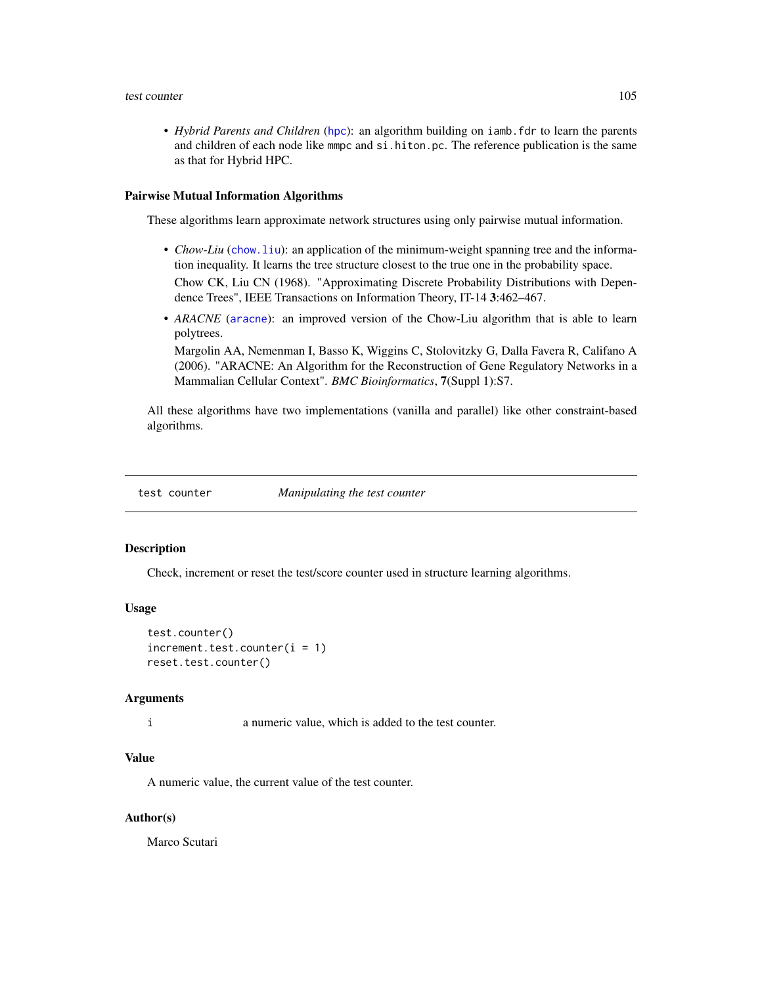#### test counter the counter of the counter of the counter of the counter of the counter of the counter of the counter of the counter of the counter of the counter of the counter of the counter of the counter of the counter of

• *Hybrid Parents and Children* ([hpc](#page-37-1)): an algorithm building on iamb.fdr to learn the parents and children of each node like mmpc and si.hiton.pc. The reference publication is the same as that for Hybrid HPC.

#### Pairwise Mutual Information Algorithms

These algorithms learn approximate network structures using only pairwise mutual information.

- *Chow-Liu* ([chow.liu](#page-73-1)): an application of the minimum-weight spanning tree and the information inequality. It learns the tree structure closest to the true one in the probability space. Chow CK, Liu CN (1968). "Approximating Discrete Probability Distributions with Dependence Trees", IEEE Transactions on Information Theory, IT-14 3:462–467.
- *ARACNE* ([aracne](#page-73-1)): an improved version of the Chow-Liu algorithm that is able to learn polytrees.

Margolin AA, Nemenman I, Basso K, Wiggins C, Stolovitzky G, Dalla Favera R, Califano A (2006). "ARACNE: An Algorithm for the Reconstruction of Gene Regulatory Networks in a Mammalian Cellular Context". *BMC Bioinformatics*, 7(Suppl 1):S7.

All these algorithms have two implementations (vanilla and parallel) like other constraint-based algorithms.

test counter *Manipulating the test counter*

#### **Description**

Check, increment or reset the test/score counter used in structure learning algorithms.

# Usage

```
test.counter()
increment.test.counter(i = 1)reset.test.counter()
```
## Arguments

i a numeric value, which is added to the test counter.

## Value

A numeric value, the current value of the test counter.

## Author(s)

Marco Scutari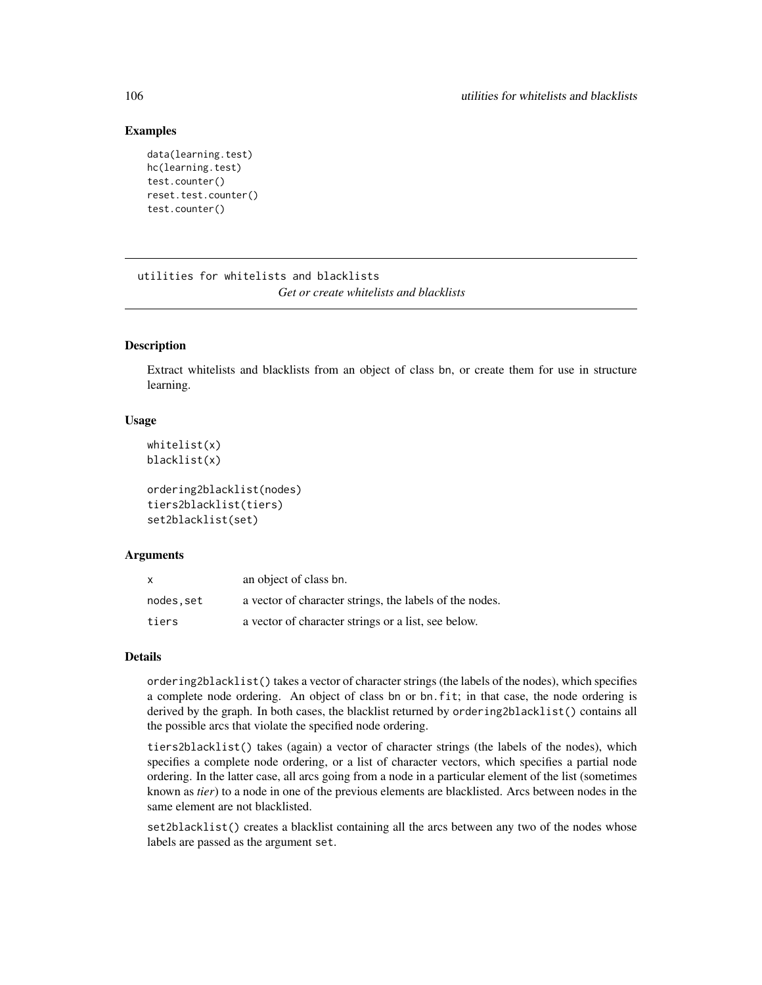## Examples

```
data(learning.test)
hc(learning.test)
test.counter()
reset.test.counter()
test.counter()
```
utilities for whitelists and blacklists *Get or create whitelists and blacklists*

## Description

Extract whitelists and blacklists from an object of class bn, or create them for use in structure learning.

## Usage

```
whitelist(x)
blacklist(x)
```

```
ordering2blacklist(nodes)
tiers2blacklist(tiers)
set2blacklist(set)
```
## Arguments

| X         | an object of class bn.                                  |
|-----------|---------------------------------------------------------|
| nodes.set | a vector of character strings, the labels of the nodes. |
| tiers     | a vector of character strings or a list, see below.     |

# Details

ordering2blacklist() takes a vector of character strings (the labels of the nodes), which specifies a complete node ordering. An object of class bn or bn.fit; in that case, the node ordering is derived by the graph. In both cases, the blacklist returned by ordering2blacklist() contains all the possible arcs that violate the specified node ordering.

tiers2blacklist() takes (again) a vector of character strings (the labels of the nodes), which specifies a complete node ordering, or a list of character vectors, which specifies a partial node ordering. In the latter case, all arcs going from a node in a particular element of the list (sometimes known as *tier*) to a node in one of the previous elements are blacklisted. Arcs between nodes in the same element are not blacklisted.

set2blacklist() creates a blacklist containing all the arcs between any two of the nodes whose labels are passed as the argument set.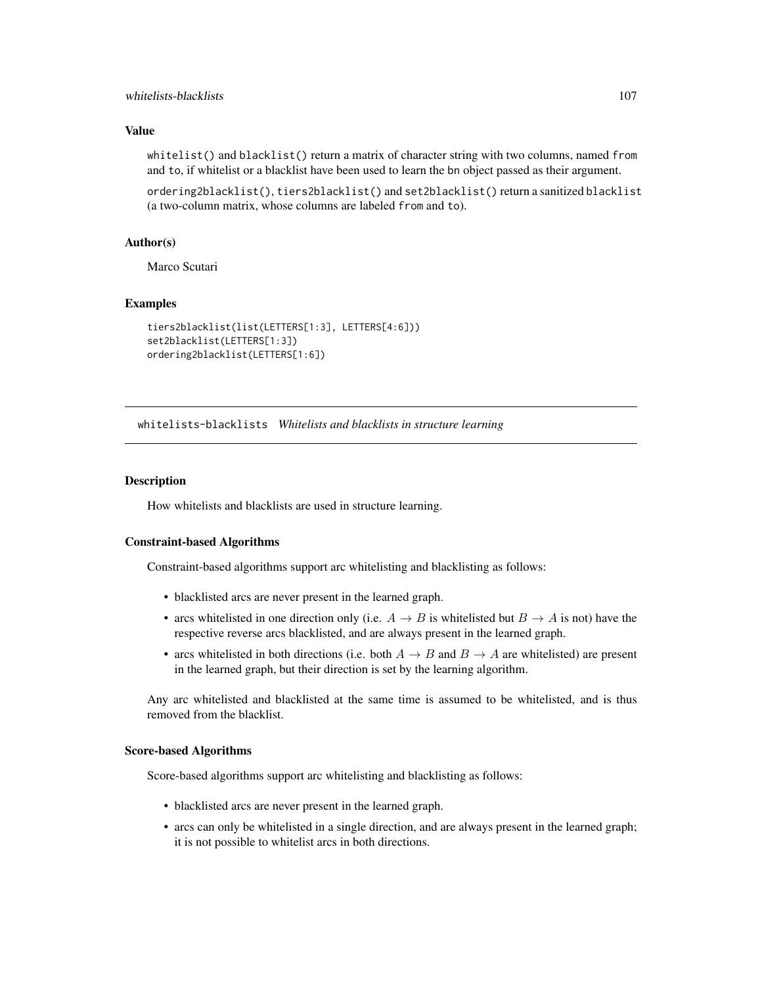## whitelists-blacklists 107

## Value

whitelist() and blacklist() return a matrix of character string with two columns, named from and to, if whitelist or a blacklist have been used to learn the bn object passed as their argument.

ordering2blacklist(), tiers2blacklist() and set2blacklist() return a sanitized blacklist (a two-column matrix, whose columns are labeled from and to).

#### Author(s)

Marco Scutari

## Examples

```
tiers2blacklist(list(LETTERS[1:3], LETTERS[4:6]))
set2blacklist(LETTERS[1:3])
ordering2blacklist(LETTERS[1:6])
```
whitelists-blacklists *Whitelists and blacklists in structure learning*

## Description

How whitelists and blacklists are used in structure learning.

#### Constraint-based Algorithms

Constraint-based algorithms support arc whitelisting and blacklisting as follows:

- blacklisted arcs are never present in the learned graph.
- arcs whitelisted in one direction only (i.e.  $A \rightarrow B$  is whitelisted but  $B \rightarrow A$  is not) have the respective reverse arcs blacklisted, and are always present in the learned graph.
- arcs whitelisted in both directions (i.e. both  $A \rightarrow B$  and  $B \rightarrow A$  are whitelisted) are present in the learned graph, but their direction is set by the learning algorithm.

Any arc whitelisted and blacklisted at the same time is assumed to be whitelisted, and is thus removed from the blacklist.

#### Score-based Algorithms

Score-based algorithms support arc whitelisting and blacklisting as follows:

- blacklisted arcs are never present in the learned graph.
- arcs can only be whitelisted in a single direction, and are always present in the learned graph; it is not possible to whitelist arcs in both directions.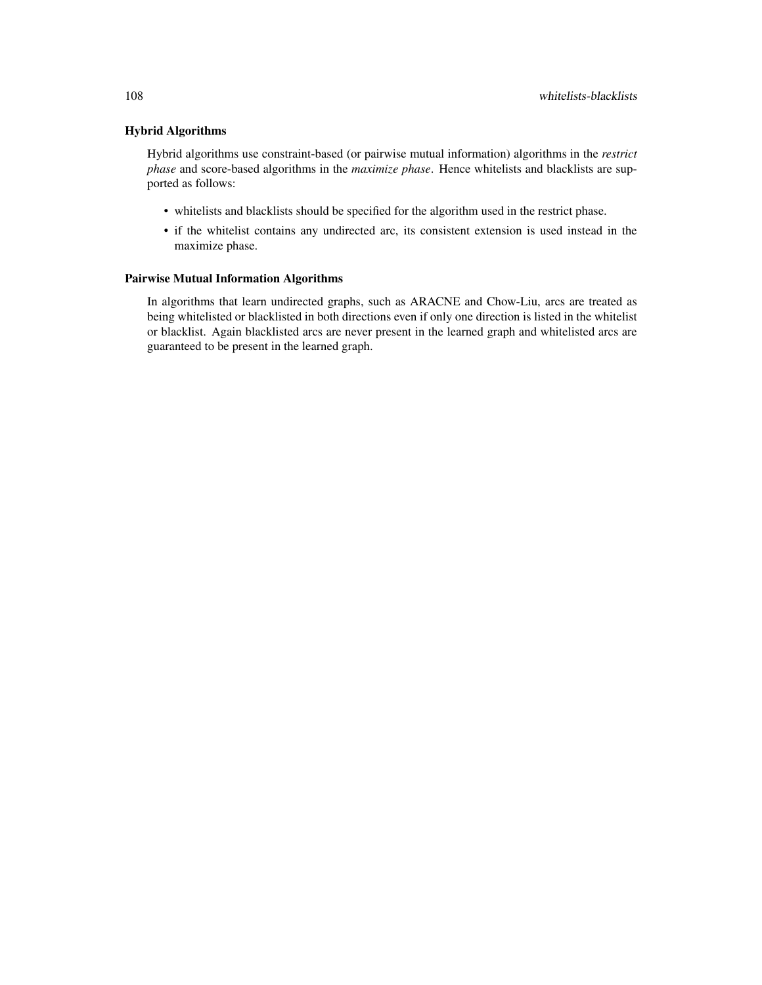# Hybrid Algorithms

Hybrid algorithms use constraint-based (or pairwise mutual information) algorithms in the *restrict phase* and score-based algorithms in the *maximize phase*. Hence whitelists and blacklists are supported as follows:

- whitelists and blacklists should be specified for the algorithm used in the restrict phase.
- if the whitelist contains any undirected arc, its consistent extension is used instead in the maximize phase.

## Pairwise Mutual Information Algorithms

In algorithms that learn undirected graphs, such as ARACNE and Chow-Liu, arcs are treated as being whitelisted or blacklisted in both directions even if only one direction is listed in the whitelist or blacklist. Again blacklisted arcs are never present in the learned graph and whitelisted arcs are guaranteed to be present in the learned graph.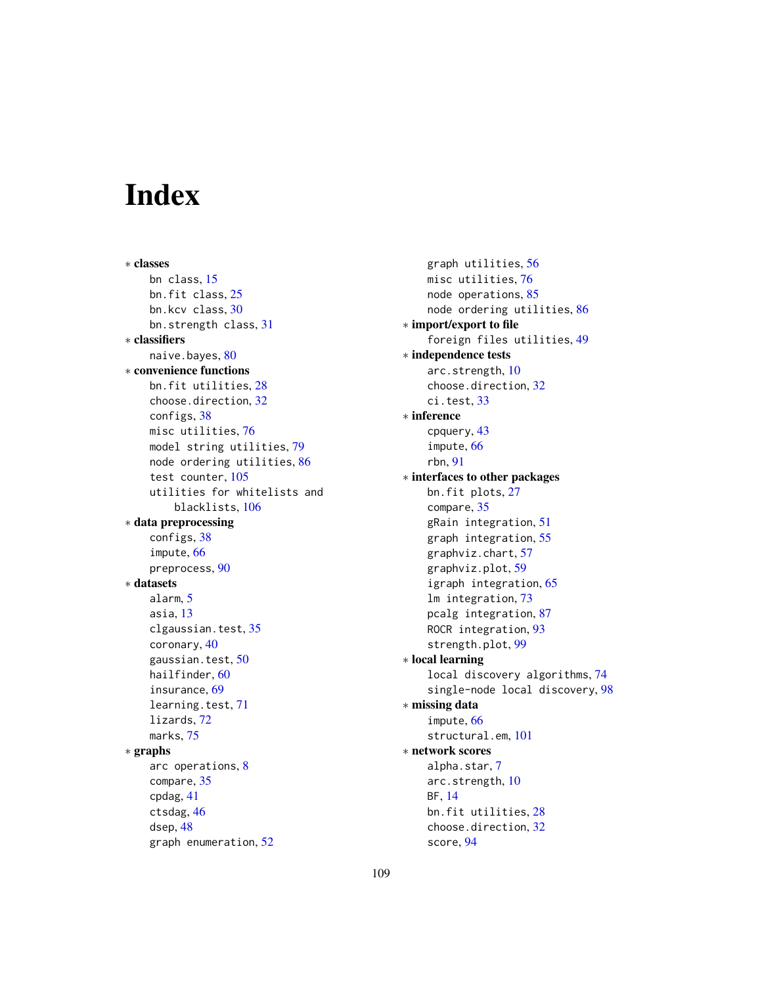# Index

∗ classes bn class, [15](#page-14-0) bn.fit class, [25](#page-24-0) bn.kcv class, [30](#page-29-0) bn.strength class, [31](#page-30-0) ∗ classifiers naive.bayes, [80](#page-79-0) ∗ convenience functions bn.fit utilities, [28](#page-27-0) choose.direction, [32](#page-31-0) configs, [38](#page-37-0) misc utilities, [76](#page-75-0) model string utilities, [79](#page-78-0) node ordering utilities, [86](#page-85-0) test counter, [105](#page-104-0) utilities for whitelists and blacklists, [106](#page-105-0) ∗ data preprocessing configs, [38](#page-37-0) impute, [66](#page-65-0) preprocess, [90](#page-89-0) ∗ datasets alarm, [5](#page-4-0) asia, [13](#page-12-0) clgaussian.test, [35](#page-34-0) coronary, [40](#page-39-0) gaussian.test, [50](#page-49-0) hailfinder, [60](#page-59-0) insurance, [69](#page-68-0) learning.test, [71](#page-70-0) lizards, [72](#page-71-0) marks, [75](#page-74-0) ∗ graphs arc operations, [8](#page-7-0) compare, [35](#page-34-0) cpdag, [41](#page-40-0) ctsdag, [46](#page-45-0) dsep, [48](#page-47-0) graph enumeration, [52](#page-51-0)

graph utilities, [56](#page-55-0) misc utilities, [76](#page-75-0) node operations, [85](#page-84-0) node ordering utilities, [86](#page-85-0) ∗ import/export to file foreign files utilities, [49](#page-48-0) ∗ independence tests arc.strength, [10](#page-9-0) choose.direction, [32](#page-31-0) ci.test, [33](#page-32-0) ∗ inference cpquery, [43](#page-42-0) impute, [66](#page-65-0) rbn, [91](#page-90-0) ∗ interfaces to other packages bn.fit plots, [27](#page-26-0) compare, [35](#page-34-0) gRain integration, [51](#page-50-0) graph integration, [55](#page-54-0) graphviz.chart, [57](#page-56-0) graphviz.plot, [59](#page-58-0) igraph integration, [65](#page-64-0) lm integration, [73](#page-72-0) pcalg integration, [87](#page-86-0) ROCR integration, [93](#page-92-0) strength.plot, [99](#page-98-0) ∗ local learning local discovery algorithms, [74](#page-73-0) single-node local discovery, [98](#page-97-0) ∗ missing data impute, [66](#page-65-0) structural.em, [101](#page-100-0) ∗ network scores alpha.star, [7](#page-6-0) arc.strength, [10](#page-9-0) BF, [14](#page-13-0) bn.fit utilities, [28](#page-27-0) choose.direction, [32](#page-31-0) score, [94](#page-93-0)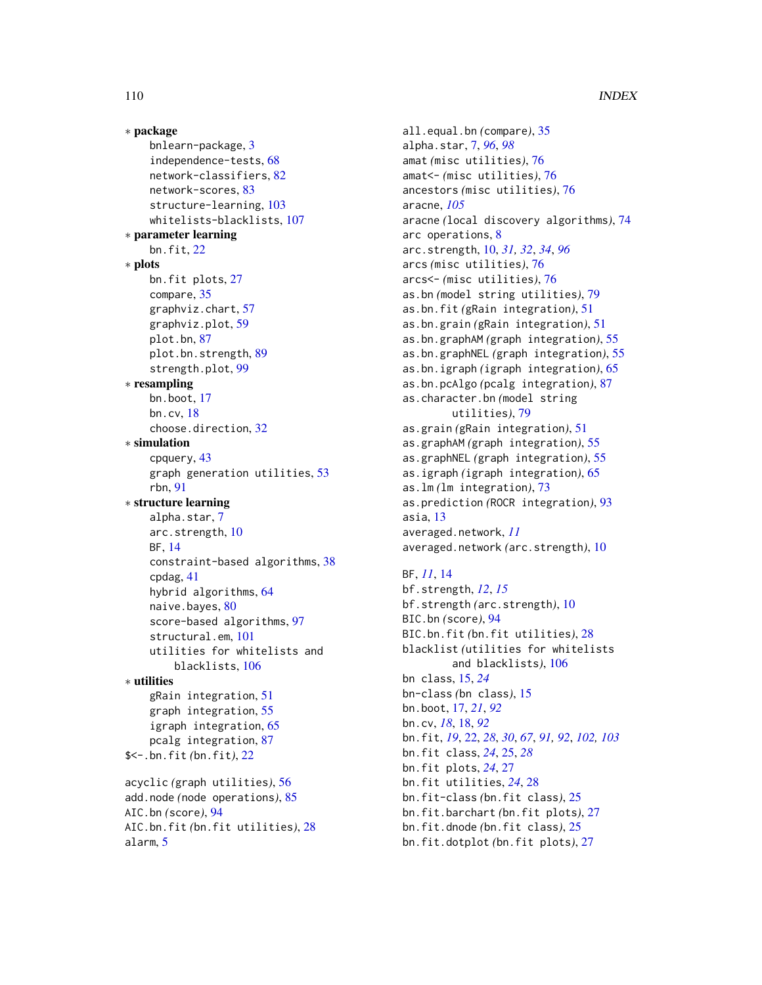∗ package bnlearn-package, [3](#page-2-0) independence-tests, [68](#page-67-0) network-classifiers, [82](#page-81-0) network-scores, [83](#page-82-0) structure-learning, [103](#page-102-0) whitelists-blacklists, [107](#page-106-0) ∗ parameter learning bn.fit, [22](#page-21-0) ∗ plots bn.fit plots, [27](#page-26-0) compare, [35](#page-34-0) graphviz.chart, [57](#page-56-0) graphviz.plot, [59](#page-58-0) plot.bn, [87](#page-86-0) plot.bn.strength, [89](#page-88-0) strength.plot, [99](#page-98-0) ∗ resampling bn.boot, [17](#page-16-0) bn.cv, [18](#page-17-0) choose.direction, [32](#page-31-0) ∗ simulation cpquery, [43](#page-42-0) graph generation utilities, [53](#page-52-0) rbn, [91](#page-90-0) ∗ structure learning alpha.star, [7](#page-6-0) arc.strength, [10](#page-9-0) BF, [14](#page-13-0) constraint-based algorithms, [38](#page-37-0) cpdag, [41](#page-40-0) hybrid algorithms, [64](#page-63-0) naive.bayes, [80](#page-79-0) score-based algorithms, [97](#page-96-0) structural.em, [101](#page-100-0) utilities for whitelists and blacklists, [106](#page-105-0) ∗ utilities gRain integration, [51](#page-50-0) graph integration, [55](#page-54-0) igraph integration, [65](#page-64-0) pcalg integration, [87](#page-86-0) \$<-.bn.fit *(*bn.fit*)*, [22](#page-21-0) acyclic *(*graph utilities*)*, [56](#page-55-0) add.node *(*node operations*)*, [85](#page-84-0) AIC.bn *(*score*)*, [94](#page-93-0) AIC.bn.fit *(*bn.fit utilities*)*, [28](#page-27-0) alarm, [5](#page-4-0)

all.equal.bn *(*compare*)*, [35](#page-34-0) alpha.star, [7,](#page-6-0) *[96](#page-95-0)*, *[98](#page-97-0)* amat *(*misc utilities*)*, [76](#page-75-0) amat<- *(*misc utilities*)*, [76](#page-75-0) ancestors *(*misc utilities*)*, [76](#page-75-0) aracne, *[105](#page-104-0)* aracne *(*local discovery algorithms*)*, [74](#page-73-0) arc operations, [8](#page-7-0) arc.strength, [10,](#page-9-0) *[31,](#page-30-0) [32](#page-31-0)*, *[34](#page-33-0)*, *[96](#page-95-0)* arcs *(*misc utilities*)*, [76](#page-75-0) arcs<- *(*misc utilities*)*, [76](#page-75-0) as.bn *(*model string utilities*)*, [79](#page-78-0) as.bn.fit *(*gRain integration*)*, [51](#page-50-0) as.bn.grain *(*gRain integration*)*, [51](#page-50-0) as.bn.graphAM *(*graph integration*)*, [55](#page-54-0) as.bn.graphNEL *(*graph integration*)*, [55](#page-54-0) as.bn.igraph *(*igraph integration*)*, [65](#page-64-0) as.bn.pcAlgo *(*pcalg integration*)*, [87](#page-86-0) as.character.bn *(*model string utilities*)*, [79](#page-78-0) as.grain *(*gRain integration*)*, [51](#page-50-0) as.graphAM *(*graph integration*)*, [55](#page-54-0) as.graphNEL *(*graph integration*)*, [55](#page-54-0) as.igraph *(*igraph integration*)*, [65](#page-64-0) as.lm *(*lm integration*)*, [73](#page-72-0) as.prediction *(*ROCR integration*)*, [93](#page-92-0) asia, [13](#page-12-0) averaged.network, *[11](#page-10-0)* averaged.network *(*arc.strength*)*, [10](#page-9-0)

# BF, *[11](#page-10-0)*, [14](#page-13-0)

bf.strength, *[12](#page-11-0)*, *[15](#page-14-0)* bf.strength *(*arc.strength*)*, [10](#page-9-0) BIC.bn *(*score*)*, [94](#page-93-0) BIC.bn.fit *(*bn.fit utilities*)*, [28](#page-27-0) blacklist *(*utilities for whitelists and blacklists*)*, [106](#page-105-0) bn class, [15,](#page-14-0) *[24](#page-23-0)* bn-class *(*bn class*)*, [15](#page-14-0) bn.boot, [17,](#page-16-0) *[21](#page-20-0)*, *[92](#page-91-0)* bn.cv, *[18](#page-17-0)*, [18,](#page-17-0) *[92](#page-91-0)* bn.fit, *[19](#page-18-0)*, [22,](#page-21-0) *[28](#page-27-0)*, *[30](#page-29-0)*, *[67](#page-66-0)*, *[91,](#page-90-0) [92](#page-91-0)*, *[102,](#page-101-0) [103](#page-102-0)* bn.fit class, *[24](#page-23-0)*, [25,](#page-24-0) *[28](#page-27-0)* bn.fit plots, *[24](#page-23-0)*, [27](#page-26-0) bn.fit utilities, *[24](#page-23-0)*, [28](#page-27-0) bn.fit-class *(*bn.fit class*)*, [25](#page-24-0) bn.fit.barchart *(*bn.fit plots*)*, [27](#page-26-0) bn.fit.dnode *(*bn.fit class*)*, [25](#page-24-0) bn.fit.dotplot *(*bn.fit plots*)*, [27](#page-26-0)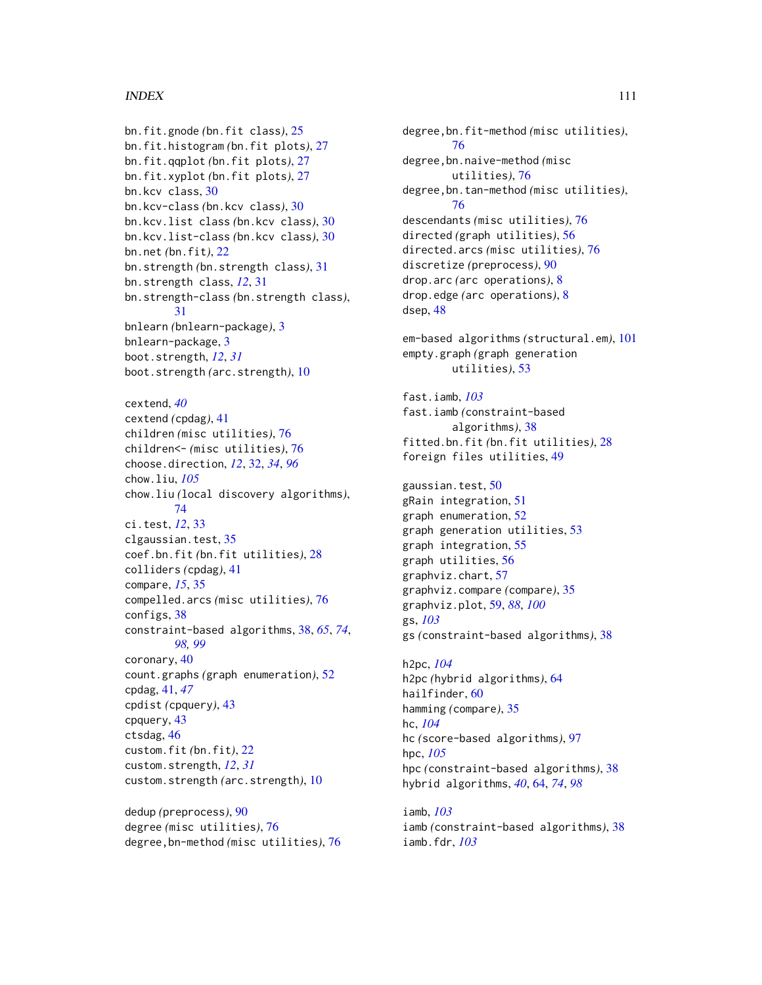### INDEX 111

bn.fit.gnode *(*bn.fit class*)*, [25](#page-24-0) bn.fit.histogram *(*bn.fit plots*)*, [27](#page-26-0) bn.fit.qqplot *(*bn.fit plots*)*, [27](#page-26-0) bn.fit.xyplot *(*bn.fit plots*)*, [27](#page-26-0) bn.kcv class, [30](#page-29-0) bn.kcv-class *(*bn.kcv class*)*, [30](#page-29-0) bn.kcv.list class *(*bn.kcv class*)*, [30](#page-29-0) bn.kcv.list-class *(*bn.kcv class*)*, [30](#page-29-0) bn.net *(*bn.fit*)*, [22](#page-21-0) bn.strength *(*bn.strength class*)*, [31](#page-30-0) bn.strength class, *[12](#page-11-0)*, [31](#page-30-0) bn.strength-class *(*bn.strength class*)*, [31](#page-30-0) bnlearn *(*bnlearn-package*)*, [3](#page-2-0) bnlearn-package, [3](#page-2-0) boot.strength, *[12](#page-11-0)*, *[31](#page-30-0)* boot.strength *(*arc.strength*)*, [10](#page-9-0) cextend, *[40](#page-39-0)* cextend *(*cpdag*)*, [41](#page-40-0) children *(*misc utilities*)*, [76](#page-75-0) children<- *(*misc utilities*)*, [76](#page-75-0) choose.direction, *[12](#page-11-0)*, [32,](#page-31-0) *[34](#page-33-0)*, *[96](#page-95-0)* chow.liu, *[105](#page-104-0)* chow.liu *(*local discovery algorithms*)*, [74](#page-73-0) ci.test, *[12](#page-11-0)*, [33](#page-32-0) clgaussian.test, [35](#page-34-0) coef.bn.fit *(*bn.fit utilities*)*, [28](#page-27-0) colliders *(*cpdag*)*, [41](#page-40-0) compare, *[15](#page-14-0)*, [35](#page-34-0) compelled.arcs *(*misc utilities*)*, [76](#page-75-0) configs, [38](#page-37-0) constraint-based algorithms, [38,](#page-37-0) *[65](#page-64-0)*, *[74](#page-73-0)*, *[98,](#page-97-0) [99](#page-98-0)* coronary, [40](#page-39-0) count.graphs *(*graph enumeration*)*, [52](#page-51-0) cpdag, [41,](#page-40-0) *[47](#page-46-0)* cpdist *(*cpquery*)*, [43](#page-42-0) cpquery, [43](#page-42-0) ctsdag, [46](#page-45-0) custom.fit *(*bn.fit*)*, [22](#page-21-0) custom.strength, *[12](#page-11-0)*, *[31](#page-30-0)* custom.strength *(*arc.strength*)*, [10](#page-9-0)

dedup *(*preprocess*)*, [90](#page-89-0) degree *(*misc utilities*)*, [76](#page-75-0) degree,bn-method *(*misc utilities*)*, [76](#page-75-0)

degree,bn.fit-method *(*misc utilities*)*, [76](#page-75-0) degree,bn.naive-method *(*misc utilities*)*, [76](#page-75-0) degree,bn.tan-method *(*misc utilities*)*, [76](#page-75-0) descendants *(*misc utilities*)*, [76](#page-75-0) directed *(*graph utilities*)*, [56](#page-55-0) directed.arcs *(*misc utilities*)*, [76](#page-75-0) discretize *(*preprocess*)*, [90](#page-89-0) drop.arc *(*arc operations*)*, [8](#page-7-0) drop.edge *(*arc operations*)*, [8](#page-7-0) dsep, [48](#page-47-0) em-based algorithms *(*structural.em*)*, [101](#page-100-0) empty.graph *(*graph generation utilities*)*, [53](#page-52-0) fast.iamb, *[103](#page-102-0)* fast.iamb *(*constraint-based algorithms*)*, [38](#page-37-0) fitted.bn.fit *(*bn.fit utilities*)*, [28](#page-27-0) foreign files utilities, [49](#page-48-0) gaussian.test, [50](#page-49-0) gRain integration, [51](#page-50-0) graph enumeration, [52](#page-51-0) graph generation utilities, [53](#page-52-0) graph integration, [55](#page-54-0) graph utilities, [56](#page-55-0) graphviz.chart, [57](#page-56-0) graphviz.compare *(*compare*)*, [35](#page-34-0) graphviz.plot, [59,](#page-58-0) *[88](#page-87-0)*, *[100](#page-99-0)* gs, *[103](#page-102-0)* gs *(*constraint-based algorithms*)*, [38](#page-37-0) h2pc, *[104](#page-103-0)* h2pc *(*hybrid algorithms*)*, [64](#page-63-0) hailfinder, [60](#page-59-0) hamming *(*compare*)*, [35](#page-34-0) hc, *[104](#page-103-0)* hc *(*score-based algorithms*)*, [97](#page-96-0) hpc, *[105](#page-104-0)*

hpc *(*constraint-based algorithms*)*, [38](#page-37-0) hybrid algorithms, *[40](#page-39-0)*, [64,](#page-63-0) *[74](#page-73-0)*, *[98](#page-97-0)*

iamb, *[103](#page-102-0)* iamb *(*constraint-based algorithms*)*, [38](#page-37-0) iamb.fdr, *[103](#page-102-0)*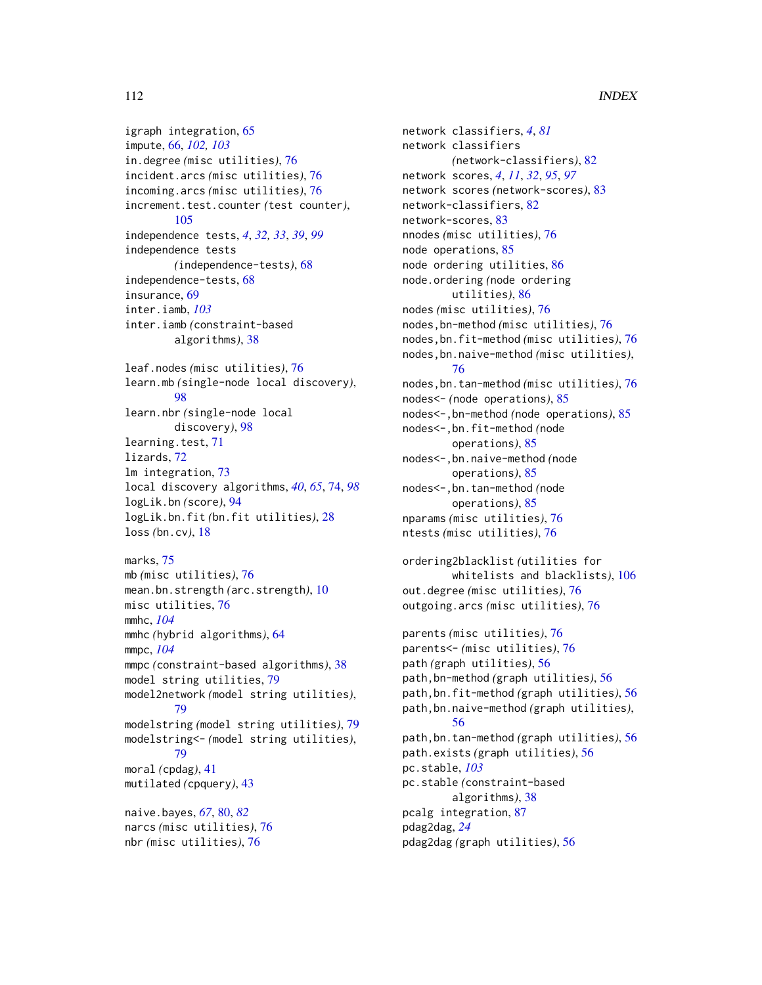# 112 INDEX

igraph integration, [65](#page-64-0) impute, [66,](#page-65-0) *[102,](#page-101-0) [103](#page-102-0)* in.degree *(*misc utilities*)*, [76](#page-75-0) incident.arcs *(*misc utilities*)*, [76](#page-75-0) incoming.arcs *(*misc utilities*)*, [76](#page-75-0) increment.test.counter *(*test counter*)*, [105](#page-104-0) independence tests, *[4](#page-3-0)*, *[32,](#page-31-0) [33](#page-32-0)*, *[39](#page-38-0)*, *[99](#page-98-0)* independence tests *(*independence-tests*)*, [68](#page-67-0) independence-tests, [68](#page-67-0) insurance, [69](#page-68-0) inter.iamb, *[103](#page-102-0)* inter.iamb *(*constraint-based algorithms*)*, [38](#page-37-0) leaf.nodes *(*misc utilities*)*, [76](#page-75-0) learn.mb *(*single-node local discovery*)*, [98](#page-97-0) learn.nbr *(*single-node local discovery*)*, [98](#page-97-0) learning.test, [71](#page-70-0) lizards, [72](#page-71-0)

lm integration, [73](#page-72-0) local discovery algorithms, *[40](#page-39-0)*, *[65](#page-64-0)*, [74,](#page-73-0) *[98](#page-97-0)* logLik.bn *(*score*)*, [94](#page-93-0) logLik.bn.fit *(*bn.fit utilities*)*, [28](#page-27-0) loss *(*bn.cv*)*, [18](#page-17-0)

```
marks, 75
mb (misc utilities), 76
mean.bn.strength (arc.strength), 10
misc utilities, 76
mmhc, 104
mmhc (hybrid algorithms), 64
mmpc, 104
mmpc (constraint-based algorithms), 38
model string utilities, 79
model2network (model string utilities),
        79
modelstring (model string utilities), 79
modelstring<- (model string utilities),
        79
moral (cpdag), 41
mutilated (cpquery), 43
naive.bayes, 67, 80, 82
```
narcs *(*misc utilities*)*, [76](#page-75-0) nbr *(*misc utilities*)*, [76](#page-75-0)

network classifiers, *[4](#page-3-0)*, *[81](#page-80-0)* network classifiers *(*network-classifiers*)*, [82](#page-81-0) network scores, *[4](#page-3-0)*, *[11](#page-10-0)*, *[32](#page-31-0)*, *[95](#page-94-0)*, *[97](#page-96-0)* network scores *(*network-scores*)*, [83](#page-82-0) network-classifiers, [82](#page-81-0) network-scores, [83](#page-82-0) nnodes *(*misc utilities*)*, [76](#page-75-0) node operations, [85](#page-84-0) node ordering utilities, [86](#page-85-0) node.ordering *(*node ordering utilities*)*, [86](#page-85-0) nodes *(*misc utilities*)*, [76](#page-75-0) nodes,bn-method *(*misc utilities*)*, [76](#page-75-0) nodes,bn.fit-method *(*misc utilities*)*, [76](#page-75-0) nodes,bn.naive-method *(*misc utilities*)*, [76](#page-75-0) nodes,bn.tan-method *(*misc utilities*)*, [76](#page-75-0) nodes<- *(*node operations*)*, [85](#page-84-0) nodes<-,bn-method *(*node operations*)*, [85](#page-84-0) nodes<-,bn.fit-method *(*node operations*)*, [85](#page-84-0) nodes<-,bn.naive-method *(*node operations*)*, [85](#page-84-0) nodes<-,bn.tan-method *(*node operations*)*, [85](#page-84-0) nparams *(*misc utilities*)*, [76](#page-75-0) ntests *(*misc utilities*)*, [76](#page-75-0)

```
ordering2blacklist (utilities for
        whitelists and blacklists), 106
out.degree (misc utilities), 76
outgoing.arcs (misc utilities), 76
```

```
parents (misc utilities), 76
parents<- (misc utilities), 76
path (graph utilities), 56
path,bn-method (graph utilities), 56
path,bn.fit-method (graph utilities), 56
path,bn.naive-method (graph utilities),
        56
path,bn.tan-method (graph utilities), 56
path.exists (graph utilities), 56
pc.stable, 103
pc.stable (constraint-based
        algorithms), 38
pcalg integration, 87
pdag2dag, 24
pdag2dag (graph utilities), 56
```